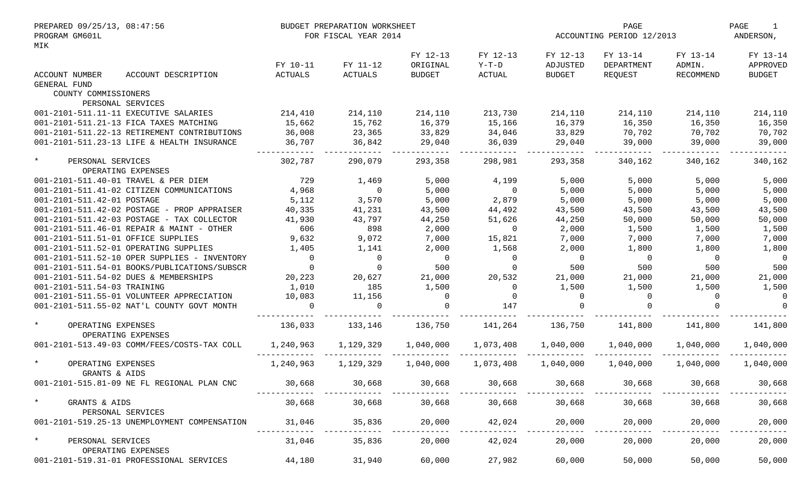| PREPARED 09/25/13, 08:47:56<br>PROGRAM GM601L       |                            | BUDGET PREPARATION WORKSHEET<br>FOR FISCAL YEAR 2014 |                                       |                               |                                       | PAGE<br>ACCOUNTING PERIOD 12/2013 |                                 | PAGE<br>1<br>ANDERSON,                |
|-----------------------------------------------------|----------------------------|------------------------------------------------------|---------------------------------------|-------------------------------|---------------------------------------|-----------------------------------|---------------------------------|---------------------------------------|
| MIK<br>ACCOUNT NUMBER<br>ACCOUNT DESCRIPTION        | FY 10-11<br><b>ACTUALS</b> | FY 11-12<br><b>ACTUALS</b>                           | FY 12-13<br>ORIGINAL<br><b>BUDGET</b> | FY 12-13<br>$Y-T-D$<br>ACTUAL | FY 12-13<br>ADJUSTED<br><b>BUDGET</b> | FY 13-14<br>DEPARTMENT<br>REQUEST | FY 13-14<br>ADMIN.<br>RECOMMEND | FY 13-14<br>APPROVED<br><b>BUDGET</b> |
| <b>GENERAL FUND</b>                                 |                            |                                                      |                                       |                               |                                       |                                   |                                 |                                       |
| COUNTY COMMISSIONERS                                |                            |                                                      |                                       |                               |                                       |                                   |                                 |                                       |
| PERSONAL SERVICES                                   |                            |                                                      |                                       |                               |                                       |                                   |                                 |                                       |
| 001-2101-511.11-11 EXECUTIVE SALARIES               | 214,410                    | 214,110                                              | 214,110                               | 213,730                       | 214,110                               | 214,110                           | 214,110                         | 214,110                               |
| 001-2101-511.21-13 FICA TAXES MATCHING              | 15,662                     | 15,762                                               | 16,379                                | 15,166                        | 16,379                                | 16,350                            | 16,350                          | 16,350                                |
| 001-2101-511.22-13 RETIREMENT CONTRIBUTIONS         | 36,008                     | 23,365                                               | 33,829                                | 34,046                        | 33,829                                | 70,702                            | 70,702                          | 70,702                                |
| 001-2101-511.23-13 LIFE & HEALTH INSURANCE          | 36,707                     | 36,842                                               | 29,040                                | 36,039                        | 29,040                                | 39,000                            | 39,000                          | 39,000                                |
| $\star$<br>PERSONAL SERVICES<br>OPERATING EXPENSES  | 302,787                    | 290,079                                              | 293,358                               | 298,981                       | 293,358                               | 340,162                           | 340,162                         | 340,162                               |
| 001-2101-511.40-01 TRAVEL & PER DIEM                | 729                        | 1,469                                                | 5,000                                 | 4,199                         | 5,000                                 | 5,000                             | 5,000                           | 5,000                                 |
| 001-2101-511.41-02 CITIZEN COMMUNICATIONS           | 4,968                      | $\overline{0}$                                       | 5,000                                 | $\overline{0}$                | 5,000                                 | 5,000                             | 5,000                           | 5,000                                 |
| 001-2101-511.42-01 POSTAGE                          | 5,112                      | 3,570                                                | 5,000                                 | 2,879                         | 5,000                                 | 5,000                             | 5,000                           | 5,000                                 |
| 001-2101-511.42-02 POSTAGE - PROP APPRAISER         | 40,335                     | 41,231                                               | 43,500                                | 44,492                        | 43,500                                | 43,500                            | 43,500                          | 43,500                                |
| 001-2101-511.42-03 POSTAGE - TAX COLLECTOR          | 41,930                     | 43,797                                               | 44,250                                | 51,626                        | 44,250                                | 50,000                            | 50,000                          | 50,000                                |
| 001-2101-511.46-01 REPAIR & MAINT - OTHER           | 606                        | 898                                                  | 2,000                                 | $\overline{0}$                | 2,000                                 | 1,500                             | 1,500                           | 1,500                                 |
| 001-2101-511.51-01 OFFICE SUPPLIES                  | 9,632                      | 9,072                                                | 7,000                                 | 15,821                        | 7,000                                 | 7,000                             | 7,000                           | 7,000                                 |
|                                                     |                            |                                                      |                                       |                               |                                       |                                   |                                 |                                       |
| 001-2101-511.52-01 OPERATING SUPPLIES               | 1,405                      | 1,141                                                | 2,000                                 | 1,568                         | 2,000                                 | 1,800                             | 1,800                           | 1,800                                 |
| 001-2101-511.52-10 OPER SUPPLIES - INVENTORY        | $\Omega$                   | $\overline{0}$                                       | $\bigcap$                             | $\mathbf{0}$                  | $\overline{0}$                        | $\overline{0}$                    | $\Omega$                        | $\overline{0}$                        |
| 001-2101-511.54-01 BOOKS/PUBLICATIONS/SUBSCR        | $\Omega$                   | $\Omega$                                             | 500                                   | $\Omega$                      | 500                                   | 500                               | 500                             | 500                                   |
| 001-2101-511.54-02 DUES & MEMBERSHIPS               | 20,223                     | 20,627                                               | 21,000                                | 20,532                        | 21,000                                | 21,000                            | 21,000                          | 21,000                                |
| 001-2101-511.54-03 TRAINING                         | 1,010                      | 185                                                  | 1,500                                 | $\Omega$                      | 1,500                                 | 1,500                             | 1,500                           | 1,500                                 |
| 001-2101-511.55-01 VOLUNTEER APPRECIATION           | 10,083                     | 11,156                                               | $\Omega$                              | $\Omega$                      | $\overline{0}$                        | $\Omega$                          | $\Omega$                        | 0                                     |
| 001-2101-511.55-02 NAT'L COUNTY GOVT MONTH          |                            | 0                                                    |                                       | 147                           | $\Omega$                              |                                   |                                 |                                       |
| $\star$<br>OPERATING EXPENSES<br>OPERATING EXPENSES | 136,033                    | 133,146                                              | 136,750                               | 141,264                       | 136,750                               | 141,800                           | 141,800                         | 141,800                               |
| 001-2101-513.49-03 COMM/FEES/COSTS-TAX COLL         | 1,240,963                  | 1,129,329                                            | 1,040,000                             | 1,073,408                     | 1,040,000                             | 1,040,000                         | 1,040,000                       | 1,040,000                             |
| $\star$<br>OPERATING EXPENSES<br>GRANTS & AIDS      | 1,240,963                  | 1,129,329                                            | 1,040,000                             | 1,073,408                     | 1,040,000                             | 1,040,000                         | 1,040,000                       | 1,040,000                             |
| 001-2101-515.81-09 NE FL REGIONAL PLAN CNC          | 30,668                     | 30,668                                               | 30,668                                | 30,668                        | 30,668                                | 30,668                            | 30,668                          | 30,668                                |
| $\star$<br>GRANTS & AIDS<br>PERSONAL SERVICES       | 30,668                     | 30,668                                               | 30,668                                | 30,668                        | 30,668                                | 30,668                            | 30,668                          | 30,668                                |
| 001-2101-519.25-13 UNEMPLOYMENT COMPENSATION        | 31,046                     | 35,836                                               | 20,000                                | 42,024                        | 20,000                                | 20,000                            | 20,000                          | 20,000                                |
| $\star$<br>PERSONAL SERVICES<br>OPERATING EXPENSES  | 31,046                     | 35,836                                               | 20,000                                | 42,024                        | 20,000                                | 20,000                            | 20,000                          | 20,000                                |
| 001-2101-519.31-01 PROFESSIONAL SERVICES            | 44,180                     | 31,940                                               | 60,000                                | 27,982                        | 60,000                                | 50,000                            | 50,000                          | 50,000                                |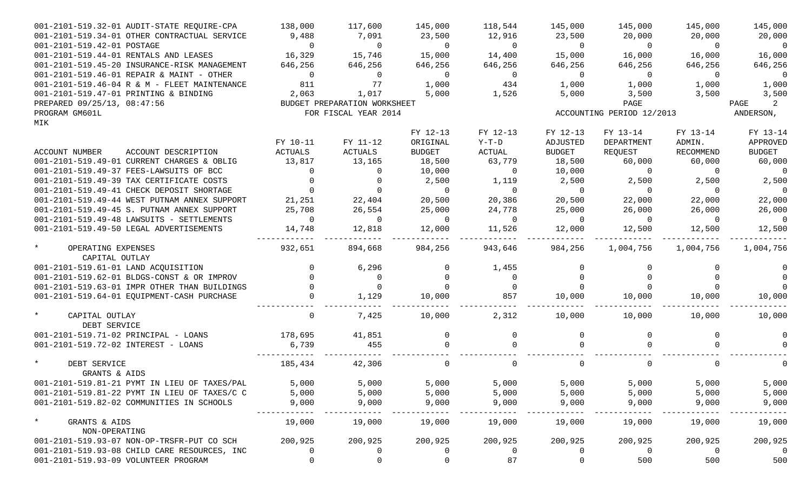| 001-2101-519.32-01 AUDIT-STATE REOUIRE-CPA         | 138,000        | 117,600                      | 145,000        | 118,544        | 145,000                  | 145,000                   | 145,000        | 145,000        |
|----------------------------------------------------|----------------|------------------------------|----------------|----------------|--------------------------|---------------------------|----------------|----------------|
| 001-2101-519.34-01 OTHER CONTRACTUAL SERVICE       | 9,488          | 7,091                        | 23,500         | 12,916         | 23,500                   | 20,000                    | 20,000         | 20,000         |
| 001-2101-519.42-01 POSTAGE                         | $\overline{0}$ | $\overline{0}$               | $\overline{0}$ | $\overline{0}$ | $\overline{0}$           | $\overline{0}$            | $\overline{0}$ | $\overline{0}$ |
| 001-2101-519.44-01 RENTALS AND LEASES              | 16,329         | 15,746                       | 15,000         | 14,400         | 15,000                   | 16,000                    | 16,000         | 16,000         |
| 001-2101-519.45-20 INSURANCE-RISK MANAGEMENT       | 646,256        | 646,256                      | 646,256        | 646,256        | 646,256                  | 646,256                   | 646,256        | 646,256        |
| 001-2101-519.46-01 REPAIR & MAINT - OTHER          | $\overline{0}$ | $\overline{0}$               | $\overline{0}$ | $\overline{0}$ | $\overline{0}$           | $\overline{0}$            | $\Omega$       | $\overline{0}$ |
| 001-2101-519.46-04 R & M - FLEET MAINTENANCE       | 811            | 77                           | 1,000          | 434            | 1,000                    | 1,000                     | 1,000          | 1,000          |
| 001-2101-519.47-01 PRINTING & BINDING              | 2,063          | 1,017                        | 5,000          | 1,526          | 5,000                    | 3,500                     | 3,500          | 3,500          |
| PREPARED 09/25/13, 08:47:56                        |                | BUDGET PREPARATION WORKSHEET |                |                |                          | PAGE                      |                | 2<br>PAGE      |
| PROGRAM GM601L                                     |                | FOR FISCAL YEAR 2014         |                |                |                          | ACCOUNTING PERIOD 12/2013 |                | ANDERSON,      |
| MIK                                                |                |                              |                |                |                          |                           |                |                |
|                                                    |                |                              | FY 12-13       | FY 12-13       | FY 12-13                 | FY 13-14                  | FY 13-14       | FY 13-14       |
|                                                    | FY 10-11       | FY 11-12                     | ORIGINAL       | $Y-T-D$        | ADJUSTED                 | DEPARTMENT                | ADMIN.         | APPROVED       |
| ACCOUNT NUMBER<br>ACCOUNT DESCRIPTION              | ACTUALS        | ACTUALS                      | <b>BUDGET</b>  | ACTUAL         | <b>BUDGET</b>            | REQUEST                   | RECOMMEND      | <b>BUDGET</b>  |
| 001-2101-519.49-01 CURRENT CHARGES & OBLIG         | 13,817         | 13,165                       | 18,500         | 63,779         | 18,500                   | 60,000                    | 60,000         | 60,000         |
| 001-2101-519.49-37 FEES-LAWSUITS OF BCC            | $\Omega$       | $\overline{0}$               | 10,000         | $\overline{0}$ | 10,000                   | $\overline{0}$            | $\overline{0}$ | $\overline{0}$ |
| 001-2101-519.49-39 TAX CERTIFICATE COSTS           |                | $\overline{0}$               | 2,500          | 1,119          | 2,500                    | 2,500                     | 2,500          | 2,500          |
| 001-2101-519.49-41 CHECK DEPOSIT SHORTAGE          |                | $\overline{0}$               | $\overline{0}$ | $\overline{0}$ | $\overline{0}$           | $\overline{0}$            | $\Omega$       | $\overline{0}$ |
| 001-2101-519.49-44 WEST PUTNAM ANNEX SUPPORT       | 21,251         | 22,404                       | 20,500         | 20,386         | 20,500                   | 22,000                    | 22,000         | 22,000         |
| 001-2101-519.49-45 S. PUTNAM ANNEX SUPPORT         | 25,708         | 26,554                       | 25,000         | 24,778         | 25,000                   | 26,000                    | 26,000         | 26,000         |
| 001-2101-519.49-48 LAWSUITS - SETTLEMENTS          | $\overline{0}$ | $\overline{0}$               | $\overline{0}$ | $\overline{0}$ | $\overline{0}$           | $\overline{0}$            | $\overline{0}$ | $\overline{0}$ |
| 001-2101-519.49-50 LEGAL ADVERTISEMENTS            | 14,748         | 12,818                       | 12,000         | 11,526         | 12,000                   | 12,500                    | 12,500         | 12,500         |
| $\star$<br>OPERATING EXPENSES<br>CAPITAL OUTLAY    | 932,651        | 894,668                      | 984,256        | 943,646        | -------------<br>984,256 | 1,004,756                 | 1,004,756      | 1,004,756      |
| 001-2101-519.61-01 LAND ACQUISITION                |                | 6,296                        |                | 1,455          | $\mathbf{0}$             |                           | $\Omega$       | 0              |
| 001-2101-519.62-01 BLDGS-CONST & OR IMPROV         |                | $\overline{0}$               | $\Omega$       | $\mathbf 0$    | $\Omega$                 |                           |                | $\Omega$       |
| 001-2101-519.63-01 IMPR OTHER THAN BUILDINGS       |                | $\overline{0}$               | $\Omega$       | $\overline{0}$ | $\Omega$                 |                           |                | $\Omega$       |
| 001-2101-519.64-01 EQUIPMENT-CASH PURCHASE         |                | 1,129                        | 10,000         | 857            | 10,000                   | 10,000                    | 10,000         | 10,000         |
| $\star$<br>CAPITAL OUTLAY                          | $\Omega$       | 7,425                        | 10,000         | 2,312          | 10,000                   | 10,000                    | 10,000         | 10,000         |
| DEBT SERVICE                                       |                |                              |                |                |                          |                           |                |                |
| 001-2101-519.71-02 PRINCIPAL - LOANS               | 178,695        | 41,851                       |                | $\mathbf 0$    | $\mathbf{0}$             |                           | $\Omega$       |                |
| 001-2101-519.72-02 INTEREST - LOANS                | 6,739          | 455                          | $\Omega$       | $\Omega$       | $\Omega$                 |                           |                |                |
| $\star$<br>DEBT SERVICE<br>GRANTS & AIDS           | 185,434        | 42,306                       | $\Omega$       | $\Omega$       | $\Omega$                 |                           | $\Omega$       |                |
| 001-2101-519.81-21 PYMT IN LIEU OF TAXES/PAL 5,000 |                | 5,000                        | 5,000          | 5,000          | 5,000                    | 5,000                     | 5,000          | 5,000          |
| 001-2101-519.81-22 PYMT IN LIEU OF TAXES/C C       | 5,000          | 5,000                        | 5,000          | 5,000          | 5,000                    | 5,000                     | 5,000          | 5,000          |
| 001-2101-519.82-02 COMMUNITIES IN SCHOOLS          | 9,000          | 9,000                        | 9,000          | 9,000          | 9,000                    | 9,000                     | 9,000          | 9,000          |
|                                                    |                |                              |                |                |                          |                           |                |                |
| $\star$<br>GRANTS & AIDS                           | 19,000         | 19,000                       | 19,000         | 19,000         | 19,000                   | 19,000                    | 19,000         | 19,000         |
| NON-OPERATING                                      |                |                              |                |                |                          |                           |                |                |
| 001-2101-519.93-07 NON-OP-TRSFR-PUT CO SCH         | 200,925        | 200,925                      | 200,925        | 200,925        | 200,925                  | 200,925                   | 200,925        | 200,925        |
| 001-2101-519.93-08 CHILD CARE RESOURCES, INC       | 0              | $\overline{0}$               | $\Omega$       | $\mathbf 0$    | $\overline{0}$           | $\overline{0}$            | $\mathbf 0$    | $\overline{0}$ |
| 001-2101-519.93-09 VOLUNTEER PROGRAM               | $\Omega$       | $\mathsf{O}$                 | 0              | 87             | $\mathsf{O}$             | 500                       | 500            | 500            |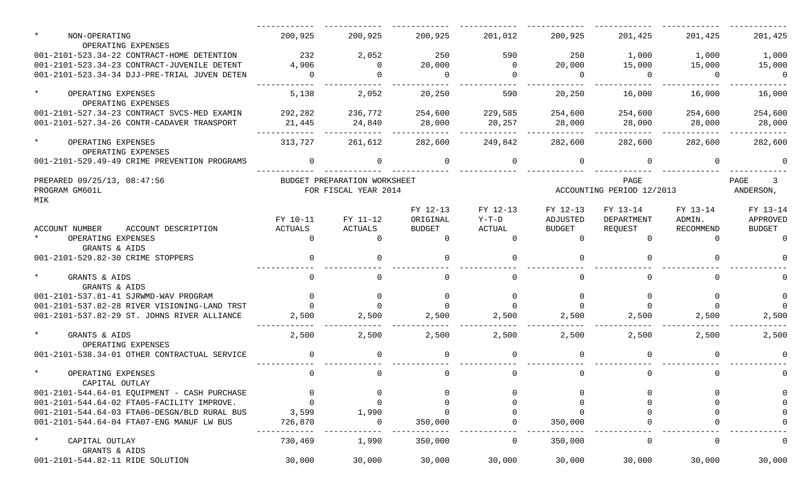| NON-OPERATING<br>OPERATING EXPENSES                 | 200,925        | 200,925                                              | 200,925       | 201,012  | 200,925        | 201,425                           | 201,425   | 201,425           |
|-----------------------------------------------------|----------------|------------------------------------------------------|---------------|----------|----------------|-----------------------------------|-----------|-------------------|
| 001-2101-523.34-22 CONTRACT-HOME DETENTION          | 232            | 2,052                                                | 250           | 590      | 250            | 1,000                             | 1,000     | 1,000             |
| 001-2101-523.34-23 CONTRACT-JUVENILE DETENT         | 4,906          | $\Omega$                                             | 20,000        | $\Omega$ | 20,000         | 15,000                            | 15,000    | 15,000            |
| 001-2101-523.34-34 DJJ-PRE-TRIAL JUVEN DETEN        | $\Omega$       | $\Omega$                                             | $\Omega$      | $\Omega$ | $\overline{0}$ | $\Omega$                          | $\Omega$  | $\Omega$          |
| $\star$<br>OPERATING EXPENSES<br>OPERATING EXPENSES | 5,138          | 2,052                                                | 20,250        | 590      | 20,250         | 16,000                            | 16,000    | 16,000            |
| 001-2101-527.34-23 CONTRACT SVCS-MED EXAMIN         | 292,282        | 236,772                                              | 254,600       | 229,585  | 254,600        | 254,600                           | 254,600   | 254,600           |
| 001-2101-527.34-26 CONTR-CADAVER TRANSPORT          | 21,445         | 24,840                                               | 28,000        | 20,257   | 28,000         | 28,000                            | 28,000    | 28,000            |
| $\star$<br>OPERATING EXPENSES<br>OPERATING EXPENSES | 313,727        | 261,612                                              | 282,600       | 249,842  | 282,600        | 282,600                           | 282,600   | 282,600           |
| 001-2101-529.49-49 CRIME PREVENTION PROGRAMS        | $\overline{0}$ | $\mathbf{0}$                                         | $\Omega$      | $\Omega$ | $\overline{0}$ | $\Omega$                          | $\Omega$  |                   |
| PREPARED 09/25/13, 08:47:56<br>PROGRAM GM601L       |                | BUDGET PREPARATION WORKSHEET<br>FOR FISCAL YEAR 2014 |               |          |                | PAGE<br>ACCOUNTING PERIOD 12/2013 |           | PAGE<br>ANDERSON, |
| MIK                                                 |                |                                                      | FY 12-13      | FY 12-13 | FY 12-13       | FY 13-14                          | FY 13-14  | FY 13-14          |
|                                                     | FY 10-11       | FY 11-12                                             | ORIGINAL      | Y-T-D    | ADJUSTED       | DEPARTMENT                        | ADMIN.    | APPROVED          |
| ACCOUNT NUMBER<br>ACCOUNT DESCRIPTION               | ACTUALS        | ACTUALS                                              | <b>BUDGET</b> | ACTUAL   | BUDGET         | REOUEST                           | RECOMMEND | <b>BUDGET</b>     |
| OPERATING EXPENSES<br>GRANTS & AIDS                 | $\Omega$       | $\Omega$                                             | $\Omega$      | $\Omega$ | $\Omega$       | $\Omega$                          | $\cap$    |                   |
| 001-2101-529.82-30 CRIME STOPPERS                   | $\Omega$       | $\Omega$                                             |               | $\cap$   | $\Omega$       |                                   |           |                   |
| $\star$<br>GRANTS & AIDS<br>GRANTS & AIDS           | $\Omega$       | $\Omega$                                             | $\Omega$      | $\Omega$ | $\Omega$       | $\cap$                            |           |                   |
| 001-2101-537.81-41 SJRWMD-WAV PROGRAM               | $\Omega$       | $\Omega$                                             | $\Omega$      |          | $\Omega$       | $\Omega$                          |           | $\Omega$          |
| 001-2101-537.82-28 RIVER VISIONING-LAND TRST        | $\Omega$       |                                                      |               |          |                |                                   |           |                   |
| 001-2101-537.82-29 ST. JOHNS RIVER ALLIANCE         | 2,500          | 2,500                                                | 2,500         | 2,500    | 2,500          | 2,500                             | 2,500     | 2,500             |
| $\star$<br>GRANTS & AIDS<br>OPERATING EXPENSES      | 2,500          | 2,500                                                | 2,500         | 2,500    | 2,500          | 2,500                             | 2,500     | 2,500             |
| 001-2101-538.34-01 OTHER CONTRACTUAL SERVICE        | $\Omega$       | $\Omega$                                             |               | $\Omega$ | $\Omega$       |                                   | $\cap$    |                   |
| $\star$<br>OPERATING EXPENSES<br>CAPITAL OUTLAY     | $\Omega$       | $\Omega$                                             |               | $\Omega$ | 0              |                                   |           |                   |
| 001-2101-544.64-01 EQUIPMENT - CASH PURCHASE        |                |                                                      |               |          |                |                                   |           | 0                 |
| 001-2101-544.64-02 FTA05-FACILITY IMPROVE.          | $\Omega$       | $\mathbf 0$                                          |               |          |                |                                   |           | $\mathbf{0}$      |
| 001-2101-544.64-03 FTA06-DESGN/BLD RURAL BUS        | 3,599          | 1,990                                                |               |          | $\Omega$       |                                   |           | 0                 |
| 001-2101-544.64-04 FTA07-ENG MANUF LW BUS           | 726,870        | 0                                                    | 350,000       |          | 350,000        |                                   |           |                   |
| $\star$<br>CAPITAL OUTLAY<br>GRANTS & AIDS          | 730,469        | 1,990                                                | 350,000       | 0        | 350,000        |                                   |           | 0                 |
| 001-2101-544.82-11 RIDE SOLUTION                    | 30,000         | 30,000                                               | 30,000        | 30,000   | 30,000         | 30,000                            | 30,000    | 30,000            |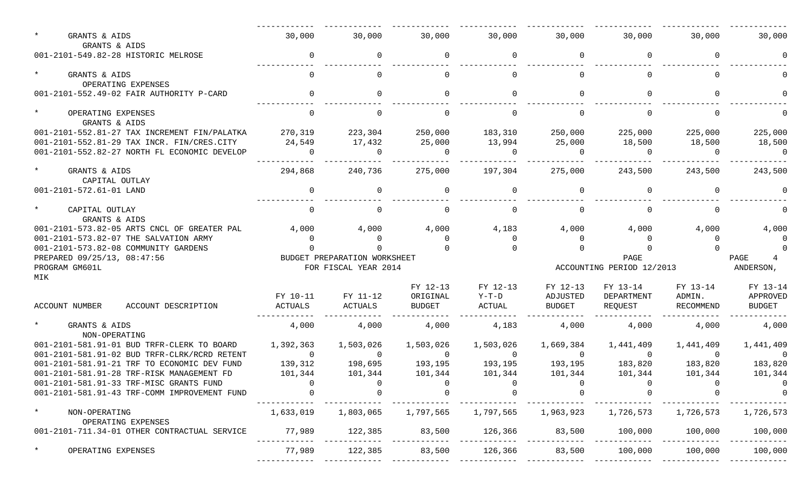| $\star$<br>GRANTS & AIDS<br>GRANTS & AIDS                                                | 30,000                    | 30,000                       | 30,000                    | 30,000                    | 30,000             | 30,000                    | 30,000                    | 30,000              |  |  |
|------------------------------------------------------------------------------------------|---------------------------|------------------------------|---------------------------|---------------------------|--------------------|---------------------------|---------------------------|---------------------|--|--|
| 001-2101-549.82-28 HISTORIC MELROSE                                                      | 0                         | 0                            | 0                         | 0                         | 0                  | 0                         | 0                         |                     |  |  |
| $\star$<br>GRANTS & AIDS<br>OPERATING EXPENSES                                           |                           | $\Omega$                     | $\Omega$                  | $\Omega$                  | $\Omega$           | <sup>n</sup>              |                           |                     |  |  |
| 001-2101-552.49-02 FAIR AUTHORITY P-CARD                                                 | $\overline{0}$            | 0                            | $\Omega$                  | $\Omega$                  | $\mathbf 0$        | 0                         | $\Omega$                  |                     |  |  |
| $\star$<br>OPERATING EXPENSES<br>GRANTS & AIDS                                           | $\cap$                    | $\Omega$                     | $\Omega$                  | $\Omega$                  | $\Omega$           | $\Omega$                  | $\Omega$                  |                     |  |  |
| 001-2101-552.81-27 TAX INCREMENT FIN/PALATKA                                             | 270,319                   | 223,304                      | 250,000                   | 183,310                   | 250,000            | 225,000                   | 225,000                   | 225,000             |  |  |
| 001-2101-552.81-29 TAX INCR. FIN/CRES.CITY                                               | 24,549                    | 17,432                       | 25,000                    | 13,994                    | 25,000             | 18,500                    | 18,500                    | 18,500              |  |  |
| 001-2101-552.82-27 NORTH FL ECONOMIC DEVELOP                                             | $\Omega$                  | $\overline{0}$               | - 0                       | $\Omega$                  | - 0                | - 0                       | $\Omega$                  | $\overline{0}$      |  |  |
| $\star$<br>GRANTS & AIDS<br>CAPITAL OUTLAY                                               | 294,868                   | 240,736                      | 275,000                   | 197,304                   | 275,000            | 243,500                   | 243,500                   | 243,500             |  |  |
| 001-2101-572.61-01 LAND                                                                  | 0                         | 0                            | $\Omega$                  | $\Omega$                  | 0                  | 0                         | - 0                       |                     |  |  |
| $\star$<br>CAPITAL OUTLAY<br>GRANTS & AIDS                                               | $\cap$                    | $\Omega$                     | $\Omega$                  | $\Omega$                  | $\mathbf 0$        | $\Omega$                  | - വ                       |                     |  |  |
| 001-2101-573.82-05 ARTS CNCL OF GREATER PAL                                              | 4,000                     | 4,000                        | 4,000                     | 4,183                     | 4,000              | 4,000                     | 4,000                     | 4,000               |  |  |
| 001-2101-573.82-07 THE SALVATION ARMY                                                    | $\cap$                    | $\Omega$                     | $\Omega$                  | $\Omega$                  | 0                  | $\Omega$                  | $\cap$                    |                     |  |  |
| 001-2101-573.82-08 COMMUNITY GARDENS                                                     |                           |                              |                           |                           |                    |                           |                           |                     |  |  |
| PREPARED 09/25/13, 08:47:56                                                              |                           | BUDGET PREPARATION WORKSHEET |                           |                           |                    | PAGE                      |                           | PAGE<br>ANDERSON,   |  |  |
| PROGRAM GM601L<br>MIK                                                                    |                           | FOR FISCAL YEAR 2014         |                           |                           |                    |                           | ACCOUNTING PERIOD 12/2013 |                     |  |  |
|                                                                                          |                           |                              | FY 12-13                  | FY 12-13                  | FY 12-13           | FY 13-14                  | FY 13-14                  | FY 13-14            |  |  |
|                                                                                          | FY 10-11                  | FY 11-12                     | ORIGINAL                  | $Y-T-D$                   | ADJUSTED           | DEPARTMENT                | ADMIN.                    | APPROVED            |  |  |
| <b>ACCOUNT NUMBER</b><br>ACCOUNT DESCRIPTION                                             | ACTUALS                   | ACTUALS                      | BUDGET                    | ACTUAL                    | BUDGET             | REQUEST                   | RECOMMEND                 | BUDGET              |  |  |
| $\star$<br>GRANTS & AIDS<br>NON-OPERATING                                                | 4,000                     | 4,000                        | 4,000                     | 4,183                     | 4,000              | 4,000                     | 4,000                     | 4,000               |  |  |
| 001-2101-581.91-01 BUD TRFR-CLERK TO BOARD                                               | 1,392,363                 | 1,503,026                    | 1,503,026                 | 1,503,026                 | 1,669,384          | 1,441,409                 | 1,441,409                 | 1,441,409           |  |  |
| 001-2101-581.91-02 BUD TRFR-CLRK/RCRD RETENT                                             | $\overline{0}$            | $\overline{0}$               | $\overline{0}$            | $\overline{0}$<br>193,195 | $\overline{0}$     | $\bigcap$                 | $\overline{0}$            | $\overline{0}$      |  |  |
| 001-2101-581.91-21 TRF TO ECONOMIC DEV FUND<br>001-2101-581.91-28 TRF-RISK MANAGEMENT FD | 139,312                   | 198,695                      | 193,195                   |                           | 193,195<br>101,344 | 183,820                   | 183,820                   | 183,820             |  |  |
| 001-2101-581.91-33 TRF-MISC GRANTS FUND                                                  | 101,344<br>$\overline{a}$ | 101,344<br>$\sim$ 0          | 101,344<br>$\overline{0}$ | 101,344<br>$\overline{a}$ | $\overline{0}$     | 101,344<br>$\overline{a}$ | 101,344<br>$\sim$ 0       | 101,344<br>$\sim$ 0 |  |  |
| 001-2101-581.91-43 TRF-COMM IMPROVEMENT FUND                                             |                           |                              |                           |                           |                    |                           |                           | $\overline{0}$      |  |  |
|                                                                                          |                           |                              |                           |                           |                    |                           |                           |                     |  |  |
|                                                                                          |                           |                              |                           |                           |                    |                           |                           |                     |  |  |
| $^\star$<br>NON-OPERATING<br>OPERATING EXPENSES                                          | 1,633,019                 | 1,803,065                    | 1,797,565                 | 1,797,565                 | 1,963,923          | 1,726,573                 | 1,726,573                 | 1,726,573           |  |  |
| 001-2101-711.34-01 OTHER CONTRACTUAL SERVICE                                             | 77,989                    | 122,385                      | 83,500                    | 126,366                   | 83,500             | 100,000                   | 100,000                   | 100,000             |  |  |
| OPERATING EXPENSES                                                                       | 77,989                    | 122,385                      | 83,500                    | 126,366                   | 83,500             | 100,000                   | 100,000                   | 100,000             |  |  |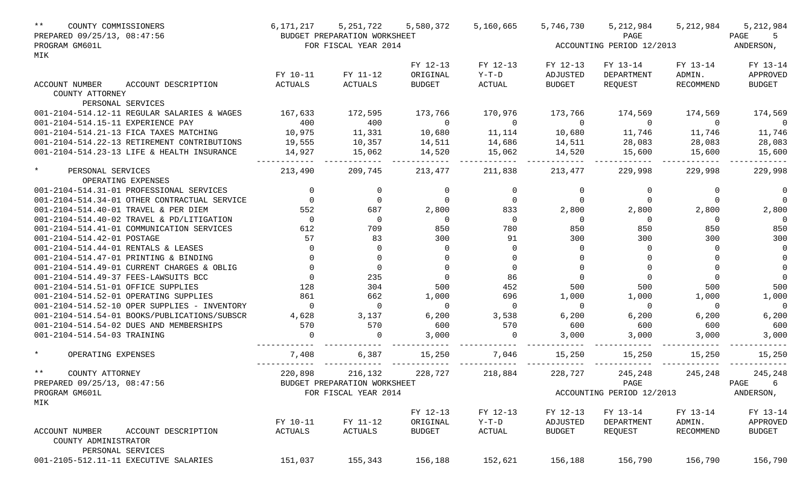| $***$<br>COUNTY COMMISSIONERS                            | 6,171,217      | 5, 251, 722                  | 5,580,372      | 5,160,665     | 5,746,730      | 5,212,984                 | 5,212,984 | 5,212,984     |
|----------------------------------------------------------|----------------|------------------------------|----------------|---------------|----------------|---------------------------|-----------|---------------|
| PREPARED 09/25/13, 08:47:56                              |                | BUDGET PREPARATION WORKSHEET |                |               |                | PAGE                      |           | PAGE<br>5     |
| PROGRAM GM601L                                           |                | FOR FISCAL YEAR 2014         |                |               |                | ACCOUNTING PERIOD 12/2013 |           | ANDERSON,     |
| MIK                                                      |                |                              |                |               |                |                           |           |               |
|                                                          |                |                              | FY 12-13       | FY 12-13      | FY 12-13       | FY 13-14                  | FY 13-14  | FY 13-14      |
|                                                          | FY 10-11       | FY 11-12                     | ORIGINAL       | $Y-T-D$       | ADJUSTED       | DEPARTMENT                | ADMIN.    | APPROVED      |
| ACCOUNT NUMBER<br>ACCOUNT DESCRIPTION<br>COUNTY ATTORNEY | <b>ACTUALS</b> | ACTUALS                      | <b>BUDGET</b>  | <b>ACTUAL</b> | <b>BUDGET</b>  | REQUEST                   | RECOMMEND | <b>BUDGET</b> |
| PERSONAL SERVICES                                        |                |                              |                |               |                |                           |           |               |
| 001-2104-514.12-11 REGULAR SALARIES & WAGES              | 167,633        | 172,595                      | 173,766        | 170,976       | 173,766        | 174,569                   | 174,569   | 174,569       |
| 001-2104-514.15-11 EXPERIENCE PAY                        | 400            | 400                          | $\overline{0}$ | $\Omega$      | $\Omega$       | $\overline{0}$            | $\Omega$  | $\Omega$      |
| 001-2104-514.21-13 FICA TAXES MATCHING                   | 10,975         | 11,331                       | 10,680         | 11,114        | 10,680         | 11,746                    | 11,746    | 11,746        |
| 001-2104-514.22-13 RETIREMENT CONTRIBUTIONS              | 19,555         | 10,357                       | 14,511         | 14,686        | 14,511         | 28,083                    | 28,083    | 28,083        |
| 001-2104-514.23-13 LIFE & HEALTH INSURANCE               | 14,927         | 15,062                       | 14,520         | 15,062        | 14,520         | 15,600                    | 15,600    | 15,600        |
| $\star$<br>PERSONAL SERVICES                             | 213,490        | 209,745                      | 213,477        | 211,838       | 213,477        | 229,998                   | 229,998   | 229,998       |
| OPERATING EXPENSES                                       |                |                              |                |               |                |                           |           |               |
| 001-2104-514.31-01 PROFESSIONAL SERVICES                 | $\overline{0}$ | 0                            | 0              | $\mathbf 0$   | $\overline{0}$ | 0                         | 0         | 0             |
| 001-2104-514.34-01 OTHER CONTRACTUAL SERVICE             | $\Omega$       | $\overline{0}$               | $\overline{0}$ | $\mathbf 0$   | $\Omega$       | 0                         | $\Omega$  | $\Omega$      |
| 001-2104-514.40-01 TRAVEL & PER DIEM                     | 552            | 687                          | 2,800          | 833           | 2,800          | 2,800                     | 2,800     | 2,800         |
| 001-2104-514.40-02 TRAVEL & PD/LITIGATION                | $\Omega$       | $\overline{0}$               | $\Omega$       | $\Omega$      | $\overline{0}$ | $\Omega$                  | $\Omega$  | $\Omega$      |
| 001-2104-514.41-01 COMMUNICATION SERVICES                | 612            | 709                          | 850            | 780           | 850            | 850                       | 850       | 850           |
| 001-2104-514.42-01 POSTAGE                               | 57             | 83                           | 300            | 91            | 300            | 300                       | 300       | 300           |
| 001-2104-514.44-01 RENTALS & LEASES                      | $\Omega$       | $\Omega$                     | $\Omega$       | $\Omega$      | $\Omega$       | $\Omega$                  |           | $\Omega$      |
| 001-2104-514.47-01 PRINTING & BINDING                    | $\Omega$       | 0                            | $\overline{0}$ | $\Omega$      | $\Omega$       | $\Omega$                  |           | $\Omega$      |
| 001-2104-514.49-01 CURRENT CHARGES & OBLIG               |                | $\overline{0}$               | $\Omega$       | $\Omega$      | $\Omega$       | $\Omega$                  |           | $\Omega$      |
| 001-2104-514.49-37 FEES-LAWSUITS BCC                     | $\Omega$       | 235                          | $\mathbf 0$    | 86            | $\Omega$       | 0                         |           | $\Omega$      |
| 001-2104-514.51-01 OFFICE SUPPLIES                       | 128            | 304                          | 500            | 452           | 500            | 500                       | 500       | 500           |
| 001-2104-514.52-01 OPERATING SUPPLIES                    | 861            | 662                          | 1,000          | 696           | 1,000          | 1,000                     | 1,000     | 1,000         |
| 001-2104-514.52-10 OPER SUPPLIES - INVENTORY             | $\Omega$       | $\Omega$                     | $\Omega$       | $\Omega$      | $\Omega$       | $\Omega$                  | $\Omega$  | $\Omega$      |
| 001-2104-514.54-01 BOOKS/PUBLICATIONS/SUBSCR             | 4,628          | 3,137                        | 6,200          | 3,538         | 6,200          | 6,200                     | 6,200     | 6,200         |
| 001-2104-514.54-02 DUES AND MEMBERSHIPS                  | 570            | 570                          | 600            | 570           | 600            | 600                       | 600       | 600           |
| 001-2104-514.54-03 TRAINING                              | $\Omega$       | $\Omega$                     | 3,000          | $\Omega$      | 3,000          | 3,000                     | 3,000     | 3,000         |
|                                                          |                |                              |                |               |                |                           |           |               |
| $\star$<br>OPERATING EXPENSES                            | 7,408          | 6,387                        | 15,250         | 7,046         | 15,250         | 15,250                    | 15,250    | 15,250        |
| $* *$<br>COUNTY ATTORNEY                                 | 220,898        | 216,132                      | 228,727        | 218,884       | 228,727        | 245,248                   | 245,248   | 245,248       |
| PREPARED 09/25/13, 08:47:56                              |                | BUDGET PREPARATION WORKSHEET |                |               |                | PAGE                      |           | PAGE<br>6     |
| PROGRAM GM601L                                           |                | FOR FISCAL YEAR 2014         |                |               |                | ACCOUNTING PERIOD 12/2013 |           | ANDERSON,     |
| MIK                                                      |                |                              |                |               |                |                           |           |               |
|                                                          |                |                              | FY 12-13       | FY 12-13      | FY 12-13       | FY 13-14                  | FY 13-14  | FY 13-14      |
|                                                          | FY 10-11       | FY 11-12                     | ORIGINAL       | $Y-T-D$       | ADJUSTED       | DEPARTMENT                | ADMIN.    | APPROVED      |
| ACCOUNT NUMBER<br>ACCOUNT DESCRIPTION                    | ACTUALS        | ACTUALS                      | <b>BUDGET</b>  | ACTUAL        | <b>BUDGET</b>  | REQUEST                   | RECOMMEND | <b>BUDGET</b> |
| COUNTY ADMINISTRATOR                                     |                |                              |                |               |                |                           |           |               |
| PERSONAL SERVICES                                        |                |                              |                |               |                |                           |           |               |
| 001-2105-512.11-11 EXECUTIVE SALARIES                    | 151,037        | 155,343                      | 156,188        | 152,621       | 156,188        | 156,790                   | 156,790   | 156,790       |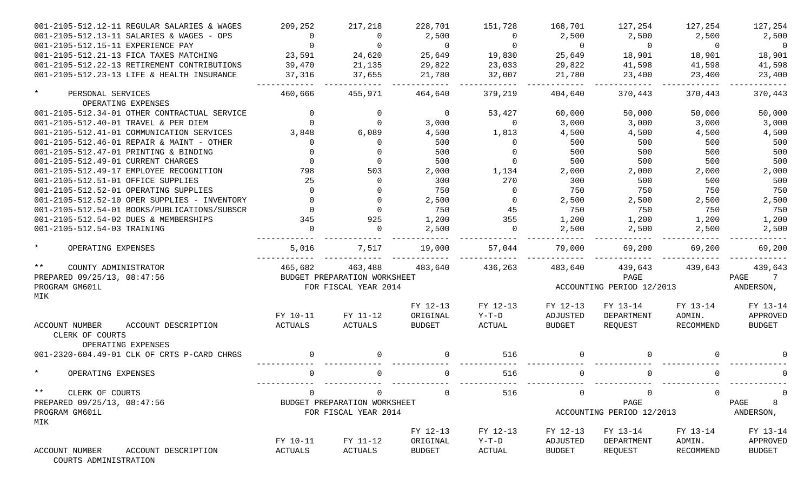| 001-2105-512.12-11 REGULAR SALARIES & WAGES              | 209,252             | 217,218                                              | 228,701                   | 151,728           | 168,701                   | 127,254                           | 127,254             | 127,254                   |
|----------------------------------------------------------|---------------------|------------------------------------------------------|---------------------------|-------------------|---------------------------|-----------------------------------|---------------------|---------------------------|
| 001-2105-512.13-11 SALARIES & WAGES - OPS                | $\Omega$            | $\overline{0}$                                       | 2,500                     | $\Omega$          | 2,500                     | 2,500                             | 2,500               | 2,500                     |
| 001-2105-512.15-11 EXPERIENCE PAY                        |                     | $\Omega$                                             | $\overline{0}$            | $\Omega$          | $\overline{0}$            | $\overline{0}$                    | $\Omega$            | $\overline{0}$            |
| 001-2105-512.21-13 FICA TAXES MATCHING                   | 23,591              | 24,620                                               | 25,649                    | 19,830            | 25,649                    | 18,901                            | 18,901              | 18,901                    |
| 001-2105-512.22-13 RETIREMENT CONTRIBUTIONS              | 39,470              | 21,135                                               | 29,822                    | 23,033            | 29,822                    | 41,598                            | 41,598              | 41,598                    |
| 001-2105-512.23-13 LIFE & HEALTH INSURANCE               | 37,316              | 37,655                                               | 21,780                    | 32,007            | 21,780                    | 23,400                            | 23,400              | 23,400                    |
| $\star$<br>PERSONAL SERVICES                             | 460,666             | 455,971                                              | 464,640                   | 379,219           | 404,640                   | 370,443                           | 370,443             | 370,443                   |
| OPERATING EXPENSES                                       |                     |                                                      |                           |                   |                           |                                   |                     |                           |
| 001-2105-512.34-01 OTHER CONTRACTUAL SERVICE             |                     | $\mathbf 0$                                          | $\overline{0}$            | 53,427            | 60,000                    | 50,000                            | 50,000              | 50,000                    |
| 001-2105-512.40-01 TRAVEL & PER DIEM                     |                     | $\Omega$                                             | 3,000                     | $\Omega$          | 3,000                     | 3,000                             | 3,000               | 3,000                     |
| 001-2105-512.41-01 COMMUNICATION SERVICES                | 3,848               | 6,089                                                | 4,500                     | 1,813             | 4,500                     | 4,500                             | 4,500               | 4,500                     |
| 001-2105-512.46-01 REPAIR & MAINT - OTHER                |                     | $\Omega$                                             | 500                       | $\Omega$          | 500                       | 500                               | 500                 | 500                       |
| 001-2105-512.47-01 PRINTING & BINDING                    |                     | $\Omega$                                             | 500                       |                   | 500                       | 500                               | 500                 | 500                       |
| 001-2105-512.49-01 CURRENT CHARGES                       |                     | $\Omega$                                             | 500                       |                   | 500                       | 500                               | 500                 | 500                       |
| 001-2105-512.49-17 EMPLOYEE RECOGNITION                  | 798                 | 503                                                  | 2,000                     | 1,134             | 2,000                     | 2,000                             | 2,000               | 2,000                     |
| 001-2105-512.51-01 OFFICE SUPPLIES                       | 25                  | $\Omega$                                             | 300                       | 270               | 300                       | 500                               | 500                 | 500                       |
| 001-2105-512.52-01 OPERATING SUPPLIES                    | $\Omega$            | $\Omega$                                             | 750                       | $\Omega$          | 750                       | 750                               | 750                 | 750                       |
| 001-2105-512.52-10 OPER SUPPLIES - INVENTORY             |                     | $\Omega$                                             | 2,500                     | $\Omega$          | 2,500                     | 2,500                             | 2,500               | 2,500                     |
| 001-2105-512.54-01 BOOKS/PUBLICATIONS/SUBSCR             |                     | $\Omega$                                             | 750                       | 45                | 750                       | 750                               | 750                 | 750                       |
| 001-2105-512.54-02 DUES & MEMBERSHIPS                    | 345                 | 925                                                  | 1,200                     | 355               | 1,200                     | 1,200                             | 1,200               | 1,200                     |
| 001-2105-512.54-03 TRAINING                              |                     | $\Omega$                                             | 2,500                     | $\Omega$          | 2,500                     | 2,500                             | 2,500               | 2,500                     |
| $\star$<br>OPERATING EXPENSES                            | 5,016               | 7,517                                                | 19,000                    | 57,044            | 79,000                    | 69,200                            | 69,200              | 69,200                    |
| $***$<br>COUNTY ADMINISTRATOR                            | 465,682             | 463,488                                              | 483,640                   | 436,263           | 483,640                   | 439,643                           | 439,643             | 439,643                   |
| PREPARED 09/25/13, 08:47:56                              |                     | BUDGET PREPARATION WORKSHEET                         |                           |                   |                           | PAGE                              |                     | $7\phantom{0}$<br>PAGE    |
| PROGRAM GM601L<br>MIK                                    |                     | FOR FISCAL YEAR 2014                                 |                           |                   |                           | ACCOUNTING PERIOD 12/2013         |                     | ANDERSON,                 |
|                                                          |                     |                                                      | FY 12-13                  | FY 12-13          | FY 12-13                  | FY 13-14                          | FY 13-14            | FY 13-14                  |
|                                                          | FY 10-11            | FY 11-12                                             | ORIGINAL                  | $Y-T-D$           | ADJUSTED                  | DEPARTMENT                        | ADMIN.              | APPROVED                  |
| ACCOUNT NUMBER<br>ACCOUNT DESCRIPTION<br>CLERK OF COURTS | ACTUALS             | ACTUALS                                              | <b>BUDGET</b>             | ACTUAL            | BUDGET                    | REQUEST                           | RECOMMEND           | <b>BUDGET</b>             |
| OPERATING EXPENSES                                       |                     |                                                      |                           |                   |                           |                                   |                     |                           |
| 001-2320-604.49-01 CLK OF CRTS P-CARD CHRGS              |                     | $\Omega$                                             | $\Omega$                  | 516               | $\Omega$                  |                                   |                     |                           |
| $\star$<br>OPERATING EXPENSES                            |                     | 0                                                    |                           | 516               | 0                         |                                   |                     |                           |
| $***$<br>CLERK OF COURTS                                 | $\Omega$            | 0                                                    | $\mathbf{0}$              | 516               | 0                         | 0                                 | 0                   | $\Omega$                  |
| PREPARED 09/25/13, 08:47:56<br>PROGRAM GM601L            |                     | BUDGET PREPARATION WORKSHEET<br>FOR FISCAL YEAR 2014 |                           |                   |                           | PAGE<br>ACCOUNTING PERIOD 12/2013 |                     | 8<br>PAGE<br>ANDERSON,    |
| MIK                                                      |                     |                                                      |                           |                   |                           |                                   |                     |                           |
|                                                          |                     |                                                      | FY 12-13                  | FY 12-13          | FY 12-13                  | FY 13-14                          | FY 13-14            | FY 13-14                  |
| ACCOUNT NUMBER<br>ACCOUNT DESCRIPTION                    | FY 10-11<br>ACTUALS | FY 11-12<br>ACTUALS                                  | ORIGINAL<br><b>BUDGET</b> | $Y-T-D$<br>ACTUAL | ADJUSTED<br><b>BUDGET</b> | DEPARTMENT<br>REQUEST             | ADMIN.<br>RECOMMEND | APPROVED<br><b>BUDGET</b> |

COURTS ADMINISTRATION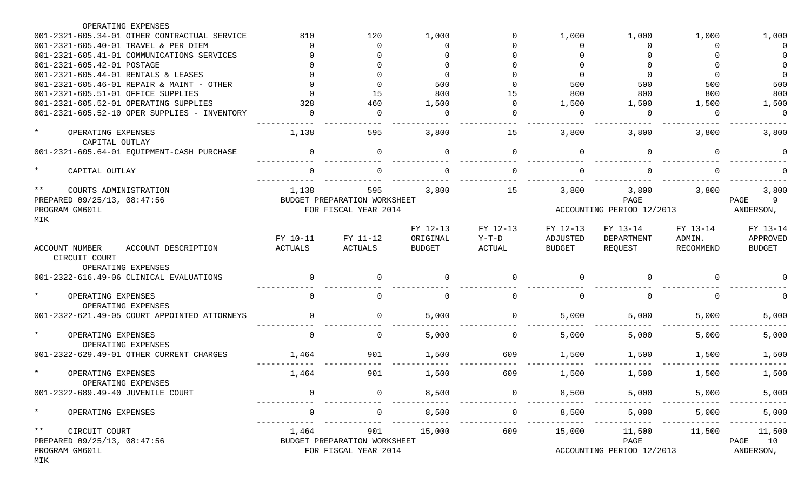| OPERATING EXPENSES                                            |                |                              |               |               |               |                           |                  |               |
|---------------------------------------------------------------|----------------|------------------------------|---------------|---------------|---------------|---------------------------|------------------|---------------|
| 001-2321-605.34-01 OTHER CONTRACTUAL SERVICE                  | 810            | 120                          | 1,000         |               | 1,000         | 1,000                     | 1,000            | 1,000         |
| 001-2321-605.40-01 TRAVEL & PER DIEM                          | $\Omega$       | ∩                            | Ω             |               | 0             | O                         | $\Omega$         | $\Omega$      |
| 001-2321-605.41-01 COMMUNICATIONS SERVICES                    |                | ∩                            |               |               |               |                           |                  |               |
| 001-2321-605.42-01 POSTAGE                                    |                |                              |               |               | $\Omega$      |                           |                  |               |
| 001-2321-605.44-01 RENTALS & LEASES                           |                |                              | $\Omega$      |               | $\Omega$      | $\cap$                    | $\Omega$         | $\Omega$      |
| 001-2321-605.46-01 REPAIR & MAINT - OTHER                     |                |                              | 500           |               | 500           | 500                       | 500              | 500           |
| 001-2321-605.51-01 OFFICE SUPPLIES                            |                | 15                           | 800           | 15            | 800           | 800                       | 800              | 800           |
| 001-2321-605.52-01 OPERATING SUPPLIES                         | 328            | 460                          | 1,500         |               | 1,500         | 1,500                     | 1,500            | 1,500         |
| 001-2321-605.52-10 OPER SUPPLIES - INVENTORY                  | $\cap$         | $\Omega$                     | <sup>0</sup>  |               | $\Omega$      | ∩                         | $\Omega$         | $\Omega$      |
| $\star$<br>OPERATING EXPENSES<br>CAPITAL OUTLAY               | 1,138          | 595                          | 3,800         | 15            | 3,800         | 3,800                     | 3,800            | 3,800         |
| 001-2321-605.64-01 EQUIPMENT-CASH PURCHASE                    | $\Omega$       | $\Omega$                     | <sup>n</sup>  | $\Omega$      | $\Omega$      |                           | $\Omega$         |               |
| $\star$<br>CAPITAL OUTLAY                                     |                | $\Omega$                     |               |               | $\Omega$      |                           |                  |               |
| $***$<br>COURTS ADMINISTRATION                                | 1,138          | 595                          | 3,800         | 15            | 3,800         | 3,800                     | 3,800            | 3,800         |
| PREPARED 09/25/13, 08:47:56                                   |                | BUDGET PREPARATION WORKSHEET |               |               |               | PAGE                      |                  | 9<br>PAGE     |
| PROGRAM GM601L                                                |                | FOR FISCAL YEAR 2014         |               |               |               | ACCOUNTING PERIOD 12/2013 |                  | ANDERSON,     |
| MIK                                                           |                |                              |               |               |               |                           |                  |               |
|                                                               |                |                              | FY 12-13      | FY 12-13      | FY 12-13      | FY 13-14                  | FY 13-14         | FY 13-14      |
|                                                               | FY 10-11       | FY 11-12                     | ORIGINAL      | $Y-T-D$       | ADJUSTED      | DEPARTMENT                | ADMIN.           | APPROVED      |
| <b>ACCOUNT NUMBER</b><br>ACCOUNT DESCRIPTION<br>CIRCUIT COURT | <b>ACTUALS</b> | <b>ACTUALS</b>               | <b>BUDGET</b> | <b>ACTUAL</b> | <b>BUDGET</b> | REQUEST                   | <b>RECOMMEND</b> | <b>BUDGET</b> |
| OPERATING EXPENSES                                            |                |                              |               |               |               |                           |                  |               |
| 001-2322-616.49-06 CLINICAL EVALUATIONS                       | $\Omega$       | $\Omega$                     | $\Omega$      | $\Omega$      | $\Omega$      |                           | $\Omega$         |               |
| $\star$<br>OPERATING EXPENSES<br>OPERATING EXPENSES           | $\Omega$       | $\Omega$                     | $\Omega$      | $\Omega$      | $\Omega$      |                           | $\Omega$         | $\Omega$      |
| 001-2322-621.49-05 COURT APPOINTED ATTORNEYS                  |                | $\Omega$                     | 5,000         | $\Omega$      | 5,000         | 5,000                     | 5,000            | 5,000         |
| $\star$<br>OPERATING EXPENSES<br>OPERATING EXPENSES           | $\Omega$       | $\Omega$                     | 5,000         | $\Omega$      | 5,000         | 5,000                     | 5,000            | 5,000         |
| 001-2322-629.49-01 OTHER CURRENT CHARGES                      | 1,464          | 901                          | 1,500         | 609           | 1,500         | 1,500                     | 1,500            | 1,500         |
| $\star$<br>OPERATING EXPENSES<br>OPERATING EXPENSES           | 1,464          | 901                          | 1,500         | 609           | 1,500         | 1,500                     | 1,500            | 1,500         |
| 001-2322-689.49-40 JUVENILE COURT                             |                | $\mathbf 0$                  | 8,500         | $\mathbf 0$   | 8,500         | 5,000                     | 5,000            | 5,000         |
|                                                               |                |                              |               |               |               |                           |                  |               |
| $\star$<br>OPERATING EXPENSES                                 | $\mathbf 0$    | 0                            | 8,500         | 0             | 8,500         | 5,000                     | 5,000            | 5,000         |
| ** CIRCUIT COURT                                              | 1,464          | 901                          | 15,000        | 609           | 15,000        | 11,500                    | 11,500           | 11,500        |
| PREPARED 09/25/13, 08:47:56                                   |                | BUDGET PREPARATION WORKSHEET |               |               |               | PAGE                      |                  | PAGE 10       |
| PROGRAM GM601L<br>MIK                                         |                | FOR FISCAL YEAR 2014         |               |               |               | ACCOUNTING PERIOD 12/2013 |                  | ANDERSON,     |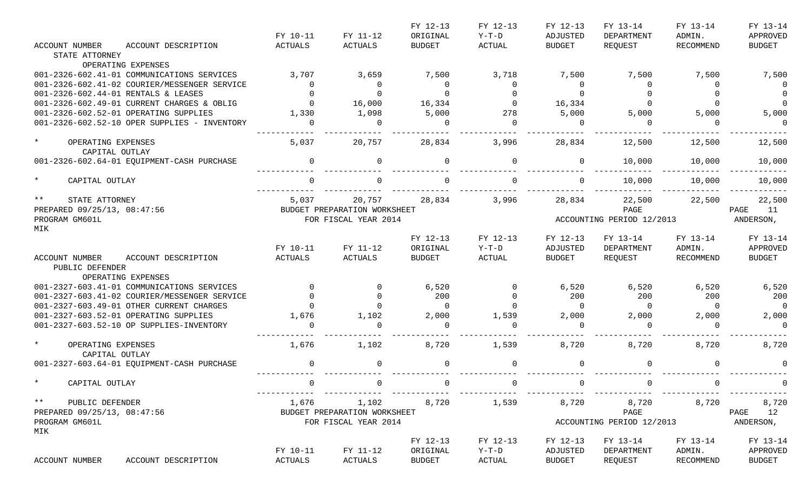|                                                              |                |                              | FY 12-13       | FY 12-13    | FY 12-13      | FY 13-14                  | FY 13-14     | FY 13-14       |
|--------------------------------------------------------------|----------------|------------------------------|----------------|-------------|---------------|---------------------------|--------------|----------------|
|                                                              | FY 10-11       | FY 11-12                     | ORIGINAL       | $Y-T-D$     | ADJUSTED      | DEPARTMENT                | ADMIN.       | APPROVED       |
| <b>ACCOUNT NUMBER</b><br>ACCOUNT DESCRIPTION                 | <b>ACTUALS</b> | <b>ACTUALS</b>               | <b>BUDGET</b>  | ACTUAL      | <b>BUDGET</b> | REQUEST                   | RECOMMEND    | <b>BUDGET</b>  |
| STATE ATTORNEY                                               |                |                              |                |             |               |                           |              |                |
| OPERATING EXPENSES                                           |                |                              |                |             |               |                           |              |                |
| 001-2326-602.41-01 COMMUNICATIONS SERVICES                   | 3,707          | 3,659                        | 7,500          | 3,718       | 7,500         | 7,500                     | 7,500        | 7,500          |
| 001-2326-602.41-02 COURIER/MESSENGER SERVICE                 | $\Omega$       | $\overline{0}$               | $\overline{0}$ | 0           | $\Omega$      | $\overline{0}$            | 0            | $\overline{0}$ |
| 001-2326-602.44-01 RENTALS & LEASES                          |                | $\Omega$                     | $\Omega$       |             | $\Omega$      |                           |              | $\Omega$       |
| 001-2326-602.49-01 CURRENT CHARGES & OBLIG                   | $\Omega$       | 16,000                       | 16,334         | $\Omega$    | 16,334        | $\Omega$                  |              | $\overline{0}$ |
| 001-2326-602.52-01 OPERATING SUPPLIES                        | 1,330          | 1,098                        | 5,000          | 278         | 5,000         | 5,000                     | 5,000        | 5,000          |
| 001-2326-602.52-10 OPER SUPPLIES - INVENTORY                 | $\Omega$       | $\overline{0}$               | $\Omega$       | $\Omega$    | $\Omega$      | $\Omega$                  | <sup>0</sup> | $\Omega$       |
| $\star$<br>OPERATING EXPENSES                                | 5,037          | 20,757                       | 28,834         | 3,996       | 28,834        | 12,500                    | 12,500       | 12,500         |
| CAPITAL OUTLAY                                               |                |                              |                |             |               |                           |              |                |
| 001-2326-602.64-01 EQUIPMENT-CASH PURCHASE                   | $\Omega$       | $\mathbf 0$                  | $\Omega$       | $\Omega$    | 0             | 10,000                    | 10,000       | 10,000         |
| $\star$<br>CAPITAL OUTLAY                                    | $\Omega$       | $\Omega$                     |                | $\Omega$    | $\Omega$      | 10,000                    | 10,000       | 10,000         |
| $***$<br>STATE ATTORNEY                                      | 5,037          | 20,757                       | 28,834         | 3,996       | 28,834        | 22,500                    | 22,500       | 22,500         |
| PREPARED 09/25/13, 08:47:56                                  |                | BUDGET PREPARATION WORKSHEET |                |             |               | PAGE                      |              | 11<br>PAGE     |
| PROGRAM GM601L                                               |                | FOR FISCAL YEAR 2014         |                |             |               | ACCOUNTING PERIOD 12/2013 |              | ANDERSON,      |
| MIK                                                          |                |                              |                |             |               |                           |              |                |
|                                                              |                |                              | FY 12-13       | FY 12-13    | FY 12-13      | FY 13-14                  | FY 13-14     | FY 13-14       |
|                                                              | FY 10-11       | FY 11-12                     | ORIGINAL       | $Y-T-D$     | ADJUSTED      | DEPARTMENT                | ADMIN.       | APPROVED       |
| ACCOUNT NUMBER<br>ACCOUNT DESCRIPTION                        | ACTUALS        | ACTUALS                      | <b>BUDGET</b>  | ACTUAL      | <b>BUDGET</b> | REQUEST                   | RECOMMEND    | <b>BUDGET</b>  |
| PUBLIC DEFENDER                                              |                |                              |                |             |               |                           |              |                |
| OPERATING EXPENSES                                           |                |                              |                |             |               |                           |              |                |
| 001-2327-603.41-01 COMMUNICATIONS SERVICES                   | $\Omega$       | $\Omega$                     | 6,520          | $\mathbf 0$ | 6,520         | 6,520                     | 6,520        | 6,520          |
| 001-2327-603.41-02 COURIER/MESSENGER SERVICE                 |                | $\Omega$                     | 200            | $\Omega$    | 200           | 200                       | 200          | 200            |
| 001-2327-603.49-01 OTHER CURRENT CHARGES                     |                | $\Omega$                     | $\Omega$       |             | $\Omega$      | $\Omega$                  | $\Omega$     | $\overline{0}$ |
| 001-2327-603.52-01 OPERATING SUPPLIES                        | 1,676          | 1,102                        | 2,000          | 1,539       | 2,000         | 2,000                     | 2,000        | 2,000          |
| 001-2327-603.52-10 OP SUPPLIES-INVENTORY                     |                | $\Omega$                     |                | ∩           | $\Omega$      |                           | U            | $\Omega$       |
|                                                              |                |                              |                |             |               |                           |              |                |
| $\star$<br>OPERATING EXPENSES                                | 1,676          | 1,102                        | 8,720          | 1,539       | 8,720         | 8,720                     | 8,720        | 8,720          |
| CAPITAL OUTLAY<br>001-2327-603.64-01 EQUIPMENT-CASH PURCHASE | $\Omega$       | 0                            |                | $\Omega$    | $\Omega$      |                           | $\Omega$     |                |
|                                                              |                |                              |                |             |               |                           |              |                |
| CAPITAL OUTLAY                                               |                |                              |                |             |               |                           |              |                |
| $\star \star$<br>PUBLIC DEFENDER                             | 1,676          | 1,102                        | 8,720          | 1,539       | 8,720         | 8,720                     | 8,720        | 8,720          |
| PREPARED 09/25/13, 08:47:56                                  |                | BUDGET PREPARATION WORKSHEET |                |             |               | PAGE                      |              | PAGE 12        |
| PROGRAM GM601L                                               |                | FOR FISCAL YEAR 2014         |                |             |               | ACCOUNTING PERIOD 12/2013 |              | ANDERSON,      |
| MIK                                                          |                |                              | FY 12-13       | FY 12-13    | FY 12-13      | FY 13-14                  | FY 13-14     | FY 13-14       |
|                                                              | FY 10-11       | FY 11-12                     | ORIGINAL       | Y-T-D       | ADJUSTED      | DEPARTMENT                | ADMIN.       | APPROVED       |
| ACCOUNT NUMBER<br>ACCOUNT DESCRIPTION                        | ACTUALS        | ACTUALS                      | BUDGET         | ACTUAL      | BUDGET        | REQUEST                   | RECOMMEND    | BUDGET         |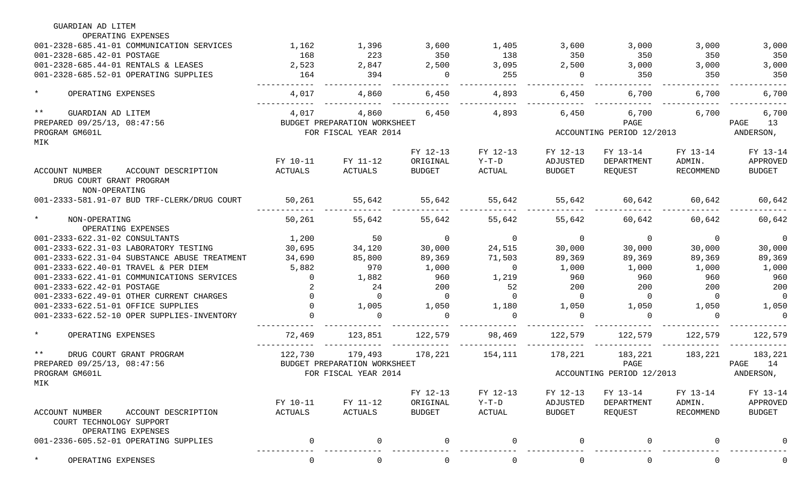| GUARDIAN AD LITEM                                                 |          |                              |                |                 |                |                           |                   |                |
|-------------------------------------------------------------------|----------|------------------------------|----------------|-----------------|----------------|---------------------------|-------------------|----------------|
| OPERATING EXPENSES                                                |          |                              |                |                 |                |                           |                   |                |
| 001-2328-685.41-01 COMMUNICATION SERVICES                         | 1,162    | 1,396                        | 3,600          | 1,405           | 3,600          | 3,000                     | 3,000             | 3,000          |
| 001-2328-685.42-01 POSTAGE                                        | 168      | 223                          | 350            | 138             | 350            | 350                       | 350               | 350            |
| 001-2328-685.44-01 RENTALS & LEASES                               | 2,523    | 2,847                        | 2,500          | 3,095           | 2,500          | 3,000                     | 3,000             | 3,000          |
| 001-2328-685.52-01 OPERATING SUPPLIES                             | 164      | 394                          | $\overline{0}$ | 255             | $\overline{0}$ | 350                       | 350               | 350            |
| $\star$<br>OPERATING EXPENSES                                     | 4,017    | 4,860                        | 6,450          | 4,893           | 6,450          | 6,700                     | 6,700             | 6,700          |
| $***$<br>GUARDIAN AD LITEM                                        | 4,017    | 4,860                        | 6,450          | 4,893           | 6,450          | 6,700                     | 6,700             | 6,700          |
| PREPARED 09/25/13, 08:47:56                                       |          | BUDGET PREPARATION WORKSHEET |                |                 |                | PAGE                      |                   | PAGE<br>13     |
| PROGRAM GM601L                                                    |          | FOR FISCAL YEAR 2014         |                |                 |                | ACCOUNTING PERIOD 12/2013 |                   | ANDERSON,      |
| MIK                                                               |          |                              |                |                 |                |                           |                   |                |
|                                                                   |          |                              | FY 12-13       | FY 12-13        | FY 12-13       | FY 13-14                  | FY 13-14          | FY 13-14       |
|                                                                   | FY 10-11 | FY 11-12                     | ORIGINAL       | $Y-T-D$         | ADJUSTED       | DEPARTMENT                | ADMIN.            | APPROVED       |
| ACCOUNT DESCRIPTION<br>ACCOUNT NUMBER<br>DRUG COURT GRANT PROGRAM | ACTUALS  | ACTUALS                      | <b>BUDGET</b>  | ACTUAL          | BUDGET         | REQUEST                   | RECOMMEND         | <b>BUDGET</b>  |
| NON-OPERATING                                                     |          |                              |                |                 |                |                           |                   |                |
| 001-2333-581.91-07 BUD TRF-CLERK/DRUG COURT                       | 50,261   | 55,642                       | 55,642         | 55,642          | 55,642         | 60,642                    | 60,642            | 60,642         |
| $\star$<br>NON-OPERATING<br>OPERATING EXPENSES                    | 50,261   | 55,642                       | 55,642         | 55,642          | 55,642         | 60,642                    | 60,642            | 60,642         |
| 001-2333-622.31-02 CONSULTANTS                                    | 1,200    | 50                           | $\sim$ 0       | $\overline{0}$  | $\overline{0}$ | $\overline{0}$            | $\overline{0}$    | 0              |
| 001-2333-622.31-03 LABORATORY TESTING                             | 30,695   | 34,120                       | 30,000         | 24,515          | 30,000         | 30,000                    | 30,000            | 30,000         |
| 001-2333-622.31-04 SUBSTANCE ABUSE TREATMENT                      | 34,690   | 85,800                       | 89,369         | 71,503          | 89,369         | 89,369                    | 89,369            | 89,369         |
| 001-2333-622.40-01 TRAVEL & PER DIEM                              | 5,882    | 970                          | 1,000          | $\overline{0}$  | 1,000          | 1,000                     | 1,000             | 1,000          |
| 001-2333-622.41-01 COMMUNICATIONS SERVICES                        | $\Omega$ | 1,882                        | 960            | 1,219           | 960            | 960                       | 960               | 960            |
| 001-2333-622.42-01 POSTAGE                                        |          | 24                           | 200            | 52              | 200            | 200                       | 200               | 200            |
| 001-2333-622.49-01 OTHER CURRENT CHARGES                          |          | $\overline{0}$               | $\overline{0}$ | $\overline{0}$  | $\overline{0}$ | $\overline{0}$            | $\overline{0}$    | $\overline{0}$ |
| 001-2333-622.51-01 OFFICE SUPPLIES                                |          | 1,005                        | 1,050          | 1,180           | 1,050          | 1,050                     | 1,050             | 1,050          |
| 001-2333-622.52-10 OPER SUPPLIES-INVENTORY                        |          | $\Omega$                     | $\Omega$       | $\Omega$        | $\Omega$       | $\Omega$                  | $\Omega$          | $\Omega$       |
| $\star$<br>OPERATING EXPENSES                                     | 72,469   | 123,851                      | 122,579        | 98,469          | 122,579        | 122,579                   | 122,579           | 122,579        |
| $\star\star$<br>DRUG COURT GRANT PROGRAM                          | 122,730  | 179,493                      |                | 178,221 154,111 | 178,221        |                           | 183, 221 183, 221 | 183,221        |
| PREPARED 09/25/13, 08:47:56                                       |          | BUDGET PREPARATION WORKSHEET |                |                 |                | PAGE                      |                   | PAGE 14        |
| PROGRAM GM601L                                                    |          | FOR FISCAL YEAR 2014         |                |                 |                | ACCOUNTING PERIOD 12/2013 |                   | ANDERSON,      |
| MIK                                                               |          |                              |                |                 |                |                           |                   |                |
|                                                                   |          |                              | FY 12-13       | FY 12-13        | FY 12-13       | FY 13-14                  | FY 13-14          | FY 13-14       |
|                                                                   | FY 10-11 | FY 11-12                     | ORIGINAL       | $Y-T-D$         | ADJUSTED       | DEPARTMENT                | ADMIN.            | APPROVED       |
| ACCOUNT NUMBER<br>ACCOUNT DESCRIPTION<br>COURT TECHNOLOGY SUPPORT | ACTUALS  | <b>ACTUALS</b>               | <b>BUDGET</b>  | ACTUAL          | BUDGET         | REQUEST                   | RECOMMEND         | <b>BUDGET</b>  |
| OPERATING EXPENSES<br>001-2336-605.52-01 OPERATING SUPPLIES       |          | 0                            |                | $\Omega$        | $\Omega$       |                           |                   |                |
| OPERATING EXPENSES                                                |          | 0                            | $\Omega$       | $\mathbf 0$     | 0              |                           | $\Omega$          | $\Omega$       |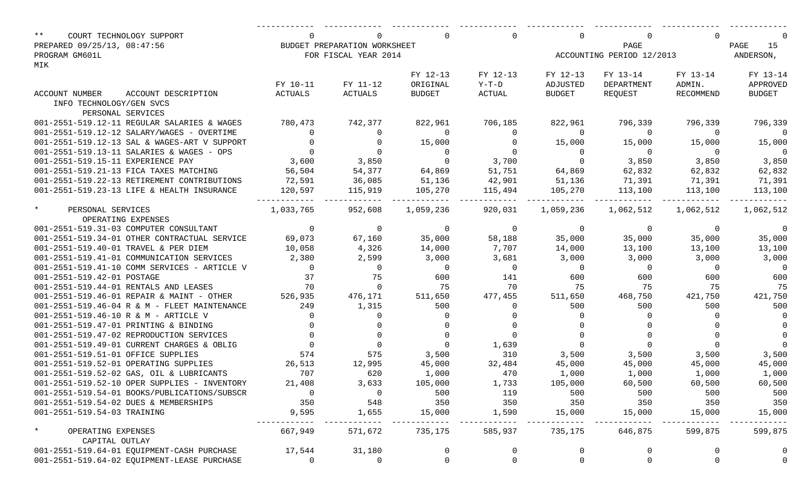| $***$<br>COURT TECHNOLOGY SUPPORT            | $\Omega$       | $\Omega$                     |                | $\Omega$       | $\Omega$                         |                     | $\Omega$                 |                         |  |
|----------------------------------------------|----------------|------------------------------|----------------|----------------|----------------------------------|---------------------|--------------------------|-------------------------|--|
| PREPARED 09/25/13, 08:47:56                  |                | BUDGET PREPARATION WORKSHEET |                |                |                                  | PAGE                |                          | PAGE<br>15<br>ANDERSON, |  |
| PROGRAM GM601L                               |                | FOR FISCAL YEAR 2014         |                |                | ACCOUNTING PERIOD 12/2013        |                     |                          |                         |  |
| MIK                                          |                |                              |                |                |                                  |                     |                          |                         |  |
|                                              |                |                              | FY 12-13       | FY 12-13       | FY 12-13                         | FY 13-14            | FY 13-14                 | FY 13-14                |  |
|                                              | FY 10-11       | FY 11-12                     | ORIGINAL       | $Y-T-D$        | ADJUSTED                         | DEPARTMENT          | ADMIN.                   | APPROVED                |  |
| ACCOUNT DESCRIPTION<br>ACCOUNT NUMBER        | ACTUALS        | ACTUALS                      | BUDGET         | ACTUAL         | BUDGET                           | REOUEST             | RECOMMEND                | <b>BUDGET</b>           |  |
| INFO TECHNOLOGY/GEN SVCS                     |                |                              |                |                |                                  |                     |                          |                         |  |
| PERSONAL SERVICES                            |                |                              |                |                |                                  |                     |                          |                         |  |
| 001-2551-519.12-11 REGULAR SALARIES & WAGES  | 780,473        | 742,377                      | 822,961        | 706,185        | 822,961                          | 796,339             | 796,339                  | 796,339                 |  |
| 001-2551-519.12-12 SALARY/WAGES - OVERTIME   | $\Omega$       | $\Omega$                     | $\overline{0}$ | $\Omega$       | $\overline{0}$                   | $\overline{0}$      | $\overline{0}$           | $\overline{0}$          |  |
| 001-2551-519.12-13 SAL & WAGES-ART V SUPPORT | $\Omega$       | $\Omega$                     | 15,000         | $\Omega$       | 15,000                           | 15,000              | 15,000                   | 15,000                  |  |
| 001-2551-519.13-11 SALARIES & WAGES - OPS    | $\Omega$       | $\overline{0}$               | $\overline{0}$ |                | $\begin{matrix}0\\0\end{matrix}$ | $\overline{0}$      | $\sim$ 0                 | $\overline{0}$          |  |
| 001-2551-519.15-11 EXPERIENCE PAY            | 3,600          | 3,850                        | $\overline{0}$ | 3,700          |                                  | 3,850               | 3,850                    | 3,850                   |  |
| 001-2551-519.21-13 FICA TAXES MATCHING       | 56,504         | 54,377                       | 64,869         | 51,751         | 64,869                           | 62,832              | 62,832                   | 62,832                  |  |
| 001-2551-519.22-13 RETIREMENT CONTRIBUTIONS  | 72,591         | 36,085                       | 51,136         | 42,901         | 51,136                           | 71,391              | 71,391                   | 71,391                  |  |
| 001-2551-519.23-13 LIFE & HEALTH INSURANCE   | 120,597        | 115,919                      | 105,270        | 115,494        | 105,270                          |                     | 113,100 113,100          | 113,100                 |  |
|                                              |                |                              |                |                |                                  |                     |                          |                         |  |
| $\star$<br>PERSONAL SERVICES                 | 1,033,765      | 952,608                      | 1,059,236      | 920,031        | 1,059,236                        | 1,062,512 1,062,512 |                          | 1,062,512               |  |
| OPERATING EXPENSES                           |                |                              |                |                |                                  |                     |                          |                         |  |
| 001-2551-519.31-03 COMPUTER CONSULTANT       | $\overline{0}$ | $\overline{0}$               | $\overline{0}$ | $\overline{0}$ | $\overline{0}$                   | $\overline{0}$      | $\overline{0}$           | 0                       |  |
| 001-2551-519.34-01 OTHER CONTRACTUAL SERVICE | 69,073         | 67,160                       | 35,000         | 58,188         | 35,000                           | 35,000              | 35,000                   | 35,000                  |  |
| 001-2551-519.40-01 TRAVEL & PER DIEM         | 10,058         | 4,326                        | 14,000         | 7,707          | 14,000                           | 13,100              | 13,100                   | 13,100                  |  |
| 001-2551-519.41-01 COMMUNICATION SERVICES    | 2,380          | 2,599                        | 3,000          | 3,681          | 3,000                            | 3,000               | 3,000                    | 3,000                   |  |
| 001-2551-519.41-10 COMM SERVICES - ARTICLE V | $\overline{0}$ | $\overline{0}$               | $\overline{0}$ | $\overline{0}$ | $\overline{0}$                   | $\overline{0}$      | $\overline{\phantom{0}}$ | $\overline{0}$          |  |
| 001-2551-519.42-01 POSTAGE                   | 37             | 75                           | 600            | 141            | 600                              | 600                 | 600                      | 600                     |  |
| 001-2551-519.44-01 RENTALS AND LEASES        | 70             | $\overline{0}$               | 75             | 70             | 75                               | 75                  | 75                       | 75                      |  |
| 001-2551-519.46-01 REPAIR & MAINT - OTHER    | 526,935        | 476,171                      | 511,650        | 477,455        | 511,650                          | 468,750             | 421,750                  | 421,750                 |  |
| 001-2551-519.46-04 R & M - FLEET MAINTENANCE | 249            | 1,315                        | 500            | $\Omega$       | 500                              | 500                 | 500                      | 500                     |  |
| 001-2551-519.46-10 R & M - ARTICLE V         | $\Omega$       | $\Omega$                     |                |                | $\Omega$                         | $\Omega$            |                          | $\Omega$                |  |
| 001-2551-519.47-01 PRINTING & BINDING        |                |                              |                |                |                                  |                     |                          |                         |  |
| 001-2551-519.47-02 REPRODUCTION SERVICES     |                |                              |                |                |                                  |                     |                          |                         |  |
| 001-2551-519.49-01 CURRENT CHARGES & OBLIG   | $\Omega$       | $\overline{0}$               | $\overline{0}$ | 1,639          | $\overline{0}$                   | $\Omega$            |                          | $\Omega$                |  |
| 001-2551-519.51-01 OFFICE SUPPLIES           | 574            | 575                          | 3,500          | 310            | 3,500                            |                     | 3,500 3,500              | 3,500                   |  |
| 001-2551-519.52-01 OPERATING SUPPLIES        | 26,513         | 12,995                       | 45,000         | 32,484         | 45,000                           | 45,000              | 45,000                   | 45,000                  |  |
| 001-2551-519.52-02 GAS, OIL & LUBRICANTS     | 707            | 620                          | 1,000          | 470            | 1,000                            | 1,000               | 1,000                    | 1,000                   |  |
| 001-2551-519.52-10 OPER SUPPLIES - INVENTORY | 21,408         | 3,633                        | 105,000        | 1,733          | 105,000                          | 60,500              | 60,500                   | 60,500                  |  |
| 001-2551-519.54-01 BOOKS/PUBLICATIONS/SUBSCR | 0              | 0                            | 500            | 119            | 500                              | 500                 | 500                      | 500                     |  |
| 001-2551-519.54-02 DUES & MEMBERSHIPS        | 350            | 548                          | 350            | 350            | 350                              | 350                 | 350                      | 350                     |  |
| 001-2551-519.54-03 TRAINING                  | 9,595          | 1,655                        | 15,000         | 1,590          | 15,000                           | 15,000              | 15,000                   | 15,000                  |  |
|                                              |                |                              |                |                |                                  |                     |                          |                         |  |
| $\star$<br>OPERATING EXPENSES                | 667,949        | 571,672                      | 735,175        | 585,937        | 735,175                          | 646,875             | 599,875                  | 599,875                 |  |
| CAPITAL OUTLAY                               |                |                              |                |                |                                  |                     |                          |                         |  |
| 001-2551-519.64-01 EQUIPMENT-CASH PURCHASE   | 17,544         | 31,180                       | 0              | 0              | $\overline{0}$                   | 0                   | 0                        | 0                       |  |
| 001-2551-519.64-02 EQUIPMENT-LEASE PURCHASE  | 0              | $\overline{0}$               | 0              | $\mathsf{O}$   | $\mathsf{O}\xspace$              | 0                   | $\mathsf{O}$             | 0                       |  |
|                                              |                |                              |                |                |                                  |                     |                          |                         |  |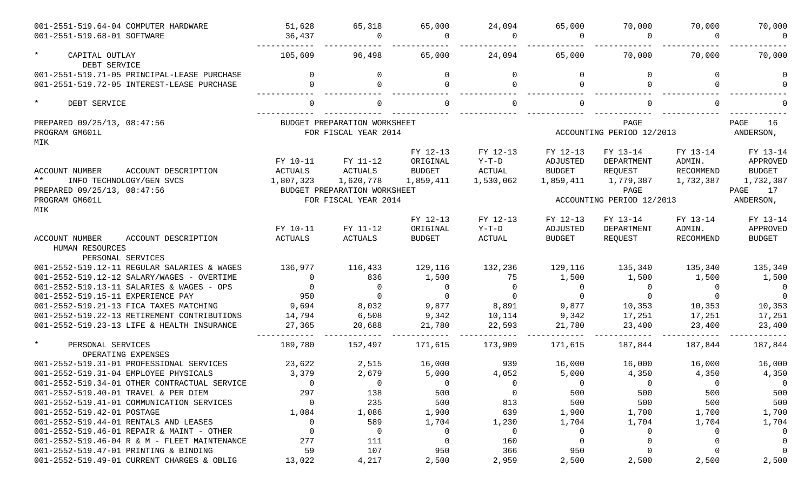| 001-2551-519.64-04 COMPUTER HARDWARE<br>001-2551-519.68-01 SOFTWARE | 51,628<br>36,437 | 65,318<br>$\Omega$                                   | 65,000<br><sup>n</sup> | 24,094<br>- വ | 65,000<br>0    | 70,000<br>$\Omega$                | 70,000    | 70,000                  |
|---------------------------------------------------------------------|------------------|------------------------------------------------------|------------------------|---------------|----------------|-----------------------------------|-----------|-------------------------|
| $\star$<br>CAPITAL OUTLAY<br>DEBT SERVICE                           | 105,609          | 96,498                                               | 65,000                 | 24,094        | 65,000         | 70,000                            | 70,000    | 70,000                  |
| 001-2551-519.71-05 PRINCIPAL-LEASE PURCHASE                         | $\cap$           | $\Omega$                                             | $\Omega$               | $\Omega$      | $\Omega$       | $\Omega$                          | $\Omega$  |                         |
| 001-2551-519.72-05 INTEREST-LEASE PURCHASE                          |                  | $\Omega$                                             |                        | $\cap$        | $\Omega$       |                                   |           |                         |
| $\star$<br>DEBT SERVICE                                             |                  |                                                      |                        |               |                |                                   |           |                         |
| PREPARED 09/25/13, 08:47:56<br>PROGRAM GM601L<br>MIK                |                  | BUDGET PREPARATION WORKSHEET<br>FOR FISCAL YEAR 2014 |                        |               |                | PAGE<br>ACCOUNTING PERIOD 12/2013 |           | PAGE<br>16<br>ANDERSON, |
|                                                                     |                  |                                                      | FY 12-13               | FY 12-13      | FY 12-13       | FY 13-14                          | FY 13-14  | FY 13-14                |
|                                                                     | FY 10-11         | FY 11-12                                             | ORIGINAL               | $Y-T-D$       | ADJUSTED       | DEPARTMENT                        | ADMIN.    | APPROVED                |
| <b>ACCOUNT NUMBER</b><br>ACCOUNT DESCRIPTION                        | ACTUALS          | <b>ACTUALS</b>                                       | <b>BUDGET</b>          | ACTUAL        | <b>BUDGET</b>  | REQUEST                           | RECOMMEND | <b>BUDGET</b>           |
| $\star\star$<br>INFO TECHNOLOGY/GEN SVCS                            | 1,807,323        | 1,620,778                                            | 1,859,411              | 1,530,062     | 1,859,411      | 1,779,387                         | 1,732,387 | 1,732,387               |
| PREPARED 09/25/13, 08:47:56                                         |                  | BUDGET PREPARATION WORKSHEET                         |                        |               |                | PAGE                              |           | PAGE<br>17              |
| PROGRAM GM601L                                                      |                  | FOR FISCAL YEAR 2014                                 |                        |               | ANDERSON,      |                                   |           |                         |
| MIK                                                                 |                  |                                                      |                        |               |                |                                   |           |                         |
|                                                                     |                  |                                                      | FY 12-13               | FY 12-13      | FY 12-13       | FY 13-14                          | FY 13-14  | FY 13-14                |
|                                                                     | FY 10-11         | FY 11-12                                             | ORIGINAL               | $Y-T-D$       | ADJUSTED       | DEPARTMENT                        | ADMIN.    | APPROVED                |
| <b>ACCOUNT NUMBER</b><br>ACCOUNT DESCRIPTION<br>HUMAN RESOURCES     | ACTUALS          | ACTUALS                                              | <b>BUDGET</b>          | ACTUAL        | <b>BUDGET</b>  | REQUEST                           | RECOMMEND | <b>BUDGET</b>           |
| PERSONAL SERVICES                                                   |                  |                                                      |                        |               |                |                                   |           |                         |
| 001-2552-519.12-11 REGULAR SALARIES & WAGES                         | 136,977          | 116,433                                              | 129,116                | 132,236       | 129,116        | 135,340                           | 135,340   | 135,340                 |
| 001-2552-519.12-12 SALARY/WAGES - OVERTIME                          | $\Omega$         | 836                                                  | 1,500                  | 75            | 1,500          | 1,500                             | 1,500     | 1,500                   |
| 001-2552-519.13-11 SALARIES & WAGES - OPS                           | $\Omega$         | $\Omega$                                             | $\Omega$               | $\Omega$      | $\overline{0}$ | $\Omega$                          | $\Omega$  | $\mathbf 0$             |
| 001-2552-519.15-11 EXPERIENCE PAY                                   | 950              | $\Omega$                                             | $\Omega$               | $\cap$        | $\mathbf 0$    | $\Omega$                          |           | $\Omega$                |
| 001-2552-519.21-13 FICA TAXES MATCHING                              | 9,694            | 8,032                                                | 9,877                  | 8,891         | 9,877          | 10,353                            | 10,353    | 10,353                  |
| 001-2552-519.22-13 RETIREMENT CONTRIBUTIONS                         | 14,794           | 6,508                                                | 9,342                  | 10,114        | 9,342          | 17,251                            | 17,251    | 17,251                  |
| 001-2552-519.23-13 LIFE & HEALTH INSURANCE                          | 27,365           | 20,688                                               | 21,780                 | 22,593        | 21,780         | 23,400                            | 23,400    | 23,400                  |
| $\star$<br>PERSONAL SERVICES<br>OPERATING EXPENSES                  | 189,780          | 152,497                                              | 171,615                | 173,909       | 171,615        | 187,844                           | 187,844   | 187,844                 |
| 001-2552-519.31-01 PROFESSIONAL SERVICES                            | 23,622           | 2,515                                                | 16,000                 | 939           | 16,000         | 16,000                            | 16,000    | 16,000                  |
| 001-2552-519.31-04 EMPLOYEE PHYSICALS                               | 3,379            | 2,679                                                | 5,000                  | 4,052         | 5,000          | 4,350                             | 4,350     | 4,350                   |
| 001-2552-519.34-01 OTHER CONTRACTUAL SERVICE                        | $\Omega$         | 0                                                    | $\mathbf 0$            |               | 0              | 0                                 | 0         | $\Omega$                |
| 001-2552-519.40-01 TRAVEL & PER DIEM                                | 297              | 138                                                  | 500                    | 0             | 500            | 500                               | 500       | 500                     |
| 001-2552-519.41-01 COMMUNICATION SERVICES                           | $\Omega$         | 235                                                  | 500                    | 813           | 500            | 500                               | 500       | 500                     |
| 001-2552-519.42-01 POSTAGE                                          | 1,084            | 1,086                                                | 1,900                  | 639           | 1,900          | 1,700                             | 1,700     | 1,700                   |
| 001-2552-519.44-01 RENTALS AND LEASES                               | $\Omega$         | 589                                                  | 1,704                  | 1,230         | 1,704          | 1,704                             | 1,704     | 1,704                   |
| 001-2552-519.46-01 REPAIR & MAINT - OTHER                           | $\Omega$         | 0                                                    | 0                      | 0             | 0              | 0                                 | $\Omega$  |                         |
| 001-2552-519.46-04 R & M - FLEET MAINTENANCE                        | 277              | 111                                                  | $\Omega$               | 160           | $\mathbf 0$    |                                   |           |                         |
| 001-2552-519.47-01 PRINTING & BINDING                               | 59               | 107                                                  | 950                    | 366           | 950            |                                   |           |                         |
| 001-2552-519.49-01 CURRENT CHARGES & OBLIG                          | 13,022           | 4,217                                                | 2,500                  | 2,959         | 2,500          | 2,500                             | 2,500     | 2,500                   |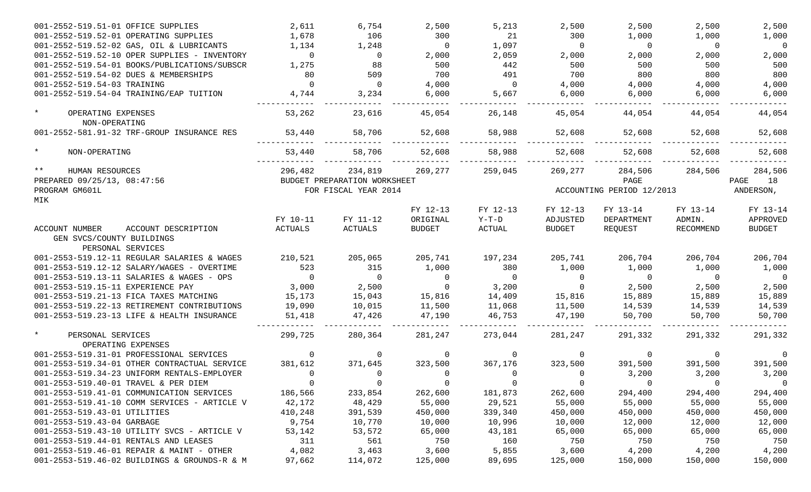| 001-2552-519.51-01 OFFICE SUPPLIES                                                      | 2,611          | 6,754                        | 2,500          | 5,213                   | 2,500         | 2,500                     | 2,500            | 2,500         |
|-----------------------------------------------------------------------------------------|----------------|------------------------------|----------------|-------------------------|---------------|---------------------------|------------------|---------------|
| 001-2552-519.52-01 OPERATING SUPPLIES                                                   | 1,678          | 106                          | 300            | 21                      | 300           | 1,000                     | 1,000            | 1,000         |
| 001-2552-519.52-02 GAS, OIL & LUBRICANTS                                                | 1,134          | 1,248                        | $\Omega$       | 1,097                   | $\Omega$      | $\Omega$                  | $\Omega$         | $\Omega$      |
| 001-2552-519.52-10 OPER SUPPLIES - INVENTORY                                            | $\Omega$       | $\overline{0}$               | 2,000          | 2,059                   | 2,000         | 2,000                     | 2,000            | 2,000         |
| 001-2552-519.54-01 BOOKS/PUBLICATIONS/SUBSCR                                            | 1,275          | 88                           | 500            | 442                     | 500           | 500                       | 500              | 500           |
| 001-2552-519.54-02 DUES & MEMBERSHIPS                                                   | 80             | 509                          | 700            | 491                     | 700           | 800                       | 800              | 800           |
| 001-2552-519.54-03 TRAINING                                                             | $\Omega$       | $\Omega$                     | 4,000          | $\Omega$                | 4,000         | 4,000                     | 4,000            | 4,000         |
| 001-2552-519.54-04 TRAINING/EAP TUITION                                                 | 4,744          | 3,234                        | 6,000          | 5,667                   | 6,000         | 6,000                     | 6,000            | 6,000         |
| $\star$<br>OPERATING EXPENSES<br>NON-OPERATING                                          | 53,262         | 23,616                       | 45,054         | 26,148                  | 45,054        | 44,054                    | 44,054           | 44,054        |
| 001-2552-581.91-32 TRF-GROUP INSURANCE RES                                              | 53,440         | 58,706                       | 52,608         | 58,988                  | 52,608        | 52,608                    | 52,608           | 52,608        |
| $\star$<br>NON-OPERATING                                                                | 53,440         | 58,706                       | 52,608         | 58,988                  | 52,608        | 52,608                    | 52,608           | 52,608        |
| $***$<br>HUMAN RESOURCES                                                                | 296,482        | 234,819                      | 269,277        | 259,045                 | 269,277       | 284,506                   | 284,506          | 284,506       |
| PREPARED 09/25/13, 08:47:56                                                             |                | BUDGET PREPARATION WORKSHEET |                |                         |               | PAGE                      |                  | PAGE<br>18    |
| PROGRAM GM601L                                                                          |                | FOR FISCAL YEAR 2014         |                |                         |               | ACCOUNTING PERIOD 12/2013 |                  | ANDERSON,     |
| MIK                                                                                     |                |                              |                |                         |               |                           |                  |               |
|                                                                                         |                |                              | FY 12-13       | FY 12-13                | FY 12-13      | FY 13-14                  | FY 13-14         | FY 13-14      |
|                                                                                         | FY 10-11       | FY 11-12                     | ORIGINAL       | $Y-T-D$                 | ADJUSTED      | DEPARTMENT                | ADMIN.           | APPROVED      |
| ACCOUNT DESCRIPTION<br>ACCOUNT NUMBER<br>GEN SVCS/COUNTY BUILDINGS<br>PERSONAL SERVICES | <b>ACTUALS</b> | ACTUALS                      | <b>BUDGET</b>  | $\operatorname{ACTUAL}$ | <b>BUDGET</b> | REQUEST                   | <b>RECOMMEND</b> | <b>BUDGET</b> |
| 001-2553-519.12-11 REGULAR SALARIES & WAGES                                             | 210,521        | 205,065                      | 205,741        | 197,234                 | 205,741       | 206,704                   | 206,704          | 206,704       |
| 001-2553-519.12-12 SALARY/WAGES - OVERTIME                                              | 523            | 315                          | 1,000          | 380                     | 1,000         | 1,000                     | 1,000            | 1,000         |
| 001-2553-519.13-11 SALARIES & WAGES - OPS                                               | $\Omega$       | $\Omega$                     | $\Omega$       | $\Omega$                | 0             | $\Omega$                  | $\Omega$         | $\Omega$      |
| 001-2553-519.15-11 EXPERIENCE PAY                                                       | 3,000          | 2,500                        | $\Omega$       | 3,200                   | $\Omega$      | 2,500                     | 2,500            | 2,500         |
| 001-2553-519.21-13 FICA TAXES MATCHING                                                  | 15,173         | 15,043                       | 15,816         | 14,409                  | 15,816        | 15,889                    | 15,889           | 15,889        |
| 001-2553-519.22-13 RETIREMENT CONTRIBUTIONS                                             | 19,090         | 10,015                       | 11,500         | 11,068                  | 11,500        | 14,539                    | 14,539           | 14,539        |
| 001-2553-519.23-13 LIFE & HEALTH INSURANCE                                              | 51,418         | 47,426                       | 47,190         | 46,753                  | 47,190        | 50,700                    | 50,700           | 50,700        |
| $\star$<br>PERSONAL SERVICES                                                            | 299,725        | 280,364                      | 281,247        | 273,044                 | 281,247       | 291,332                   | 291,332          | 291,332       |
| OPERATING EXPENSES                                                                      |                |                              |                |                         |               |                           |                  |               |
| 001-2553-519.31-01 PROFESSIONAL SERVICES                                                | 0              | $\mathbf 0$                  | 0              | $\Omega$                | 0             | 0                         | $\Omega$         | $\Omega$      |
| 001-2553-519.34-01 OTHER CONTRACTUAL SERVICE                                            | 381,612        | 371,645                      | 323,500        | 367,176                 | 323,500       | 391,500                   | 391,500          | 391,500       |
| 001-2553-519.34-23 UNIFORM RENTALS-EMPLOYER                                             | $\Omega$       | 0                            | $\Omega$       | <sup>0</sup>            | 0             | 3,200                     | 3,200            | 3,200         |
| 001-2553-519.40-01 TRAVEL & PER DIEM                                                    | $\sim$ 0       | $\overline{\phantom{0}}$     | $\overline{0}$ | $\overline{0}$          | - 0           | $\sim$ 0                  | - 0              | $\cup$        |
| 001-2553-519.41-01 COMMUNICATION SERVICES                                               | 186,566        | 233,854                      | 262,600        | 181,873                 | 262,600       | 294,400                   | 294,400          | 294,400       |
| 001-2553-519.41-10 COMM SERVICES - ARTICLE V                                            | 42,172         | 48,429                       | 55,000         | 29,521                  | 55,000        | 55,000                    | 55,000           | 55,000        |
| 001-2553-519.43-01 UTILITIES                                                            | 410,248        | 391,539                      | 450,000        | 339,340                 | 450,000       | 450,000                   | 450,000          | 450,000       |
| 001-2553-519.43-04 GARBAGE                                                              | 9,754          | 10,770                       | 10,000         | 10,996                  | 10,000        | 12,000                    | 12,000           | 12,000        |
| 001-2553-519.43-10 UTILITY SVCS - ARTICLE V                                             | 53,142         | 53,572                       | 65,000         | 43,181                  | 65,000        | 65,000                    | 65,000           | 65,000        |
| 001-2553-519.44-01 RENTALS AND LEASES                                                   | 311            | 561                          | 750            | 160                     | 750           | 750                       | 750              | 750           |
| 001-2553-519.46-01 REPAIR & MAINT - OTHER                                               | 4,082          | 3,463                        | 3,600          | 5,855                   | 3,600         | 4,200                     | 4,200            | 4,200         |
| 001-2553-519.46-02 BUILDINGS & GROUNDS-R & M                                            | 97,662         | 114,072                      | 125,000        | 89,695                  | 125,000       | 150,000                   | 150,000          | 150,000       |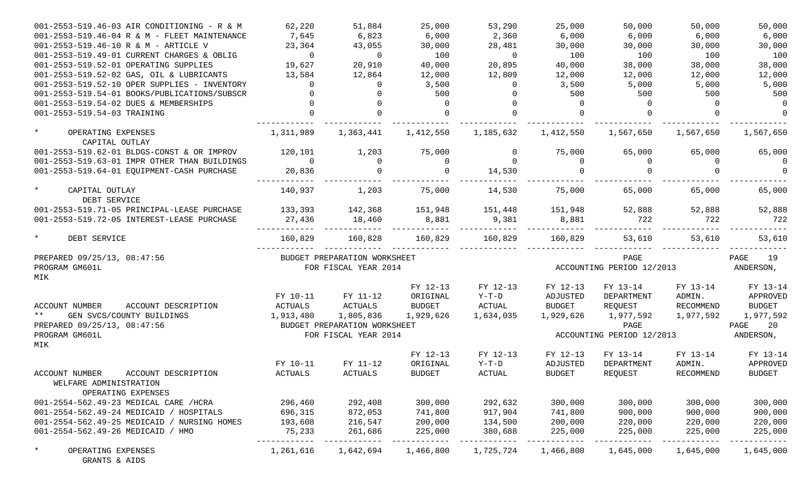| 001-2553-519.46-03 AIR CONDITIONING - R & M                                                  | 62,220         | 51,884                       | 25,000        | 53,290         | 25,000        | 50,000                    | 50,000    | 50,000        |
|----------------------------------------------------------------------------------------------|----------------|------------------------------|---------------|----------------|---------------|---------------------------|-----------|---------------|
| 001-2553-519.46-04 R & M - FLEET MAINTENANCE                                                 | 7,645          | 6,823                        | 6,000         | 2,360          | 6,000         | 6,000                     | 6,000     | 6,000         |
| 001-2553-519.46-10 R & M - ARTICLE V                                                         | 23,364         | 43,055                       | 30,000        | 28,481         | 30,000        | 30,000                    | 30,000    | 30,000        |
| 001-2553-519.49-01 CURRENT CHARGES & OBLIG                                                   | $\overline{0}$ | $\overline{0}$               | 100           | $\overline{0}$ | 100           | 100                       | 100       | 100           |
| 001-2553-519.52-01 OPERATING SUPPLIES                                                        | 19,627         | 20,910                       | 40,000        | 20,895         | 40,000        | 38,000                    | 38,000    | 38,000        |
| 001-2553-519.52-02 GAS, OIL & LUBRICANTS                                                     | 13,584         | 12,864                       | 12,000        | 12,809         | 12,000        | 12,000                    | 12,000    | 12,000        |
| 001-2553-519.52-10 OPER SUPPLIES - INVENTORY                                                 | $\mathbf{0}$   | $\Omega$                     | 3,500         | $\Omega$       | 3,500         | 5,000                     | 5,000     | 5,000         |
| 001-2553-519.54-01 BOOKS/PUBLICATIONS/SUBSCR                                                 |                | $\Omega$                     | 500           | $\Omega$       | 500           | 500                       | 500       | 500           |
| 001-2553-519.54-02 DUES & MEMBERSHIPS                                                        |                | $\Omega$                     |               |                | $\Omega$      |                           | $\Omega$  | $\Omega$      |
| 001-2553-519.54-03 TRAINING                                                                  |                | $\Omega$                     |               | $\Omega$       | $\Omega$      |                           | $\Omega$  | $\Omega$      |
| $\star$<br>OPERATING EXPENSES<br>CAPITAL OUTLAY                                              | 1,311,989      | 1,363,441                    | 1,412,550     | 1,185,632      | 1,412,550     | 1,567,650                 | 1,567,650 | 1,567,650     |
| 001-2553-519.62-01 BLDGS-CONST & OR IMPROV                                                   | 120,101        | 1,203                        | 75,000        | $\Omega$       | 75,000        | 65,000                    | 65,000    | 65,000        |
| 001-2553-519.63-01 IMPR OTHER THAN BUILDINGS                                                 | $\overline{0}$ | $\Omega$                     | $\Omega$      | $\Omega$       | $\Omega$      | $\Omega$                  | $\Omega$  | $\Omega$      |
| 001-2553-519.64-01 EQUIPMENT-CASH PURCHASE                                                   | 20,836         | $\Omega$                     |               | 14,530         | $\Omega$      |                           |           | $\Omega$      |
| $\star$<br>CAPITAL OUTLAY<br>DEBT SERVICE                                                    | 140,937        | 1,203                        | 75,000        | 14,530         | 75,000        | 65,000                    | 65,000    | 65,000        |
| 001-2553-519.71-05 PRINCIPAL-LEASE PURCHASE                                                  | 133,393        | 142,368                      | 151,948       | 151,448        | 151,948       | 52,888                    | 52,888    | 52,888        |
| 001-2553-519.72-05 INTEREST-LEASE PURCHASE                                                   | 27,436         | 18,460                       | 8,881         | 9,381          | 8,881         | 722                       | 722       | 722           |
| $\star$<br>DEBT SERVICE                                                                      | 160,829        | 160,828                      | 160,829       | 160,829        | 160,829       | 53,610                    | 53,610    | 53,610        |
| PREPARED 09/25/13, 08:47:56                                                                  |                | BUDGET PREPARATION WORKSHEET |               |                |               | PAGE                      |           | PAGE<br>19    |
| PROGRAM GM601L                                                                               |                | FOR FISCAL YEAR 2014         |               |                |               | ACCOUNTING PERIOD 12/2013 |           | ANDERSON,     |
| MIK                                                                                          |                |                              |               |                |               |                           |           |               |
|                                                                                              |                |                              | FY 12-13      | FY 12-13       | FY 12-13      | FY 13-14                  | FY 13-14  | FY 13-14      |
|                                                                                              | FY 10-11       | FY 11-12                     | ORIGINAL      | $Y-T-D$        | ADJUSTED      | DEPARTMENT                | ADMIN.    | APPROVED      |
| <b>ACCOUNT NUMBER</b><br>ACCOUNT DESCRIPTION                                                 | ACTUALS        | ACTUALS                      | <b>BUDGET</b> | ACTUAL         | <b>BUDGET</b> | REQUEST                   | RECOMMEND | <b>BUDGET</b> |
| $\star\star$<br>GEN SVCS/COUNTY BUILDINGS                                                    | 1,913,480      | 1,805,836                    | 1,929,626     | 1,634,035      | 1,929,626     | 1,977,592                 | 1,977,592 | 1,977,592     |
| PREPARED 09/25/13, 08:47:56                                                                  |                | BUDGET PREPARATION WORKSHEET |               |                |               | PAGE                      |           | PAGE<br>20    |
| PROGRAM GM601L                                                                               |                | FOR FISCAL YEAR 2014         |               |                |               | ACCOUNTING PERIOD 12/2013 |           | ANDERSON,     |
| MIK                                                                                          |                |                              |               |                |               |                           |           |               |
|                                                                                              |                |                              | FY 12-13      | FY 12-13       | FY 12-13      | FY 13-14                  | FY 13-14  | FY 13-14      |
|                                                                                              | FY 10-11       | FY 11-12                     | ORIGINAL      | $Y-T-D$        | ADJUSTED      | DEPARTMENT                | ADMIN.    | APPROVED      |
| ACCOUNT DESCRIPTION<br><b>ACCOUNT NUMBER</b><br>WELFARE ADMINISTRATION<br>OPERATING EXPENSES | ACTUALS        | ACTUALS                      | <b>BUDGET</b> | ACTUAL         | <b>BUDGET</b> | REQUEST                   | RECOMMEND | <b>BUDGET</b> |
| 001-2554-562.49-23 MEDICAL CARE /HCRA                                                        | 296,460        | 292,408                      | 300,000       | 292,632        | 300,000       | 300,000                   | 300,000   | 300,000       |
| 001-2554-562.49-24 MEDICAID / HOSPITALS                                                      | 696,315        | 872,053                      | 741,800       | 917,904        | 741,800       | 900,000                   | 900,000   | 900,000       |
| 001-2554-562.49-25 MEDICAID / NURSING HOMES                                                  | 193,608        | 216,547                      | 200,000       | 134,500        | 200,000       | 220,000                   | 220,000   | 220,000       |
| 001-2554-562.49-26 MEDICAID / HMO                                                            | 75,233         | 261,686                      | 225,000       | 380,688        | 225,000       | 225,000                   | 225,000   | 225,000       |
| $\star$<br>OPERATING EXPENSES<br>GRANTS & AIDS                                               | 1,261,616      | 1,642,694                    | 1,466,800     | 1,725,724      | 1,466,800     | 1,645,000                 | 1,645,000 | 1,645,000     |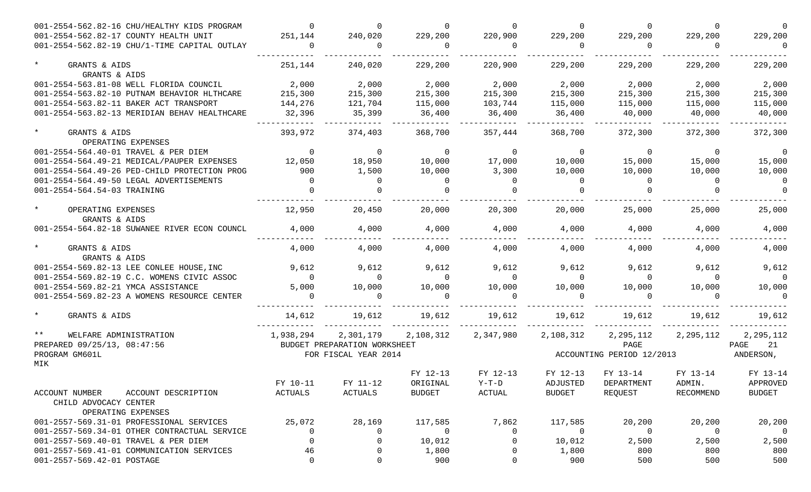| 001-2554-562.82-16 CHU/HEALTHY KIDS PROGRAM                    |                | $\Omega$                     |                | $\Omega$  | $\Omega$       |                           | $\Omega$       | $\Omega$       |
|----------------------------------------------------------------|----------------|------------------------------|----------------|-----------|----------------|---------------------------|----------------|----------------|
| 001-2554-562.82-17 COUNTY HEALTH UNIT                          | 251,144        | 240,020                      | 229,200        | 220,900   | 229,200        | 229,200                   | 229,200        | 229,200        |
| 001-2554-562.82-19 CHU/1-TIME CAPITAL OUTLAY                   | $\Omega$       | $\Omega$                     | $\bigcirc$     | $\Omega$  | $\Omega$       | $\bigcirc$                | $\Omega$       | $\Omega$       |
| $\star$<br>GRANTS & AIDS                                       | 251,144        | 240,020                      | 229,200        | 220,900   | 229,200        | 229,200                   | 229,200        | 229,200        |
| GRANTS & AIDS                                                  |                |                              |                |           |                |                           |                |                |
| 001-2554-563.81-08 WELL FLORIDA COUNCIL                        | 2,000          | 2,000                        | 2,000          | 2,000     | 2,000          | 2,000                     | 2,000          | 2,000          |
| 001-2554-563.82-10 PUTNAM BEHAVIOR HLTHCARE                    | 215,300        | 215,300                      | 215,300        | 215,300   | 215,300        | 215,300                   | 215,300        | 215,300        |
| 001-2554-563.82-11 BAKER ACT TRANSPORT                         | 144,276        | 121,704                      | 115,000        | 103,744   | 115,000        | 115,000                   | 115,000        | 115,000        |
| 001-2554-563.82-13 MERIDIAN BEHAV HEALTHCARE                   | 32,396         | 35,399                       | 36,400         | 36,400    | 36,400         | 40,000                    | 40,000         | 40,000         |
| $\star$<br>GRANTS & AIDS<br>OPERATING EXPENSES                 | 393,972        | 374,403                      | 368,700        | 357,444   | 368,700        | 372,300                   | 372,300        | 372,300        |
| 001-2554-564.40-01 TRAVEL & PER DIEM                           | $\Omega$       | $\overline{0}$               | $\overline{0}$ | $\Omega$  | $\overline{0}$ | $\overline{0}$            | $\Omega$       | $\Omega$       |
| 001-2554-564.49-21 MEDICAL/PAUPER EXPENSES                     | 12,050         | 18,950                       | 10,000         | 17,000    | 10,000         | 15,000                    | 15,000         | 15,000         |
| 001-2554-564.49-26 PED-CHILD PROTECTION PROG                   | 900            | 1,500                        | 10,000         | 3,300     | 10,000         | 10,000                    | 10,000         | 10,000         |
| 001-2554-564.49-50 LEGAL ADVERTISEMENTS                        | $\overline{0}$ | $\Omega$                     | $\Omega$       | $\Omega$  | $\Omega$       | $\Omega$                  | $\Omega$       | $\Omega$       |
| 001-2554-564.54-03 TRAINING                                    |                |                              |                |           |                |                           |                |                |
| OPERATING EXPENSES<br>GRANTS & AIDS                            | 12,950         | 20,450                       | 20,000         | 20,300    | 20,000         | 25,000                    | 25,000         | 25,000         |
| 001-2554-564.82-18 SUWANEE RIVER ECON COUNCL                   | 4,000          | 4,000                        | 4,000          | 4,000     | 4,000          | 4,000                     | 4,000          | 4,000          |
| GRANTS & AIDS<br>GRANTS & AIDS                                 | 4,000          | 4,000                        | 4,000          | 4,000     | 4,000          | 4,000                     | 4,000          | 4,000          |
| 001-2554-569.82-13 LEE CONLEE HOUSE, INC                       | 9,612          | 9,612                        | 9,612          | 9,612     | 9,612          | 9,612                     | 9,612          | 9,612          |
| 001-2554-569.82-19 C.C. WOMENS CIVIC ASSOC                     | $\overline{0}$ | $\Omega$                     | $\overline{0}$ | $\Omega$  | $\Omega$       | $\overline{0}$            | $\Omega$       | $\Omega$       |
| 001-2554-569.82-21 YMCA ASSISTANCE                             | 5,000          | 10,000                       | 10,000         | 10,000    | 10,000         | 10,000                    | 10,000         | 10,000         |
| 001-2554-569.82-23 A WOMENS RESOURCE CENTER                    |                | $\Omega$                     |                |           | $\Omega$       |                           |                |                |
| GRANTS & AIDS                                                  | 14,612         | 19,612                       | 19,612         | 19,612    | 19,612         | 19,612                    | 19,612         | 19,612         |
| $***$<br>WELFARE ADMINISTRATION                                | 1,938,294      | 2,301,179                    | 2,108,312      | 2,347,980 | 2,108,312      | 2,295,112                 | 2,295,112      | 2,295,112      |
| PREPARED 09/25/13, 08:47:56                                    |                | BUDGET PREPARATION WORKSHEET |                |           |                | PAGE                      |                | PAGE<br>21     |
| PROGRAM GM601L                                                 |                | FOR FISCAL YEAR 2014         |                |           |                | ACCOUNTING PERIOD 12/2013 |                | ANDERSON,      |
| MIK                                                            |                |                              |                |           |                |                           |                |                |
|                                                                |                |                              | FY 12-13       | FY 12-13  | FY 12-13       | FY 13-14                  | FY 13-14       | FY 13-14       |
|                                                                | FY 10-11       | FY 11-12                     | ORIGINAL       | $Y-T-D$   | ADJUSTED       | DEPARTMENT                | ADMIN.         | APPROVED       |
| ACCOUNT NUMBER<br>ACCOUNT DESCRIPTION<br>CHILD ADVOCACY CENTER | ACTUALS        | ACTUALS                      | <b>BUDGET</b>  | ACTUAL    | <b>BUDGET</b>  | REQUEST                   | RECOMMEND      | <b>BUDGET</b>  |
| OPERATING EXPENSES                                             |                |                              |                |           |                |                           |                |                |
| 001-2557-569.31-01 PROFESSIONAL SERVICES                       | 25,072         | 28,169                       | 117,585        | 7,862     | 117,585        | 20,200                    | 20,200         | 20,200         |
| 001-2557-569.34-01 OTHER CONTRACTUAL SERVICE                   | 0              | 0                            | $\overline{0}$ | 0         | 0              | 0                         | $\overline{0}$ | $\overline{0}$ |
| 001-2557-569.40-01 TRAVEL & PER DIEM                           | 0              | -0                           | 10,012         | 0         | 10,012         | 2,500                     | 2,500          | 2,500          |
| 001-2557-569.41-01 COMMUNICATION SERVICES                      | 46             | 0                            | 1,800          |           | 1,800          | 800                       | 800            | 800            |
| 001-2557-569.42-01 POSTAGE                                     | 0              | 0                            | 900            | 0         | 900            | 500                       | 500            | 500            |
|                                                                |                |                              |                |           |                |                           |                |                |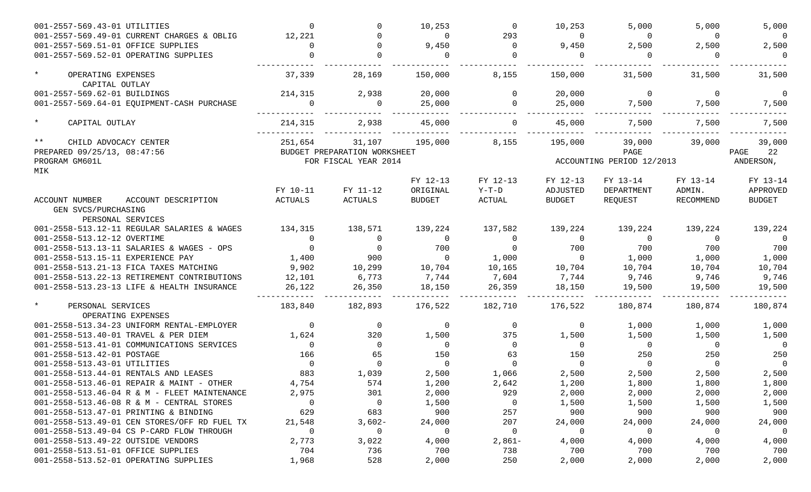| 001-2557-569.49-01 CURRENT CHARGES & OBLIG<br>12,221<br>293<br>$\Omega$<br>$\Omega$<br>$\Omega$<br>$\Omega$<br>$\Omega$<br>001-2557-569.51-01 OFFICE SUPPLIES<br>9,450<br>$\Omega$<br>9,450<br>2,500<br>2,500<br>$\Omega$<br>001-2557-569.52-01 OPERATING SUPPLIES<br>$\Omega$<br>$\mathbf 0$ | 5,000<br>$\Omega$<br>2,500<br>$\overline{0}$<br>31,500 |
|-----------------------------------------------------------------------------------------------------------------------------------------------------------------------------------------------------------------------------------------------------------------------------------------------|--------------------------------------------------------|
|                                                                                                                                                                                                                                                                                               |                                                        |
|                                                                                                                                                                                                                                                                                               |                                                        |
|                                                                                                                                                                                                                                                                                               |                                                        |
| $\star$<br>37,339<br>OPERATING EXPENSES<br>28,169<br>150,000<br>8,155<br>150,000<br>31,500<br>31,500<br>CAPITAL OUTLAY                                                                                                                                                                        |                                                        |
| 001-2557-569.62-01 BUILDINGS<br>2,938<br>20,000<br>20,000<br>$\Omega$<br>$\mathbf 0$<br>214,315<br>$\Omega$                                                                                                                                                                                   | $\overline{0}$                                         |
| 25,000<br>001-2557-569.64-01 EQUIPMENT-CASH PURCHASE<br>25,000<br>$\mathbf 0$<br>7,500<br>7,500<br>$\overline{0}$                                                                                                                                                                             | 7,500                                                  |
|                                                                                                                                                                                                                                                                                               |                                                        |
| $\star$<br>45,000<br>CAPITAL OUTLAY<br>214,315<br>2,938<br>45,000<br>7,500<br>7,500                                                                                                                                                                                                           | 7,500                                                  |
| $***$<br>251,654<br>195,000<br>195,000<br>39,000<br>CHILD ADVOCACY CENTER<br>31,107<br>8,155<br>39,000                                                                                                                                                                                        | 39,000                                                 |
| PREPARED 09/25/13, 08:47:56<br>PAGE<br>BUDGET PREPARATION WORKSHEET<br>PAGE                                                                                                                                                                                                                   | 22                                                     |
| PROGRAM GM601L<br>FOR FISCAL YEAR 2014<br>ACCOUNTING PERIOD 12/2013<br>MIK                                                                                                                                                                                                                    | ANDERSON,                                              |
| FY 12-13<br>FY 12-13<br>FY 13-14<br>FY 12-13<br>FY 13-14                                                                                                                                                                                                                                      | FY 13-14                                               |
| FY 10-11<br>FY 11-12<br>ADMIN.<br>ORIGINAL<br>$Y-T-D$<br>ADJUSTED<br>DEPARTMENT                                                                                                                                                                                                               | APPROVED                                               |
| ACTUALS<br><b>ACTUALS</b><br>ACTUAL<br><b>BUDGET</b><br>REQUEST<br>RECOMMEND<br><b>ACCOUNT NUMBER</b><br>ACCOUNT DESCRIPTION<br><b>BUDGET</b>                                                                                                                                                 | <b>BUDGET</b>                                          |
| GEN SVCS/PURCHASING                                                                                                                                                                                                                                                                           |                                                        |
| PERSONAL SERVICES                                                                                                                                                                                                                                                                             |                                                        |
| 134,315<br>138,571<br>137,582<br>139,224<br>001-2558-513.12-11 REGULAR SALARIES & WAGES<br>139,224<br>139,224<br>139,224                                                                                                                                                                      | 139,224                                                |
| 001-2558-513.12-12 OVERTIME<br>$\mathbf 0$<br>$\Omega$<br>$\Omega$<br>$\overline{0}$<br>$\Omega$<br>$\Omega$<br>$\Omega$                                                                                                                                                                      | $\overline{0}$                                         |
| 001-2558-513.13-11 SALARIES & WAGES - OPS<br>$\Omega$<br>700<br>700<br>$\Omega$<br>700<br>$\Omega$<br>700                                                                                                                                                                                     | 700                                                    |
| 001-2558-513.15-11 EXPERIENCE PAY<br>1,400<br>900<br>1,000<br>1,000<br>1,000<br>$\Omega$<br>$\overline{0}$                                                                                                                                                                                    | 1,000                                                  |
| 9,902<br>001-2558-513.21-13 FICA TAXES MATCHING<br>10,299<br>10,704<br>10,165<br>10,704<br>10,704<br>10,704                                                                                                                                                                                   | 10,704                                                 |
| 001-2558-513.22-13 RETIREMENT CONTRIBUTIONS<br>12,101<br>6,773<br>7,744<br>7,604<br>7,744<br>9,746<br>9,746                                                                                                                                                                                   | 9,746                                                  |
| 001-2558-513.23-13 LIFE & HEALTH INSURANCE<br>26,122<br>26,350<br>18,150<br>18,150<br>26,359<br>19,500<br>19,500                                                                                                                                                                              | 19,500                                                 |
| $\star$<br>183,840<br>182,893<br>182,710<br>176,522<br>180,874<br>180,874<br>PERSONAL SERVICES<br>176,522<br>OPERATING EXPENSES                                                                                                                                                               | 180,874                                                |
| 001-2558-513.34-23 UNIFORM RENTAL-EMPLOYER<br>0<br>$\mathbf 0$<br>$\mathbf 0$<br>$\overline{0}$<br>$\mathbf 0$<br>1,000<br>1,000                                                                                                                                                              | 1,000                                                  |
| 001-2558-513.40-01 TRAVEL & PER DIEM<br>1,624<br>320<br>1,500<br>375<br>1,500<br>1,500<br>1,500                                                                                                                                                                                               | 1,500                                                  |
| 001-2558-513.41-01 COMMUNICATIONS SERVICES<br>$\overline{0}$<br>$\overline{0}$<br>$\Omega$<br>$\Omega$<br>$\overline{0}$<br>$\overline{0}$<br>$\overline{0}$                                                                                                                                  | $\overline{0}$                                         |
| 001-2558-513.42-01 POSTAGE<br>166<br>65<br>150<br>150<br>63<br>250<br>250                                                                                                                                                                                                                     | 250                                                    |
| 001-2558-513.43-01 UTILITIES<br>$\Omega$<br>$\Omega$<br>$\Omega$<br>$\Omega$<br>$\Omega$<br>$\Omega$<br>$\Omega$                                                                                                                                                                              | $\Omega$                                               |
| 001-2558-513.44-01 RENTALS AND LEASES<br>883<br>1,039<br>2,500<br>1,066<br>2,500<br>2,500<br>2,500                                                                                                                                                                                            | 2,500                                                  |
| 001-2558-513.46-01 REPAIR & MAINT - OTHER<br>4,754<br>574<br>1,200<br>2,642<br>1,200<br>1,800<br>1,800                                                                                                                                                                                        | 1,800                                                  |
| 001-2558-513.46-04 R & M - FLEET MAINTENANCE<br>2,975<br>301<br>2,000<br>929<br>2,000<br>2,000<br>2,000                                                                                                                                                                                       | 2,000                                                  |
| 001-2558-513.46-08 R & M - CENTRAL STORES<br>0<br>$\overline{0}$<br>1,500<br>1,500<br>1,500<br>0<br>1,500                                                                                                                                                                                     | 1,500                                                  |
| 683<br>001-2558-513.47-01 PRINTING & BINDING<br>629<br>257<br>900<br>900<br>900<br>900                                                                                                                                                                                                        | 900                                                    |
| 001-2558-513.49-01 CEN STORES/OFF RD FUEL TX<br>21,548<br>$3,602-$<br>24,000<br>207<br>24,000<br>24,000<br>24,000                                                                                                                                                                             | 24,000                                                 |
| 001-2558-513.49-04 CS P-CARD FLOW THROUGH<br>$\mathbf 0$<br>0<br>0<br>0<br>$\overline{0}$<br>0<br>0                                                                                                                                                                                           | $\overline{0}$                                         |
| 001-2558-513.49-22 OUTSIDE VENDORS<br>2,773<br>3,022<br>4,000<br>$2,861-$<br>4,000<br>4,000<br>4,000                                                                                                                                                                                          | 4,000                                                  |
| 001-2558-513.51-01 OFFICE SUPPLIES<br>704<br>736<br>700<br>700<br>700<br>738<br>700                                                                                                                                                                                                           | 700                                                    |
| 001-2558-513.52-01 OPERATING SUPPLIES<br>528<br>1,968<br>2,000<br>250<br>2,000<br>2,000<br>2,000                                                                                                                                                                                              | 2,000                                                  |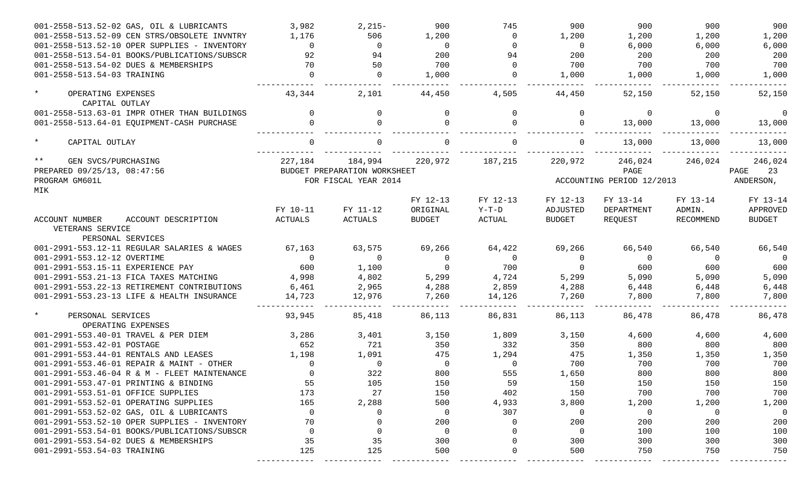| 001-2558-513.52-02 GAS, OIL & LUBRICANTS           | 3,982        | $2,215-$                     | 900            | 745            | 900            | 900                       | 900       | 900            |
|----------------------------------------------------|--------------|------------------------------|----------------|----------------|----------------|---------------------------|-----------|----------------|
| 001-2558-513.52-09 CEN STRS/OBSOLETE INVNTRY       | 1,176        | 506                          | 1,200          | $\mathbf{0}$   | 1,200          | 1,200                     | 1,200     | 1,200          |
| 001-2558-513.52-10 OPER SUPPLIES - INVENTORY       | $\mathbf{0}$ | $\Omega$                     | $\Omega$       | $\Omega$       | $\overline{0}$ | 6,000                     | 6,000     | 6,000          |
| 001-2558-513.54-01 BOOKS/PUBLICATIONS/SUBSCR       | 92           | 94                           | 200            | 94             | 200            | 200                       | 200       | 200            |
| 001-2558-513.54-02 DUES & MEMBERSHIPS              | 70           | 50                           | 700            | $\Omega$       | 700            | 700                       | 700       | 700            |
| 001-2558-513.54-03 TRAINING                        | $\Omega$     | $\Omega$                     | 1,000          | $\Omega$       | 1,000          | 1,000                     | 1,000     | 1,000          |
| $\star$<br>OPERATING EXPENSES<br>CAPITAL OUTLAY    | 43,344       | 2,101                        | 44,450         | 4,505          | 44,450         | 52,150                    | 52,150    | 52,150         |
| 001-2558-513.63-01 IMPR OTHER THAN BUILDINGS       | $\Omega$     | 0                            | $\Omega$       | $\mathbf{0}$   | $\mathbf{0}$   | $\overline{0}$            | $\Omega$  | $\overline{0}$ |
| 001-2558-513.64-01 EQUIPMENT-CASH PURCHASE         | $\Omega$     | $\Omega$                     | $\Omega$       | $\Omega$       | $\mathbf{0}$   | 13,000                    | 13,000    | 13,000         |
|                                                    |              |                              |                |                |                |                           |           |                |
| $\star$<br>CAPITAL OUTLAY                          | $\Omega$     | $\Omega$                     |                | $\Omega$       | $\Omega$       | 13,000                    | 13,000    | 13,000         |
| $***$<br>GEN SVCS/PURCHASING                       | 227,184      | 184,994                      | 220,972        | 187,215        | 220,972        | 246,024                   | 246,024   | 246,024        |
| PREPARED 09/25/13, 08:47:56                        |              | BUDGET PREPARATION WORKSHEET |                |                |                | PAGE                      |           | 23<br>PAGE     |
| PROGRAM GM601L                                     |              | FOR FISCAL YEAR 2014         |                |                |                | ACCOUNTING PERIOD 12/2013 |           | ANDERSON,      |
| MIK                                                |              |                              |                |                |                |                           |           |                |
|                                                    |              |                              | FY 12-13       | FY 12-13       | FY 12-13       | FY 13-14                  | FY 13-14  | FY 13-14       |
|                                                    | FY 10-11     | FY 11-12                     | ORIGINAL       | $Y-T-D$        | ADJUSTED       | DEPARTMENT                | ADMIN.    | APPROVED       |
| ACCOUNT NUMBER<br>ACCOUNT DESCRIPTION              | ACTUALS      | <b>ACTUALS</b>               | <b>BUDGET</b>  | ACTUAL         | <b>BUDGET</b>  | REQUEST                   | RECOMMEND | BUDGET         |
| VETERANS SERVICE                                   |              |                              |                |                |                |                           |           |                |
| PERSONAL SERVICES                                  |              |                              |                |                |                |                           |           |                |
| 001-2991-553.12-11 REGULAR SALARIES & WAGES        | 67,163       | 63,575                       | 69,266         | 64,422         | 69,266         | 66,540                    | 66,540    | 66,540         |
| 001-2991-553.12-12 OVERTIME                        | $\Omega$     | $\Omega$                     | $\overline{0}$ | $\overline{0}$ | $\overline{0}$ | $\overline{0}$            | $\Omega$  | $\overline{0}$ |
| 001-2991-553.15-11 EXPERIENCE PAY                  | 600          | 1,100                        | $\Omega$       | 700            | $\overline{0}$ | 600                       | 600       | 600            |
| 001-2991-553.21-13 FICA TAXES MATCHING             | 4,998        | 4,802                        | 5,299          | 4,724          | 5,299          | 5,090                     | 5,090     | 5,090          |
| 001-2991-553.22-13 RETIREMENT CONTRIBUTIONS        | 6,461        | 2,965                        | 4,288          | 2,859          | 4,288          | 6,448                     | 6,448     | 6,448          |
| 001-2991-553.23-13 LIFE & HEALTH INSURANCE         | 14,723       | 12,976                       | 7,260          | 14,126         | 7,260          | 7,800                     | 7,800     | 7,800          |
| $\star$<br>PERSONAL SERVICES<br>OPERATING EXPENSES | 93,945       | 85,418                       | 86,113         | 86,831         | 86,113         | 86,478                    | 86,478    | 86,478         |
| 001-2991-553.40-01 TRAVEL & PER DIEM               | 3,286        | 3,401                        | 3,150          | 1,809          | 3,150          | 4,600                     | 4,600     | 4,600          |
| 001-2991-553.42-01 POSTAGE                         | 652          | 721                          | 350            | 332            | 350            | 800                       | 800       | 800            |
| 001-2991-553.44-01 RENTALS AND LEASES              | 1,198        | 1,091                        | 475            | 1,294          | 475            | 1,350                     | 1,350     | 1,350          |
| 001-2991-553.46-01 REPAIR & MAINT - OTHER          | $\Omega$     | $\overline{0}$               | $\overline{0}$ | $\overline{0}$ | 700            | 700                       | 700       | 700            |
| 001-2991-553.46-04 R & M - FLEET MAINTENANCE       | 0            | 322                          | 800            | 555            | 1,650          | 800                       | 800       | 800            |
| 001-2991-553.47-01 PRINTING & BINDING              | 55           | 105                          | 150            | 59             | 150            | 150                       | 150       | 150            |
| 001-2991-553.51-01 OFFICE SUPPLIES                 | 173          | 27                           | 150            | 402            | 150            | 700                       | 700       | 700            |
| 001-2991-553.52-01 OPERATING SUPPLIES              | 165          | 2,288                        | 500            | 4,933          | 3,800          | 1,200                     | 1,200     | 1,200          |
| 001-2991-553.52-02 GAS, OIL & LUBRICANTS           | 0            | $\Omega$                     | $\overline{0}$ | 307            | $\overline{0}$ | 0                         | 0         | $\overline{0}$ |
| 001-2991-553.52-10 OPER SUPPLIES - INVENTORY       | 70           | 0                            | 200            | 0              | 200            | 200                       | 200       | 200            |
| 001-2991-553.54-01 BOOKS/PUBLICATIONS/SUBSCR       | 0            | 0                            | $\overline{0}$ | $\Omega$       | $\overline{0}$ | 100                       | 100       | 100            |
| 001-2991-553.54-02 DUES & MEMBERSHIPS              | 35           | 35                           | 300            | $\Omega$       | 300            | 300                       | 300       | 300            |
| 001-2991-553.54-03 TRAINING                        | 125          | 125                          | 500            | 0              | 500            | 750                       | 750       | 750            |
|                                                    |              |                              |                |                |                |                           |           |                |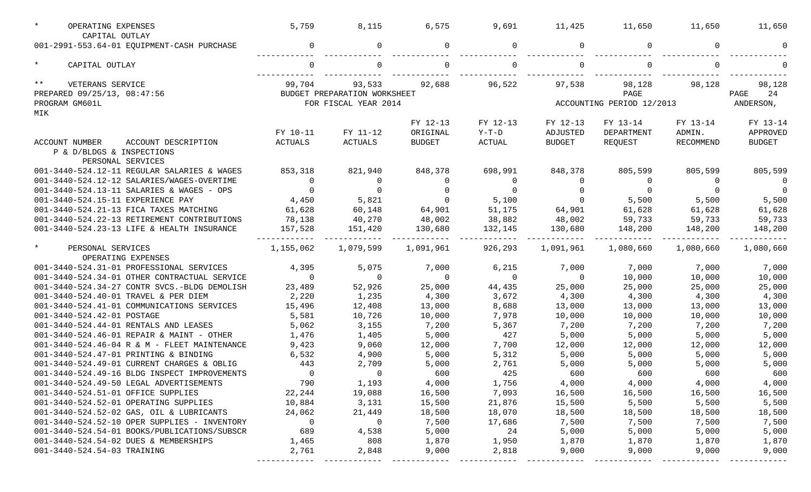| OPERATING EXPENSES<br>CAPITAL OUTLAY         | 5,759     | 8,115                        | 6,575          | 9,691          | 11,425         | 11,650                    | 11,650    | 11,650         |
|----------------------------------------------|-----------|------------------------------|----------------|----------------|----------------|---------------------------|-----------|----------------|
| 001-2991-553.64-01 EQUIPMENT-CASH PURCHASE   | 0         | 0                            |                | $\Omega$       | 0              |                           | $\Omega$  |                |
|                                              |           |                              |                |                |                |                           |           |                |
| $\star$<br>CAPITAL OUTLAY                    |           |                              |                |                |                |                           |           |                |
| $***$<br>VETERANS SERVICE                    | 99,704    | 93,533                       | 92,688         | 96,522         | 97,538         | 98,128                    | 98,128    | 98,128         |
| PREPARED 09/25/13, 08:47:56                  |           | BUDGET PREPARATION WORKSHEET |                |                |                | PAGE                      |           | 24<br>PAGE     |
| PROGRAM GM601L                               |           | FOR FISCAL YEAR 2014         |                |                |                | ACCOUNTING PERIOD 12/2013 |           | ANDERSON,      |
| MIK                                          |           |                              |                |                |                |                           |           |                |
|                                              |           |                              | FY 12-13       | FY 12-13       | FY 12-13       | FY 13-14                  | FY 13-14  | FY 13-14       |
|                                              | FY 10-11  | FY 11-12                     | ORIGINAL       | $Y-T-D$        | ADJUSTED       | DEPARTMENT                | ADMIN.    | APPROVED       |
| ACCOUNT NUMBER<br>ACCOUNT DESCRIPTION        | ACTUALS   | ACTUALS                      | <b>BUDGET</b>  | ACTUAL         | <b>BUDGET</b>  | REQUEST                   | RECOMMEND | BUDGET         |
| P & D/BLDGS & INSPECTIONS                    |           |                              |                |                |                |                           |           |                |
| PERSONAL SERVICES                            |           |                              |                |                |                |                           |           |                |
| 001-3440-524.12-11 REGULAR SALARIES & WAGES  | 853,318   | 821,940                      | 848,378        | 698,991        | 848,378        | 805,599                   | 805,599   | 805,599        |
| 001-3440-524.12-12 SALARIES/WAGES-OVERTIME   | $\Omega$  | $\Omega$                     | $\Omega$       | $\Omega$       | 0              | $\Omega$                  | $\Omega$  | $\overline{0}$ |
| 001-3440-524.13-11 SALARIES & WAGES - OPS    | $\Omega$  | $\Omega$                     | $\Omega$       | $\Omega$       | $\Omega$       | $\overline{0}$            | $\Omega$  | $\overline{0}$ |
| 001-3440-524.15-11 EXPERIENCE PAY            | 4,450     | 5,821                        | $\overline{0}$ | 5,100          | $\overline{0}$ | 5,500                     | 5,500     | 5,500          |
| 001-3440-524.21-13 FICA TAXES MATCHING       | 61,628    | 60,148                       | 64,901         | 51,175         | 64,901         | 61,628                    | 61,628    | 61,628         |
| 001-3440-524.22-13 RETIREMENT CONTRIBUTIONS  | 78,138    | 40,270                       | 48,002         | 38,882         | 48,002         | 59,733                    | 59,733    | 59,733         |
| 001-3440-524.23-13 LIFE & HEALTH INSURANCE   | 157,528   | 151,420                      | 130,680        | 132,145        | 130,680        | 148,200                   | 148,200   | 148,200        |
|                                              |           |                              |                |                |                |                           |           |                |
| $\star$<br>PERSONAL SERVICES                 | 1,155,062 | 1,079,599                    | 1,091,961      | 926,293        | 1,091,961      | 1,080,660                 | 1,080,660 | 1,080,660      |
| OPERATING EXPENSES                           |           |                              |                |                |                |                           |           |                |
| 001-3440-524.31-01 PROFESSIONAL SERVICES     | 4,395     | 5,075                        | 7,000          | 6,215          | 7,000          | 7,000                     | 7,000     | 7,000          |
| 001-3440-524.34-01 OTHER CONTRACTUAL SERVICE | $\Omega$  | $\overline{0}$               | $\overline{0}$ | $\overline{0}$ | $\Omega$       | 10,000                    | 10,000    | 10,000         |
| 001-3440-524.34-27 CONTR SVCS.-BLDG DEMOLISH | 23,489    | 52,926                       | 25,000         | 44,435         | 25,000         | 25,000                    | 25,000    | 25,000         |
| 001-3440-524.40-01 TRAVEL & PER DIEM         | 2,220     | 1,235                        | 4,300          | 3,672          | 4,300          | 4,300                     | 4,300     | 4,300          |
| 001-3440-524.41-01 COMMUNICATIONS SERVICES   | 15,496    | 12,408                       | 13,000         | 8,688          | 13,000         | 13,000                    | 13,000    | 13,000         |
| 001-3440-524.42-01 POSTAGE                   | 5,581     | 10,726                       | 10,000         | 7,978          | 10,000         | 10,000                    | 10,000    | 10,000         |
| 001-3440-524.44-01 RENTALS AND LEASES        | 5,062     | 3,155                        | 7,200          | 5,367          | 7,200          | 7,200                     | 7,200     | 7,200          |
| 001-3440-524.46-01 REPAIR & MAINT - OTHER    | 1,476     | 1,405                        | 5,000          | 427            | 5,000          | 5,000                     | 5,000     | 5,000          |
| 001-3440-524.46-04 R & M - FLEET MAINTENANCE | 9,423     | 9,060                        | 12,000         | 7,700          | 12,000         | 12,000                    | 12,000    | 12,000         |
| 001-3440-524.47-01 PRINTING & BINDING        | 6,532     | 4,900                        | 5,000          | 5,312          | 5,000          | 5,000                     | 5,000     | 5,000          |
| 001-3440-524.49-01 CURRENT CHARGES & OBLIG   | 443       | 2,709                        | 5,000          | 2,761          | 5,000          | 5,000                     | 5,000     | 5,000          |
| 001-3440-524.49-16 BLDG INSPECT IMPROVEMENTS | $\Omega$  | $\overline{0}$               | 600            | 425            | 600            | 600                       | 600       | 600            |
| 001-3440-524.49-50 LEGAL ADVERTISEMENTS      | 790       | 1,193                        | 4,000          | 1,756          | 4,000          | 4,000                     | 4,000     | 4,000          |
| 001-3440-524.51-01 OFFICE SUPPLIES           | 22,244    | 19,088                       | 16,500         | 7,093          | 16,500         | 16,500                    | 16,500    | 16,500         |
| 001-3440-524.52-01 OPERATING SUPPLIES        | 10,884    | 3,131                        | 15,500         | 21,876         | 15,500         | 5,500                     | 5,500     | 5,500          |
| 001-3440-524.52-02 GAS, OIL & LUBRICANTS     | 24,062    | 21,449                       | 18,500         | 18,070         | 18,500         | 18,500                    | 18,500    | 18,500         |
| 001-3440-524.52-10 OPER SUPPLIES - INVENTORY | 0         | $\overline{0}$               | 7,500          | 17,686         | 7,500          | 7,500                     | 7,500     | 7,500          |
| 001-3440-524.54-01 BOOKS/PUBLICATIONS/SUBSCR | 689       | 4,538                        | 5,000          | 24             | 5,000          | 5,000                     | 5,000     | 5,000          |
| 001-3440-524.54-02 DUES & MEMBERSHIPS        | 1,465     | 808                          | 1,870          | 1,950          | 1,870          | 1,870                     | 1,870     | 1,870          |
| 001-3440-524.54-03 TRAINING                  | 2,761     | 2,848                        | 9,000          | 2,818          | 9,000          | 9,000                     | 9,000     | 9,000          |
|                                              |           |                              |                |                |                |                           |           |                |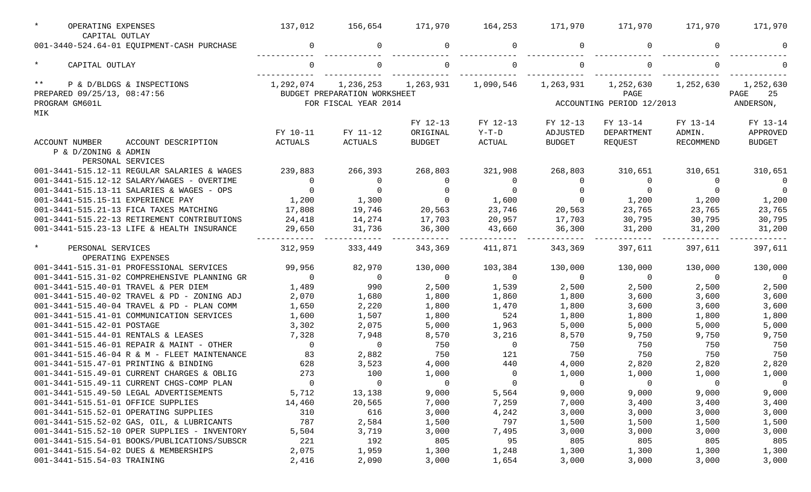| $\star$<br>OPERATING EXPENSES<br>CAPITAL OUTLAY               | 137,012        | 156,654                      | 171,970        | 164,253        | 171,970        | 171,970                   | 171,970        | 171,970        |
|---------------------------------------------------------------|----------------|------------------------------|----------------|----------------|----------------|---------------------------|----------------|----------------|
| 001-3440-524.64-01 EQUIPMENT-CASH PURCHASE                    |                | 0                            |                |                | 0              |                           | $\Omega$       |                |
| $\star$<br>CAPITAL OUTLAY                                     |                |                              |                |                |                |                           |                |                |
| $\star \star$<br>P & D/BLDGS & INSPECTIONS                    | 1,292,074      | 1,236,253                    | 1,263,931      | 1,090,546      | 1,263,931      | 1,252,630                 | 1,252,630      | 1,252,630      |
| PREPARED 09/25/13, 08:47:56                                   |                | BUDGET PREPARATION WORKSHEET |                |                |                | PAGE                      |                | 25<br>PAGE     |
| PROGRAM GM601L                                                |                | FOR FISCAL YEAR 2014         |                |                |                | ACCOUNTING PERIOD 12/2013 |                | ANDERSON,      |
| MIK                                                           |                |                              |                |                |                |                           |                |                |
|                                                               |                |                              | FY 12-13       | FY 12-13       | FY 12-13       | FY 13-14                  | FY 13-14       | FY 13-14       |
|                                                               | FY 10-11       | FY 11-12                     | ORIGINAL       | Y-T-D          | ADJUSTED       | DEPARTMENT                | ADMIN.         | APPROVED       |
| ACCOUNT DESCRIPTION<br>ACCOUNT NUMBER<br>P & D/ZONING & ADMIN | ACTUALS        | ACTUALS                      | <b>BUDGET</b>  | ACTUAL         | BUDGET         | REQUEST                   | RECOMMEND      | <b>BUDGET</b>  |
| PERSONAL SERVICES                                             |                |                              |                |                |                |                           |                |                |
| 001-3441-515.12-11 REGULAR SALARIES & WAGES                   | 239,883        | 266,393                      | 268,803        | 321,908        | 268,803        | 310,651                   | 310,651        | 310,651        |
| 001-3441-515.12-12 SALARY/WAGES - OVERTIME                    | $\Omega$       | $\overline{0}$               | $\Omega$       | $\Omega$       | $\Omega$       | $\Omega$                  | $\Omega$       | $\overline{0}$ |
| 001-3441-515.13-11 SALARIES & WAGES - OPS                     | $\Omega$       | $\Omega$                     | $\Omega$       |                | $\Omega$       | $\Omega$                  | $\Omega$       | $\overline{0}$ |
| 001-3441-515.15-11 EXPERIENCE PAY                             | 1,200          | 1,300                        | $\overline{0}$ | 1,600          | $\overline{0}$ | 1,200                     | 1,200          | 1,200          |
| 001-3441-515.21-13 FICA TAXES MATCHING                        | 17,808         | 19,746                       | 20,563         | 23,746         | 20,563         | 23,765                    | 23,765         | 23,765         |
| 001-3441-515.22-13 RETIREMENT CONTRIBUTIONS                   | 24,418         | 14,274                       | 17,703         | 20,957         | 17,703         | 30,795                    | 30,795         | 30,795         |
| 001-3441-515.23-13 LIFE & HEALTH INSURANCE                    | 29,650         | 31,736                       | 36,300         | 43,660         | 36,300         | 31,200                    | 31,200         | 31,200         |
| $\star$<br>PERSONAL SERVICES<br>OPERATING EXPENSES            | 312,959        | 333,449                      | 343,369        | 411,871        | 343,369        | 397,611                   | 397,611        | 397,611        |
| 001-3441-515.31-01 PROFESSIONAL SERVICES                      | 99,956         | 82,970                       | 130,000        | 103,384        | 130,000        | 130,000                   | 130,000        | 130,000        |
| 001-3441-515.31-02 COMPREHENSIVE PLANNING GR                  | $\Omega$       | $\overline{\phantom{0}}$     | $\overline{0}$ | $\Omega$       | $\overline{0}$ | $\overline{0}$            | $\overline{0}$ | $\overline{0}$ |
| 001-3441-515.40-01 TRAVEL & PER DIEM                          | 1,489          | 990                          | 2,500          | 1,539          | 2,500          | 2,500                     | 2,500          | 2,500          |
| 001-3441-515.40-02 TRAVEL & PD - ZONING ADJ                   | 2,070          | 1,680                        | 1,800          | 1,860          | 1,800          | 3,600                     | 3,600          | 3,600          |
| 001-3441-515.40-04 TRAVEL & PD - PLAN COMM                    | 1,650          | 2,220                        | 1,800          | 1,470          | 1,800          | 3,600                     | 3,600          | 3,600          |
| 001-3441-515.41-01 COMMUNICATION SERVICES                     | 1,600          | 1,507                        | 1,800          | 524            | 1,800          | 1,800                     | 1,800          | 1,800          |
| 001-3441-515.42-01 POSTAGE                                    | 3,302          | 2,075                        | 5,000          | 1,963          | 5,000          | 5,000                     | 5,000          | 5,000          |
| 001-3441-515.44-01 RENTALS & LEASES                           | 7,328          | 7,948                        | 8,570          | 3,216          | 8,570          | 9,750                     | 9,750          | 9,750          |
| 001-3441-515.46-01 REPAIR & MAINT - OTHER                     | $\Omega$       | $\overline{0}$               | 750            | $\Omega$       | 750            | 750                       | 750            | 750            |
| 001-3441-515.46-04 R & M - FLEET MAINTENANCE                  | 83             | 2,882                        | 750            | 121            | 750            | 750                       | 750            | 750            |
| 001-3441-515.47-01 PRINTING & BINDING                         | 628            | 3,523                        | 4,000          | 440            | 4,000          | 2,820                     | 2,820          | 2,820          |
| 001-3441-515.49-01 CURRENT CHARGES & OBLIG                    | 273            | 100                          | 1,000          | $\overline{0}$ | 1,000          | 1,000                     | 1,000          | 1,000          |
| 001-3441-515.49-11 CURRENT CHGS-COMP PLAN                     | $\overline{0}$ | $\overline{0}$               | $\overline{0}$ | $\overline{0}$ | $\overline{0}$ | $\overline{0}$            | $\overline{0}$ | $\overline{0}$ |
| 001-3441-515.49-50 LEGAL ADVERTISEMENTS                       | 5,712          | 13,138                       | 9,000          | 5,564          | 9,000          | 9,000                     | 9,000          | 9,000          |
| 001-3441-515.51-01 OFFICE SUPPLIES                            | 14,460         | 20,565                       | 7,000          | 7,259          | 7,000          | 3,400                     | 3,400          | 3,400          |
| 001-3441-515.52-01 OPERATING SUPPLIES                         | 310            | 616                          | 3,000          | 4,242          | 3,000          | 3,000                     | 3,000          | 3,000          |
| 001-3441-515.52-02 GAS, OIL, & LUBRICANTS                     | 787            | 2,584                        | 1,500          | 797            | 1,500          | 1,500                     | 1,500          | 1,500          |
| 001-3441-515.52-10 OPER SUPPLIES - INVENTORY                  | 5,504          | 3,719                        | 3,000          | 7,495          | 3,000          | 3,000                     | 3,000          | 3,000          |
| 001-3441-515.54-01 BOOKS/PUBLICATIONS/SUBSCR                  | 221            | 192                          | 805            | 95             | 805            | 805                       | 805            | 805            |
| 001-3441-515.54-02 DUES & MEMBERSHIPS                         | 2,075          | 1,959                        | 1,300          | 1,248          | 1,300          | 1,300                     | 1,300          | 1,300          |
| 001-3441-515.54-03 TRAINING                                   | 2,416          | 2,090                        | 3,000          | 1,654          | 3,000          | 3,000                     | 3,000          | 3,000          |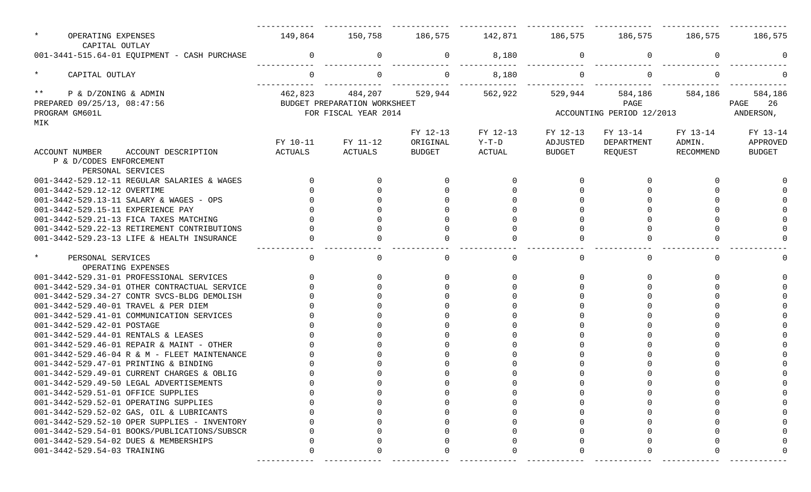| $\star$<br>OPERATING EXPENSES<br>CAPITAL OUTLAY | 149,864  | 150,758                      | 186,575       | 142,871  | 186,575       | 186,575                   | 186,575     | 186,575       |
|-------------------------------------------------|----------|------------------------------|---------------|----------|---------------|---------------------------|-------------|---------------|
| 001-3441-515.64-01 EQUIPMENT - CASH PURCHASE    | $\Omega$ | $\mathbf 0$                  | $\mathbf 0$   | 8,180    | 0             | $\Omega$                  | $\mathbf 0$ |               |
| $\star$<br>CAPITAL OUTLAY                       |          | $\mathbf 0$                  | $\Omega$      | 8,180    | $\mathbf 0$   |                           | $\Omega$    |               |
| $***$<br>P & D/ZONING & ADMIN                   | 462,823  | 484,207                      | 529,944       | 562,922  | 529,944       | 584,186                   | 584,186     | 584,186       |
| PREPARED 09/25/13, 08:47:56                     |          | BUDGET PREPARATION WORKSHEET |               |          |               | PAGE                      |             | 26<br>PAGE    |
| PROGRAM GM601L                                  |          | FOR FISCAL YEAR 2014         |               |          |               | ACCOUNTING PERIOD 12/2013 |             | ANDERSON,     |
| MIK                                             |          |                              |               |          |               |                           |             |               |
|                                                 |          |                              | FY 12-13      | FY 12-13 | FY 12-13      | FY 13-14                  | FY 13-14    | FY 13-14      |
|                                                 | FY 10-11 | FY 11-12                     | ORIGINAL      | Y-T-D    | ADJUSTED      | DEPARTMENT                | ADMIN.      | APPROVED      |
| ACCOUNT NUMBER<br>ACCOUNT DESCRIPTION           | ACTUALS  | ACTUALS                      | <b>BUDGET</b> | ACTUAL   | <b>BUDGET</b> | REQUEST                   | RECOMMEND   | <b>BUDGET</b> |
| P & D/CODES ENFORCEMENT                         |          |                              |               |          |               |                           |             |               |
| PERSONAL SERVICES                               |          |                              |               |          |               |                           |             |               |
| 001-3442-529.12-11 REGULAR SALARIES & WAGES     |          |                              |               | $\Omega$ | $\Omega$      | $\Omega$                  |             |               |
| 001-3442-529.12-12 OVERTIME                     |          |                              |               |          |               |                           |             |               |
| 001-3442-529.13-11 SALARY & WAGES - OPS         |          |                              |               |          |               |                           |             |               |
| 001-3442-529.15-11 EXPERIENCE PAY               |          |                              |               |          |               |                           |             |               |
| 001-3442-529.21-13 FICA TAXES MATCHING          |          |                              |               |          |               |                           |             |               |
| 001-3442-529.22-13 RETIREMENT CONTRIBUTIONS     |          |                              |               |          |               |                           |             |               |
| 001-3442-529.23-13 LIFE & HEALTH INSURANCE      |          |                              |               | $\cap$   |               |                           |             |               |
|                                                 |          |                              |               |          |               |                           |             |               |
| $\star$<br>PERSONAL SERVICES                    | $\cap$   | $\Omega$                     | $\cap$        | $\Omega$ | $\Omega$      |                           | $\Omega$    |               |
| OPERATING EXPENSES                              |          |                              |               |          |               |                           |             |               |
| 001-3442-529.31-01 PROFESSIONAL SERVICES        |          |                              |               | $\Omega$ | $\cap$        |                           |             |               |
| 001-3442-529.34-01 OTHER CONTRACTUAL SERVICE    |          |                              |               |          |               |                           |             |               |
| 001-3442-529.34-27 CONTR SVCS-BLDG DEMOLISH     |          |                              |               |          |               |                           |             |               |
| 001-3442-529.40-01 TRAVEL & PER DIEM            |          |                              |               |          |               |                           |             |               |
| 001-3442-529.41-01 COMMUNICATION SERVICES       |          |                              |               |          |               |                           |             |               |
| 001-3442-529.42-01 POSTAGE                      |          |                              |               |          |               |                           |             |               |
| 001-3442-529.44-01 RENTALS & LEASES             |          |                              |               |          |               |                           |             |               |
| 001-3442-529.46-01 REPAIR & MAINT - OTHER       |          |                              |               |          |               |                           |             |               |
| 001-3442-529.46-04 R & M - FLEET MAINTENANCE    |          |                              |               |          |               |                           |             |               |
| 001-3442-529.47-01 PRINTING & BINDING           |          |                              |               |          |               |                           |             |               |
| 001-3442-529.49-01 CURRENT CHARGES & OBLIG      |          |                              |               |          |               |                           |             |               |
|                                                 |          |                              |               |          |               |                           |             |               |
| 001-3442-529.49-50 LEGAL ADVERTISEMENTS         |          |                              |               |          |               |                           |             |               |
| 001-3442-529.51-01 OFFICE SUPPLIES              |          |                              |               |          |               |                           |             |               |
| 001-3442-529.52-01 OPERATING SUPPLIES           |          |                              |               |          |               |                           |             |               |
| 001-3442-529.52-02 GAS, OIL & LUBRICANTS        |          |                              |               |          |               |                           |             |               |
| $001-3442-529.52-10$ OPER SUPPLIES - INVENTORY  |          |                              |               |          |               |                           |             |               |
| 001-3442-529.54-01 BOOKS/PUBLICATIONS/SUBSCR    |          |                              |               |          |               |                           |             |               |
| 001-3442-529.54-02 DUES & MEMBERSHIPS           |          |                              |               |          |               |                           |             |               |
| 001-3442-529.54-03 TRAINING                     |          |                              |               |          |               |                           |             |               |
|                                                 |          |                              |               |          |               |                           |             |               |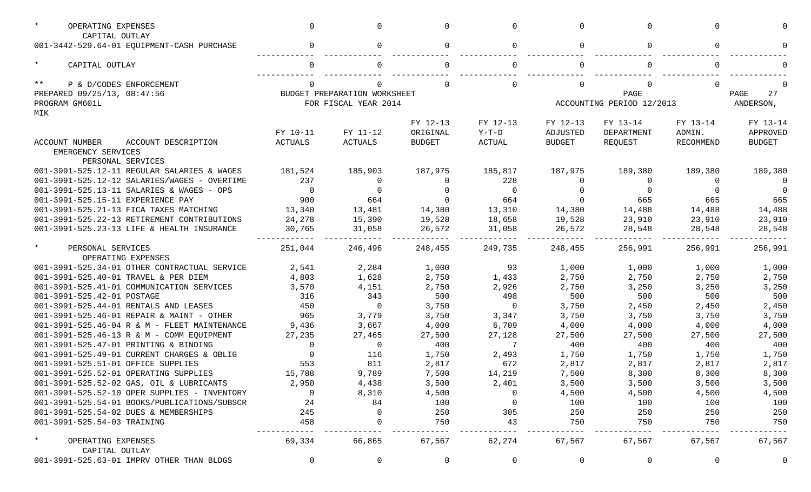| $\star$<br>OPERATING EXPENSES                                | $\Omega$    | <sup>n</sup>                 |               | $\Omega$       | $\Omega$      |                           | <sup>n</sup> |                |
|--------------------------------------------------------------|-------------|------------------------------|---------------|----------------|---------------|---------------------------|--------------|----------------|
| CAPITAL OUTLAY<br>001-3442-529.64-01 EQUIPMENT-CASH PURCHASE | $\Omega$    | $\Omega$                     |               | $\Omega$       | $\Omega$      |                           | $\Omega$     |                |
|                                                              |             |                              |               |                |               |                           |              |                |
| $\star$<br>CAPITAL OUTLAY                                    | ∩           |                              |               |                |               |                           |              |                |
| $***$<br>P & D/CODES ENFORCEMENT                             |             |                              |               |                | $\Omega$      |                           |              |                |
| PREPARED 09/25/13, 08:47:56                                  |             | BUDGET PREPARATION WORKSHEET |               |                |               | PAGE                      |              | 27<br>PAGE     |
| PROGRAM GM601L                                               |             | FOR FISCAL YEAR 2014         |               |                |               | ACCOUNTING PERIOD 12/2013 |              | ANDERSON,      |
| MIK                                                          |             |                              |               |                |               |                           |              |                |
|                                                              |             |                              | FY 12-13      | FY 12-13       | FY 12-13      | FY 13-14                  | FY 13-14     | FY 13-14       |
|                                                              | FY 10-11    | FY 11-12                     | ORIGINAL      | $Y-T-D$        | ADJUSTED      | DEPARTMENT                | ADMIN.       | APPROVED       |
| ACCOUNT DESCRIPTION<br>ACCOUNT NUMBER<br>EMERGENCY SERVICES  | ACTUALS     | ACTUALS                      | <b>BUDGET</b> | <b>ACTUAL</b>  | <b>BUDGET</b> | REQUEST                   | RECOMMEND    | <b>BUDGET</b>  |
| PERSONAL SERVICES                                            |             |                              |               |                |               |                           |              |                |
| 001-3991-525.12-11 REGULAR SALARIES & WAGES                  | 181,524     | 185,903                      | 187,975       | 185,817        | 187,975       | 189,380                   | 189,380      | 189,380        |
| 001-3991-525.12-12 SALARIES/WAGES - OVERTIME                 | 237         | 0                            |               | 228            | 0             | $\Omega$                  | $\Omega$     | $\Omega$       |
| 001-3991-525.13-11 SALARIES & WAGES - OPS                    | $\Omega$    | $\Omega$                     |               | $\Omega$       | $\Omega$      | $\Omega$                  | $\Omega$     | $\Omega$       |
| 001-3991-525.15-11 EXPERIENCE PAY                            | 900         | 664                          |               | 664            | $\Omega$      | 665                       | 665          | 665            |
| 001-3991-525.21-13 FICA TAXES MATCHING                       | 13,340      | 13,481                       | 14,380        | 13,310         | 14,380        | 14,488                    | 14,488       | 14,488         |
| 001-3991-525.22-13 RETIREMENT CONTRIBUTIONS                  | 24,278      | 15,390                       | 19,528        | 18,658         | 19,528        | 23,910                    | 23,910       | 23,910         |
| 001-3991-525.23-13 LIFE & HEALTH INSURANCE                   | 30,765      | 31,058                       | 26,572        | 31,058         | 26,572        | 28,548                    | 28,548       | 28,548         |
| $\star$<br>PERSONAL SERVICES<br>OPERATING EXPENSES           | 251,044     | 246,496                      | 248,455       | 249,735        | 248,455       | 256,991                   | 256,991      | 256,991        |
| 001-3991-525.34-01 OTHER CONTRACTUAL SERVICE                 | 2,541       | 2,284                        | 1,000         | 93             | 1,000         | 1,000                     | 1,000        | 1,000          |
| 001-3991-525.40-01 TRAVEL & PER DIEM                         | 4,803       | 1,628                        | 2,750         | 1,433          | 2,750         | 2,750                     | 2,750        | 2,750          |
| 001-3991-525.41-01 COMMUNICATION SERVICES                    | 3,570       | 4,151                        | 2,750         | 2,926          | 2,750         | 3,250                     | 3,250        | 3,250          |
| 001-3991-525.42-01 POSTAGE                                   | 316         | 343                          | 500           | 498            | 500           | 500                       | 500          | 500            |
| 001-3991-525.44-01 RENTALS AND LEASES                        | 450         | $\mathbf{0}$                 | 3,750         | $\overline{0}$ | 3,750         | 2,450                     | 2,450        | 2,450          |
| 001-3991-525.46-01 REPAIR & MAINT - OTHER                    | 965         | 3,779                        | 3,750         | 3,347          | 3,750         | 3,750                     | 3,750        | 3,750          |
| 001-3991-525.46-04 R & M - FLEET MAINTENANCE                 | 9,436       | 3,667                        | 4,000         | 6,709          | 4,000         | 4,000                     | 4,000        | 4,000          |
| 001-3991-525.46-13 R & M - COMM EQUIPMENT                    | 27,235      | 27,465                       | 27,500        | 27,128         | 27,500        | 27,500                    | 27,500       | 27,500         |
| 001-3991-525.47-01 PRINTING & BINDING                        | $\Omega$    | $\mathbf{0}$                 | 400           | 7              | 400           | 400                       | 400          | 400            |
| 001-3991-525.49-01 CURRENT CHARGES & OBLIG                   | $\Omega$    | 116                          | 1,750         | 2,493          | 1,750         | 1,750                     | 1,750        | 1,750          |
| 001-3991-525.51-01 OFFICE SUPPLIES                           | 553         | 811                          | 2,817         | 672            | 2,817         | 2,817                     | 2,817        | 2,817          |
| 001-3991-525.52-01 OPERATING SUPPLIES                        | 15,788      | 9,789                        | 7,500         | 14,219         | 7,500         | 8,300                     | 8,300        | 8,300          |
| $001-3991-525.52-02$ GAS, OIL & LUBRICANTS                   | 2,950       | 4,438                        | 3,500         | 2,401          | 3,500         | 3,500                     | 3,500        | 3,500          |
| 001-3991-525.52-10 OPER SUPPLIES - INVENTORY                 | $\mathbf 0$ | 8,310                        | 4,500         | $\Omega$       | 4,500         | 4,500                     | 4,500        | 4,500          |
| 001-3991-525.54-01 BOOKS/PUBLICATIONS/SUBSCR                 | 24          | 84                           | 100           | $\Omega$       | 100           | 100                       | 100          | 100            |
| 001-3991-525.54-02 DUES & MEMBERSHIPS                        | 245         | $\Omega$                     | 250           | 305            | 250           | 250                       | 250          | 250            |
| 001-3991-525.54-03 TRAINING                                  | 458         | 0                            | 750           | 43             | 750           | 750                       | 750          | 750            |
| $\star$<br>OPERATING EXPENSES<br>CAPITAL OUTLAY              | 69,334      | 66,865                       | 67,567        | 62,274         | 67,567        | 67,567                    | 67,567       | 67,567         |
| 001-3991-525.63-01 IMPRV OTHER THAN BLDGS                    | $\mathbf 0$ | $\overline{0}$               | $\mathbf 0$   | 0              | $\mathbf 0$   | 0                         | $\mathbf 0$  | $\overline{0}$ |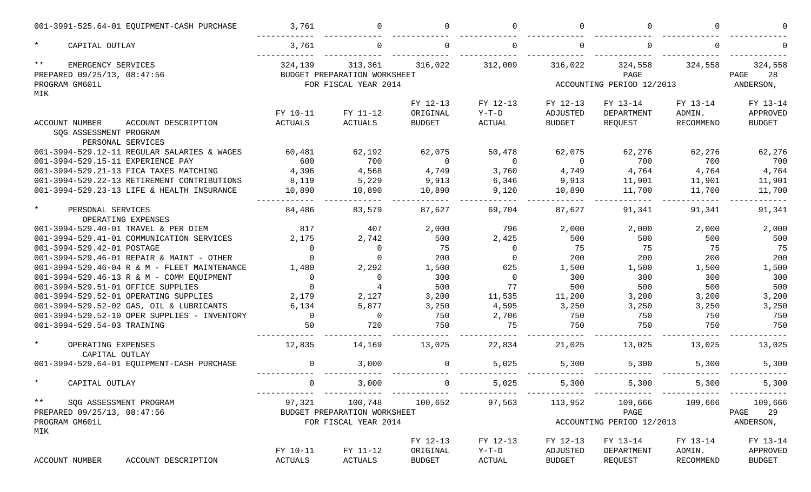| 001-3991-525.64-01 EQUIPMENT-CASH PURCHASE                                          | 3,761         |                                                                 |                    |                    |                    |                                              |                 |                                    |
|-------------------------------------------------------------------------------------|---------------|-----------------------------------------------------------------|--------------------|--------------------|--------------------|----------------------------------------------|-----------------|------------------------------------|
| $\star$<br>CAPITAL OUTLAY                                                           | 3,761         |                                                                 |                    |                    |                    |                                              |                 |                                    |
| $\star\star$<br>EMERGENCY SERVICES<br>PREPARED 09/25/13, 08:47:56<br>PROGRAM GM601L | 324,139       | 313,361<br>BUDGET PREPARATION WORKSHEET<br>FOR FISCAL YEAR 2014 | 316,022            | 312,009            | 316,022            | 324,558<br>PAGE<br>ACCOUNTING PERIOD 12/2013 | 324,558         | 324,558<br>28<br>PAGE<br>ANDERSON, |
| MIK                                                                                 |               |                                                                 | FY 12-13           | FY 12-13           | FY 12-13           | FY 13-14                                     | FY 13-14        | FY 13-14                           |
|                                                                                     | FY 10-11      | FY 11-12                                                        | ORIGINAL           | $Y-T-D$            | ADJUSTED           | DEPARTMENT                                   | ADMIN.          | APPROVED                           |
| ACCOUNT DESCRIPTION<br>ACCOUNT NUMBER<br>SOG ASSESSMENT PROGRAM                     | ACTUALS       | ACTUALS                                                         | <b>BUDGET</b>      | ACTUAL             | <b>BUDGET</b>      | REQUEST                                      | RECOMMEND       | <b>BUDGET</b>                      |
| PERSONAL SERVICES<br>001-3994-529.12-11 REGULAR SALARIES & WAGES                    |               |                                                                 |                    |                    |                    |                                              |                 |                                    |
| 001-3994-529.15-11 EXPERIENCE PAY                                                   | 60,481<br>600 | 62,192<br>700                                                   | 62,075<br>$\Omega$ | 50,478<br>$\Omega$ | 62,075<br>$\Omega$ | 62,276<br>700                                | 62,276<br>700   | 62,276<br>700                      |
| 001-3994-529.21-13 FICA TAXES MATCHING                                              | 4,396         | 4,568                                                           | 4,749              | 3,760              | 4,749              | 4,764                                        | 4,764           | 4,764                              |
| 001-3994-529.22-13 RETIREMENT CONTRIBUTIONS                                         | 8,119         | 5,229                                                           | 9,913              | 6,346              | 9,913              | 11,901                                       | 11,901          | 11,901                             |
| 001-3994-529.23-13 LIFE & HEALTH INSURANCE                                          | 10,890        | 10,890                                                          | 10,890             | 9,120              | 10,890             | 11,700                                       | 11,700          | 11,700                             |
| $\star$<br>PERSONAL SERVICES                                                        | 84,486        | 83,579                                                          | 87,627             | 69,704             | 87,627             | 91,341                                       | 91,341          | 91,341                             |
| OPERATING EXPENSES                                                                  |               |                                                                 |                    |                    |                    |                                              |                 |                                    |
| 001-3994-529.40-01 TRAVEL & PER DIEM                                                | 817           | 407                                                             | 2,000              | 796                | 2,000              | 2,000                                        | 2,000           | 2,000                              |
| 001-3994-529.41-01 COMMUNICATION SERVICES                                           | 2,175         | 2,742                                                           | 500                | 2,425              | 500                | 500                                          | 500             | 500                                |
| 001-3994-529.42-01 POSTAGE                                                          | $\Omega$      | $\mathbf 0$                                                     | 75                 | $\mathbf 0$        | 75                 | 75                                           | 75              | 75                                 |
| 001-3994-529.46-01 REPAIR & MAINT - OTHER                                           | $\Omega$      | $\Omega$                                                        | 200                | $\Omega$           | 200                | 200                                          | 200             | 200                                |
| 001-3994-529.46-04 R & M - FLEET MAINTENANCE                                        | 1,480         | 2,292                                                           | 1,500              | 625                | 1,500              | 1,500                                        | 1,500           | 1,500                              |
| 001-3994-529.46-13 R & M - COMM EQUIPMENT                                           | $\Omega$      | 0                                                               | 300                | $\Omega$           | 300                | 300                                          | 300             | 300                                |
| 001-3994-529.51-01 OFFICE SUPPLIES                                                  | $\Omega$      | $\overline{4}$                                                  | 500                | 77                 | 500                | 500                                          | 500             | 500                                |
| 001-3994-529.52-01 OPERATING SUPPLIES                                               | 2,179         | 2,127                                                           | 3,200              | 11,535             | 11,200             | 3,200                                        | 3,200           | 3,200                              |
| 001-3994-529.52-02 GAS, OIL & LUBRICANTS                                            | 6,134         | 5,877                                                           | 3,250              | 4,595              | 3,250              | 3,250                                        | 3,250           | 3,250                              |
| 001-3994-529.52-10 OPER SUPPLIES - INVENTORY                                        | $\Omega$      | $\Omega$                                                        | 750                | 2,706              | 750                | 750                                          | 750             | 750                                |
| 001-3994-529.54-03 TRAINING                                                         | 50            | 720                                                             | 750                | 75                 | 750                | 750                                          | 750             | 750                                |
| $\star$<br>OPERATING EXPENSES<br>CAPITAL OUTLAY                                     | 12,835        | 14,169                                                          | 13,025             | 22,834             | 21,025             | 13,025                                       | 13,025          | 13,025                             |
| 001-3994-529.64-01 EQUIPMENT-CASH PURCHASE                                          | $\mathbf 0$   | 3,000                                                           | 0                  | 5,025              | 5,300              | 5,300                                        | 5,300           | 5,300                              |
| $\star$<br>CAPITAL OUTLAY                                                           | $\mathbf{0}$  | 3,000                                                           | $\overline{0}$     | 5,025              | 5,300              | 5,300                                        | 5,300           | 5,300                              |
| $\star \star$<br>SQG ASSESSMENT PROGRAM                                             |               | 97,321 100,748                                                  | 100,652            | 97,563             | 113,952            |                                              | 109,666 109,666 | 109,666                            |
| PREPARED 09/25/13, 08:47:56                                                         |               | BUDGET PREPARATION WORKSHEET                                    |                    |                    |                    | PAGE                                         |                 | PAGE 29                            |
| PROGRAM GM601L<br>MIK                                                               |               | FOR FISCAL YEAR 2014                                            |                    |                    |                    | ACCOUNTING PERIOD 12/2013                    |                 | ANDERSON,                          |
|                                                                                     |               |                                                                 | FY 12-13           | FY 12-13           | FY 12-13           | FY 13-14                                     | FY 13-14        | FY 13-14                           |
|                                                                                     | FY 10-11      | FY 11-12                                                        | ORIGINAL           | $Y-T-D$            | ADJUSTED           | DEPARTMENT                                   | ADMIN.          | APPROVED                           |
| ACCOUNT NUMBER<br>ACCOUNT DESCRIPTION                                               | ACTUALS       | ACTUALS                                                         | <b>BUDGET</b>      | ACTUAL             | <b>BUDGET</b>      | REQUEST                                      | RECOMMEND       | <b>BUDGET</b>                      |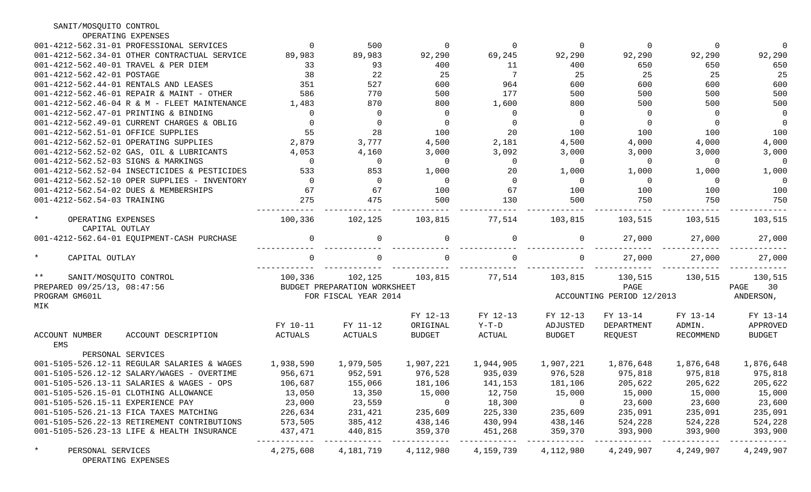| SANIT/MOSQUITO CONTROL                             |                |                              |                |                |                |                                                 |                |                |
|----------------------------------------------------|----------------|------------------------------|----------------|----------------|----------------|-------------------------------------------------|----------------|----------------|
| OPERATING EXPENSES                                 |                |                              |                |                |                |                                                 |                |                |
| 001-4212-562.31-01 PROFESSIONAL SERVICES           | $\Omega$       | 500                          | $\overline{0}$ | $\overline{0}$ | $\overline{0}$ | $\overline{0}$                                  | $\overline{0}$ | $\overline{0}$ |
| 001-4212-562.34-01 OTHER CONTRACTUAL SERVICE       | 89,983         | 89,983                       | 92,290         | 69,245         | 92,290         | 92,290                                          | 92,290         | 92,290         |
| 001-4212-562.40-01 TRAVEL & PER DIEM               | 33             | 93                           | 400            | 11             | 400            | 650                                             | 650            | 650            |
| 001-4212-562.42-01 POSTAGE                         | 38             | 22                           | 25             | 7              | 25             | 25                                              | 25             | 25             |
| 001-4212-562.44-01 RENTALS AND LEASES              | 351            | 527                          | 600            | 964            | 600            | 600                                             | 600            | 600            |
| 001-4212-562.46-01 REPAIR & MAINT - OTHER          | 586            | 770                          | 500            | 177            | 500            | 500                                             | 500            | 500            |
| 001-4212-562.46-04 R & M - FLEET MAINTENANCE       | 1,483          | 870                          | 800            | 1,600          | 800            | 500                                             | 500            | 500            |
| 001-4212-562.47-01 PRINTING & BINDING              | $\Omega$       | - 0                          | $\overline{0}$ | $\Omega$       | $\Omega$       | $\overline{0}$                                  | $\Omega$       | $\overline{0}$ |
| 001-4212-562.49-01 CURRENT CHARGES & OBLIG         | $\Omega$       | - 0                          | $\overline{0}$ | $\Omega$       | $\Omega$       | $\overline{0}$                                  | $\Omega$       | $\overline{0}$ |
| 001-4212-562.51-01 OFFICE SUPPLIES                 | 55             | 28                           | 100            | 20             | 100            | 100                                             | 100            | 100            |
| 001-4212-562.52-01 OPERATING SUPPLIES              | 2,879          | 3,777                        | 4,500          | 2,181          | 4,500          | 4,000                                           | 4,000          | 4,000          |
| 001-4212-562.52-02 GAS, OIL & LUBRICANTS           | 4,053          | 4,160                        | 3,000          | 3,092          | 3,000          | 3,000                                           | 3,000          | 3,000          |
| 001-4212-562.52-03 SIGNS & MARKINGS                | $\Omega$       | $\overline{0}$               | $\overline{0}$ | $\overline{0}$ | $\Omega$       | $\overline{0}$                                  | $\overline{0}$ | $\overline{0}$ |
| 001-4212-562.52-04 INSECTICIDES & PESTICIDES       | 533            | 853                          | 1,000          | 20             | 1,000          | 1,000                                           | 1,000          | 1,000          |
| $001-4212-562.52-10$ OPER SUPPLIES - INVENTORY     | $\overline{0}$ | $\overline{0}$               | $\overline{0}$ | $\Omega$       | $\Omega$       | $\overline{0}$                                  | $\overline{0}$ | $\overline{0}$ |
| 001-4212-562.54-02 DUES & MEMBERSHIPS              | 67             | 67                           | 100            | 67             | 100            | 100                                             | 100            | 100            |
| 001-4212-562.54-03 TRAINING                        | 275            | 475                          | 500            | 130            | 500            | 750                                             | 750            | 750            |
| $\star$<br>OPERATING EXPENSES<br>CAPITAL OUTLAY    | 100,336        | 102,125                      | 103,815        | 77,514         | 103,815        | 103,515                                         | 103,515        | 103,515        |
| 001-4212-562.64-01 EQUIPMENT-CASH PURCHASE         | $\Omega$       | $\Omega$                     |                | $\Omega$       | $\Omega$       | 27,000                                          | 27,000         | 27,000         |
| $\star$<br>CAPITAL OUTLAY                          |                | $\Omega$                     |                |                |                | 27,000                                          | 27,000         | 27,000         |
| $***$<br>SANIT/MOSQUITO CONTROL                    | 100,336        | 102,125                      | 103,815        | 77,514         | 103,815        | 130,515                                         | 130,515        | 130,515        |
| PREPARED 09/25/13, 08:47:56                        |                | BUDGET PREPARATION WORKSHEET |                |                |                | PAGE                                            |                | PAGE<br>30     |
| PROGRAM GM601L<br>MIK                              |                | FOR FISCAL YEAR 2014         |                |                |                | ACCOUNTING PERIOD 12/2013                       |                | ANDERSON,      |
|                                                    |                |                              | FY 12-13       | FY 12-13       | FY 12-13       | FY 13-14                                        | FY 13-14       | FY 13-14       |
|                                                    | FY 10-11       | FY 11-12                     | ORIGINAL       | $Y-T-D$        | ADJUSTED       | DEPARTMENT                                      | ADMIN.         | APPROVED       |
| ACCOUNT NUMBER<br>ACCOUNT DESCRIPTION<br>EMS       | ACTUALS        | ACTUALS                      | <b>BUDGET</b>  | ACTUAL         | BUDGET         | REOUEST                                         | RECOMMEND      | <b>BUDGET</b>  |
| PERSONAL SERVICES                                  |                |                              |                |                |                |                                                 |                |                |
| 001-5105-526.12-11 REGULAR SALARIES & WAGES        | 1,938,590      | 1,979,505                    | 1,907,221      | 1,944,905      | 1,907,221      |                                                 |                | 1,876,648      |
| 001-5105-526.12-12 SALARY/WAGES - OVERTIME         | 956,671        | 952,591                      | 976,528        | 935,039        | 976,528        | 975,818                                         | 975,818        | 975,818        |
| 001-5105-526.13-11 SALARIES & WAGES - OPS          | 106,687        | 155,066                      |                |                |                | 181,106 141,153 181,106 205,622 205,622 205,622 |                |                |
| 001-5105-526.15-01 CLOTHING ALLOWANCE              | 13,050         | 13,350                       | 15,000         | 12,750         | 15,000         | 15,000                                          | 15,000         | 15,000         |
| 001-5105-526.15-11 EXPERIENCE PAY                  | 23,000         | 23,559                       | $\overline{0}$ | 18,300         | $\overline{0}$ | 23,600                                          | 23,600         | 23,600         |
| 001-5105-526.21-13 FICA TAXES MATCHING             | 226,634        | 231,421                      | 235,609        | 225,330        | 235,609        | 235,091                                         | 235,091        | 235,091        |
| 001-5105-526.22-13 RETIREMENT CONTRIBUTIONS        | 573,505        | 385,412                      | 438,146        | 430,994        | 438,146        | 524,228                                         | 524,228        | 524,228        |
| 001-5105-526.23-13 LIFE & HEALTH INSURANCE         | 437,471        | 440,815                      | 359,370        | 451,268        | 359,370        | 393,900                                         | 393,900        | 393,900        |
| $\star$<br>PERSONAL SERVICES<br>OPERATING EXPENSES | 4,275,608      | 4,181,719                    | 4,112,980      | 4,159,739      | 4,112,980      | 4,249,907                                       | 4,249,907      | 4,249,907      |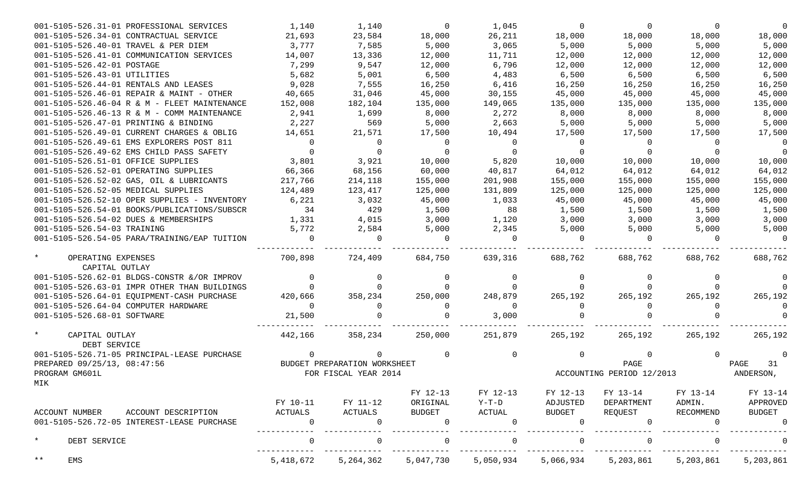| 001-5105-526.31-01 PROFESSIONAL SERVICES     | 1,140          | 1,140                        | $\Omega$      | 1,045          | 0             | $\Omega$                  | $\overline{0}$ |               |
|----------------------------------------------|----------------|------------------------------|---------------|----------------|---------------|---------------------------|----------------|---------------|
| 001-5105-526.34-01 CONTRACTUAL SERVICE       | 21,693         | 23,584                       | 18,000        | 26,211         | 18,000        | 18,000                    | 18,000         | 18,000        |
| 001-5105-526.40-01 TRAVEL & PER DIEM         | 3,777          | 7,585                        | 5,000         | 3,065          | 5,000         | 5,000                     | 5,000          | 5,000         |
| 001-5105-526.41-01 COMMUNICATION SERVICES    | 14,007         | 13,336                       | 12,000        | 11,711         | 12,000        | 12,000                    | 12,000         | 12,000        |
| 001-5105-526.42-01 POSTAGE                   | 7,299          | 9,547                        | 12,000        | 6,796          | 12,000        | 12,000                    | 12,000         | 12,000        |
| 001-5105-526.43-01 UTILITIES                 | 5,682          | 5,001                        | 6,500         | 4,483          | 6,500         | 6,500                     | 6,500          | 6,500         |
| 001-5105-526.44-01 RENTALS AND LEASES        | 9,028          | 7,555                        | 16,250        | 6,416          | 16,250        | 16,250                    | 16,250         | 16,250        |
| 001-5105-526.46-01 REPAIR & MAINT - OTHER    | 40,665         | 31,046                       | 45,000        | 30,155         | 45,000        | 45,000                    | 45,000         | 45,000        |
| 001-5105-526.46-04 R & M - FLEET MAINTENANCE | 152,008        | 182,104                      | 135,000       | 149,065        | 135,000       | 135,000                   | 135,000        | 135,000       |
| 001-5105-526.46-13 R & M - COMM MAINTENANCE  | 2,941          | 1,699                        | 8,000         | 2,272          | 8,000         | 8,000                     | 8,000          | 8,000         |
| 001-5105-526.47-01 PRINTING & BINDING        | 2,227          | 569                          | 5,000         | 2,663          | 5,000         | 5,000                     | 5,000          | 5,000         |
| 001-5105-526.49-01 CURRENT CHARGES & OBLIG   | 14,651         | 21,571                       | 17,500        | 10,494         | 17,500        | 17,500                    | 17,500         | 17,500        |
| 001-5105-526.49-61 EMS EXPLORERS POST 811    | $\overline{0}$ | $\overline{0}$               | $\mathbf{0}$  | $\mathbf 0$    | 0             | $\Omega$                  | $\overline{0}$ | $\Omega$      |
| 001-5105-526.49-62 EMS CHILD PASS SAFETY     | $\Omega$       | 0                            |               | $\Omega$       | $\Omega$      |                           |                | $\Omega$      |
| 001-5105-526.51-01 OFFICE SUPPLIES           | 3,801          | 3,921                        | 10,000        | 5,820          | 10,000        | 10,000                    | 10,000         | 10,000        |
| 001-5105-526.52-01 OPERATING SUPPLIES        | 66,366         | 68,156                       | 60,000        | 40,817         | 64,012        | 64,012                    | 64,012         | 64,012        |
| 001-5105-526.52-02 GAS, OIL & LUBRICANTS     | 217,766        | 214,118                      | 155,000       | 201,908        | 155,000       | 155,000                   | 155,000        | 155,000       |
| 001-5105-526.52-05 MEDICAL SUPPLIES          | 124,489        | 123,417                      | 125,000       | 131,809        | 125,000       | 125,000                   | 125,000        | 125,000       |
| 001-5105-526.52-10 OPER SUPPLIES - INVENTORY | 6,221          | 3,032                        | 45,000        | 1,033          | 45,000        | 45,000                    | 45,000         | 45,000        |
| 001-5105-526.54-01 BOOKS/PUBLICATIONS/SUBSCR | 34             | 429                          | 1,500         | 88             | 1,500         | 1,500                     | 1,500          | 1,500         |
| 001-5105-526.54-02 DUES & MEMBERSHIPS        | 1,331          | 4,015                        | 3,000         | 1,120          | 3,000         | 3,000                     | 3,000          | 3,000         |
| 001-5105-526.54-03 TRAINING                  | 5,772          | 2,584                        | 5,000         | 2,345          | 5,000         | 5,000                     | 5,000          | 5,000         |
| 001-5105-526.54-05 PARA/TRAINING/EAP TUITION | $\Omega$       | $\Omega$                     | $\Omega$      | $\Omega$       | $\Omega$      | $\Omega$                  | $\Omega$       | $\Omega$      |
| $\star$<br>OPERATING EXPENSES                | 700,898        | 724,409                      | 684,750       | 639,316        | 688,762       | 688,762                   | 688,762        | 688,762       |
| CAPITAL OUTLAY                               |                |                              |               |                |               |                           |                |               |
| 001-5105-526.62-01 BLDGS-CONSTR &/OR IMPROV  |                |                              |               |                |               |                           |                |               |
| 001-5105-526.63-01 IMPR OTHER THAN BUILDINGS | $\Omega$       |                              |               |                |               |                           |                |               |
| 001-5105-526.64-01 EQUIPMENT-CASH PURCHASE   | 420,666        | 358,234                      | 250,000       | 248,879        | 265,192       | 265,192                   | 265,192        | 265,192       |
| 001-5105-526.64-04 COMPUTER HARDWARE         | $\Omega$       | $\Omega$                     | $\Omega$      | $\Omega$       | $\Omega$      | $\Omega$                  | $\overline{0}$ |               |
| 001-5105-526.68-01 SOFTWARE                  | 21,500         |                              |               | 3,000          |               |                           |                |               |
| $\star$<br>CAPITAL OUTLAY<br>DEBT SERVICE    | 442,166        | 358,234                      | 250,000       | 251,879        | 265,192       | 265,192                   | 265,192        | 265,192       |
| 001-5105-526.71-05 PRINCIPAL-LEASE PURCHASE  | $\Omega$       | $\Omega$                     |               | 0              |               |                           | $\Omega$       |               |
| PREPARED 09/25/13, 08:47:56                  |                | BUDGET PREPARATION WORKSHEET |               |                |               | PAGE                      |                | PAGE<br>31    |
| PROGRAM GM601L                               |                | FOR FISCAL YEAR 2014         |               |                |               | ACCOUNTING PERIOD 12/2013 |                | ANDERSON,     |
| MIK                                          |                |                              |               |                |               |                           |                |               |
|                                              |                |                              | FY 12-13      | FY 12-13       | FY 12-13      | FY 13-14                  | FY 13-14       | FY 13-14      |
|                                              | FY 10-11       | FY 11-12                     | ORIGINAL      | $Y-T-D$        | ADJUSTED      | DEPARTMENT                | ADMIN.         | APPROVED      |
| ACCOUNT NUMBER<br>ACCOUNT DESCRIPTION        | ACTUALS        | ACTUALS                      | <b>BUDGET</b> | ACTUAL         | <b>BUDGET</b> | REQUEST                   | RECOMMEND      | <b>BUDGET</b> |
| 001-5105-526.72-05 INTEREST-LEASE PURCHASE   | $\mathbf 0$    | $\Omega$                     | $\mathbf 0$   | $\overline{0}$ | $\Omega$      | $\Omega$                  | 0              | $\Omega$      |
| $\star$<br>DEBT SERVICE                      | $\Omega$       | $\Omega$                     |               | $\Omega$       | $\Omega$      |                           |                |               |
| $***$<br>EMS                                 | 5,418,672      | 5, 264, 362                  | 5,047,730     | 5,050,934      | 5,066,934     | 5,203,861                 | 5,203,861      | 5,203,861     |
|                                              |                |                              |               |                |               |                           |                |               |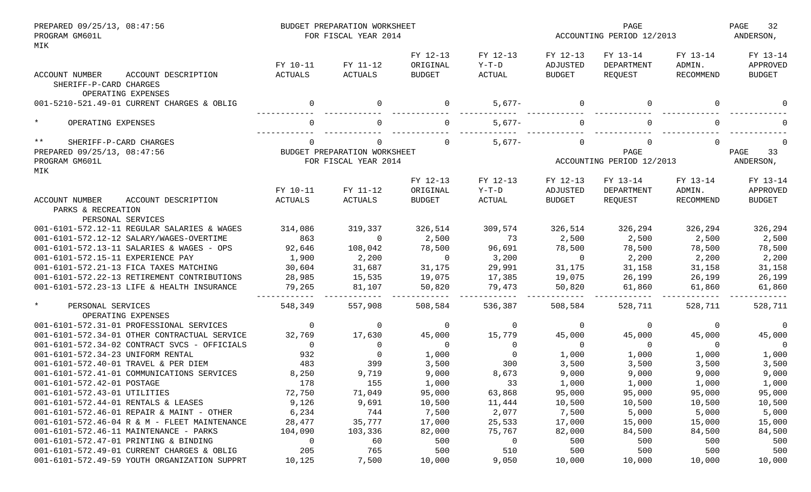| PREPARED 09/25/13, 08:47:56<br>PROGRAM GM601L<br>MIK             | BUDGET PREPARATION WORKSHEET<br>FOR FISCAL YEAR 2014 |                              |                                       |                               |                                       | PAGE<br>ACCOUNTING PERIOD 12/2013 |                                 |                                       |
|------------------------------------------------------------------|------------------------------------------------------|------------------------------|---------------------------------------|-------------------------------|---------------------------------------|-----------------------------------|---------------------------------|---------------------------------------|
| ACCOUNT DESCRIPTION<br>ACCOUNT NUMBER<br>SHERIFF-P-CARD CHARGES  | FY 10-11<br>ACTUALS                                  | FY 11-12<br>ACTUALS          | FY 12-13<br>ORIGINAL<br><b>BUDGET</b> | FY 12-13<br>$Y-T-D$<br>ACTUAL | FY 12-13<br>ADJUSTED<br><b>BUDGET</b> | FY 13-14<br>DEPARTMENT<br>REQUEST | FY 13-14<br>ADMIN.<br>RECOMMEND | FY 13-14<br>APPROVED<br><b>BUDGET</b> |
| OPERATING EXPENSES<br>001-5210-521.49-01 CURRENT CHARGES & OBLIG |                                                      | 0                            |                                       | $5,677-$                      | 0                                     |                                   | $\Omega$                        |                                       |
| $\star$<br>OPERATING EXPENSES                                    |                                                      |                              |                                       | $5,677-$                      |                                       |                                   | ∩                               |                                       |
| $***$<br>SHERIFF-P-CARD CHARGES                                  |                                                      | 0                            |                                       | $5,677-$                      | $\Omega$                              |                                   | $\Omega$                        |                                       |
| PREPARED 09/25/13, 08:47:56                                      |                                                      | BUDGET PREPARATION WORKSHEET |                                       |                               |                                       | PAGE                              |                                 | 33<br>PAGE                            |
| PROGRAM GM601L<br>MIK                                            |                                                      | FOR FISCAL YEAR 2014         |                                       |                               |                                       | ACCOUNTING PERIOD 12/2013         |                                 | ANDERSON,                             |
|                                                                  |                                                      |                              | FY 12-13                              | FY 12-13                      | FY 12-13                              | FY 13-14                          | FY 13-14                        | FY 13-14                              |
|                                                                  | FY 10-11                                             | FY 11-12                     | ORIGINAL                              | $Y-T-D$                       | ADJUSTED                              | DEPARTMENT                        | ADMIN.                          | APPROVED                              |
| ACCOUNT DESCRIPTION<br>ACCOUNT NUMBER                            | <b>ACTUALS</b>                                       | ACTUALS                      | <b>BUDGET</b>                         | ACTUAL                        | <b>BUDGET</b>                         | REQUEST                           | RECOMMEND                       | <b>BUDGET</b>                         |
| PARKS & RECREATION                                               |                                                      |                              |                                       |                               |                                       |                                   |                                 |                                       |
| PERSONAL SERVICES                                                |                                                      |                              |                                       |                               |                                       |                                   |                                 |                                       |
| 001-6101-572.12-11 REGULAR SALARIES & WAGES                      | 314,086                                              | 319,337                      | 326,514                               | 309,574                       | 326,514                               | 326,294                           | 326,294                         | 326,294                               |
| 001-6101-572.12-12 SALARY/WAGES-OVERTIME                         | 863                                                  | $\mathbf 0$                  | 2,500                                 | 73                            | 2,500                                 | 2,500                             | 2,500                           | 2,500                                 |
| 001-6101-572.13-11 SALARIES & WAGES - OPS                        | 92,646                                               | 108,042                      | 78,500                                | 96,691                        | 78,500                                | 78,500                            | 78,500                          | 78,500                                |
| 001-6101-572.15-11 EXPERIENCE PAY                                | 1,900                                                | 2,200                        | $\Omega$                              | 3,200                         | $\mathbf{0}$                          | 2,200                             | 2,200                           | 2,200                                 |
| 001-6101-572.21-13 FICA TAXES MATCHING                           | 30,604                                               | 31,687                       | 31,175                                | 29,991                        | 31,175                                | 31,158                            | 31,158                          | 31,158                                |
| 001-6101-572.22-13 RETIREMENT CONTRIBUTIONS                      | 28,985                                               | 15,535                       | 19,075                                | 17,385                        | 19,075                                | 26,199                            | 26,199                          | 26,199                                |
| 001-6101-572.23-13 LIFE & HEALTH INSURANCE                       | 79,265                                               | 81,107                       | 50,820                                | 79,473                        | 50,820                                | 61,860                            | 61,860                          | 61,860                                |
| $\star$<br>PERSONAL SERVICES<br>OPERATING EXPENSES               | 548,349                                              | 557,908                      | 508,584                               | 536,387                       | 508,584                               | 528,711                           | 528,711                         | 528,711                               |
| 001-6101-572.31-01 PROFESSIONAL SERVICES                         | 0                                                    | 0                            | $\mathbf 0$                           | $\mathbf 0$                   | $\mathbf 0$                           | 0                                 | 0                               | 0                                     |
| 001-6101-572.34-01 OTHER CONTRACTUAL SERVICE                     | 32,769                                               | 17,630                       | 45,000                                | 15,779                        | 45,000                                | 45,000                            | 45,000                          | 45,000                                |
| 001-6101-572.34-02 CONTRACT SVCS - OFFICIALS                     | $\Omega$                                             | $\mathbf 0$                  | $\Omega$                              | $\Omega$                      | $\overline{0}$                        | $\Omega$                          | $\Omega$                        | $\Omega$                              |
| 001-6101-572.34-23 UNIFORM RENTAL                                | 932                                                  | $\mathbf 0$                  | 1,000                                 | $\Omega$                      | 1,000                                 | 1,000                             | 1,000                           | 1,000                                 |
| 001-6101-572.40-01 TRAVEL & PER DIEM                             | 483                                                  | 399                          | 3,500                                 | 300                           | 3,500                                 | 3,500                             | 3,500                           | 3,500                                 |
| 001-6101-572.41-01 COMMUNICATIONS SERVICES                       | 8,250                                                | 9,719                        | 9,000                                 | 8,673                         | 9,000                                 | 9,000                             | 9,000                           | 9,000                                 |
| 001-6101-572.42-01 POSTAGE                                       | 178                                                  | 155                          | 1,000                                 | 33                            | 1,000                                 | 1,000                             | 1,000                           | 1,000                                 |
| 001-6101-572.43-01 UTILITIES                                     | 72,750                                               | 71,049                       | 95,000                                | 63,868                        | 95,000                                | 95,000                            | 95,000                          | 95,000                                |
| 001-6101-572.44-01 RENTALS & LEASES                              | 9,126                                                | 9,691                        | 10,500                                | 11,444                        | 10,500                                | 10,500                            | 10,500                          | 10,500                                |
| 001-6101-572.46-01 REPAIR & MAINT - OTHER                        | 6,234                                                | 744                          | 7,500                                 | 2,077                         | 7,500                                 | 5,000                             | 5,000                           | 5,000                                 |
| 001-6101-572.46-04 R & M - FLEET MAINTENANCE                     | 28,477                                               | 35,777                       | 17,000                                | 25,533                        | 17,000                                | 15,000                            | 15,000                          | 15,000                                |
| 001-6101-572.46-11 MAINTENANCE - PARKS                           | 104,090                                              | 103,336                      | 82,000                                | 75,767                        | 82,000                                | 84,500                            | 84,500                          | 84,500                                |
| 001-6101-572.47-01 PRINTING & BINDING                            | 0                                                    | 60                           | 500                                   | 0                             | 500                                   | 500                               | 500                             | 500                                   |
| 001-6101-572.49-01 CURRENT CHARGES & OBLIG                       | 205                                                  | 765                          | 500                                   | 510                           | 500                                   | 500                               | 500                             | 500                                   |
| 001-6101-572.49-59 YOUTH ORGANIZATION SUPPRT                     | 10,125                                               | 7,500                        | 10,000                                | 9,050                         | 10,000                                | 10,000                            | 10,000                          | 10,000                                |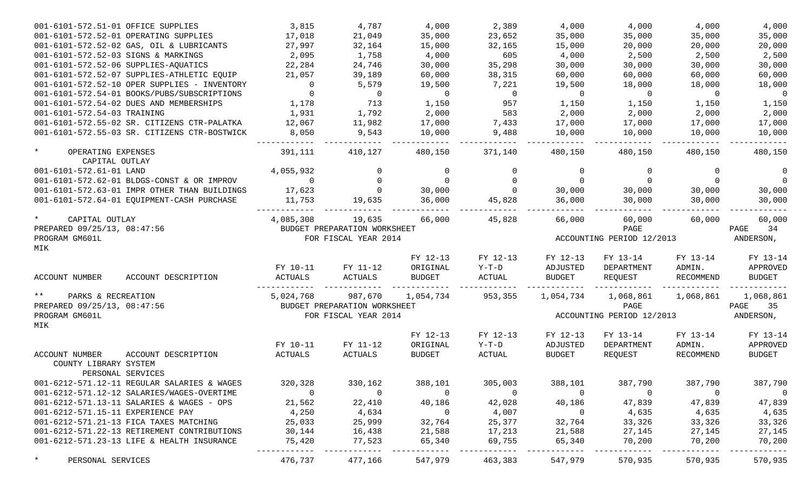| 001-6101-572.51-01 OFFICE SUPPLIES                       |                                              | 3,815          | 4,787                                                | 4,000          | 2,389          | 4,000          | 4,000                             | 4,000          | 4,000                   |
|----------------------------------------------------------|----------------------------------------------|----------------|------------------------------------------------------|----------------|----------------|----------------|-----------------------------------|----------------|-------------------------|
| 001-6101-572.52-01 OPERATING SUPPLIES                    |                                              | 17,018         | 21,049                                               | 35,000         | 23,652         | 35,000         | 35,000                            | 35,000         | 35,000                  |
|                                                          | 001-6101-572.52-02 GAS, OIL & LUBRICANTS     | 27,997         | 32,164                                               | 15,000         | 32,165         | 15,000         | 20,000                            | 20,000         | 20,000                  |
| 001-6101-572.52-03 SIGNS & MARKINGS                      |                                              | 2,095          | 1,758                                                | 4,000          | 605            | 4,000          | 2,500                             | 2,500          | 2,500                   |
| 001-6101-572.52-06 SUPPLIES-AQUATICS                     |                                              | 22,284         | 24,746                                               | 30,000         | 35,298         | 30,000         | 30,000                            | 30,000         | 30,000                  |
|                                                          | 001-6101-572.52-07 SUPPLIES-ATHLETIC EQUIP   | 21,057         | 39,189                                               | 60,000         | 38,315         | 60,000         | 60,000                            | 60,000         | 60,000                  |
|                                                          | 001-6101-572.52-10 OPER SUPPLIES - INVENTORY | $\overline{0}$ | 5,579                                                | 19,500         | 7,221          | 19,500         | 18,000                            | 18,000         | 18,000                  |
|                                                          | 001-6101-572.54-01 BOOKS/PUBS/SUBSCRIPTIONS  | $\mathbf 0$    | $\overline{0}$                                       | $\overline{0}$ | $\overline{0}$ | $\overline{0}$ | $\overline{0}$                    | $\Omega$       | $\overline{0}$          |
|                                                          | 001-6101-572.54-02 DUES AND MEMBERSHIPS      | 1,178          | 713                                                  | 1,150          | 957            | 1,150          | 1,150                             | 1,150          | 1,150                   |
| 001-6101-572.54-03 TRAINING                              |                                              | 1,931          | 1,792                                                | 2,000          | 583            | 2,000          | 2,000                             | 2,000          | 2,000                   |
|                                                          | 001-6101-572.55-02 SR. CITIZENS CTR-PALATKA  | 12,067         | 11,982                                               | 17,000         | 7,433          | 17,000         | 17,000                            | 17,000         | 17,000                  |
|                                                          | 001-6101-572.55-03 SR. CITIZENS CTR-BOSTWICK | 8,050          | 9,543                                                | 10,000         | 9,488          | 10,000         | 10,000                            | 10,000         | 10,000                  |
| $\star$<br>OPERATING EXPENSES<br>CAPITAL OUTLAY          |                                              | 391,111        | 410,127                                              | 480,150        | 371,140        | 480,150        | 480,150                           | 480,150        | 480,150                 |
| 001-6101-572.61-01 LAND                                  |                                              | 4,055,932      | 0                                                    | 0              | $\mathbf 0$    | 0              | $\Omega$                          | 0              | $\overline{0}$          |
|                                                          | 001-6101-572.62-01 BLDGS-CONST & OR IMPROV   | $\Omega$       | $\Omega$                                             | $\Omega$       | $\mathbf 0$    | $\overline{0}$ | $\Omega$                          | $\Omega$       | $\overline{0}$          |
|                                                          | 001-6101-572.63-01 IMPR OTHER THAN BUILDINGS | 17,623         | $\overline{0}$                                       | 30,000         | $\Omega$       | 30,000         | 30,000                            | 30,000         | 30,000                  |
|                                                          | 001-6101-572.64-01 EQUIPMENT-CASH PURCHASE   | 11,753         | 19,635                                               | 36,000         | 45,828         | 36,000         | 30,000                            | 30,000         | 30,000                  |
| $\star$<br>CAPITAL OUTLAY<br>PREPARED 09/25/13, 08:47:56 |                                              | 4,085,308      | 19,635                                               | 66,000         | 45,828         | 66,000         | 60,000                            | 60,000         | 60,000                  |
| PROGRAM GM601L<br>MIK                                    |                                              |                | BUDGET PREPARATION WORKSHEET<br>FOR FISCAL YEAR 2014 |                |                |                | PAGE<br>ACCOUNTING PERIOD 12/2013 |                | PAGE<br>34<br>ANDERSON, |
|                                                          |                                              |                |                                                      | FY 12-13       | FY 12-13       | FY 12-13       | FY 13-14                          | FY 13-14       | FY 13-14                |
|                                                          |                                              | FY 10-11       | FY 11-12                                             | ORIGINAL       | $Y-T-D$        | ADJUSTED       | DEPARTMENT                        | ADMIN.         | APPROVED                |
| ACCOUNT NUMBER                                           | ACCOUNT DESCRIPTION                          | <b>ACTUALS</b> | ACTUALS                                              | <b>BUDGET</b>  | <b>ACTUAL</b>  | BUDGET         | REQUEST                           | RECOMMEND      | <b>BUDGET</b>           |
| $***$<br>PARKS & RECREATION                              |                                              | 5,024,768      | 987,670                                              | 1,054,734      | 953,355        | 1,054,734      | 1,068,861                         | 1,068,861      | 1,068,861               |
| PREPARED 09/25/13, 08:47:56                              |                                              |                | BUDGET PREPARATION WORKSHEET                         |                |                |                | PAGE                              |                | PAGE<br>35              |
| PROGRAM GM601L<br>MIK                                    |                                              |                | FOR FISCAL YEAR 2014                                 |                |                |                | ACCOUNTING PERIOD 12/2013         |                | ANDERSON,               |
|                                                          |                                              |                |                                                      | FY 12-13       | FY 12-13       | FY 12-13       | FY 13-14                          | FY 13-14       | FY 13-14                |
|                                                          |                                              | FY 10-11       | FY 11-12                                             | ORIGINAL       | $Y-T-D$        | ADJUSTED       | DEPARTMENT                        | ADMIN.         | APPROVED                |
| <b>ACCOUNT NUMBER</b><br>COUNTY LIBRARY SYSTEM           | ACCOUNT DESCRIPTION                          | ACTUALS        | ACTUALS                                              | <b>BUDGET</b>  | ACTUAL         | <b>BUDGET</b>  | REQUEST                           | RECOMMEND      | <b>BUDGET</b>           |
| PERSONAL SERVICES                                        | 001-6212-571.12-11 REGULAR SALARIES & WAGES  | 320,328        | 330,162                                              | 388,101        | 305,003        | 388,101        | 387,790                           | 387,790        | 387,790                 |
|                                                          | 001-6212-571.12-12 SALARIES/WAGES-OVERTIME   | $\overline{0}$ | $\overline{0}$                                       | $\overline{0}$ | - 0            | $\overline{0}$ | 0                                 | $\overline{0}$ | $\overline{0}$          |
|                                                          | 001-6212-571.13-11 SALARIES & WAGES - OPS    | 21,562         | 22,410                                               | 40,186         | 42,028         | 40,186         | 47,839                            | 47,839         | 47,839                  |
| 001-6212-571.15-11 EXPERIENCE PAY                        |                                              | 4,250          | 4,634                                                | $\overline{0}$ | 4,007          | $\overline{0}$ | 4,635                             | 4,635          | 4,635                   |
| 001-6212-571.21-13 FICA TAXES MATCHING                   |                                              | 25,033         | 25,999                                               | 32,764         | 25,377         | 32,764         | 33,326                            | 33,326         | 33,326                  |
|                                                          | 001-6212-571.22-13 RETIREMENT CONTRIBUTIONS  | 30,144         | 16,438                                               | 21,588         | 17,213         | 21,588         | 27,145                            | 27,145         | 27,145                  |
|                                                          | 001-6212-571.23-13 LIFE & HEALTH INSURANCE   | 75,420         | 77,523                                               | 65,340         | 69,755         | 65,340         | 70,200                            | 70,200         | 70,200                  |
| $\star$<br>PERSONAL SERVICES                             |                                              | 476,737        | 477,166                                              | 547,979        | 463,383        | 547,979        | 570,935                           | 570,935        | 570,935                 |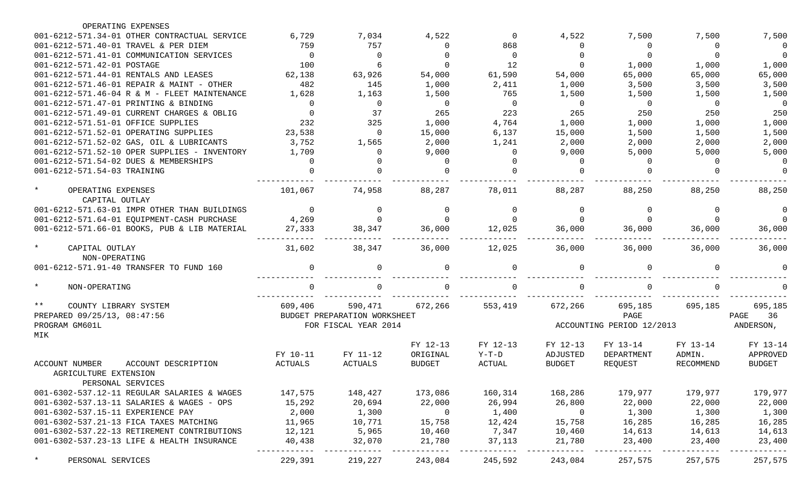| OPERATING EXPENSES                              |          |                              |                |          |                |                           |                  |                |
|-------------------------------------------------|----------|------------------------------|----------------|----------|----------------|---------------------------|------------------|----------------|
| 001-6212-571.34-01 OTHER CONTRACTUAL SERVICE    | 6,729    | 7,034                        | 4,522          | $\Omega$ | 4,522          | 7,500                     | 7,500            | 7,500          |
| 001-6212-571.40-01 TRAVEL & PER DIEM            | 759      | 757                          | 0              | 868      | 0              | $\Omega$                  | $\Omega$         | $\overline{0}$ |
| 001-6212-571.41-01 COMMUNICATION SERVICES       | $\Omega$ | $\Omega$                     | $\Omega$       | $\Omega$ | $\Omega$       | $\Omega$                  | $\Omega$         | $\Omega$       |
| 001-6212-571.42-01 POSTAGE                      | 100      | 6                            | $\Omega$       | 12       | $\Omega$       | 1,000                     | 1,000            | 1,000          |
| 001-6212-571.44-01 RENTALS AND LEASES           | 62,138   | 63,926                       | 54,000         | 61,590   | 54,000         | 65,000                    | 65,000           | 65,000         |
| 001-6212-571.46-01 REPAIR & MAINT - OTHER       | 482      | 145                          | 1,000          | 2,411    | 1,000          | 3,500                     | 3,500            | 3,500          |
| 001-6212-571.46-04 R & M - FLEET MAINTENANCE    | 1,628    | 1,163                        | 1,500          | 765      | 1,500          | 1,500                     | 1,500            | 1,500          |
| 001-6212-571.47-01 PRINTING & BINDING           | $\Omega$ | $\overline{0}$               | $\mathbf 0$    | $\Omega$ | $\overline{0}$ | $\Omega$                  | $\Omega$         | $\overline{0}$ |
| 001-6212-571.49-01 CURRENT CHARGES & OBLIG      | $\Omega$ | 37                           | 265            | 223      | 265            | 250                       | 250              | 250            |
| 001-6212-571.51-01 OFFICE SUPPLIES              | 232      | 325                          | 1,000          | 4,764    | 1,000          | 1,000                     | 1,000            | 1,000          |
| 001-6212-571.52-01 OPERATING SUPPLIES           | 23,538   | $\overline{0}$               | 15,000         | 6,137    | 15,000         | 1,500                     | 1,500            | 1,500          |
| 001-6212-571.52-02 GAS, OIL & LUBRICANTS        | 3,752    | 1,565                        | 2,000          | 1,241    | 2,000          | 2,000                     | 2,000            | 2,000          |
| 001-6212-571.52-10 OPER SUPPLIES - INVENTORY    | 1,709    | $\Omega$                     | 9,000          | $\Omega$ | 9,000          | 5,000                     | 5,000            | 5,000          |
| 001-6212-571.54-02 DUES & MEMBERSHIPS           |          |                              | $\Omega$       |          | $\Omega$       | $\Omega$                  | $\Omega$         | $\Omega$       |
| 001-6212-571.54-03 TRAINING                     |          |                              |                |          |                |                           |                  | $\Omega$       |
| $\star$<br>OPERATING EXPENSES<br>CAPITAL OUTLAY | 101,067  | 74,958                       | 88,287         | 78,011   | 88,287         | 88,250                    | 88,250           | 88,250         |
| 001-6212-571.63-01 IMPR OTHER THAN BUILDINGS    | $\Omega$ | $\mathbf 0$                  | 0              | $\Omega$ | $\Omega$       | $\Omega$                  | $\Omega$         | $\Omega$       |
| 001-6212-571.64-01 EQUIPMENT-CASH PURCHASE      | 4,269    | $\Omega$                     | $\Omega$       |          | <sup>0</sup>   |                           |                  | $\Omega$       |
| 001-6212-571.66-01 BOOKS, PUB & LIB MATERIAL    | 27,333   | 38,347                       | 36,000         | 12,025   | 36,000         | 36,000                    | 36,000           | 36,000         |
| $\star$<br>CAPITAL OUTLAY<br>NON-OPERATING      | 31,602   | 38,347                       | 36,000         | 12,025   | 36,000         | 36,000                    | 36,000           | 36,000         |
| 001-6212-571.91-40 TRANSFER TO FUND 160         |          | $\Omega$                     | O.             |          | $\Omega$       |                           | $\Omega$         |                |
| $\star$<br>NON-OPERATING                        |          |                              |                |          | <sup>0</sup>   |                           |                  |                |
| $* *$<br>COUNTY LIBRARY SYSTEM                  | 609,406  | 590,471                      | 672,266        | 553,419  | 672,266        | 695,185                   | 695,185          | 695,185        |
| PREPARED 09/25/13, 08:47:56                     |          | BUDGET PREPARATION WORKSHEET |                |          |                | PAGE                      |                  | 36<br>PAGE     |
| PROGRAM GM601L<br>MIK                           |          | FOR FISCAL YEAR 2014         |                |          |                | ACCOUNTING PERIOD 12/2013 |                  | ANDERSON,      |
|                                                 |          |                              | FY 12-13       | FY 12-13 | FY 12-13       | FY 13-14                  | FY 13-14         | FY 13-14       |
|                                                 | FY 10-11 | FY 11-12                     | ORIGINAL       | $Y-T-D$  | ADJUSTED       | DEPARTMENT                | ADMIN.           | APPROVED       |
| <b>ACCOUNT NUMBER</b><br>ACCOUNT DESCRIPTION    | ACTUALS  | ACTUALS                      | <b>BUDGET</b>  | ACTUAL   | <b>BUDGET</b>  | REQUEST                   | <b>RECOMMEND</b> | <b>BUDGET</b>  |
| AGRICULTURE EXTENSION                           |          |                              |                |          |                |                           |                  |                |
| PERSONAL SERVICES                               |          |                              |                |          |                |                           |                  |                |
| 001-6302-537.12-11 REGULAR SALARIES & WAGES     | 147,575  | 148,427                      | 173,086        | 160,314  | 168,286        | 179,977                   | 179,977          | 179,977        |
| 001-6302-537.13-11 SALARIES & WAGES - OPS       | 15,292   | 20,694                       | 22,000         | 26,994   | 26,800         | 22,000                    | 22,000           | 22,000         |
| 001-6302-537.15-11 EXPERIENCE PAY               | 2,000    | 1,300                        | $\overline{0}$ | 1,400    | $\overline{0}$ | 1,300                     | 1,300            | 1,300          |
| 001-6302-537.21-13 FICA TAXES MATCHING          | 11,965   | 10,771                       | 15,758         | 12,424   | 15,758         | 16,285                    | 16,285           | 16,285         |
| 001-6302-537.22-13 RETIREMENT CONTRIBUTIONS     | 12,121   | 5,965                        | 10,460         | 7,347    | 10,460         | 14,613                    | 14,613           | 14,613         |
| 001-6302-537.23-13 LIFE & HEALTH INSURANCE      | 40,438   | 32,070                       | 21,780         | 37,113   | 21,780         | 23,400                    | 23,400           | 23,400         |
| $\star$<br>PERSONAL SERVICES                    | 229,391  | 219,227                      | 243,084        | 245,592  | 243,084        | 257,575                   | 257,575          | 257,575        |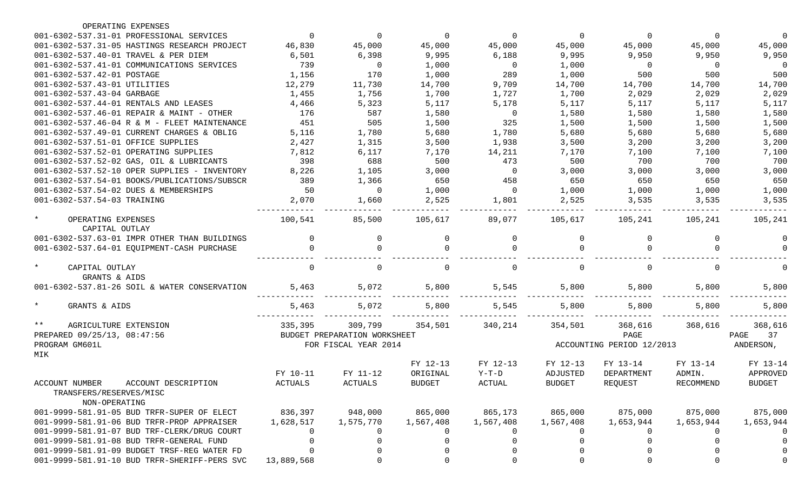| OPERATING EXPENSES                                                                |                |                                                      |               |                |               |                                   |                |                          |
|-----------------------------------------------------------------------------------|----------------|------------------------------------------------------|---------------|----------------|---------------|-----------------------------------|----------------|--------------------------|
| 001-6302-537.31-01 PROFESSIONAL SERVICES                                          | $\Omega$       | 0                                                    | $\mathbf 0$   | $\mathbf 0$    | 0             | 0                                 | $\Omega$       | 0                        |
| 001-6302-537.31-05 HASTINGS RESEARCH PROJECT                                      | 46,830         | 45,000                                               | 45,000        | 45,000         | 45,000        | 45,000                            | 45,000         | 45,000                   |
| 001-6302-537.40-01 TRAVEL & PER DIEM                                              | 6,501          | 6,398                                                | 9,995         | 6,188          | 9,995         | 9,950                             | 9,950          | 9,950                    |
| 001-6302-537.41-01 COMMUNICATIONS SERVICES                                        | 739            | $\overline{0}$                                       | 1,000         | $\overline{0}$ | 1,000         | $\overline{0}$                    | $\overline{0}$ | $\overline{\phantom{0}}$ |
| 001-6302-537.42-01 POSTAGE                                                        | 1,156          | 170                                                  | 1,000         | 289            | 1,000         | 500                               | 500            | 500                      |
| 001-6302-537.43-01 UTILITIES                                                      | 12,279         | 11,730                                               | 14,700        | 9,709          | 14,700        | 14,700                            | 14,700         | 14,700                   |
| 001-6302-537.43-04 GARBAGE                                                        | 1,455          | 1,756                                                | 1,700         | 1,727          | 1,700         | 2,029                             | 2,029          | 2,029                    |
| 001-6302-537.44-01 RENTALS AND LEASES                                             | 4,466          | 5,323                                                | 5,117         | 5,178          | 5,117         | 5,117                             | 5,117          | 5,117                    |
| 001-6302-537.46-01 REPAIR & MAINT - OTHER                                         | 176            | 587                                                  | 1,580         | $\overline{0}$ | 1,580         | 1,580                             | 1,580          | 1,580                    |
| 001-6302-537.46-04 R & M - FLEET MAINTENANCE                                      | 451            | 505                                                  | 1,500         | 325            | 1,500         | 1,500                             | 1,500          | 1,500                    |
| 001-6302-537.49-01 CURRENT CHARGES & OBLIG                                        | 5,116          | 1,780                                                | 5,680         | 1,780          | 5,680         | 5,680                             | 5,680          | 5,680                    |
| 001-6302-537.51-01 OFFICE SUPPLIES                                                | 2,427          | 1,315                                                | 3,500         | 1,938          | 3,500         | 3,200                             | 3,200          | 3,200                    |
| 001-6302-537.52-01 OPERATING SUPPLIES                                             | 7,812          | 6,117                                                | 7,170         | 14,211         | 7,170         | 7,100                             | 7,100          | 7,100                    |
| 001-6302-537.52-02 GAS, OIL & LUBRICANTS                                          | 398            | 688                                                  | 500           | 473            | 500           | 700                               | 700            | 700                      |
| 001-6302-537.52-10 OPER SUPPLIES - INVENTORY                                      | 8,226          | 1,105                                                | 3,000         | $\overline{0}$ | 3,000         | 3,000                             | 3,000          | 3,000                    |
| 001-6302-537.54-01 BOOKS/PUBLICATIONS/SUBSCR                                      | 389            | 1,366                                                | 650           | 458            | 650           | 650                               | 650            | 650                      |
| 001-6302-537.54-02 DUES & MEMBERSHIPS                                             | 50             | $\Omega$                                             | 1,000         | $\Omega$       | 1,000         | 1,000                             | 1,000          | 1,000                    |
| 001-6302-537.54-03 TRAINING                                                       | 2,070          | 1,660                                                | 2,525         | 1,801          | 2,525         | 3,535                             | 3,535          | 3,535                    |
|                                                                                   |                |                                                      |               |                |               |                                   |                |                          |
| $\star$<br>OPERATING EXPENSES<br>CAPITAL OUTLAY                                   | 100,541        | 85,500                                               | 105,617       | 89,077         | 105,617       | 105,241                           | 105,241        | 105,241                  |
| 001-6302-537.63-01 IMPR OTHER THAN BUILDINGS                                      | $\Omega$       | 0                                                    |               | 0              | 0             |                                   | $\Omega$       |                          |
| 001-6302-537.64-01 EQUIPMENT-CASH PURCHASE                                        |                | $\Omega$                                             |               |                | $\Omega$      |                                   |                |                          |
| $\star$<br>CAPITAL OUTLAY<br>GRANTS & AIDS                                        | $\Omega$       | 0                                                    |               | $\Omega$       | 0             |                                   | $\Omega$       |                          |
| 001-6302-537.81-26 SOIL & WATER CONSERVATION                                      | 5,463          | 5,072                                                | 5,800         | 5,545          | 5,800         | 5,800                             | 5,800          | 5,800                    |
| $\star$<br>GRANTS & AIDS                                                          | 5,463          | 5,072                                                | 5,800         | 5,545          | 5,800         | 5,800                             | 5,800          | 5,800                    |
| $***$<br>AGRICULTURE EXTENSION                                                    | 335,395        | 309,799                                              | 354,501       | 340,214        | 354,501       | 368,616                           | 368,616        | 368,616                  |
| PREPARED 09/25/13, 08:47:56<br>PROGRAM GM601L                                     |                | BUDGET PREPARATION WORKSHEET<br>FOR FISCAL YEAR 2014 |               |                |               | PAGE<br>ACCOUNTING PERIOD 12/2013 |                | PAGE<br>37<br>ANDERSON,  |
| MIK                                                                               |                |                                                      | FY 12-13      | FY 12-13       | FY 12-13      | FY 13-14                          | FY 13-14       | FY 13-14                 |
|                                                                                   | FY 10-11       | FY 11-12                                             | ORIGINAL      | $Y-T-D$        | ADJUSTED      | DEPARTMENT                        | ADMIN.         | APPROVED                 |
| ACCOUNT DESCRIPTION<br>ACCOUNT NUMBER<br>TRANSFERS/RESERVES/MISC<br>NON-OPERATING | <b>ACTUALS</b> | ACTUALS                                              | <b>BUDGET</b> | ACTUAL         | <b>BUDGET</b> | REQUEST                           | RECOMMEND      | <b>BUDGET</b>            |
| 001-9999-581.91-05 BUD TRFR-SUPER OF ELECT                                        | 836,397        | 948,000                                              | 865,000       | 865,173        | 865,000       | 875,000                           | 875,000        | 875,000                  |
| 001-9999-581.91-06 BUD TRFR-PROP APPRAISER                                        | 1,628,517      | 1,575,770                                            | 1,567,408     | 1,567,408      | 1,567,408     | 1,653,944                         | 1,653,944      | 1,653,944                |
| 001-9999-581.91-07 BUD TRF-CLERK/DRUG COURT                                       | 0              | 0                                                    |               | $\cup$         | 0             |                                   | U              |                          |
| 001-9999-581.91-08 BUD TRFR-GENERAL FUND                                          |                | 0                                                    |               | 0              | -0            |                                   |                |                          |
| 001-9999-581.91-09 BUDGET TRSF-REG WATER FD                                       |                | 0                                                    |               |                | 0             |                                   |                |                          |
| 001-9999-581.91-10 BUD TRFR-SHERIFF-PERS SVC                                      | 13,889,568     | 0                                                    |               |                | $\mathbf 0$   |                                   |                |                          |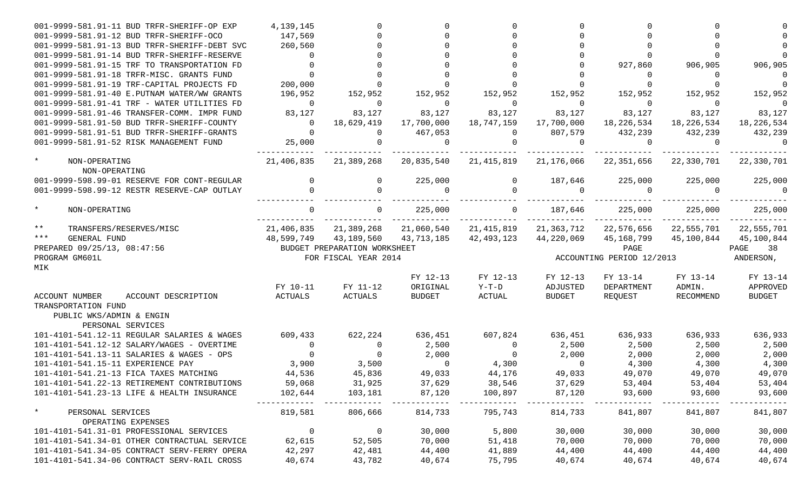| 001-9999-581.91-11 BUD TRFR-SHERIFF-OP EXP                                                  | 4,139,145        |                              |                           |                                  |                     |                           |                           |                  |
|---------------------------------------------------------------------------------------------|------------------|------------------------------|---------------------------|----------------------------------|---------------------|---------------------------|---------------------------|------------------|
| 001-9999-581.91-12 BUD TRFR-SHERIFF-OCO                                                     | 147,569          |                              |                           |                                  |                     |                           |                           |                  |
| 001-9999-581.91-13 BUD TRFR-SHERIFF-DEBT SVC                                                | 260,560          |                              |                           |                                  |                     |                           |                           |                  |
| 001-9999-581.91-14 BUD TRFR-SHERIFF-RESERVE                                                 | $\Omega$         |                              |                           |                                  |                     |                           |                           |                  |
| 001-9999-581.91-15 TRF TO TRANSPORTATION FD                                                 |                  |                              |                           |                                  |                     | 927,860                   | 906,905                   | 906,905          |
| 001-9999-581.91-18 TRFR-MISC. GRANTS FUND                                                   |                  |                              |                           |                                  |                     | $\Omega$                  | 0                         | $\Omega$         |
| 001-9999-581.91-19 TRF-CAPITAL PROJECTS FD                                                  | 200,000          |                              |                           |                                  |                     |                           |                           | $\overline{0}$   |
| 001-9999-581.91-40 E.PUTNAM WATER/WW GRANTS                                                 | 196,952          | 152,952                      | 152,952                   | 152,952                          | 152,952             | 152,952                   | 152,952                   | 152,952          |
| 001-9999-581.91-41 TRF - WATER UTILITIES FD                                                 | $\overline{0}$   | $\overline{0}$               | $\overline{0}$            | $\overline{0}$                   | $\overline{0}$      | $\overline{0}$            | $\overline{0}$            | $\overline{0}$   |
| 001-9999-581.91-46 TRANSFER-COMM. IMPR FUND                                                 | 83,127           | 83,127                       | 83,127                    | 83,127                           | 83,127              | 83,127                    | 83,127                    | 83,127           |
| 001-9999-581.91-50 BUD TRFR-SHERIFF-COUNTY                                                  | $\overline{0}$   | 18,629,419                   |                           | 17,700,000 18,747,159            | 17,700,000          |                           | 18, 226, 534 18, 226, 534 | 18,226,534       |
| 001-9999-581.91-51 BUD TRFR-SHERIFF-GRANTS                                                  | $\Omega$         | $\overline{0}$               | 467,053                   | $\overline{0}$                   | 807,579             | 432,239                   | 432,239                   | 432,239          |
| 001-9999-581.91-52 RISK MANAGEMENT FUND                                                     | 25,000           |                              | $\Omega$                  | $\Omega$                         | $\Omega$            | $\overline{a}$            | $\Omega$                  | $\Omega$         |
| $\star$<br>NON-OPERATING                                                                    | 21,406,835       | 21,389,268                   |                           | 20,835,540 21,415,819            | 21,176,066          |                           | 22,351,656 22,330,701     | 22,330,701       |
| NON-OPERATING                                                                               |                  |                              |                           |                                  |                     |                           |                           |                  |
| 001-9999-598.99-01 RESERVE FOR CONT-REGULAR                                                 | $\overline{0}$   | $\mathbf 0$                  | 225,000<br>$\overline{a}$ | 0                                | 187,646<br>$\Omega$ | 225,000<br>$\overline{a}$ | 225,000<br>$\Omega$       | 225,000          |
| 001-9999-598.99-12 RESTR RESERVE-CAP OUTLAY                                                 |                  | $\Omega$                     |                           |                                  |                     |                           |                           | $\Omega$         |
| $\star$<br>NON-OPERATING                                                                    |                  | $\overline{0}$               | 225,000                   | $\Omega$                         | 187,646             | 225,000                   | 225,000                   | 225,000          |
| $\star \star$<br>TRANSFERS/RESERVES/MISC                                                    | 21,406,835       |                              |                           | 21,389,268 21,060,540 21,415,819 | 21,363,712          | 22,576,656 22,555,701     |                           | 22,555,701       |
| $***$<br>GENERAL FUND                                                                       | 48,599,749       | 43,189,560                   |                           | 43,713,185 42,493,123            | 44,220,069          |                           | 45, 168, 799 45, 100, 844 | 45,100,844       |
| PREPARED 09/25/13, 08:47:56                                                                 |                  | BUDGET PREPARATION WORKSHEET |                           |                                  |                     | PAGE                      |                           | PAGE<br>38       |
| PROGRAM GM601L                                                                              |                  | FOR FISCAL YEAR 2014         |                           |                                  |                     | ACCOUNTING PERIOD 12/2013 |                           | ANDERSON,        |
| MIK                                                                                         |                  |                              | FY 12-13                  | FY 12-13                         | FY 12-13            | FY 13-14                  | FY 13-14                  | FY 13-14         |
|                                                                                             | FY 10-11         | FY 11-12                     | ORIGINAL                  | $Y-T-D$                          | ADJUSTED            | DEPARTMENT                | ADMIN.                    | APPROVED         |
| ACCOUNT NUMBER<br>ACCOUNT DESCRIPTION                                                       | ACTUALS          | ACTUALS                      | BUDGET                    | ACTUAL                           | BUDGET              | REQUEST                   | RECOMMEND                 | BUDGET           |
| TRANSPORTATION FUND                                                                         |                  |                              |                           |                                  |                     |                           |                           |                  |
| PUBLIC WKS/ADMIN & ENGIN<br>PERSONAL SERVICES                                               |                  |                              |                           |                                  |                     |                           |                           |                  |
| 101-4101-541.12-11 REGULAR SALARIES & WAGES                                                 | 609,433          | 622,224                      | 636,451                   | 607,824                          | 636,451             | 636,933                   | 636,933                   | 636,933          |
| 101-4101-541.12-12 SALARY/WAGES - OVERTIME                                                  | $\overline{0}$   | $\overline{0}$               | 2,500                     | $\overline{0}$                   | 2,500               | 2,500                     | 2,500                     | 2,500            |
| 101-4101-541.13-11 SALARIES & WAGES - OPS                                                   | $\overline{0}$   | $\overline{0}$               | 2,000                     | $\overline{0}$                   | 2,000               | 2,000                     | 2,000                     | 2,000            |
| 101-4101-541.15-11 EXPERIENCE PAY                                                           | 3,900            | 3,500                        | $\overline{0}$            | 4,300                            | $\overline{0}$      | 4,300                     | 4,300                     | 4,300            |
| 101-4101-541.21-13 FICA TAXES MATCHING                                                      | 44,536           | 45,836                       | 49,033                    | 44,176                           | 49,033              | 49,070                    | 49,070                    | 49,070           |
| 101-4101-541.22-13 RETIREMENT CONTRIBUTIONS                                                 | 59,068           | 31,925                       | 37,629                    | 38,546                           | 37,629              | 53,404                    | 53,404                    | 53,404           |
| 101-4101-541.23-13 LIFE & HEALTH INSURANCE                                                  | 102,644          | 103,181                      | 87,120                    | 100,897                          | 87,120              | 93,600                    | 93,600                    | 93,600           |
| $\star$<br>PERSONAL SERVICES                                                                | 819,581          | 806,666                      | 814,733                   | 795,743                          | 814,733             | 841,807                   | 841,807                   | 841,807          |
| OPERATING EXPENSES                                                                          |                  |                              |                           |                                  |                     |                           |                           |                  |
| 101-4101-541.31-01 PROFESSIONAL SERVICES                                                    |                  | $\overline{0}$               | 30,000                    | 5,800                            | 30,000              | 30,000                    | 30,000                    | 30,000           |
|                                                                                             | $\overline{0}$   |                              |                           |                                  |                     |                           |                           |                  |
| 101-4101-541.34-01 OTHER CONTRACTUAL SERVICE                                                | 62,615           | 52,505                       | 70,000                    | 51,418                           | 70,000              | 70,000                    | 70,000                    | 70,000           |
| 101-4101-541.34-05 CONTRACT SERV-FERRY OPERA<br>101-4101-541.34-06 CONTRACT SERV-RAIL CROSS | 42,297<br>40,674 | 42,481<br>43,782             | 44,400<br>40,674          | 41,889<br>75,795                 | 44,400<br>40,674    | 44,400<br>40,674          | 44,400<br>40,674          | 44,400<br>40,674 |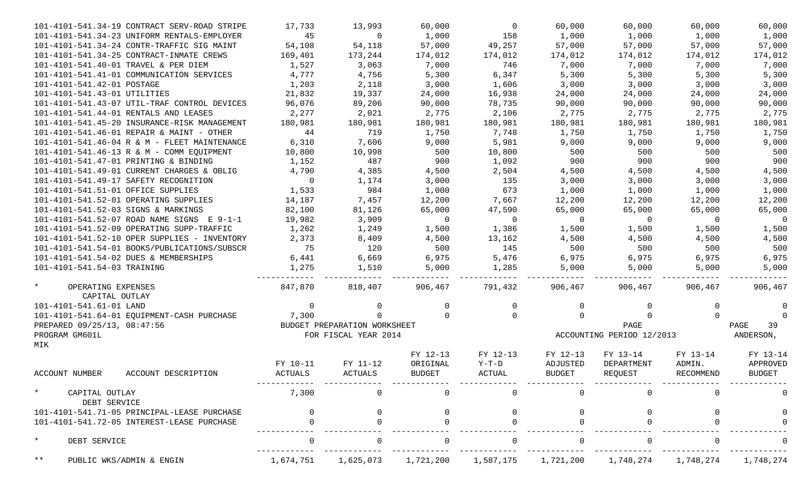| 101-4101-541.34-19 CONTRACT SERV-ROAD STRIPE    | 17,733         | 13,993                       | 60,000         | $\overline{0}$ | 60,000         | 60,000                    | 60,000         | 60,000         |
|-------------------------------------------------|----------------|------------------------------|----------------|----------------|----------------|---------------------------|----------------|----------------|
| 101-4101-541.34-23 UNIFORM RENTALS-EMPLOYER     | 45             | $\overline{0}$               | 1,000          | 158            | 1,000          | 1,000                     | 1,000          | 1,000          |
| 101-4101-541.34-24 CONTR-TRAFFIC SIG MAINT      | 54,108         | 54,118                       | 57,000         | 49,257         | 57,000         | 57,000                    | 57,000         | 57,000         |
| 101-4101-541.34-25 CONTRACT-INMATE CREWS        | 169,401        | 173,244                      | 174,012        | 174,012        | 174,012        | 174,012                   | 174,012        | 174,012        |
| 101-4101-541.40-01 TRAVEL & PER DIEM            | 1,527          | 3,063                        | 7,000          | 746            | 7,000          | 7,000                     | 7,000          | 7,000          |
| 101-4101-541.41-01 COMMUNICATION SERVICES       | 4,777          | 4,756                        | 5,300          | 6,347          | 5,300          | 5,300                     | 5,300          | 5,300          |
| 101-4101-541.42-01 POSTAGE                      | 1,203          | 2,118                        | 3,000          | 1,606          | 3,000          | 3,000                     | 3,000          | 3,000          |
| 101-4101-541.43-01 UTILITIES                    | 21,832         | 19,337                       | 24,000         | 16,938         | 24,000         | 24,000                    | 24,000         | 24,000         |
| 101-4101-541.43-07 UTIL-TRAF CONTROL DEVICES    | 96,076         | 89,206                       | 90,000         | 78,735         | 90,000         | 90,000                    | 90,000         | 90,000         |
| 101-4101-541.44-01 RENTALS AND LEASES           | 2,277          | 2,021                        | 2,775          | 2,106          | 2,775          | 2,775                     | 2,775          | 2,775          |
| 101-4101-541.45-20 INSURANCE-RISK MANAGEMENT    | 180,981        | 180,981                      | 180,981        | 180,981        | 180,981        | 180,981                   | 180,981        | 180,981        |
| 101-4101-541.46-01 REPAIR & MAINT - OTHER       | 44             | 719                          | 1,750          | 7,748          | 1,750          | 1,750                     | 1,750          | 1,750          |
| 101-4101-541.46-04 R & M - FLEET MAINTENANCE    | 6,310          | 7,606                        | 9,000          | 5,981          | 9,000          | 9,000                     | 9,000          | 9,000          |
| 101-4101-541.46-13 R & M - COMM EQUIPMENT       | 10,800         | 10,998                       | 500            | 10,800         | 500            | 500                       | 500            | 500            |
| 101-4101-541.47-01 PRINTING & BINDING           | 1,152          | 487                          | 900            | 1,092          | 900            | 900                       | 900            | 900            |
| 101-4101-541.49-01 CURRENT CHARGES & OBLIG      | 4,790          | 4,385                        | 4,500          | 2,504          | 4,500          | 4,500                     | 4,500          | 4,500          |
| 101-4101-541.49-17 SAFETY RECOGNITION           | $\overline{0}$ | 1,174                        | 3,000          | 135            | 3,000          | 3,000                     | 3,000          | 3,000          |
| 101-4101-541.51-01 OFFICE SUPPLIES              | 1,533          | 984                          | 1,000          | 673            | 1,000          | 1,000                     | 1,000          | 1,000          |
| 101-4101-541.52-01 OPERATING SUPPLIES           | 14,187         | 7,457                        | 12,200         | 7,667          | 12,200         | 12,200                    | 12,200         | 12,200         |
| 101-4101-541.52-03 SIGNS & MARKINGS             | 82,100         | 81,126                       | 65,000         | 47,590         | 65,000         | 65,000                    | 65,000         | 65,000         |
| 101-4101-541.52-07 ROAD NAME SIGNS E 9-1-1      | 19,982         | 3,909                        | $\overline{0}$ | $\overline{0}$ | $\overline{0}$ | $\overline{0}$            | $\overline{0}$ | $\overline{0}$ |
| 101-4101-541.52-09 OPERATING SUPP-TRAFFIC       | 1,262          | 1,249                        | 1,500          | 1,386          | 1,500          | 1,500                     | 1,500          | 1,500          |
| 101-4101-541.52-10 OPER SUPPLIES - INVENTORY    | 2,373          | 8,409                        | 4,500          | 13,162         | 4,500          | 4,500                     | 4,500          | 4,500          |
| 101-4101-541.54-01 BOOKS/PUBLICATIONS/SUBSCR    | 75             | 120                          | 500            | 145            | 500            | 500                       | 500            | 500            |
| 101-4101-541.54-02 DUES & MEMBERSHIPS           | 6,441          | 6,669                        | 6,975          | 5,476          | 6,975          | 6,975                     | 6,975          | 6,975          |
| 101-4101-541.54-03 TRAINING                     | 1,275          | 1,510                        | 5,000          | 1,285          | 5,000          | 5,000                     | 5,000          | 5,000          |
|                                                 |                |                              | -------------  |                |                |                           |                |                |
| $\star$<br>OPERATING EXPENSES<br>CAPITAL OUTLAY | 847,870        | 818,407                      | 906,467        | 791,432        | 906,467        | 906,467                   | 906,467        | 906,467        |
| 101-4101-541.61-01 LAND                         | $\mathbf 0$    | 0                            | $\overline{0}$ | 0              | 0              |                           | 0              | 0              |
| 101-4101-541.64-01 EQUIPMENT-CASH PURCHASE      | 7,300          | $\Omega$                     |                | $\Omega$       | $\Omega$       |                           | $\Omega$       | 0              |
| PREPARED 09/25/13, 08:47:56                     |                | BUDGET PREPARATION WORKSHEET |                |                |                | PAGE                      |                | PAGE<br>39     |
| PROGRAM GM601L                                  |                | FOR FISCAL YEAR 2014         |                |                |                | ACCOUNTING PERIOD 12/2013 |                | ANDERSON,      |
| MIK                                             |                |                              |                |                |                |                           |                |                |
|                                                 |                |                              | FY 12-13       | FY 12-13       | FY 12-13       | FY 13-14                  | FY 13-14       | FY 13-14       |
|                                                 | FY 10-11       | FY 11-12                     | ORIGINAL       | $Y-T-D$        | ADJUSTED       | DEPARTMENT                | ADMIN.         | APPROVED       |
| ACCOUNT NUMBER<br>ACCOUNT DESCRIPTION           | <b>ACTUALS</b> | ACTUALS                      | <b>BUDGET</b>  | ACTUAL         | <b>BUDGET</b>  | REQUEST                   | RECOMMEND      | <b>BUDGET</b>  |
| $\star$<br>CAPITAL OUTLAY                       | 7,300          |                              |                |                |                |                           |                |                |
| DEBT SERVICE                                    |                |                              |                |                |                |                           |                |                |
| 101-4101-541.71-05 PRINCIPAL-LEASE PURCHASE     |                |                              |                |                |                |                           |                |                |
| 101-4101-541.72-05 INTEREST-LEASE PURCHASE      |                |                              |                |                |                |                           |                |                |
| $\star$<br>DEBT SERVICE                         |                |                              |                |                |                |                           |                |                |
| $***$<br>PUBLIC WKS/ADMIN & ENGIN               | 1,674,751      | 1,625,073                    | 1,721,200      | 1,587,175      | 1,721,200      | 1,748,274                 | 1,748,274      | 1,748,274      |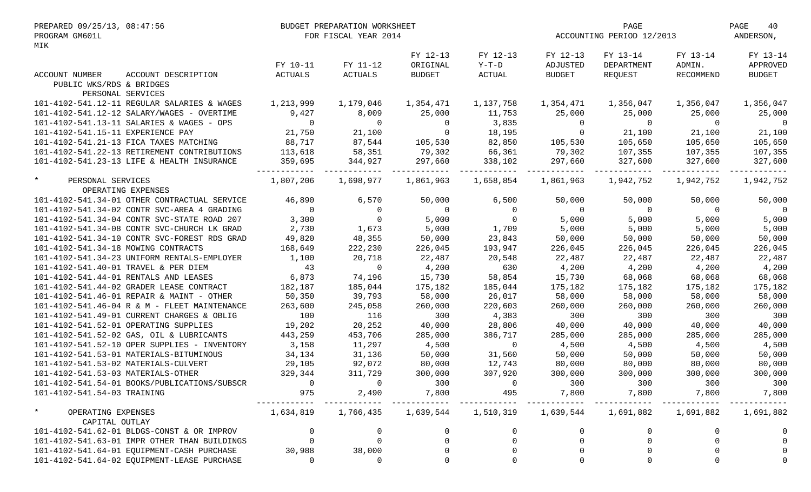| PREPARED 09/25/13, 08:47:56<br>PROGRAM GM601L<br>MIK | BUDGET PREPARATION WORKSHEET<br>FOR FISCAL YEAR 2014 |                |                     |                |                | PAGE<br>ACCOUNTING PERIOD 12/2013 |                |                |
|------------------------------------------------------|------------------------------------------------------|----------------|---------------------|----------------|----------------|-----------------------------------|----------------|----------------|
|                                                      |                                                      |                | FY 12-13            | FY 12-13       | FY 12-13       | FY 13-14                          | FY 13-14       | FY 13-14       |
|                                                      | FY 10-11                                             | FY 11-12       | ORIGINAL            | Y-T-D          | ADJUSTED       | DEPARTMENT                        | ADMIN.         | APPROVED       |
| ACCOUNT NUMBER<br>ACCOUNT DESCRIPTION                | ACTUALS                                              | ACTUALS        | <b>BUDGET</b>       | ACTUAL         | BUDGET         | REQUEST                           | RECOMMEND      | <b>BUDGET</b>  |
| PUBLIC WKS/RDS & BRIDGES                             |                                                      |                |                     |                |                |                                   |                |                |
| PERSONAL SERVICES                                    |                                                      |                |                     |                |                |                                   |                |                |
| 101-4102-541.12-11 REGULAR SALARIES & WAGES          | 1,213,999                                            | 1,179,046      | 1,354,471           | 1,137,758      | 1,354,471      | 1,356,047                         | 1,356,047      | 1,356,047      |
| 101-4102-541.12-12 SALARY/WAGES - OVERTIME           | 9,427                                                | 8,009          | 25,000              | 11,753         | 25,000         | 25,000                            | 25,000         | 25,000         |
| 101-4102-541.13-11 SALARIES & WAGES - OPS            | $\sim$ 0                                             | $\overline{0}$ | $\overline{0}$      | 3,835          | $\overline{0}$ | $\overline{0}$                    | $\overline{0}$ | $\overline{0}$ |
| 101-4102-541.15-11 EXPERIENCE PAY                    | 21,750                                               | 21,100         | $0 \t 18,195$       |                | $\overline{0}$ | 21,100 21,100                     |                | 21,100         |
| 101-4102-541.21-13 FICA TAXES MATCHING               | 88,717                                               | 87,544         | 105,530 82,850      |                |                | 105,530 105,650 105,650           |                | 105,650        |
| 101-4102-541.22-13 RETIREMENT CONTRIBUTIONS          | 113,618                                              | 58,351         | 79,302              | 66,361         | 79,302         | 107,355 107,355                   |                | 107,355        |
| 101-4102-541.23-13 LIFE & HEALTH INSURANCE           | 359,695                                              | 344,927        | 297,660             | 338,102        | 297,660        | 327,600                           | 327,600        | 327,600        |
|                                                      |                                                      |                |                     |                |                |                                   |                |                |
| $\star$<br>PERSONAL SERVICES                         | 1,807,206                                            | 1,698,977      |                     |                | 1,861,963      | 1,942,752 1,942,752               |                | 1,942,752      |
| OPERATING EXPENSES                                   |                                                      |                |                     |                |                |                                   |                |                |
| 101-4102-541.34-01 OTHER CONTRACTUAL SERVICE         | 46,890                                               | 6,570          | 50,000              | 6,500          | 50,000         | 50,000                            | 50,000         | 50,000         |
| 101-4102-541.34-02 CONTR SVC-AREA 4 GRADING          | $\overline{0}$                                       | $\overline{0}$ | $\overline{0}$      | $\overline{0}$ | $\overline{0}$ | $\overline{0}$                    | $\overline{0}$ | $\overline{0}$ |
| 101-4102-541.34-04 CONTR SVC-STATE ROAD 207          | 3,300                                                | $\overline{0}$ | 5,000               | $\overline{0}$ | 5,000          | 5,000                             | 5,000          | 5,000          |
| 101-4102-541.34-08 CONTR SVC-CHURCH LK GRAD          | 2,730                                                | 1,673          | 5,000               | 1,709          | 5,000          | 5,000                             | 5,000          | 5,000          |
| 101-4102-541.34-10 CONTR SVC-FOREST RDS GRAD         | 49,820                                               | 48,355         | 50,000              | 23,843         | 50,000         | 50,000                            | 50,000         | 50,000         |
| 101-4102-541.34-18 MOWING CONTRACTS                  | 168,649                                              | 222,230        | 226,045             | 193,947        | 226,045        | 226,045                           | 226,045        | 226,045        |
| 101-4102-541.34-23 UNIFORM RENTALS-EMPLOYER          | 1,100                                                | 20,718         | 22,487              | 20,548         | 22,487         | 22,487                            | 22,487         | 22,487         |
| 101-4102-541.40-01 TRAVEL & PER DIEM                 | 43                                                   | $\overline{a}$ | 4,200               | 630            | 4,200          | 4,200                             | 4,200          | 4,200          |
| 101-4102-541.44-01 RENTALS AND LEASES                | 6,873                                                | 74,196         | 15,730              | 58,854         | 15,730         | 68,068                            | 68,068         | 68,068         |
| 101-4102-541.44-02 GRADER LEASE CONTRACT             | 182,187                                              | 185,044        | 175,182             | 185,044        | 175,182        | 175,182                           | 175,182        | 175,182        |
| 101-4102-541.46-01 REPAIR & MAINT - OTHER            | 50,350                                               | 39,793         | 58,000              | 26,017         | 58,000         | 58,000                            | 58,000         | 58,000         |
| 101-4102-541.46-04 R & M - FLEET MAINTENANCE         | 263,600                                              | 245,058        | 260,000             | 220,603        | 260,000        | 260,000                           | 260,000        | 260,000        |
| 101-4102-541.49-01 CURRENT CHARGES & OBLIG           | 100                                                  | 116            | 300                 | 4,383          | 300            | 300                               | 300            | 300            |
| 101-4102-541.52-01 OPERATING SUPPLIES                | 19,202                                               | 20,252         | 40,000              | 28,806         | 40,000         | 40,000                            | 40,000         | 40,000         |
| 101-4102-541.52-02 GAS, OIL & LUBRICANTS             | 443,259                                              | 453,706        | 285,000             | 386,717        | 285,000        | 285,000                           | 285,000        | 285,000        |
| 101-4102-541.52-10 OPER SUPPLIES - INVENTORY         | 3,158                                                | 11,297         | 4,500               | $\overline{0}$ | 4,500          | 4,500                             | 4,500          | 4,500          |
| 101-4102-541.53-01 MATERIALS-BITUMINOUS              |                                                      |                |                     | 31,560         | 50,000         |                                   |                | 50,000         |
|                                                      | 34,134                                               | 31,136         | 50,000              |                |                | 50,000                            | 50,000         |                |
| 101-4102-541.53-02 MATERIALS-CULVERT                 | 29,105                                               | 92,072         | 80,000              | 12,743         | 80,000         | 80,000                            | 80,000         | 80,000         |
| 101-4102-541.53-03 MATERIALS-OTHER                   | 329,344                                              | 311,729        | 300,000             | 307,920        | 300,000        | 300,000                           | 300,000        | 300,000        |
| 101-4102-541.54-01 BOOKS/PUBLICATIONS/SUBSCR         |                                                      |                | 300                 | 0              | 300            | 300                               | 300            | 300            |
| 101-4102-541.54-03 TRAINING                          | 975                                                  | 2,490          | 7,800               | 495            | 7,800          | 7,800                             | 7,800          | 7,800          |
| $\star$<br>OPERATING EXPENSES                        | 1,634,819                                            | 1,766,435      | 1,639,544 1,510,319 |                | 1,639,544      | 1,691,882                         | 1,691,882      | 1,691,882      |
| CAPITAL OUTLAY                                       |                                                      |                |                     |                |                |                                   |                |                |
| 101-4102-541.62-01 BLDGS-CONST & OR IMPROV           |                                                      | 0              |                     |                |                |                                   |                |                |
| 101-4102-541.63-01 IMPR OTHER THAN BUILDINGS         |                                                      | 0              |                     |                |                |                                   |                |                |
| 101-4102-541.64-01 EQUIPMENT-CASH PURCHASE           | 30,988                                               | 38,000         |                     | $\Omega$       | $\overline{0}$ |                                   |                |                |
| 101-4102-541.64-02 EQUIPMENT-LEASE PURCHASE          | 0                                                    | 0              |                     | $\Omega$       | 0              |                                   |                |                |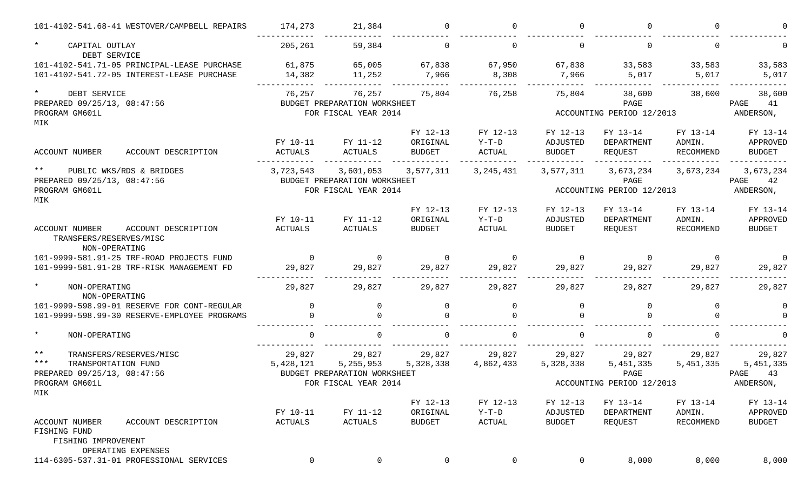|                                                                   | 101-4102-541.68-41 WESTOVER/CAMPBELL REPAIRS | 174,273             | 21,384                       |                           | $\cap$              | $\cap$                    |                           | U                   |                           |
|-------------------------------------------------------------------|----------------------------------------------|---------------------|------------------------------|---------------------------|---------------------|---------------------------|---------------------------|---------------------|---------------------------|
| $\star$<br>CAPITAL OUTLAY<br>DEBT SERVICE                         |                                              | 205,261             | 59,384                       | $\Omega$                  | $\Omega$            | $\Omega$                  |                           | $\Omega$            |                           |
|                                                                   | 101-4102-541.71-05 PRINCIPAL-LEASE PURCHASE  | 61,875              | 65,005                       | 67,838                    | 67,950              | 67,838                    | 33,583                    | 33,583              | 33,583                    |
|                                                                   | 101-4102-541.72-05 INTEREST-LEASE PURCHASE   | 14,382              | 11,252                       | 7,966                     | 8,308               | 7,966                     | 5,017                     | 5,017               | 5,017                     |
| $\star$<br>DEBT SERVICE                                           |                                              | 76,257              | 76,257                       | 75,804                    | 76,258              | 75,804                    | 38,600                    | 38,600              | 38,600                    |
| PREPARED 09/25/13, 08:47:56                                       |                                              |                     | BUDGET PREPARATION WORKSHEET |                           |                     |                           | PAGE                      |                     | 41<br>PAGE                |
| PROGRAM GM601L                                                    |                                              |                     | FOR FISCAL YEAR 2014         |                           |                     |                           | ACCOUNTING PERIOD 12/2013 |                     | ANDERSON,                 |
| MIK                                                               |                                              |                     |                              |                           |                     |                           |                           |                     |                           |
|                                                                   |                                              | FY 10-11            | FY 11-12                     | FY 12-13<br>ORIGINAL      | FY 12-13<br>$Y-T-D$ | FY 12-13<br>ADJUSTED      | FY 13-14<br>DEPARTMENT    | FY 13-14<br>ADMIN.  | FY 13-14<br>APPROVED      |
| ACCOUNT NUMBER                                                    | ACCOUNT DESCRIPTION                          | <b>ACTUALS</b>      | ACTUALS                      | <b>BUDGET</b>             | <b>ACTUAL</b>       | <b>BUDGET</b>             | REQUEST                   | RECOMMEND           | <b>BUDGET</b>             |
| $***$                                                             | PUBLIC WKS/RDS & BRIDGES                     | 3,723,543           | 3,601,053                    | 3,577,311                 | 3, 245, 431         | 3,577,311                 | 3,673,234                 | 3,673,234           | 3,673,234                 |
| PREPARED 09/25/13, 08:47:56                                       |                                              |                     | BUDGET PREPARATION WORKSHEET |                           |                     |                           | PAGE                      |                     | PAGE<br>42                |
| PROGRAM GM601L                                                    |                                              |                     | FOR FISCAL YEAR 2014         |                           |                     |                           | ACCOUNTING PERIOD 12/2013 |                     | ANDERSON,                 |
| MIK                                                               |                                              |                     |                              |                           |                     |                           |                           |                     |                           |
|                                                                   |                                              |                     |                              | FY 12-13                  | FY 12-13            | FY 12-13                  | FY 13-14                  | FY 13-14            | FY 13-14                  |
|                                                                   |                                              | FY 10-11            | FY 11-12                     | ORIGINAL                  | $Y-T-D$             | ADJUSTED                  | DEPARTMENT                | ADMIN.              | APPROVED                  |
| <b>ACCOUNT NUMBER</b><br>TRANSFERS/RESERVES/MISC<br>NON-OPERATING | ACCOUNT DESCRIPTION                          | <b>ACTUALS</b>      | <b>ACTUALS</b>               | <b>BUDGET</b>             | <b>ACTUAL</b>       | <b>BUDGET</b>             | REQUEST                   | RECOMMEND           | <b>BUDGET</b>             |
|                                                                   | 101-9999-581.91-25 TRF-ROAD PROJECTS FUND    | $\Omega$            | $\Omega$                     | $\Omega$                  | $\Omega$            | $\Omega$                  | $\Omega$                  | $\Omega$            | $\Omega$                  |
|                                                                   | 101-9999-581.91-28 TRF-RISK MANAGEMENT FD    | 29,827              | 29,827                       | 29,827                    | 29,827              | 29,827                    | 29,827                    | 29,827              | 29,827                    |
| $\star$<br>NON-OPERATING<br>NON-OPERATING                         |                                              | 29,827              | 29,827                       | 29,827                    | 29,827              | 29,827                    | 29,827                    | 29,827              | 29,827                    |
|                                                                   | 101-9999-598.99-01 RESERVE FOR CONT-REGULAR  | $\Omega$            | 0                            | $\mathbf 0$               | $\mathbf 0$         | 0                         | $\Omega$                  | 0                   | $\Omega$                  |
|                                                                   | 101-9999-598.99-30 RESERVE-EMPLOYEE PROGRAMS | $\cap$              | $\Omega$                     |                           | ∩                   | $\cap$                    |                           |                     |                           |
| $\star$<br>NON-OPERATING                                          |                                              | $\Omega$            |                              |                           | $\cap$              |                           |                           |                     |                           |
| $***$                                                             | TRANSFERS/RESERVES/MISC                      | 29,827              | 29,827                       | 29,827                    | 29,827              | 29,827                    | 29,827                    | 29,827              | 29,827                    |
| $***$<br>TRANSPORTATION FUND                                      |                                              | 5,428,121           | 5,255,953                    | 5,328,338                 | 4,862,433           | 5,328,338                 | 5, 451, 335               | 5, 451, 335         | 5, 451, 335               |
| PREPARED 09/25/13, 08:47:56                                       |                                              |                     | BUDGET PREPARATION WORKSHEET |                           |                     |                           | PAGE                      |                     | 43<br>PAGE                |
| PROGRAM GM601L                                                    |                                              |                     | FOR FISCAL YEAR 2014         |                           |                     |                           | ACCOUNTING PERIOD 12/2013 |                     | ANDERSON,                 |
| MIK                                                               |                                              |                     |                              |                           |                     |                           |                           |                     |                           |
|                                                                   |                                              |                     |                              | FY 12-13                  | FY 12-13            | FY 12-13                  | FY 13-14                  | FY 13-14            | FY 13-14                  |
| ACCOUNT NUMBER                                                    | ACCOUNT DESCRIPTION                          | FY 10-11<br>ACTUALS | FY 11-12<br>ACTUALS          | ORIGINAL<br><b>BUDGET</b> | $Y-T-D$<br>ACTUAL   | ADJUSTED<br><b>BUDGET</b> | DEPARTMENT<br>REQUEST     | ADMIN.<br>RECOMMEND | APPROVED<br><b>BUDGET</b> |
| FISHING FUND                                                      |                                              |                     |                              |                           |                     |                           |                           |                     |                           |
| FISHING IMPROVEMENT                                               |                                              |                     |                              |                           |                     |                           |                           |                     |                           |
|                                                                   | OPERATING EXPENSES                           |                     |                              |                           |                     |                           |                           |                     |                           |
|                                                                   | 114-6305-537.31-01 PROFESSIONAL SERVICES     | 0                   | $\mathsf{O}$                 | $\mathbf 0$               | 0                   | $\mathbf 0$               | 8,000                     | 8,000               | 8,000                     |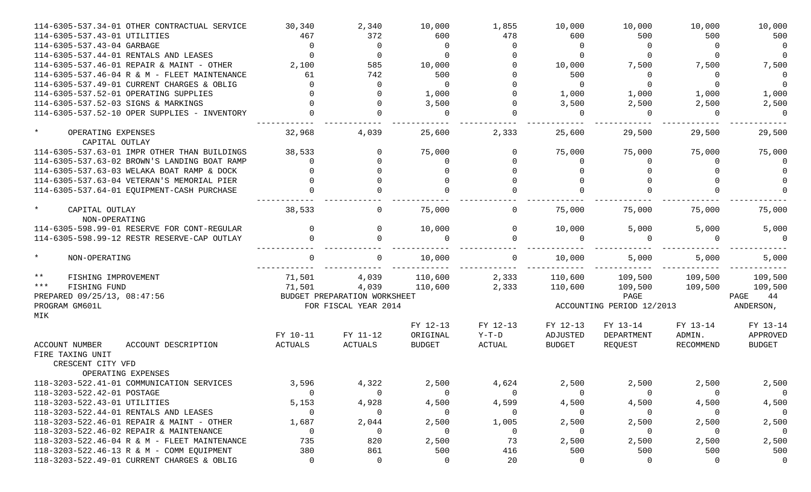| 114-6305-537.34-01 OTHER CONTRACTUAL SERVICE                     | 30,340         | 2,340                        | 10,000               | 1,855               | 10,000                    | 10,000                 | 10,000             | 10,000               |
|------------------------------------------------------------------|----------------|------------------------------|----------------------|---------------------|---------------------------|------------------------|--------------------|----------------------|
| 114-6305-537.43-01 UTILITIES                                     | 467            | 372                          | 600                  | 478                 | 600                       | 500                    | 500                | 500                  |
| 114-6305-537.43-04 GARBAGE                                       | $\overline{0}$ | $\Omega$                     | $\overline{0}$       | $\Omega$            | $\Omega$                  | $\Omega$               | $\Omega$           | $\Omega$             |
| 114-6305-537.44-01 RENTALS AND LEASES                            | $\Omega$       | $\Omega$                     | $\Omega$             |                     | $\Omega$                  | $\Omega$               | $\Omega$           | $\overline{0}$       |
| 114-6305-537.46-01 REPAIR & MAINT - OTHER                        | 2,100          | 585                          | 10,000               |                     | 10,000                    | 7,500                  | 7,500              | 7,500                |
| 114-6305-537.46-04 R & M - FLEET MAINTENANCE                     | 61             | 742                          | 500                  |                     | 500                       | $\Omega$               | $\Omega$           | $\Omega$             |
| 114-6305-537.49-01 CURRENT CHARGES & OBLIG                       | $\Omega$       | $\Omega$                     | $\overline{0}$       |                     | $\Omega$                  | $\Omega$               | $\Omega$           | $\Omega$             |
| 114-6305-537.52-01 OPERATING SUPPLIES                            |                | $\Omega$                     | 1,000                |                     | 1,000                     | 1,000                  | 1,000              | 1,000                |
| 114-6305-537.52-03 SIGNS & MARKINGS                              |                | $\Omega$                     | 3,500                |                     | 3,500                     | 2,500                  | 2,500              | 2,500                |
| 114-6305-537.52-10 OPER SUPPLIES - INVENTORY                     |                | $\cap$                       | $\Omega$             |                     | $\Omega$                  | $\Omega$               | $\Omega$           | $\Omega$             |
| $\star$<br>OPERATING EXPENSES<br>CAPITAL OUTLAY                  | 32,968         | 4,039                        | 25,600               | 2,333               | 25,600                    | 29,500                 | 29,500             | 29,500               |
| 114-6305-537.63-01 IMPR OTHER THAN BUILDINGS                     | 38,533         | $\Omega$                     | 75,000               | $\Omega$            | 75,000                    | 75,000                 | 75,000             | 75,000               |
| 114-6305-537.63-02 BROWN'S LANDING BOAT RAMP                     | $\Omega$       |                              | $\Omega$             |                     | $\Omega$                  |                        | $\Omega$           |                      |
| 114-6305-537.63-03 WELAKA BOAT RAMP & DOCK                       |                |                              | $\Omega$             |                     |                           |                        |                    |                      |
| 114-6305-537.63-04 VETERAN'S MEMORIAL PIER                       |                |                              | $\Omega$             |                     |                           |                        |                    |                      |
| 114-6305-537.64-01 EQUIPMENT-CASH PURCHASE                       |                |                              |                      |                     |                           |                        |                    |                      |
| $\star$<br>CAPITAL OUTLAY<br>NON-OPERATING                       | 38,533         | $\Omega$                     | 75,000               | 0                   | 75,000                    | 75,000                 | 75,000             | 75,000               |
| 114-6305-598.99-01 RESERVE FOR CONT-REGULAR                      | $\Omega$       | $\Omega$                     | 10,000               | $\Omega$            | 10,000                    | 5,000                  | 5,000              | 5,000                |
| 114-6305-598.99-12 RESTR RESERVE-CAP OUTLAY                      |                |                              |                      |                     | $\Omega$                  | $\cap$                 |                    | $\Omega$             |
| $\star$<br>NON-OPERATING                                         |                | $\Omega$                     | 10,000               | $\Omega$            | 10,000                    | 5,000                  | 5,000              | 5,000                |
| $***$<br>FISHING IMPROVEMENT                                     | 71,501         | 4,039                        | 110,600              | 2,333               | 110,600                   | 109,500                | 109,500            | 109,500              |
| $***$<br>FISHING FUND                                            | 71,501         | 4,039                        | 110,600              | 2,333               | 110,600                   | 109,500                | 109,500            | 109,500              |
| PREPARED 09/25/13, 08:47:56                                      |                | BUDGET PREPARATION WORKSHEET |                      |                     |                           | PAGE                   |                    | PAGE<br>44           |
| PROGRAM GM601L<br>MIK                                            |                | FOR FISCAL YEAR 2014         |                      |                     | ACCOUNTING PERIOD 12/2013 |                        |                    | ANDERSON,            |
|                                                                  | FY 10-11       | FY 11-12                     | FY 12-13<br>ORIGINAL | FY 12-13<br>$Y-T-D$ | FY 12-13<br>ADJUSTED      | FY 13-14<br>DEPARTMENT | FY 13-14<br>ADMIN. | FY 13-14<br>APPROVED |
| <b>ACCOUNT NUMBER</b><br>ACCOUNT DESCRIPTION<br>FIRE TAXING UNIT | ACTUALS        | ACTUALS                      | <b>BUDGET</b>        | ACTUAL              | <b>BUDGET</b>             | REQUEST                | RECOMMEND          | <b>BUDGET</b>        |
| CRESCENT CITY VFD                                                |                |                              |                      |                     |                           |                        |                    |                      |
| OPERATING EXPENSES                                               |                |                              |                      |                     |                           |                        |                    |                      |
| 118-3203-522.41-01 COMMUNICATION SERVICES                        | 3,596          | 4,322                        | 2,500                | 4,624               | 2,500                     | 2,500                  | 2,500              | 2,500                |
| 118-3203-522.42-01 POSTAGE                                       | $\Omega$       | $\overline{0}$               | $\Omega$             | $\Omega$            | 0                         | $\Omega$               | 0                  | $\circ$              |
| 118-3203-522.43-01 UTILITIES                                     | 5,153          | 4,928                        | 4,500                | 4,599               | 4,500                     | 4,500                  | 4,500              | 4,500                |
| 118-3203-522.44-01 RENTALS AND LEASES                            | 0              | $\overline{0}$               | $\Omega$             | 0                   | $\overline{0}$            | $\Omega$               | $\overline{0}$     | $\overline{0}$       |
| 118-3203-522.46-01 REPAIR & MAINT - OTHER                        | 1,687          | 2,044                        | 2,500                | 1,005               | 2,500                     | 2,500                  | 2,500              | 2,500                |
| 118-3203-522.46-02 REPAIR & MAINTENANCE                          | 0              | 0                            | $\Omega$             | $\mathbf 0$         | $\overline{0}$            | $\Omega$               | $\overline{0}$     | $\mathbf 0$          |
| 118-3203-522.46-04 R & M - FLEET MAINTENANCE                     | 735            | 820                          | 2,500                | 73                  | 2,500                     | 2,500                  | 2,500              | 2,500                |
| 118-3203-522.46-13 R & M - COMM EQUIPMENT                        | 380            | 861                          | 500                  | 416                 | 500                       | 500                    | 500                | 500                  |
| 118-3203-522.49-01 CURRENT CHARGES & OBLIG                       | 0              | 0                            | $\overline{0}$       | 20                  | 0                         | $\Omega$               | 0                  |                      |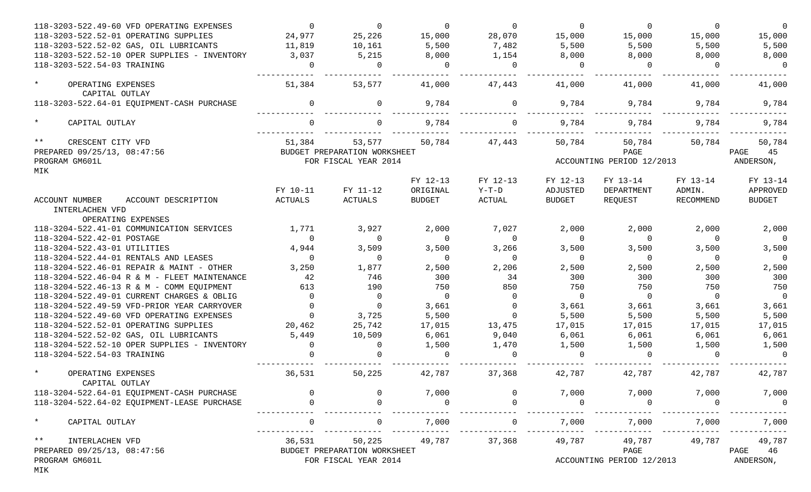| 118-3203-522.49-60 VFD OPERATING EXPENSES                    | $\Omega$ | $\Omega$                     | $\Omega$       | $\Omega$       | $\Omega$       | $\Omega$                  | $\Omega$       | $\overline{0}$ |
|--------------------------------------------------------------|----------|------------------------------|----------------|----------------|----------------|---------------------------|----------------|----------------|
| 118-3203-522.52-01 OPERATING SUPPLIES                        | 24,977   | 25,226                       | 15,000         | 28,070         | 15,000         | 15,000                    | 15,000         | 15,000         |
| 118-3203-522.52-02 GAS, OIL LUBRICANTS                       | 11,819   | 10,161                       | 5,500          | 7,482          | 5,500          | 5,500                     | 5,500          | 5,500          |
| 118-3203-522.52-10 OPER SUPPLIES - INVENTORY                 | 3,037    | 5,215                        | 8,000          | 1,154          | 8,000          | 8,000                     | 8,000          | 8,000          |
| 118-3203-522.54-03 TRAINING                                  | $\Omega$ | $\overline{0}$               | $\overline{0}$ | $\Omega$       | $\overline{0}$ | $\overline{0}$            | $\Omega$       | $\overline{0}$ |
| $\star$<br>OPERATING EXPENSES<br>CAPITAL OUTLAY              | 51,384   | 53,577                       | 41,000         | 47,443         | 41,000         | 41,000                    | 41,000         | 41,000         |
| 118-3203-522.64-01 EQUIPMENT-CASH PURCHASE                   | $\Omega$ | $\mathbf{0}$                 | 9,784          | $\Omega$       | 9,784          | 9,784                     | 9,784          | 9,784          |
| $\star$<br>CAPITAL OUTLAY                                    |          |                              | 9,784          |                | 9,784          | 9,784                     | 9,784          | 9,784          |
| $***$<br>CRESCENT CITY VFD                                   | 51,384   | 53,577                       | 50,784         | 47,443         | 50,784         | 50,784                    | 50,784         | 50,784         |
| PREPARED 09/25/13, 08:47:56                                  |          | BUDGET PREPARATION WORKSHEET |                |                |                | PAGE                      |                | 45<br>PAGE     |
| PROGRAM GM601L                                               |          | FOR FISCAL YEAR 2014         |                |                |                | ACCOUNTING PERIOD 12/2013 |                | ANDERSON,      |
| MIK                                                          |          |                              | FY 12-13       | FY 12-13       | FY 12-13       | FY 13-14                  | FY 13-14       | FY 13-14       |
|                                                              | FY 10-11 | FY 11-12                     | ORIGINAL       | $Y-T-D$        | ADJUSTED       | DEPARTMENT                | ADMIN.         | APPROVED       |
| ACCOUNT NUMBER<br>ACCOUNT DESCRIPTION                        | ACTUALS  | ACTUALS                      | <b>BUDGET</b>  | ACTUAL         | <b>BUDGET</b>  | REQUEST                   | RECOMMEND      | <b>BUDGET</b>  |
| INTERLACHEN VFD                                              |          |                              |                |                |                |                           |                |                |
| OPERATING EXPENSES                                           |          |                              |                |                |                |                           |                |                |
| 118-3204-522.41-01 COMMUNICATION SERVICES                    | 1,771    | 3,927                        | 2,000          | 7,027          | 2,000          | 2,000                     | 2,000          | 2,000          |
| 118-3204-522.42-01 POSTAGE                                   | $\Omega$ | $\overline{0}$               | $\overline{0}$ | $\overline{0}$ | $\overline{0}$ | $\overline{0}$            | $\overline{0}$ | $\overline{0}$ |
| 118-3204-522.43-01 UTILITIES                                 | 4,944    | 3,509                        | 3,500          | 3,266          | 3,500          | 3,500                     | 3,500          | 3,500          |
| 118-3204-522.44-01 RENTALS AND LEASES                        | $\Omega$ | $\overline{0}$               | $\overline{0}$ | $\Omega$       | $\overline{0}$ | $\overline{0}$            | $\overline{0}$ | $\overline{0}$ |
| 118-3204-522.46-01 REPAIR & MAINT - OTHER                    | 3,250    | 1,877                        | 2,500          | 2,206          | 2,500          | 2,500                     | 2,500          | 2,500          |
| 118-3204-522.46-04 R & M - FLEET MAINTENANCE                 | 42       | 746                          | 300            | 34             | 300            | 300                       | 300            | 300            |
| 118-3204-522.46-13 R & M - COMM EQUIPMENT                    | 613      | 190                          | 750            | 850            | 750            | 750                       | 750            | 750            |
| 118-3204-522.49-01 CURRENT CHARGES & OBLIG                   | $\Omega$ | $\overline{0}$               | $\overline{0}$ | $\Omega$       | $\overline{0}$ | $\overline{0}$            | $\overline{0}$ | $\overline{0}$ |
| 118-3204-522.49-59 VFD-PRIOR YEAR CARRYOVER                  |          | $\overline{0}$               | 3,661          | $\Omega$       | 3,661          | 3,661                     | 3,661          | 3,661          |
| 118-3204-522.49-60 VFD OPERATING EXPENSES                    | $\Omega$ | 3,725                        | 5,500          | $\Omega$       | 5,500          | 5,500                     | 5,500          | 5,500          |
| 118-3204-522.52-01 OPERATING SUPPLIES                        | 20,462   | 25,742                       | 17,015         | 13,475         | 17,015         | 17,015                    | 17,015         | 17,015         |
| 118-3204-522.52-02 GAS, OIL LUBRICANTS                       | 5,449    | 10,509                       | 6,061          | 9,040          | 6,061          | 6,061                     | 6,061          | 6,061          |
| 118-3204-522.52-10 OPER SUPPLIES - INVENTORY                 | $\Omega$ | $\overline{0}$               | 1,500          | 1,470          | 1,500          | 1,500                     | 1,500          | 1,500          |
| 118-3204-522.54-03 TRAINING                                  |          |                              | $\Omega$       |                | $\overline{0}$ | $\cap$                    |                | $\overline{0}$ |
| $\star$<br>OPERATING EXPENSES                                | 36,531   | 50,225                       | 42,787         | 37,368         | 42,787         | 42,787                    | 42,787         | 42,787         |
| CAPITAL OUTLAY<br>118-3204-522.64-01 EQUIPMENT-CASH PURCHASE |          |                              | 7,000          |                | 7,000          | 7,000                     | 7,000          | 7,000          |
| 118-3204-522.64-02 EQUIPMENT-LEASE PURCHASE                  |          |                              | $\Omega$       |                | $\mathbf 0$    | $\Omega$                  | $\Omega$       | $\mathbf 0$    |
|                                                              |          |                              |                |                |                |                           |                |                |
| $\ast$<br>CAPITAL OUTLAY                                     |          | 0                            | 7,000          |                | 7,000          | 7,000                     | 7,000          | 7,000          |
| $***$<br>INTERLACHEN VFD                                     | 36,531   | 50,225                       | 49,787         | 37,368         | 49,787         | 49,787                    | 49,787         | 49,787         |
| PREPARED 09/25/13, 08:47:56                                  |          | BUDGET PREPARATION WORKSHEET |                |                |                | PAGE                      |                | PAGE<br>46     |
| PROGRAM GM601L<br>MIK                                        |          | FOR FISCAL YEAR 2014         |                |                |                | ACCOUNTING PERIOD 12/2013 |                | ANDERSON,      |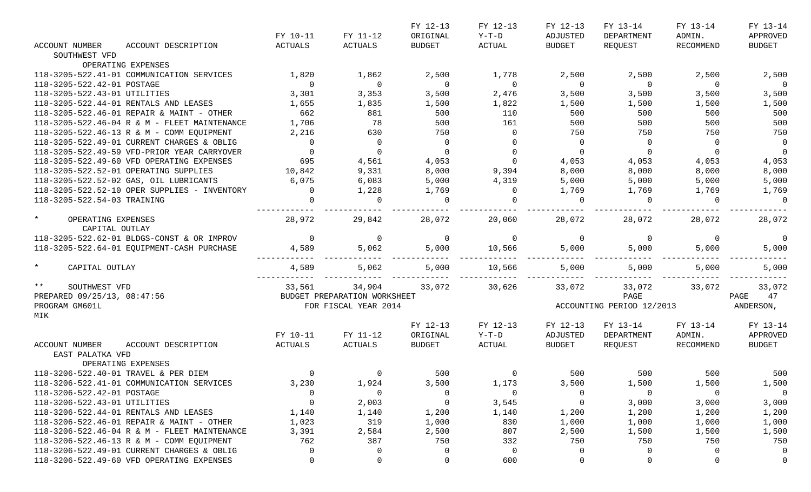|                               |                                              |                |                              | FY 12-13       | FY 12-13       | FY 12-13       | FY 13-14                  | FY 13-14       | FY 13-14                 |
|-------------------------------|----------------------------------------------|----------------|------------------------------|----------------|----------------|----------------|---------------------------|----------------|--------------------------|
|                               |                                              | FY 10-11       | FY 11-12                     | ORIGINAL       | $Y-T-D$        | ADJUSTED       | DEPARTMENT                | ADMIN.         | APPROVED                 |
| <b>ACCOUNT NUMBER</b>         | ACCOUNT DESCRIPTION                          | ACTUALS        | ACTUALS                      | <b>BUDGET</b>  | ACTUAL         | <b>BUDGET</b>  | REQUEST                   | RECOMMEND      | <b>BUDGET</b>            |
| SOUTHWEST VFD                 |                                              |                |                              |                |                |                |                           |                |                          |
|                               | OPERATING EXPENSES                           |                |                              |                |                |                |                           |                |                          |
|                               | 118-3205-522.41-01 COMMUNICATION SERVICES    | 1,820          | 1,862                        | 2,500          | 1,778          | 2,500          | 2,500                     | 2,500          | 2,500                    |
| 118-3205-522.42-01 POSTAGE    |                                              | $\Omega$       | $\overline{0}$               | $\overline{0}$ | $\overline{0}$ | $\overline{0}$ | $\overline{0}$            | $\overline{0}$ | $\overline{0}$           |
| 118-3205-522.43-01 UTILITIES  |                                              | 3,301          | 3,353                        | 3,500          | 2,476          | 3,500          | 3,500                     | 3,500          | 3,500                    |
|                               | 118-3205-522.44-01 RENTALS AND LEASES        | 1,655          | 1,835                        | 1,500          | 1,822          | 1,500          | 1,500                     | 1,500          | 1,500                    |
|                               | 118-3205-522.46-01 REPAIR & MAINT - OTHER    | 662            | 881                          | 500            | 110            | 500            | 500                       | 500            | 500                      |
|                               | 118-3205-522.46-04 R & M - FLEET MAINTENANCE | 1,706          | 78                           | 500            | 161            | 500            | 500                       | 500            | 500                      |
|                               | 118-3205-522.46-13 R & M - COMM EQUIPMENT    | 2,216          | 630                          | 750            | $\overline{0}$ | 750            | 750                       | 750            | 750                      |
|                               | 118-3205-522.49-01 CURRENT CHARGES & OBLIG   | $\Omega$       | $\overline{0}$               | $\overline{0}$ | $\Omega$       | $\overline{0}$ | $\overline{0}$            | $\overline{0}$ | $\overline{0}$           |
|                               | 118-3205-522.49-59 VFD-PRIOR YEAR CARRYOVER  | $\Omega$       | $\overline{0}$               | $\overline{0}$ |                | $\overline{0}$ | $\overline{0}$            | $\Omega$       | $\overline{0}$           |
|                               | 118-3205-522.49-60 VFD OPERATING EXPENSES    | 695            | 4,561                        | 4,053          | $\mathbf 0$    | 4,053          | 4,053                     | 4,053          | 4,053                    |
|                               | 118-3205-522.52-01 OPERATING SUPPLIES        | 10,842         | 9,331                        | 8,000          | 9,394          | 8,000          | 8,000                     | 8,000          | 8,000                    |
|                               | 118-3205-522.52-02 GAS, OIL LUBRICANTS       | 6,075          | 6,083                        | 5,000          | 4,319          | 5,000          | 5,000                     | 5,000          | 5,000                    |
|                               | 118-3205-522.52-10 OPER SUPPLIES - INVENTORY | $\Omega$       | 1,228                        | 1,769          | $\overline{0}$ | 1,769          | 1,769                     | 1,769          | 1,769                    |
| 118-3205-522.54-03 TRAINING   |                                              |                | $\overline{0}$               | $\overline{0}$ | $\Omega$       | $\Omega$       | $\overline{0}$            | $\Omega$       | $\overline{0}$           |
|                               |                                              |                |                              |                |                |                |                           |                |                          |
| $\star$<br>OPERATING EXPENSES |                                              | 28,972         | 29,842                       | 28,072         | 20,060         | 28,072         | 28,072                    | 28,072         | 28,072                   |
| CAPITAL OUTLAY                |                                              |                |                              |                |                |                |                           |                |                          |
|                               | 118-3205-522.62-01 BLDGS-CONST & OR IMPROV   | $\overline{0}$ | $\overline{0}$               | $\overline{0}$ | $\overline{0}$ | $\overline{0}$ | $\overline{0}$            | $\overline{0}$ | $\overline{\phantom{0}}$ |
|                               | 118-3205-522.64-01 EQUIPMENT-CASH PURCHASE   | 4,589          | 5,062                        | 5,000          | 10,566         | 5,000          | 5,000                     | 5,000          | 5,000                    |
|                               |                                              |                |                              |                |                |                |                           |                |                          |
| $\star$<br>CAPITAL OUTLAY     |                                              | 4,589          | 5,062                        | 5,000          | 10,566         | 5,000          | 5,000                     | 5,000          | 5,000                    |
|                               |                                              |                |                              |                |                |                |                           |                |                          |
| $***$<br>SOUTHWEST VFD        |                                              | 33,561         | 34,904                       | 33,072         | 30,626         | 33,072         | 33,072                    | 33,072         | 33,072                   |
| PREPARED 09/25/13, 08:47:56   |                                              |                | BUDGET PREPARATION WORKSHEET |                |                |                | PAGE                      |                | PAGE<br>47               |
| PROGRAM GM601L                |                                              |                | FOR FISCAL YEAR 2014         |                |                |                | ACCOUNTING PERIOD 12/2013 |                | ANDERSON,                |
| MIK                           |                                              |                |                              |                |                |                |                           |                |                          |
|                               |                                              |                |                              | FY 12-13       | FY 12-13       | FY 12-13       | FY 13-14                  | FY 13-14       | FY 13-14                 |
|                               |                                              | FY 10-11       | FY 11-12                     | ORIGINAL       | $Y-T-D$        | ADJUSTED       | DEPARTMENT                | ADMIN.         | APPROVED                 |
| ACCOUNT NUMBER                | ACCOUNT DESCRIPTION                          | ACTUALS        | ACTUALS                      | <b>BUDGET</b>  | ACTUAL         | BUDGET         | REQUEST                   | RECOMMEND      | <b>BUDGET</b>            |
| EAST PALATKA VFD              |                                              |                |                              |                |                |                |                           |                |                          |
|                               | OPERATING EXPENSES                           |                |                              |                |                |                |                           |                |                          |
|                               | 118-3206-522.40-01 TRAVEL & PER DIEM         | $\Omega$       | $\overline{0}$               | 500            | $\mathbf 0$    | 500            | 500                       | 500            | 500                      |
|                               | 118-3206-522.41-01 COMMUNICATION SERVICES    | 3,230          | 1,924                        | 3,500          | 1,173          | 3,500          | 1,500                     | 1,500          | 1,500                    |
| 118-3206-522.42-01 POSTAGE    |                                              |                | $\overline{0}$               | 0              | 0              | 0              | - 0                       | $\overline{0}$ | $\overline{\mathbf{0}}$  |
| 118-3206-522.43-01 UTILITIES  |                                              |                | 2,003                        | $\mathbf 0$    | 3,545          | 0              | 3,000                     | 3,000          | 3,000                    |
|                               | 118-3206-522.44-01 RENTALS AND LEASES        | 1,140          | 1,140                        | 1,200          | 1,140          | 1,200          | 1,200                     | 1,200          | 1,200                    |
|                               | 118-3206-522.46-01 REPAIR & MAINT - OTHER    |                | 319                          | 1,000          | 830            | 1,000          |                           |                | 1,000                    |
|                               |                                              | 1,023          |                              |                |                |                | 1,000                     | 1,000          |                          |
|                               | 118-3206-522.46-04 R & M - FLEET MAINTENANCE | 3,391          | 2,584                        | 2,500          | 807            | 2,500          | 1,500                     | 1,500          | 1,500                    |
|                               | 118-3206-522.46-13 R & M - COMM EQUIPMENT    | 762            | 387                          | 750            | 332            | 750            | 750                       | 750            | 750                      |
|                               | 118-3206-522.49-01 CURRENT CHARGES & OBLIG   |                | $\overline{0}$               |                | $\overline{0}$ | 0              |                           | 0              | 0                        |
|                               | 118-3206-522.49-60 VFD OPERATING EXPENSES    | $\Omega$       | 0                            | 0              | 600            | 0              | 0                         | 0              | 0                        |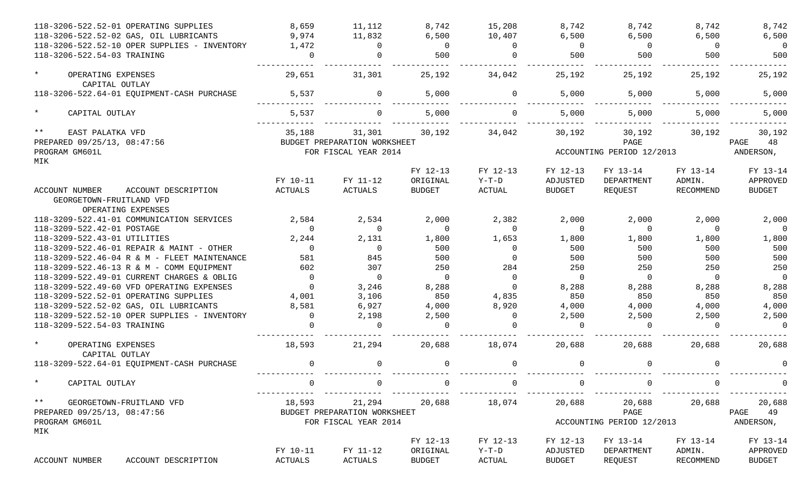| 118-3206-522.52-01 OPERATING SUPPLIES                                    | 8,659          | 11,112                       | 8,742          | 15,208        | 8,742          | 8,742                     | 8,742        | 8,742         |
|--------------------------------------------------------------------------|----------------|------------------------------|----------------|---------------|----------------|---------------------------|--------------|---------------|
| 118-3206-522.52-02 GAS, OIL LUBRICANTS                                   | 9,974          | 11,832                       | 6,500          | 10,407        | 6,500          | 6,500                     | 6,500        | 6,500         |
| 118-3206-522.52-10 OPER SUPPLIES - INVENTORY                             | 1,472          | $\Omega$                     | $\overline{0}$ | $\Omega$      | $\Omega$       | $\overline{0}$            | $\Omega$     | $\Omega$      |
| 118-3206-522.54-03 TRAINING                                              | $\Omega$       | $\Omega$                     | 500            | $\Omega$      | 500            | 500                       | 500          | 500           |
| $\star$<br>OPERATING EXPENSES<br>CAPITAL OUTLAY                          | 29,651         | 31,301                       | 25,192         | 34,042        | 25,192         | 25,192                    | 25,192       | 25,192        |
| 118-3206-522.64-01 EQUIPMENT-CASH PURCHASE                               | 5,537          | $\overline{0}$               | 5,000          | $\Omega$      | 5,000          | 5,000                     | 5,000        | 5,000         |
| $\star$<br>CAPITAL OUTLAY                                                | 5,537          |                              | 5,000          | $\Omega$      | 5,000          | 5,000                     | 5,000        | 5,000         |
| $\star\star$<br>EAST PALATKA VFD                                         | 35,188         | 31,301                       | 30,192         | 34,042        | 30,192         | 30,192                    | 30,192       | 30,192        |
| PREPARED 09/25/13, 08:47:56                                              |                | BUDGET PREPARATION WORKSHEET |                |               |                | PAGE                      |              | 48<br>PAGE    |
| PROGRAM GM601L<br>MIK                                                    |                | FOR FISCAL YEAR 2014         |                |               |                | ACCOUNTING PERIOD 12/2013 |              | ANDERSON,     |
|                                                                          |                |                              | FY 12-13       | FY 12-13      | FY 12-13       | FY 13-14                  | FY 13-14     | FY 13-14      |
|                                                                          | FY 10-11       | FY 11-12                     | ORIGINAL       | $Y-T-D$       | ADJUSTED       | DEPARTMENT                | ADMIN.       | APPROVED      |
| <b>ACCOUNT NUMBER</b><br>ACCOUNT DESCRIPTION<br>GEORGETOWN-FRUITLAND VFD | <b>ACTUALS</b> | <b>ACTUALS</b>               | <b>BUDGET</b>  | <b>ACTUAL</b> | <b>BUDGET</b>  | REQUEST                   | RECOMMEND    | <b>BUDGET</b> |
| OPERATING EXPENSES                                                       |                |                              |                |               |                |                           |              |               |
| 118-3209-522.41-01 COMMUNICATION SERVICES                                | 2,584          | 2,534                        | 2,000          | 2,382         | 2,000          | 2,000                     | 2,000        | 2,000         |
| 118-3209-522.42-01 POSTAGE                                               | $\Omega$       | $\overline{0}$               | $\Omega$       | $\Omega$      | $\overline{0}$ | $\Omega$                  | $\Omega$     | $\Omega$      |
| 118-3209-522.43-01 UTILITIES                                             | 2,244          | 2,131                        | 1,800          | 1,653         | 1,800          | 1,800                     | 1,800        | 1,800         |
| 118-3209-522.46-01 REPAIR & MAINT - OTHER                                | $\Omega$       | $\overline{0}$               | 500            | $\Omega$      | 500            | 500                       | 500          | 500           |
| 118-3209-522.46-04 R & M - FLEET MAINTENANCE                             | 581            | 845                          | 500            | $\Omega$      | 500            | 500                       | 500          | 500           |
| 118-3209-522.46-13 R & M - COMM EQUIPMENT                                | 602            | 307                          | 250            | 284           | 250            | 250                       | 250          | 250           |
| 118-3209-522.49-01 CURRENT CHARGES & OBLIG                               | $\Omega$       | $\Omega$                     | $\Omega$       | $\Omega$      | $\Omega$       | $\Omega$                  | $\Omega$     | $\Omega$      |
| 118-3209-522.49-60 VFD OPERATING EXPENSES                                | $\Omega$       | 3,246                        | 8,288          | $\Omega$      | 8,288          | 8,288                     | 8,288        | 8,288         |
| 118-3209-522.52-01 OPERATING SUPPLIES                                    | 4,001          | 3,106                        | 850            | 4,835         | 850            | 850                       | 850          | 850           |
| 118-3209-522.52-02 GAS, OIL LUBRICANTS                                   | 8,581          | 6,927                        | 4,000          | 8,920         | 4,000          | 4,000                     | 4,000        | 4,000         |
| 118-3209-522.52-10 OPER SUPPLIES - INVENTORY                             | $\Omega$       | 2,198                        | 2,500          | $\Omega$      | 2,500          | 2,500                     | 2,500        | 2,500         |
| 118-3209-522.54-03 TRAINING                                              | $\cap$         | $\Omega$                     | $\Omega$       | $\cap$        | $\Omega$       |                           | $\cap$       | $\Omega$      |
| $\star$<br>OPERATING EXPENSES                                            | 18,593         | 21,294                       | 20,688         | 18,074        | 20,688         | 20,688                    | 20,688       | 20,688        |
| CAPITAL OUTLAY                                                           |                |                              |                |               |                |                           |              |               |
| 118-3209-522.64-01 EQUIPMENT-CASH PURCHASE                               | $\Omega$       | $\mathsf{O}$                 | $\Omega$       | $\Omega$      | $\mathbf 0$    | $\Omega$                  | $\Omega$     |               |
| CAPITAL OUTLAY                                                           |                | <b>O</b>                     |                | - 0           | - 0            |                           | <sup>0</sup> |               |
| $\star \star$<br>GEORGETOWN-FRUITLAND VFD                                | 18,593         | 21,294                       | 20,688         | 18,074        | 20,688         | 20,688                    | 20,688       | 20,688        |
| PREPARED 09/25/13, 08:47:56                                              |                | BUDGET PREPARATION WORKSHEET |                |               |                | PAGE                      |              | PAGE 49       |
| PROGRAM GM601L<br>MIK                                                    |                | FOR FISCAL YEAR 2014         |                |               |                | ACCOUNTING PERIOD 12/2013 |              | ANDERSON,     |
|                                                                          |                |                              | FY 12-13       | FY 12-13      | FY 12-13       | FY 13-14                  | FY 13-14     | FY 13-14      |
|                                                                          | FY 10-11       | FY 11-12                     | ORIGINAL       | Y-T-D         | ADJUSTED       | DEPARTMENT                | ADMIN.       | APPROVED      |
| ACCOUNT NUMBER<br>ACCOUNT DESCRIPTION                                    | ACTUALS        | ACTUALS                      | <b>BUDGET</b>  | ACTUAL        | <b>BUDGET</b>  | REQUEST                   | RECOMMEND    | <b>BUDGET</b> |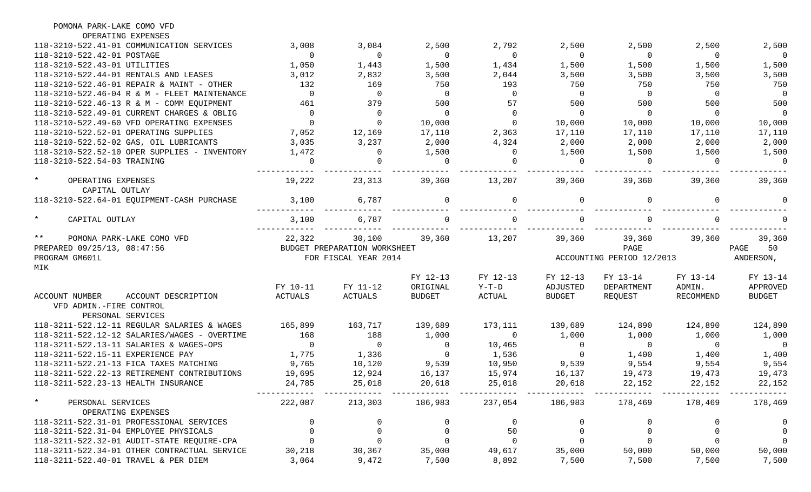| POMONA PARK-LAKE COMO VFD                                                            |                 |                                        |                 |                 |                 |                           |                 |                          |
|--------------------------------------------------------------------------------------|-----------------|----------------------------------------|-----------------|-----------------|-----------------|---------------------------|-----------------|--------------------------|
| OPERATING EXPENSES                                                                   |                 |                                        |                 |                 |                 |                           |                 |                          |
| 118-3210-522.41-01 COMMUNICATION SERVICES                                            | 3,008           | 3,084                                  | 2,500           | 2,792           | 2,500           | 2,500                     | 2,500           | 2,500                    |
| 118-3210-522.42-01 POSTAGE                                                           | $\mathbf 0$     | $\overline{0}$                         | $\overline{0}$  | $\overline{0}$  | $\overline{0}$  | $\overline{0}$            | $\overline{0}$  | $\overline{0}$           |
| 118-3210-522.43-01 UTILITIES                                                         | 1,050           | 1,443                                  | 1,500           | 1,434           | 1,500           | 1,500                     | 1,500           | 1,500                    |
| 118-3210-522.44-01 RENTALS AND LEASES                                                | 3,012           | 2,832                                  | 3,500           | 2,044           | 3,500           | 3,500                     | 3,500           | 3,500                    |
| 118-3210-522.46-01 REPAIR & MAINT - OTHER                                            | 132             | 169                                    | 750             | 193             | 750             | 750                       | 750             | 750                      |
| 118-3210-522.46-04 R & M - FLEET MAINTENANCE                                         | $\mathbf 0$     | $\overline{0}$                         | $\Omega$        | $\overline{0}$  | $\Omega$        | $\overline{0}$            | $\overline{0}$  | $\overline{0}$           |
| 118-3210-522.46-13 R & M - COMM EOUIPMENT                                            | 461             | 379                                    | 500             | 57              | 500             | 500                       | 500             | 500                      |
| 118-3210-522.49-01 CURRENT CHARGES & OBLIG                                           | $\overline{0}$  | $\overline{0}$                         | $\overline{0}$  | $\mathbf 0$     | $\mathbf 0$     | $\overline{0}$            | $\overline{0}$  | $\overline{0}$           |
| 118-3210-522.49-60 VFD OPERATING EXPENSES                                            | $\mathbf 0$     | $\overline{0}$                         | 10,000          | $\mathsf{O}$    | 10,000          | 10,000                    | 10,000          | 10,000                   |
| 118-3210-522.52-01 OPERATING SUPPLIES                                                | 7,052           | 12,169                                 | 17,110          | 2,363           | 17,110          | 17,110                    | 17,110          | 17,110                   |
| 118-3210-522.52-02 GAS, OIL LUBRICANTS                                               | 3,035           | 3,237                                  | 2,000           | 4,324           | 2,000           | 2,000                     | 2,000           | 2,000                    |
| 118-3210-522.52-10 OPER SUPPLIES - INVENTORY                                         | 1,472           | $\overline{0}$                         | 1,500           | $\mathbf{0}$    | 1,500           | 1,500                     | 1,500           | 1,500                    |
| 118-3210-522.54-03 TRAINING                                                          | $\Omega$        | $\Omega$                               | $\Omega$        | $\Omega$        | $\Omega$        | $\Omega$                  | $\Omega$        | $\overline{0}$           |
| $\star$<br>OPERATING EXPENSES                                                        | 19,222          | 23,313                                 | 39,360          | 13,207          | 39,360          | 39,360                    | 39,360          | 39,360                   |
| CAPITAL OUTLAY<br>118-3210-522.64-01 EQUIPMENT-CASH PURCHASE                         | 3,100           | 6,787                                  |                 | $\Omega$        | $\Omega$        |                           | $\Omega$        |                          |
| $\star$<br>CAPITAL OUTLAY                                                            | 3,100           | 6,787                                  |                 | $\Omega$        |                 |                           | $\Omega$        |                          |
| $***$                                                                                |                 |                                        |                 |                 |                 |                           |                 |                          |
| POMONA PARK-LAKE COMO VFD<br>PREPARED 09/25/13, 08:47:56                             | 22,322          | 30,100<br>BUDGET PREPARATION WORKSHEET | 39,360          | 13,207          | 39,360          | 39,360<br>PAGE            | 39,360          | 39,360<br>50<br>PAGE     |
| PROGRAM GM601L                                                                       |                 | FOR FISCAL YEAR 2014                   |                 |                 |                 | ACCOUNTING PERIOD 12/2013 |                 | ANDERSON,                |
| MIK                                                                                  |                 |                                        |                 |                 |                 |                           |                 |                          |
|                                                                                      |                 |                                        | FY 12-13        | FY 12-13        | FY 12-13        | FY 13-14                  | FY 13-14        | FY 13-14                 |
|                                                                                      | FY 10-11        | FY 11-12                               | ORIGINAL        | $Y-T-D$         | ADJUSTED        | DEPARTMENT                | ADMIN.          | APPROVED                 |
| <b>ACCOUNT NUMBER</b><br>ACCOUNT DESCRIPTION                                         | <b>ACTUALS</b>  | ACTUALS                                | <b>BUDGET</b>   | ACTUAL          | <b>BUDGET</b>   | REQUEST                   | RECOMMEND       | <b>BUDGET</b>            |
| VFD ADMIN.-FIRE CONTROL<br>PERSONAL SERVICES                                         |                 |                                        |                 |                 |                 |                           |                 |                          |
| 118-3211-522.12-11 REGULAR SALARIES & WAGES                                          | 165,899         | 163,717                                | 139,689         | 173,111         | 139,689         | 124,890                   | 124,890         | 124,890                  |
| 118-3211-522.12-12 SALARIES/WAGES - OVERTIME                                         | 168             | 188                                    | 1,000           | $\overline{0}$  | 1,000           | 1,000                     | 1,000           | 1,000                    |
| 118-3211-522.13-11 SALARIES & WAGES-OPS                                              | $\overline{0}$  | $\overline{0}$                         | $\overline{0}$  | 10,465          | 0               | $\overline{0}$            | $\overline{0}$  | $\overline{\phantom{0}}$ |
| 118-3211-522.15-11 EXPERIENCE PAY                                                    | 1,775           | 1,336                                  | $\overline{0}$  | 1,536           | $\overline{0}$  | 1,400                     | 1,400           | 1,400                    |
| 118-3211-522.21-13 FICA TAXES MATCHING                                               | 9,765           | 10,120                                 | 9,539           | 10,950          | 9,539           | 9,554                     | 9,554           | 9,554                    |
| 118-3211-522.22-13 RETIREMENT CONTRIBUTIONS                                          | 19,695          | 12,924                                 | 16,137          | 15,974          | 16,137          | 19,473                    | 19,473          | 19,473                   |
| 118-3211-522.23-13 HEALTH INSURANCE                                                  | 24,785          | 25,018                                 | 20,618          | 25,018          | 20,618          | 22,152                    | 22,152          | 22,152                   |
|                                                                                      |                 |                                        |                 |                 |                 |                           |                 |                          |
| $\star$<br>PERSONAL SERVICES                                                         | 222,087         | 213,303                                | 186,983         | 237,054         | 186,983         | 178,469                   | 178,469         | 178,469                  |
| OPERATING EXPENSES                                                                   |                 |                                        |                 |                 |                 |                           |                 |                          |
|                                                                                      |                 |                                        |                 |                 |                 |                           |                 |                          |
| 118-3211-522.31-01 PROFESSIONAL SERVICES                                             | 0               | 0                                      |                 | 0               |                 | 0                         | 0               | 0                        |
| 118-3211-522.31-04 EMPLOYEE PHYSICALS                                                | 0               | $\mathsf{O}$                           | 0               | 50              |                 | $\mathsf{O}$              |                 | $\overline{0}$           |
| 118-3211-522.32-01 AUDIT-STATE REQUIRE-CPA                                           | 0               | $\mathbf 0$                            |                 | $\mathbf 0$     |                 | $\mathbf 0$               |                 | $\mathbf 0$              |
| 118-3211-522.34-01 OTHER CONTRACTUAL SERVICE<br>118-3211-522.40-01 TRAVEL & PER DIEM | 30,218<br>3,064 | 30,367<br>9,472                        | 35,000<br>7,500 | 49,617<br>8,892 | 35,000<br>7,500 | 50,000<br>7,500           | 50,000<br>7,500 | 50,000<br>7,500          |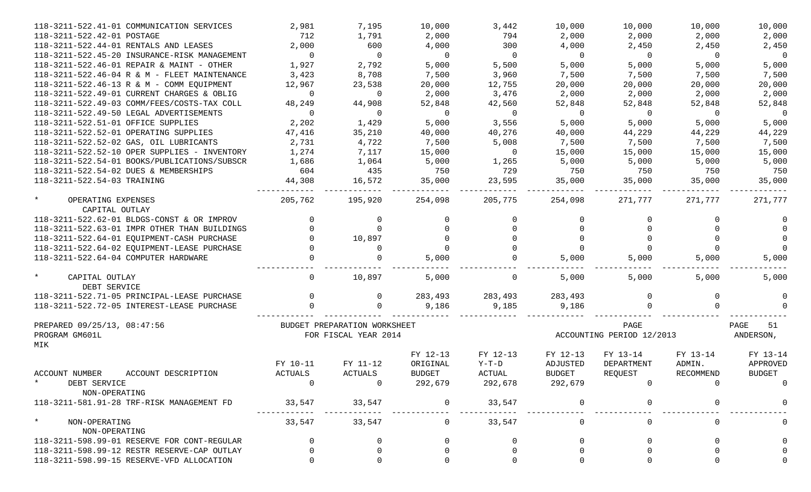| 118-3211-522.41-01 COMMUNICATION SERVICES       | 2,981          | 7,195                                                | 10,000         | 3,442          | 10,000         | 10,000                            | 10,000         | 10,000                  |
|-------------------------------------------------|----------------|------------------------------------------------------|----------------|----------------|----------------|-----------------------------------|----------------|-------------------------|
| 118-3211-522.42-01 POSTAGE                      | 712            | 1,791                                                | 2,000          | 794            | 2,000          | 2,000                             | 2,000          | 2,000                   |
| 118-3211-522.44-01 RENTALS AND LEASES           | 2,000          | 600                                                  | 4,000          | 300            | 4,000          | 2,450                             | 2,450          | 2,450                   |
| 118-3211-522.45-20 INSURANCE-RISK MANAGEMENT    | $\Omega$       | $\overline{0}$                                       | $\Omega$       | $\overline{0}$ | $\overline{0}$ | $\overline{0}$                    | $\overline{0}$ | $\overline{0}$          |
| 118-3211-522.46-01 REPAIR & MAINT - OTHER       | 1,927          | 2,792                                                | 5,000          | 5,500          | 5,000          | 5,000                             | 5,000          | 5,000                   |
| 118-3211-522.46-04 R & M - FLEET MAINTENANCE    | 3,423          | 8,708                                                | 7,500          | 3,960          | 7,500          | 7,500                             | 7,500          | 7,500                   |
| 118-3211-522.46-13 R & M - COMM EQUIPMENT       | 12,967         | 23,538                                               | 20,000         | 12,755         | 20,000         | 20,000                            | 20,000         | 20,000                  |
| 118-3211-522.49-01 CURRENT CHARGES & OBLIG      | $\Omega$       | $\overline{0}$                                       | 2,000          | 3,476          | 2,000          | 2,000                             | 2,000          | 2,000                   |
| 118-3211-522.49-03 COMM/FEES/COSTS-TAX COLL     | 48,249         | 44,908                                               | 52,848         | 42,560         | 52,848         | 52,848                            | 52,848         | 52,848                  |
| 118-3211-522.49-50 LEGAL ADVERTISEMENTS         | $\Omega$       | $\overline{0}$                                       | $\overline{0}$ | $\overline{0}$ | $\overline{0}$ | $\overline{0}$                    | $\overline{0}$ | $\overline{0}$          |
| 118-3211-522.51-01 OFFICE SUPPLIES              | 2,202          | 1,429                                                | 5,000          | 3,556          | 5,000          | 5,000                             | 5,000          | 5,000                   |
| 118-3211-522.52-01 OPERATING SUPPLIES           | 47,416         | 35,210                                               | 40,000         | 40,276         | 40,000         | 44,229                            | 44,229         | 44,229                  |
| 118-3211-522.52-02 GAS, OIL LUBRICANTS          | 2,731          | 4,722                                                | 7,500          | 5,008          | 7,500          | 7,500                             | 7,500          | 7,500                   |
| 118-3211-522.52-10 OPER SUPPLIES - INVENTORY    | 1,274          | 7,117                                                | 15,000         | $\overline{0}$ | 15,000         | 15,000                            | 15,000         | 15,000                  |
| 118-3211-522.54-01 BOOKS/PUBLICATIONS/SUBSCR    | 1,686          | 1,064                                                | 5,000          | 1,265          | 5,000          | 5,000                             | 5,000          | 5,000                   |
| 118-3211-522.54-02 DUES & MEMBERSHIPS           | 604            | 435                                                  | 750            | 729            | 750            | 750                               | 750            | 750                     |
| 118-3211-522.54-03 TRAINING                     | 44,308         | 16,572                                               | 35,000         | 23,595         | 35,000         | 35,000                            | 35,000         | 35,000                  |
| $\star$<br>OPERATING EXPENSES<br>CAPITAL OUTLAY | 205,762        | 195,920                                              | 254,098        | 205,775        | 254,098        | 271,777                           | 271,777        | 271,777                 |
| 118-3211-522.62-01 BLDGS-CONST & OR IMPROV      |                | 0                                                    |                | $\Omega$       | 0              |                                   |                |                         |
| 118-3211-522.63-01 IMPR OTHER THAN BUILDINGS    |                | $\Omega$                                             |                | $\Omega$       |                |                                   |                | $\Omega$                |
| 118-3211-522.64-01 EQUIPMENT-CASH PURCHASE      |                | 10,897                                               |                | $\Omega$       | $\Omega$       |                                   |                | $\Omega$                |
| 118-3211-522.64-02 EQUIPMENT-LEASE PURCHASE     |                | 0                                                    |                | $\Omega$       | $\Omega$       |                                   |                | $\Omega$                |
| 118-3211-522.64-04 COMPUTER HARDWARE            |                |                                                      | 5,000          |                | 5,000          | 5,000                             | 5,000          | 5,000                   |
| $\star$<br>CAPITAL OUTLAY                       |                | 10,897                                               | 5,000          | $\mathbf 0$    | 5,000          | 5,000                             | 5,000          | 5,000                   |
| DEBT SERVICE                                    |                |                                                      |                |                |                |                                   |                |                         |
| 118-3211-522.71-05 PRINCIPAL-LEASE PURCHASE     |                | $\mathbf{0}$                                         | 283,493        | 283,493        | 283,493        |                                   | 0              |                         |
| 118-3211-522.72-05 INTEREST-LEASE PURCHASE      |                |                                                      | 9,186          | 9,185          | 9,186          |                                   |                |                         |
| PREPARED 09/25/13, 08:47:56<br>PROGRAM GM601L   |                | BUDGET PREPARATION WORKSHEET<br>FOR FISCAL YEAR 2014 |                |                |                | PAGE<br>ACCOUNTING PERIOD 12/2013 |                | PAGE<br>51<br>ANDERSON, |
| MIK                                             |                |                                                      |                |                |                |                                   |                |                         |
|                                                 |                |                                                      | FY 12-13       | FY 12-13       | FY 12-13       | FY 13-14                          | FY 13-14       | FY 13-14                |
|                                                 | FY 10-11       | FY 11-12                                             | ORIGINAL       | $Y-T-D$        | ADJUSTED       | DEPARTMENT                        | ADMIN.         | APPROVED                |
| ACCOUNT NUMBER<br>ACCOUNT DESCRIPTION           | ACTUALS        | <b>ACTUALS</b>                                       | <b>BUDGET</b>  | ACTUAL         | <b>BUDGET</b>  | REQUEST                           | RECOMMEND      | <b>BUDGET</b>           |
| DEBT SERVICE                                    | $\overline{0}$ |                                                      | 292,679        | 292,678        | 292,679        |                                   |                |                         |
| NON-OPERATING                                   |                |                                                      |                |                |                |                                   |                |                         |
| 118-3211-581.91-28 TRF-RISK MANAGEMENT FD       | 33,547         | 33,547                                               |                | 33,547         | $\mathbf 0$    |                                   |                |                         |
| $\star$<br>NON-OPERATING                        | 33,547         | 33,547                                               |                | 33,547         | $\mathsf{O}$   |                                   | 0              |                         |
| NON-OPERATING                                   |                |                                                      |                |                |                |                                   |                |                         |
| 118-3211-598.99-01 RESERVE FOR CONT-REGULAR     |                | 0                                                    |                | $\Omega$       | <sup>0</sup>   |                                   |                |                         |
| 118-3211-598.99-12 RESTR RESERVE-CAP OUTLAY     |                |                                                      |                |                |                |                                   |                |                         |
| 118-3211-598.99-15 RESERVE-VFD ALLOCATION       |                |                                                      |                |                |                |                                   |                |                         |
|                                                 |                |                                                      |                |                |                |                                   |                |                         |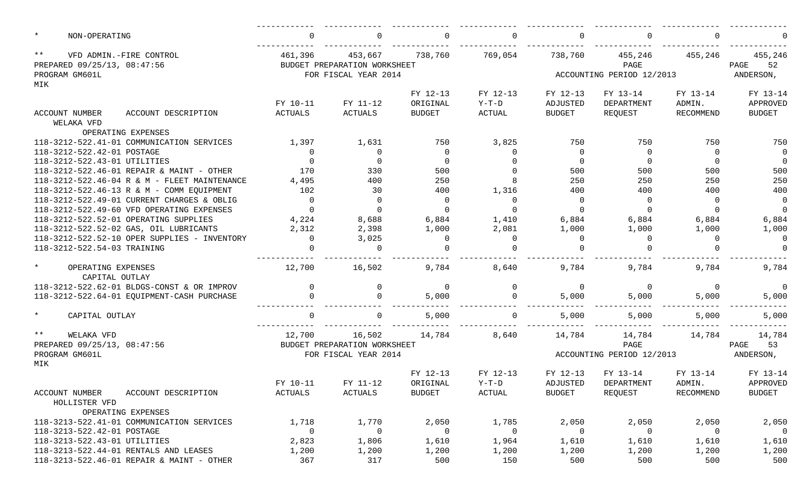| $\star$<br>NON-OPERATING                        |                                              | $\Omega$ | 0                            | $\Omega$      | $\Omega$    | $\Omega$       |                           | $\Omega$         |                |
|-------------------------------------------------|----------------------------------------------|----------|------------------------------|---------------|-------------|----------------|---------------------------|------------------|----------------|
| $***$                                           | VFD ADMIN.-FIRE CONTROL                      | 461,396  | 453,667                      | 738,760       | 769,054     | 738,760        | 455,246                   | 455,246          | 455,246        |
| PREPARED 09/25/13, 08:47:56                     |                                              |          | BUDGET PREPARATION WORKSHEET |               |             |                | PAGE                      |                  | PAGE<br>52     |
| PROGRAM GM601L                                  |                                              |          | FOR FISCAL YEAR 2014         |               |             |                | ACCOUNTING PERIOD 12/2013 |                  | ANDERSON,      |
| MIK                                             |                                              |          |                              | FY 12-13      | FY 12-13    | FY 12-13       | FY 13-14                  | FY 13-14         | FY 13-14       |
|                                                 |                                              | FY 10-11 | FY 11-12                     | ORIGINAL      | $Y-T-D$     | ADJUSTED       | DEPARTMENT                | ADMIN.           | APPROVED       |
| ACCOUNT NUMBER                                  | ACCOUNT DESCRIPTION                          | ACTUALS  | ACTUALS                      | <b>BUDGET</b> | ACTUAL      | <b>BUDGET</b>  | REQUEST                   | RECOMMEND        | <b>BUDGET</b>  |
| WELAKA VFD                                      |                                              |          |                              |               |             |                |                           |                  |                |
|                                                 | OPERATING EXPENSES                           |          |                              |               |             |                |                           |                  |                |
|                                                 | 118-3212-522.41-01 COMMUNICATION SERVICES    | 1,397    | 1,631                        | 750           | 3,825       | 750            | 750                       | 750              | 750            |
| 118-3212-522.42-01 POSTAGE                      |                                              | $\Omega$ | $\overline{0}$               | $\Omega$      | $\Omega$    | $\overline{0}$ | $\Omega$                  | $\Omega$         | $\overline{0}$ |
| 118-3212-522.43-01 UTILITIES                    |                                              | $\Omega$ | $\Omega$                     | $\Omega$      |             | $\overline{0}$ | $\Omega$                  | $\Omega$         | $\overline{0}$ |
|                                                 | 118-3212-522.46-01 REPAIR & MAINT - OTHER    | 170      | 330                          | 500           |             | 500            | 500                       | 500              | 500            |
|                                                 | 118-3212-522.46-04 R & M - FLEET MAINTENANCE | 4,495    | 400                          | 250           |             | 250            | 250                       | 250              | 250            |
|                                                 | 118-3212-522.46-13 R & M - COMM EQUIPMENT    | 102      | 30                           | 400           | 1,316       | 400            | 400                       | 400              | 400            |
|                                                 | 118-3212-522.49-01 CURRENT CHARGES & OBLIG   | $\Omega$ | $\mathbf 0$                  | $\Omega$      | $\Omega$    | $\overline{0}$ | $\Omega$                  | $\Omega$         | $\overline{0}$ |
|                                                 | 118-3212-522.49-60 VFD OPERATING EXPENSES    | $\Omega$ | $\mathbf 0$                  | $\Omega$      | $\Omega$    | $\Omega$       | $\Omega$                  | $\Omega$         | $\overline{0}$ |
|                                                 | 118-3212-522.52-01 OPERATING SUPPLIES        | 4,224    | 8,688                        | 6,884         | 1,410       | 6,884          | 6,884                     | 6,884            | 6,884          |
|                                                 | 118-3212-522.52-02 GAS, OIL LUBRICANTS       | 2,312    | 2,398                        | 1,000         | 2,081       | 1,000          | 1,000                     | 1,000            | 1,000          |
|                                                 | 118-3212-522.52-10 OPER SUPPLIES - INVENTORY | $\Omega$ | 3,025                        | $\Omega$      | $\Omega$    | $\overline{0}$ | $\Omega$                  | $\Omega$         | $\overline{0}$ |
| 118-3212-522.54-03 TRAINING                     |                                              |          | $\overline{0}$               |               | $\cap$      | $\Omega$       |                           |                  | $\Omega$       |
| $\star$<br>OPERATING EXPENSES<br>CAPITAL OUTLAY |                                              | 12,700   | 16,502                       | 9,784         | 8,640       | 9,784          | 9,784                     | 9,784            | 9,784          |
|                                                 | 118-3212-522.62-01 BLDGS-CONST & OR IMPROV   | $\Omega$ | 0                            | $\Omega$      | $\mathbf 0$ | $\overline{0}$ | $\Omega$                  | $\Omega$         | $\overline{0}$ |
|                                                 | 118-3212-522.64-01 EQUIPMENT-CASH PURCHASE   |          | $\Omega$                     | 5,000         | $\Omega$    | 5,000          | 5,000                     | 5,000            | 5,000          |
|                                                 |                                              |          |                              |               |             |                |                           |                  |                |
| $\star$<br>CAPITAL OUTLAY                       |                                              |          | $\Omega$                     | 5,000         | $\Omega$    | 5,000          | 5,000                     | 5,000            | 5,000          |
| $***$<br>WELAKA VFD                             |                                              | 12,700   | 16,502                       | 14,784        | 8,640       | 14,784         | 14,784                    | 14,784           | 14,784         |
| PREPARED 09/25/13, 08:47:56                     |                                              |          | BUDGET PREPARATION WORKSHEET |               |             |                | PAGE                      |                  | 53<br>PAGE     |
| PROGRAM GM601L<br>MIK                           |                                              |          | FOR FISCAL YEAR 2014         |               |             |                | ACCOUNTING PERIOD 12/2013 |                  | ANDERSON,      |
|                                                 |                                              |          |                              | FY 12-13      | FY 12-13    | FY 12-13       | FY 13-14                  | FY 13-14         | FY 13-14       |
|                                                 |                                              | FY 10-11 | FY 11-12                     | ORIGINAL      | $Y-T-D$     | ADJUSTED       | DEPARTMENT                | ADMIN.           | APPROVED       |
| ACCOUNT NUMBER                                  | ACCOUNT DESCRIPTION                          | ACTUALS  | ACTUALS                      | <b>BUDGET</b> | ACTUAL      | <b>BUDGET</b>  | REQUEST                   | <b>RECOMMEND</b> | BUDGET         |
| HOLLISTER VFD                                   |                                              |          |                              |               |             |                |                           |                  |                |
|                                                 | OPERATING EXPENSES                           |          |                              |               |             |                |                           |                  |                |
|                                                 | 118-3213-522.41-01 COMMUNICATION SERVICES    | 1,718    | 1,770                        | 2,050         | 1,785       | 2,050          | 2,050                     | 2,050            | 2,050          |
| 118-3213-522.42-01 POSTAGE                      |                                              | 0        | $\overline{0}$               | $\mathbf 0$   | 0           | $\overline{0}$ | $\overline{0}$            | 0                | $\overline{0}$ |
| 118-3213-522.43-01 UTILITIES                    |                                              | 2,823    | 1,806                        | 1,610         | 1,964       | 1,610          | 1,610                     | 1,610            | 1,610          |
|                                                 | 118-3213-522.44-01 RENTALS AND LEASES        | 1,200    | 1,200                        | 1,200         | 1,200       | 1,200          | 1,200                     | 1,200            | 1,200          |
|                                                 | 118-3213-522.46-01 REPAIR & MAINT - OTHER    | 367      | 317                          | 500           | 150         | 500            | 500                       | 500              | 500            |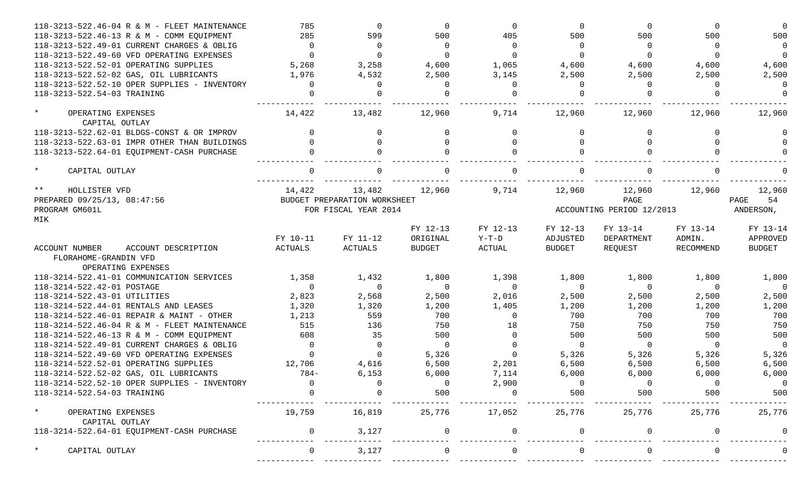| 118-3213-522.46-13 R & M - COMM EQUIPMENT<br>285<br>599<br>500<br>405<br>500<br>500<br>500<br>118-3213-522.49-01 CURRENT CHARGES & OBLIG<br>$\Omega$<br>$\overline{0}$<br>$\Omega$<br>$\Omega$<br>$\Omega$<br>$\Omega$<br>$\Omega$<br>118-3213-522.49-60 VFD OPERATING EXPENSES<br>$\Omega$<br>$\Omega$<br>$\Omega$<br>$\Omega$<br>$\Omega$<br>$\Omega$<br>5,268<br>3,258<br>118-3213-522.52-01 OPERATING SUPPLIES<br>4,600<br>1,065<br>4,600<br>4,600<br>4,600<br>118-3213-522.52-02 GAS, OIL LUBRICANTS<br>1,976<br>4,532<br>2,500<br>2,500<br>2,500<br>3,145<br>2,500 | 500<br>$\overline{0}$<br>$\Omega$<br>4,600<br>2,500<br>$\Omega$<br>$\Omega$ |
|--------------------------------------------------------------------------------------------------------------------------------------------------------------------------------------------------------------------------------------------------------------------------------------------------------------------------------------------------------------------------------------------------------------------------------------------------------------------------------------------------------------------------------------------------------------------------|-----------------------------------------------------------------------------|
|                                                                                                                                                                                                                                                                                                                                                                                                                                                                                                                                                                          |                                                                             |
|                                                                                                                                                                                                                                                                                                                                                                                                                                                                                                                                                                          |                                                                             |
|                                                                                                                                                                                                                                                                                                                                                                                                                                                                                                                                                                          |                                                                             |
|                                                                                                                                                                                                                                                                                                                                                                                                                                                                                                                                                                          |                                                                             |
|                                                                                                                                                                                                                                                                                                                                                                                                                                                                                                                                                                          |                                                                             |
| 118-3213-522.52-10 OPER SUPPLIES - INVENTORY<br>$\Omega$<br>$\Omega$<br>$\Omega$<br>$\Omega$<br>$\Omega$<br>$\Omega$                                                                                                                                                                                                                                                                                                                                                                                                                                                     |                                                                             |
| 118-3213-522.54-03 TRAINING<br>$\Omega$<br>$\Omega$<br>$\cap$<br>$\Omega$                                                                                                                                                                                                                                                                                                                                                                                                                                                                                                |                                                                             |
| $\star$<br>14,422<br>13,482<br>12,960<br>12,960<br>12,960<br>12,960<br>OPERATING EXPENSES<br>9,714<br>CAPITAL OUTLAY                                                                                                                                                                                                                                                                                                                                                                                                                                                     | 12,960                                                                      |
| 118-3213-522.62-01 BLDGS-CONST & OR IMPROV<br>$\Omega$<br>$\Omega$<br>0                                                                                                                                                                                                                                                                                                                                                                                                                                                                                                  |                                                                             |
| 118-3213-522.63-01 IMPR OTHER THAN BUILDINGS<br>$\Omega$<br>$\Omega$                                                                                                                                                                                                                                                                                                                                                                                                                                                                                                     |                                                                             |
| 118-3213-522.64-01 EQUIPMENT-CASH PURCHASE                                                                                                                                                                                                                                                                                                                                                                                                                                                                                                                               |                                                                             |
| $\star$<br>$\cap$<br>CAPITAL OUTLAY                                                                                                                                                                                                                                                                                                                                                                                                                                                                                                                                      |                                                                             |
| $\star\star$<br>HOLLISTER VFD<br>14,422<br>13,482<br>12,960<br>9,714<br>12,960<br>12,960<br>12,960                                                                                                                                                                                                                                                                                                                                                                                                                                                                       | 12,960                                                                      |
| PREPARED 09/25/13, 08:47:56<br>BUDGET PREPARATION WORKSHEET<br>PAGE                                                                                                                                                                                                                                                                                                                                                                                                                                                                                                      | 54<br>PAGE                                                                  |
| PROGRAM GM601L<br>FOR FISCAL YEAR 2014<br>ACCOUNTING PERIOD 12/2013                                                                                                                                                                                                                                                                                                                                                                                                                                                                                                      | ANDERSON,                                                                   |
| MIK                                                                                                                                                                                                                                                                                                                                                                                                                                                                                                                                                                      |                                                                             |
| FY 12-13<br>FY 12-13<br>FY 12-13<br>FY 13-14<br>FY 13-14<br>FY 10-11<br>FY 11-12<br>ORIGINAL<br>$Y-T-D$<br>ADJUSTED<br>DEPARTMENT<br>ADMIN.                                                                                                                                                                                                                                                                                                                                                                                                                              | FY 13-14<br>APPROVED                                                        |
| ACTUALS<br><b>ACTUALS</b><br><b>BUDGET</b><br>ACTUAL<br><b>BUDGET</b><br>REQUEST<br>RECOMMEND<br><b>ACCOUNT NUMBER</b><br>ACCOUNT DESCRIPTION                                                                                                                                                                                                                                                                                                                                                                                                                            | <b>BUDGET</b>                                                               |
| FLORAHOME-GRANDIN VFD                                                                                                                                                                                                                                                                                                                                                                                                                                                                                                                                                    |                                                                             |
| OPERATING EXPENSES                                                                                                                                                                                                                                                                                                                                                                                                                                                                                                                                                       |                                                                             |
| 118-3214-522.41-01 COMMUNICATION SERVICES<br>1,432<br>1,800<br>1,800<br>1,800<br>1,358<br>1,398<br>1,800                                                                                                                                                                                                                                                                                                                                                                                                                                                                 | 1,800                                                                       |
| 118-3214-522.42-01 POSTAGE<br>$\Omega$<br>$\Omega$<br>$\Omega$<br>$\Omega$<br>$\Omega$<br>$\Omega$<br>$\Omega$                                                                                                                                                                                                                                                                                                                                                                                                                                                           | $\Omega$                                                                    |
| 118-3214-522.43-01 UTILITIES<br>2,823<br>2,568<br>2,500<br>2,016<br>2,500<br>2,500<br>2,500                                                                                                                                                                                                                                                                                                                                                                                                                                                                              | 2,500                                                                       |
| 118-3214-522.44-01 RENTALS AND LEASES<br>1,320<br>1,320<br>1,200<br>1,405<br>1,200<br>1,200<br>1,200                                                                                                                                                                                                                                                                                                                                                                                                                                                                     | 1,200                                                                       |
| 118-3214-522.46-01 REPAIR & MAINT - OTHER<br>1,213<br>559<br>700<br>700<br>700<br>700<br>$\Omega$                                                                                                                                                                                                                                                                                                                                                                                                                                                                        | 700                                                                         |
| 515<br>136<br>750<br>750<br>750<br>750<br>118-3214-522.46-04 R & M - FLEET MAINTENANCE<br>18                                                                                                                                                                                                                                                                                                                                                                                                                                                                             | 750                                                                         |
| 35<br>118-3214-522.46-13 R & M - COMM EQUIPMENT<br>608<br>500<br>500<br>500<br>500<br>$\Omega$                                                                                                                                                                                                                                                                                                                                                                                                                                                                           | 500                                                                         |
| 118-3214-522.49-01 CURRENT CHARGES & OBLIG<br>$\Omega$<br>$\Omega$<br>$\Omega$<br>$\Omega$<br>$\Omega$<br>$\overline{0}$<br>$\Omega$                                                                                                                                                                                                                                                                                                                                                                                                                                     | $\Omega$                                                                    |
| 5,326<br>118-3214-522.49-60 VFD OPERATING EXPENSES<br>$\Omega$<br>5,326<br>5,326<br>5,326<br>$\Omega$<br>$\Omega$                                                                                                                                                                                                                                                                                                                                                                                                                                                        | 5,326                                                                       |
| 118-3214-522.52-01 OPERATING SUPPLIES<br>12,706<br>4,616<br>6,500<br>2,201<br>6,500<br>6,500<br>6,500                                                                                                                                                                                                                                                                                                                                                                                                                                                                    | 6,500                                                                       |
| 118-3214-522.52-02 GAS, OIL LUBRICANTS<br>$784-$<br>6,153<br>6,000<br>7,114<br>6,000<br>6,000<br>6,000                                                                                                                                                                                                                                                                                                                                                                                                                                                                   | 6,000                                                                       |
| 118-3214-522.52-10 OPER SUPPLIES - INVENTORY<br>2,900<br>0                                                                                                                                                                                                                                                                                                                                                                                                                                                                                                               | $\overline{0}$                                                              |
| 500<br>118-3214-522.54-03 TRAINING<br>500<br>500<br>500                                                                                                                                                                                                                                                                                                                                                                                                                                                                                                                  | 500                                                                         |
| $\star$<br>19,759<br>16,819<br>25,776<br>17,052<br>25,776<br>25,776<br>25,776<br>OPERATING EXPENSES<br>CAPITAL OUTLAY                                                                                                                                                                                                                                                                                                                                                                                                                                                    | 25,776                                                                      |
| 118-3214-522.64-01 EQUIPMENT-CASH PURCHASE<br>3,127<br>$\Omega$<br>0                                                                                                                                                                                                                                                                                                                                                                                                                                                                                                     |                                                                             |
| 3,127<br>CAPITAL OUTLAY<br>$\mathbf 0$<br>0                                                                                                                                                                                                                                                                                                                                                                                                                                                                                                                              |                                                                             |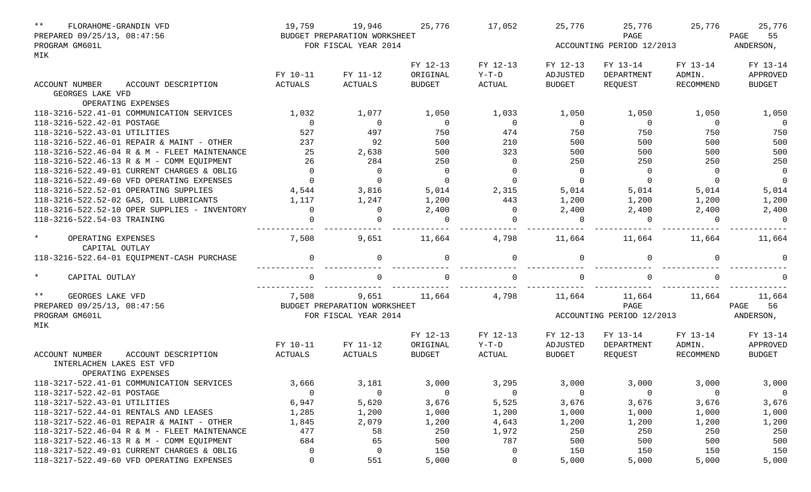| $\star\star$                  | FLORAHOME-GRANDIN VFD                        | 19,759      | 19,946                       | 25,776         | 17,052         | 25,776         | 25,776                    | 25,776           | 25,776         |
|-------------------------------|----------------------------------------------|-------------|------------------------------|----------------|----------------|----------------|---------------------------|------------------|----------------|
| PREPARED 09/25/13, 08:47:56   |                                              |             | BUDGET PREPARATION WORKSHEET |                |                |                | PAGE                      |                  | PAGE<br>55     |
| PROGRAM GM601L                |                                              |             | FOR FISCAL YEAR 2014         |                |                |                | ACCOUNTING PERIOD 12/2013 |                  | ANDERSON,      |
| MIK                           |                                              |             |                              |                |                |                |                           |                  |                |
|                               |                                              |             |                              | FY 12-13       | FY 12-13       | FY 12-13       | FY 13-14                  | FY 13-14         | FY 13-14       |
|                               |                                              | FY 10-11    | FY 11-12                     | ORIGINAL       | $Y-T-D$        | ADJUSTED       | DEPARTMENT                | ADMIN.           | APPROVED       |
| ACCOUNT NUMBER                | ACCOUNT DESCRIPTION                          | ACTUALS     | <b>ACTUALS</b>               | <b>BUDGET</b>  | <b>ACTUAL</b>  | <b>BUDGET</b>  | REQUEST                   | <b>RECOMMEND</b> | <b>BUDGET</b>  |
| GEORGES LAKE VFD              |                                              |             |                              |                |                |                |                           |                  |                |
|                               | OPERATING EXPENSES                           |             |                              |                |                |                |                           |                  |                |
|                               | 118-3216-522.41-01 COMMUNICATION SERVICES    | 1,032       | 1,077                        | 1,050          | 1,033          | 1,050          | 1,050                     | 1,050            | 1,050          |
| 118-3216-522.42-01 POSTAGE    |                                              | $\Omega$    | $\overline{0}$               | $\overline{0}$ | $\overline{0}$ | $\overline{0}$ | $\overline{0}$            | $\overline{0}$   | $\overline{0}$ |
| 118-3216-522.43-01 UTILITIES  |                                              | 527         | 497                          | 750            | 474            | 750            | 750                       | 750              | 750            |
|                               | 118-3216-522.46-01 REPAIR & MAINT - OTHER    | 237         | 92                           | 500            | 210            | 500            | 500                       | 500              | 500            |
|                               | 118-3216-522.46-04 R & M - FLEET MAINTENANCE | 25          | 2,638                        | 500            | 323            | 500            | 500                       | 500              | 500            |
|                               | 118-3216-522.46-13 R & M - COMM EQUIPMENT    | 26          | 284                          | 250            | $\overline{0}$ | 250            | 250                       | 250              | 250            |
|                               | 118-3216-522.49-01 CURRENT CHARGES & OBLIG   | $\Omega$    | $\overline{0}$               | $\overline{0}$ | $\mathbf 0$    | $\overline{0}$ | $\overline{0}$            | $\overline{0}$   | $\overline{0}$ |
|                               | 118-3216-522.49-60 VFD OPERATING EXPENSES    | $\Omega$    | $\overline{0}$               | $\Omega$       | $\Omega$       | $\overline{0}$ | $\overline{0}$            | $\mathbf 0$      | $\overline{0}$ |
|                               | 118-3216-522.52-01 OPERATING SUPPLIES        | 4,544       | 3,816                        | 5,014          | 2,315          | 5,014          | 5,014                     | 5,014            | 5,014          |
|                               | 118-3216-522.52-02 GAS, OIL LUBRICANTS       | 1,117       | 1,247                        | 1,200          | 443            | 1,200          | 1,200                     | 1,200            | 1,200          |
|                               | 118-3216-522.52-10 OPER SUPPLIES - INVENTORY | $\Omega$    | $\overline{0}$               | 2,400          | $\overline{0}$ | 2,400          | 2,400                     | 2,400            | 2,400          |
| 118-3216-522.54-03 TRAINING   |                                              |             | $\Omega$                     | $\Omega$       | $\Omega$       | $\Omega$       | $\Omega$                  | $\Omega$         | $\overline{0}$ |
|                               |                                              |             |                              |                |                |                |                           |                  |                |
| $\star$<br>OPERATING EXPENSES | CAPITAL OUTLAY                               | 7,508       | 9,651                        | 11,664         | 4,798          | 11,664         | 11,664                    | 11,664           | 11,664         |
|                               | 118-3216-522.64-01 EQUIPMENT-CASH PURCHASE   | $\Omega$    | $\mathbf 0$                  | $\Omega$       | $\Omega$       | $\Omega$       | $\Omega$                  | $\Omega$         | $\Omega$       |
| $\star$<br>CAPITAL OUTLAY     |                                              |             | $\Omega$                     |                | $\cap$         | $\Omega$       |                           | $\Omega$         |                |
| $***$                         |                                              |             |                              |                |                |                |                           |                  |                |
| GEORGES LAKE VFD              |                                              | 7,508       | 9,651                        | 11,664         | 4,798          | 11,664         | 11,664                    | 11,664           | 11,664         |
| PREPARED 09/25/13, 08:47:56   |                                              |             | BUDGET PREPARATION WORKSHEET |                |                |                | PAGE                      |                  | PAGE<br>56     |
| PROGRAM GM601L<br>MIK         |                                              |             | FOR FISCAL YEAR 2014         |                |                |                | ACCOUNTING PERIOD 12/2013 |                  | ANDERSON,      |
|                               |                                              |             |                              | FY 12-13       | FY 12-13       | FY 12-13       | FY 13-14                  | FY 13-14         | FY 13-14       |
|                               |                                              | FY 10-11    | FY 11-12                     | ORIGINAL       | $Y-T-D$        | ADJUSTED       | DEPARTMENT                | ADMIN.           | APPROVED       |
| <b>ACCOUNT NUMBER</b>         | ACCOUNT DESCRIPTION                          | ACTUALS     | ACTUALS                      | <b>BUDGET</b>  | ACTUAL         | <b>BUDGET</b>  | REQUEST                   | RECOMMEND        | <b>BUDGET</b>  |
| INTERLACHEN LAKES EST VFD     |                                              |             |                              |                |                |                |                           |                  |                |
|                               | OPERATING EXPENSES                           |             |                              |                |                |                |                           |                  |                |
|                               | 118-3217-522.41-01 COMMUNICATION SERVICES    | 3,666       | 3,181                        | 3,000          | 3,295          | 3,000          | 3,000                     | 3,000            | 3,000          |
| 118-3217-522.42-01 POSTAGE    |                                              | 0           | $\mathbf 0$                  | 0              | $\mathbf 0$    | $\overline{0}$ | 0                         | 0                | $\mathsf{O}$   |
| 118-3217-522.43-01 UTILITIES  |                                              | 6,947       | 5,620                        | 3,676          | 5,525          | 3,676          | 3,676                     | 3,676            | 3,676          |
|                               | 118-3217-522.44-01 RENTALS AND LEASES        | 1,285       | 1,200                        | 1,000          | 1,200          | 1,000          | 1,000                     | 1,000            | 1,000          |
|                               | 118-3217-522.46-01 REPAIR & MAINT - OTHER    | 1,845       | 2,079                        | 1,200          | 4,643          | 1,200          | 1,200                     | 1,200            | 1,200          |
|                               | 118-3217-522.46-04 R & M - FLEET MAINTENANCE | 477         | 58                           | 250            | 1,972          | 250            | 250                       | 250              | 250            |
|                               | 118-3217-522.46-13 R & M - COMM EQUIPMENT    | 684         | 65                           | 500            | 787            | 500            | 500                       | 500              | 500            |
|                               | 118-3217-522.49-01 CURRENT CHARGES & OBLIG   | 0           | $\mathbf 0$                  | 150            | 0              | 150            | 150                       | 150              | 150            |
|                               | 118-3217-522.49-60 VFD OPERATING EXPENSES    | $\mathbf 0$ | 551                          | 5,000          | 0              | 5,000          | 5,000                     | 5,000            | 5,000          |
|                               |                                              |             |                              |                |                |                |                           |                  |                |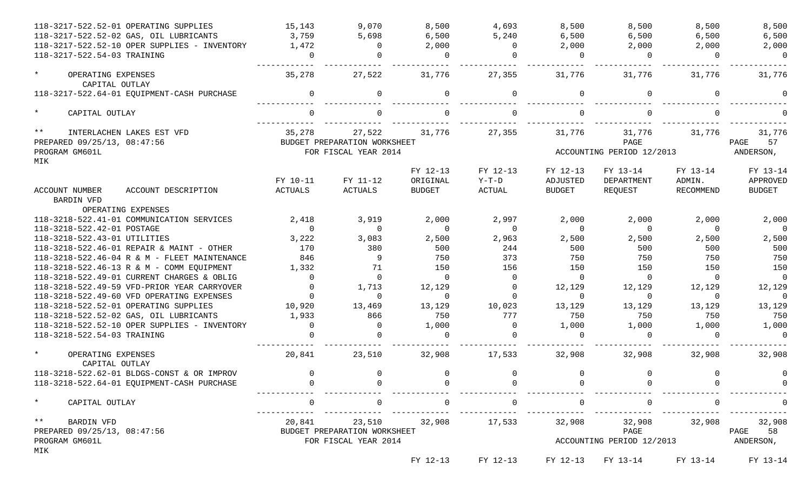| 118-3217-522.52-01 OPERATING SUPPLIES<br>118-3217-522.52-02 GAS, OIL LUBRICANTS |                     | 15,143<br>3,759 | 9,070<br>5,698                                       | 8,500<br>6,500 | 4,693<br>5,240 | 8,500<br>6,500                                   | 8,500<br>6,500                    | 8,500<br>6,500 | 8,500<br>6,500          |
|---------------------------------------------------------------------------------|---------------------|-----------------|------------------------------------------------------|----------------|----------------|--------------------------------------------------|-----------------------------------|----------------|-------------------------|
| 118-3217-522.52-10 OPER SUPPLIES - INVENTORY                                    |                     | 1,472           | $\Omega$                                             | 2,000          | $\Omega$       | 2,000                                            | 2,000                             | 2,000          | 2,000                   |
| 118-3217-522.54-03 TRAINING                                                     |                     | $\Omega$        | $\Omega$                                             | $\Omega$       | $\Omega$       | $\Omega$                                         | $\Omega$                          | $\Omega$       | $\Omega$                |
| $\star$<br>OPERATING EXPENSES<br>CAPITAL OUTLAY                                 |                     | 35,278          | 27,522                                               | 31,776         | 27,355         | 31,776                                           | 31,776                            | 31,776         | 31,776                  |
| 118-3217-522.64-01 EQUIPMENT-CASH PURCHASE                                      |                     | $\Omega$        | $\Omega$                                             | $\Omega$       | $\Omega$       | $\Omega$                                         | $\Omega$                          | $\cap$         | $\Omega$                |
| $\star$<br>CAPITAL OUTLAY                                                       |                     |                 | $\cap$                                               |                |                |                                                  | $\Omega$                          |                |                         |
| $***$<br>INTERLACHEN LAKES EST VFD                                              |                     | 35,278          | 27,522                                               | 31,776         | 27,355         | 31,776                                           | 31,776<br>PAGE                    | 31,776         | 31,776                  |
| PREPARED 09/25/13, 08:47:56                                                     |                     |                 | BUDGET PREPARATION WORKSHEET                         |                |                |                                                  |                                   | 57<br>PAGE     |                         |
| PROGRAM GM601L                                                                  |                     |                 | FOR FISCAL YEAR 2014                                 |                |                |                                                  | ACCOUNTING PERIOD 12/2013         |                | ANDERSON,               |
| MIK                                                                             |                     |                 |                                                      |                |                |                                                  |                                   |                |                         |
|                                                                                 |                     |                 |                                                      | FY 12-13       | FY 12-13       | FY 12-13                                         | FY 13-14                          | FY 13-14       | FY 13-14                |
|                                                                                 |                     | FY 10-11        | FY 11-12                                             | ORIGINAL       | Y-T-D          | ADJUSTED                                         | DEPARTMENT                        | ADMIN.         | APPROVED                |
| ACCOUNT NUMBER<br>BARDIN VFD<br>OPERATING EXPENSES                              | ACCOUNT DESCRIPTION | ACTUALS         | ACTUALS                                              | <b>BUDGET</b>  | ACTUAL         | <b>BUDGET</b>                                    | REQUEST                           | RECOMMEND      | <b>BUDGET</b>           |
| 118-3218-522.41-01 COMMUNICATION SERVICES                                       |                     | 2,418           | 3,919                                                | 2,000          | 2,997          | 2,000                                            | 2,000                             | 2,000          | 2,000                   |
| 118-3218-522.42-01 POSTAGE                                                      |                     | $\Omega$        | $\Omega$                                             | $\Omega$       | $\Omega$       | $\Omega$                                         | $\Omega$                          | $\Omega$       | $\Omega$                |
| 118-3218-522.43-01 UTILITIES                                                    |                     | 3,222           | 3,083                                                | 2,500          | 2,963          | 2,500                                            | 2,500                             | 2,500          | 2,500                   |
| 118-3218-522.46-01 REPAIR & MAINT - OTHER                                       |                     | 170             | 380                                                  | 500            | 244            | 500                                              | 500                               | 500            | 500                     |
| 118-3218-522.46-04 R & M - FLEET MAINTENANCE                                    |                     | 846             | 9                                                    | 750            | 373            | 750                                              | 750                               | 750            | 750                     |
| 118-3218-522.46-13 R & M - COMM EQUIPMENT                                       |                     | 1,332           | 71                                                   | 150            | 156            | 150                                              | 150                               | 150            | 150                     |
| 118-3218-522.49-01 CURRENT CHARGES & OBLIG                                      |                     | $\Omega$        | $\Omega$                                             | $\Omega$       | $\Omega$       | $\overline{0}$                                   | $\Omega$                          | $\Omega$       | $\Omega$                |
| 118-3218-522.49-59 VFD-PRIOR YEAR CARRYOVER                                     |                     | $\Omega$        | 1,713                                                | 12,129         | $\Omega$       | 12,129                                           | 12,129                            | 12,129         | 12,129                  |
| 118-3218-522.49-60 VFD OPERATING EXPENSES                                       |                     | $\Omega$        | $\Omega$                                             | $\Omega$       | $\Omega$       | $\Omega$                                         | $\Omega$                          | $\Omega$       | $\Omega$                |
| 118-3218-522.52-01 OPERATING SUPPLIES                                           |                     | 10,920          | 13,469                                               | 13,129         | 10,023         | 13,129                                           | 13,129                            | 13,129         | 13,129                  |
| 118-3218-522.52-02 GAS, OIL LUBRICANTS                                          |                     | 1,933           | 866                                                  | 750            | 777            | 750                                              | 750                               | 750            | 750                     |
| 118-3218-522.52-10 OPER SUPPLIES - INVENTORY                                    |                     | $\Omega$        | $\Omega$                                             | 1,000          | $\Omega$       | 1,000                                            | 1,000                             | 1,000          | 1,000                   |
| 118-3218-522.54-03 TRAINING                                                     |                     |                 | $\Omega$                                             | $\cap$         | $\Omega$       | $\Omega$                                         | $\Omega$                          | $\Omega$       | $\Omega$                |
| $\star$<br>OPERATING EXPENSES<br>CAPITAL OUTLAY                                 |                     | 20,841          | 23,510                                               | 32,908         | 17,533         | 32,908                                           | 32,908                            | 32,908         | 32,908                  |
| 118-3218-522.62-01 BLDGS-CONST & OR IMPROV                                      |                     | $\Omega$        | $\overline{0}$                                       | $\Omega$       | $\overline{0}$ | $\Omega$                                         | $\overline{0}$                    | $\Omega$       | $\Omega$                |
| 118-3218-522.64-01 EQUIPMENT-CASH PURCHASE                                      |                     |                 |                                                      |                |                |                                                  |                                   |                |                         |
| $\star$<br>CAPITAL OUTLAY                                                       |                     | $\Omega$        | $\overline{0}$                                       | $\overline{0}$ | $\mathsf{O}$   | $\overline{0}$<br>______________________________ | $\mathsf{O}$                      | $\Omega$       | $\Omega$                |
| $***$<br><b>BARDIN VFD</b>                                                      |                     |                 | 20,841 23,510                                        | 32,908         | 17,533         |                                                  | 32,908 32,908                     |                | 32,908 32,908           |
| PREPARED 09/25/13, 08:47:56<br>PROGRAM GM601L                                   |                     |                 | BUDGET PREPARATION WORKSHEET<br>FOR FISCAL YEAR 2014 |                |                |                                                  | PAGE<br>ACCOUNTING PERIOD 12/2013 |                | 58<br>PAGE<br>ANDERSON, |
| MIK                                                                             |                     |                 |                                                      |                |                |                                                  |                                   |                |                         |
|                                                                                 |                     |                 |                                                      | FY 12-13       | FY 12-13       | FY 12-13                                         | FY 13-14                          | FY 13-14       | FY 13-14                |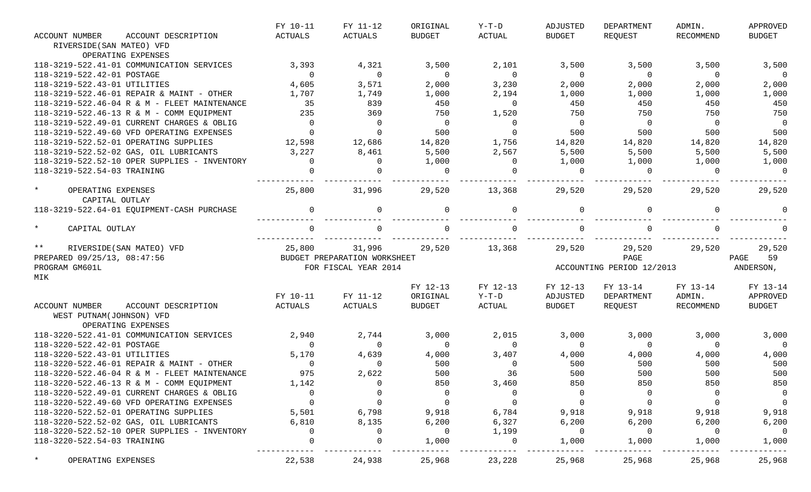| ACCOUNT NUMBER                             | ACCOUNT DESCRIPTION                          | FY 10-11<br><b>ACTUALS</b> | FY 11-12<br>ACTUALS          | ORIGINAL<br><b>BUDGET</b> | $Y-T-D$<br><b>ACTUAL</b> | ADJUSTED<br><b>BUDGET</b> | DEPARTMENT<br>REQUEST     | ADMIN.<br>RECOMMEND | APPROVED<br><b>BUDGET</b> |
|--------------------------------------------|----------------------------------------------|----------------------------|------------------------------|---------------------------|--------------------------|---------------------------|---------------------------|---------------------|---------------------------|
| RIVERSIDE (SAN MATEO) VFD                  |                                              |                            |                              |                           |                          |                           |                           |                     |                           |
|                                            | OPERATING EXPENSES                           |                            |                              |                           |                          |                           |                           |                     |                           |
|                                            | 118-3219-522.41-01 COMMUNICATION SERVICES    | 3,393                      | 4,321                        | 3,500                     | 2,101                    | 3,500                     | 3,500                     | 3,500               | 3,500                     |
| 118-3219-522.42-01 POSTAGE                 |                                              | $\overline{0}$             | $\overline{0}$               | $\overline{0}$            | $\overline{0}$           | $\overline{0}$            | $\overline{0}$            | $\Omega$            | $\overline{0}$            |
| 118-3219-522.43-01 UTILITIES               |                                              | 4,605                      | 3,571                        | 2,000                     | 3,230                    | 2,000                     | 2,000                     | 2,000               | 2,000                     |
|                                            | 118-3219-522.46-01 REPAIR & MAINT - OTHER    | 1,707                      | 1,749                        | 1,000                     | 2,194                    | 1,000                     | 1,000                     | 1,000               | 1,000                     |
|                                            | 118-3219-522.46-04 R & M - FLEET MAINTENANCE | 35                         | 839                          | 450                       | $\Omega$                 | 450                       | 450                       | 450                 | 450                       |
|                                            | 118-3219-522.46-13 R & M - COMM EQUIPMENT    | 235                        | 369                          | 750                       | 1,520                    | 750                       | 750                       | 750                 | 750                       |
|                                            | 118-3219-522.49-01 CURRENT CHARGES & OBLIG   | $\overline{0}$             | $\overline{0}$               | $\overline{0}$            | $\mathbf 0$              | $\overline{0}$            | $\overline{0}$            | $\overline{0}$      | $\overline{0}$            |
|                                            | 118-3219-522.49-60 VFD OPERATING EXPENSES    | $\mathbf 0$                | $\overline{0}$               | 500                       | $\mathbf 0$              | 500                       | 500                       | 500                 | 500                       |
|                                            | 118-3219-522.52-01 OPERATING SUPPLIES        | 12,598                     | 12,686                       | 14,820                    | 1,756                    | 14,820                    | 14,820                    | 14,820              | 14,820                    |
|                                            | 118-3219-522.52-02 GAS, OIL LUBRICANTS       | 3,227                      | 8,461                        | 5,500                     | 2,567                    | 5,500                     | 5,500                     | 5,500               | 5,500                     |
|                                            | 118-3219-522.52-10 OPER SUPPLIES - INVENTORY | $\Omega$                   | $\Omega$                     | 1,000                     | 0                        | 1,000                     | 1,000                     | 1,000               | 1,000                     |
| 118-3219-522.54-03 TRAINING                |                                              | $\Omega$                   | $\Omega$                     | $\Omega$                  | $\Omega$                 | $\Omega$                  | $\Omega$                  | $\Omega$            | $\overline{0}$            |
| $\star$<br>OPERATING EXPENSES              | CAPITAL OUTLAY                               | 25,800                     | 31,996                       | 29,520                    | 13,368                   | 29,520                    | 29,520                    | 29,520              | 29,520                    |
|                                            | 118-3219-522.64-01 EQUIPMENT-CASH PURCHASE   | $\Omega$                   | 0                            | $\Omega$                  | $\Omega$                 | $\Omega$                  | $\Omega$                  | $\Omega$            |                           |
| $\star$<br>CAPITAL OUTLAY                  |                                              |                            | $\Omega$                     |                           | $\Omega$                 | $\Omega$                  |                           |                     |                           |
| $\star \star$                              | RIVERSIDE (SAN MATEO) VFD                    | 25,800                     | 31,996                       | 29,520                    | 13,368                   | 29,520                    | 29,520                    | 29,520              | 29,520                    |
| PREPARED 09/25/13, 08:47:56                |                                              |                            | BUDGET PREPARATION WORKSHEET |                           |                          | PAGE                      |                           |                     | 59<br>PAGE                |
| PROGRAM GM601L                             |                                              |                            | FOR FISCAL YEAR 2014         |                           |                          |                           | ACCOUNTING PERIOD 12/2013 |                     | ANDERSON,                 |
| MIK                                        |                                              |                            |                              |                           |                          |                           |                           |                     |                           |
|                                            |                                              |                            |                              | FY 12-13                  | FY 12-13                 | FY 12-13                  | FY 13-14                  | FY 13-14            | FY 13-14                  |
|                                            |                                              | FY 10-11                   | FY 11-12                     | ORIGINAL                  | $Y-T-D$                  | ADJUSTED                  | DEPARTMENT                | ADMIN.              | APPROVED                  |
| ACCOUNT NUMBER<br>WEST PUTNAM(JOHNSON) VFD | ACCOUNT DESCRIPTION<br>OPERATING EXPENSES    | ACTUALS                    | ACTUALS                      | <b>BUDGET</b>             | ACTUAL                   | <b>BUDGET</b>             | REOUEST                   | RECOMMEND           | <b>BUDGET</b>             |
|                                            | 118-3220-522.41-01 COMMUNICATION SERVICES    | 2,940                      | 2,744                        | 3,000                     | 2,015                    | 3,000                     | 3,000                     | 3,000               | 3,000                     |
| 118-3220-522.42-01 POSTAGE                 |                                              | $\Omega$                   | $\overline{0}$               | $\mathbf 0$               | $\Omega$                 | $\overline{0}$            | $\overline{0}$            | $\Omega$            | $\Omega$                  |
| 118-3220-522.43-01 UTILITIES               |                                              | 5,170                      | 4,639                        | 4,000                     | 3,407                    | 4,000                     | 4,000                     | 4,000               | 4,000                     |
|                                            | 118-3220-522.46-01 REPAIR & MAINT - OTHER    | $\overline{0}$             | $\Omega$                     | 500                       | $\overline{0}$           | 500                       | 500                       | 500                 | 500                       |
|                                            | 118-3220-522.46-04 R & M - FLEET MAINTENANCE | 975                        | 2,622                        | 500                       | 36                       | 500                       | 500                       | 500                 | 500                       |
|                                            | 118-3220-522.46-13 R & M - COMM EQUIPMENT    | 1,142                      |                              | 850                       | 3,460                    | 850                       | 850                       | 850                 | 850                       |
|                                            | 118-3220-522.49-01 CURRENT CHARGES & OBLIG   | 0                          |                              | 0                         | $\Omega$                 | - 0                       | 0                         |                     | $\overline{0}$            |
|                                            | 118-3220-522.49-60 VFD OPERATING EXPENSES    | $\mathbf 0$                | 0                            | $\overline{0}$            | $\Omega$                 | 0                         | 0                         |                     | $\overline{0}$            |
|                                            | 118-3220-522.52-01 OPERATING SUPPLIES        | 5,501                      | 6,798                        | 9,918                     | 6,784                    | 9,918                     | 9,918                     | 9,918               | 9,918                     |
|                                            | 118-3220-522.52-02 GAS, OIL LUBRICANTS       | 6,810                      | 8,135                        | 6,200                     | 6,327                    | 6,200                     | 6,200                     | 6,200               | 6,200                     |
|                                            | 118-3220-522.52-10 OPER SUPPLIES - INVENTORY | $\Omega$                   | 0                            | 0                         | 1,199                    | 0                         | 0                         | $\Omega$            | 0                         |
| 118-3220-522.54-03 TRAINING                |                                              | $\Omega$                   | 0                            | 1,000                     | $\mathbf 0$              | 1,000                     | 1,000                     | 1,000               | 1,000                     |
| $\star$<br>OPERATING EXPENSES              |                                              | 22,538                     | 24,938                       | 25,968                    | 23,228                   | 25,968                    | 25,968                    | 25,968              | 25,968                    |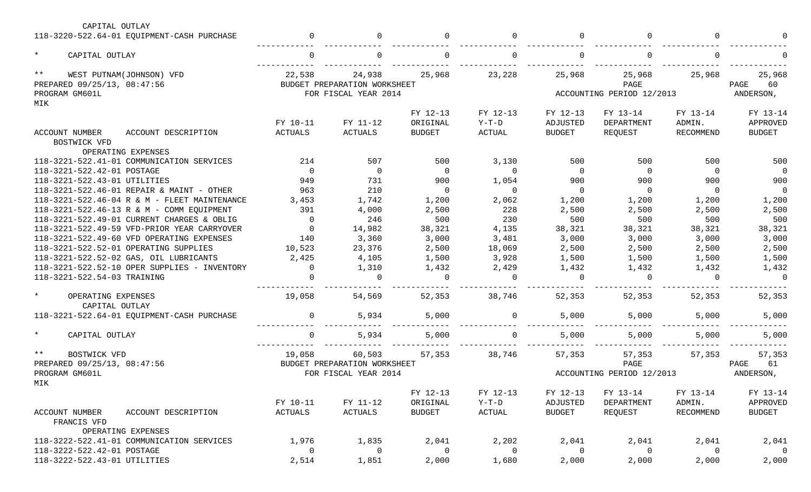| CAPITAL OUTLAY                                       |                |                              |               |                |               |                           |           |               |
|------------------------------------------------------|----------------|------------------------------|---------------|----------------|---------------|---------------------------|-----------|---------------|
| 118-3220-522.64-01 EQUIPMENT-CASH PURCHASE           |                | 0                            | $\Omega$      | $\Omega$       | 0             | $\Omega$                  | $\Omega$  |               |
| $\star$<br>CAPITAL OUTLAY                            |                | 0                            |               | $\Omega$       | 0             | $\Omega$                  | $\Omega$  |               |
| $***$<br>WEST PUTNAM(JOHNSON) VFD                    | 22,538         | 24,938                       | 25,968        | 23,228         | 25,968        | 25,968                    | 25,968    | 25,968        |
| PREPARED 09/25/13, 08:47:56                          |                | BUDGET PREPARATION WORKSHEET |               |                |               | PAGE                      |           | 60<br>PAGE    |
| PROGRAM GM601L                                       |                | FOR FISCAL YEAR 2014         |               |                |               | ACCOUNTING PERIOD 12/2013 |           | ANDERSON,     |
| MIK                                                  |                |                              |               |                |               |                           |           |               |
|                                                      |                |                              | FY 12-13      | FY 12-13       | FY 12-13      | FY 13-14                  | FY 13-14  | FY 13-14      |
|                                                      | FY 10-11       | FY 11-12                     | ORIGINAL      | $Y-T-D$        | ADJUSTED      | DEPARTMENT                | ADMIN.    | APPROVED      |
| ACCOUNT NUMBER<br>ACCOUNT DESCRIPTION                | <b>ACTUALS</b> | ACTUALS                      | <b>BUDGET</b> | <b>ACTUAL</b>  | <b>BUDGET</b> | REQUEST                   | RECOMMEND | <b>BUDGET</b> |
| BOSTWICK VFD                                         |                |                              |               |                |               |                           |           |               |
| OPERATING EXPENSES                                   |                |                              |               |                |               |                           |           |               |
| 118-3221-522.41-01 COMMUNICATION SERVICES            | 214            | 507                          | 500           | 3,130          | 500           | 500                       | 500       | 500           |
| 118-3221-522.42-01 POSTAGE                           | $\Omega$       | $\overline{0}$               | $\Omega$      | $\Omega$       | $\Omega$      | $\Omega$                  | $\Omega$  | $\Omega$      |
| 118-3221-522.43-01 UTILITIES                         | 949            | 731                          | 900           | 1,054          | 900           | 900                       | 900       | 900           |
| 118-3221-522.46-01 REPAIR & MAINT - OTHER            | 963            | 210                          | $\mathbf 0$   | $\Omega$       | $\mathbf 0$   | $\Omega$                  | $\Omega$  | $\Omega$      |
| 118-3221-522.46-04 R & M - FLEET MAINTENANCE         | 3,453          | 1,742                        | 1,200         | 2,062          | 1,200         | 1,200                     | 1,200     | 1,200         |
| 118-3221-522.46-13 R & M - COMM EQUIPMENT            | 391            | 4,000                        | 2,500         | 228            | 2,500         | 2,500                     | 2,500     | 2,500         |
| 118-3221-522.49-01 CURRENT CHARGES & OBLIG           | $\Omega$       | 246                          | 500           | 230            | 500           | 500                       | 500       | 500           |
| 118-3221-522.49-59 VFD-PRIOR YEAR CARRYOVER          | $\Omega$       | 14,982                       | 38,321        | 4,135          | 38,321        | 38,321                    | 38,321    | 38,321        |
| 118-3221-522.49-60 VFD OPERATING EXPENSES            | 140            | 3,360                        | 3,000         | 3,481          | 3,000         | 3,000                     | 3,000     | 3,000         |
| 118-3221-522.52-01 OPERATING SUPPLIES                | 10,523         | 23,376                       | 2,500         | 18,069         | 2,500         | 2,500                     | 2,500     | 2,500         |
| 118-3221-522.52-02 GAS, OIL LUBRICANTS               | 2,425          | 4,105                        | 1,500         | 3,928          | 1,500         | 1,500                     | 1,500     | 1,500         |
| 118-3221-522.52-10 OPER SUPPLIES - INVENTORY         |                | 1,310                        | 1,432         | 2,429          | 1,432         | 1,432                     | 1,432     | 1,432         |
| 118-3221-522.54-03 TRAINING                          |                | $\Omega$                     | $\Omega$      | $\Omega$       | $\Omega$      | $\Omega$                  | $\Omega$  | $\Omega$      |
|                                                      |                |                              |               |                |               |                           |           |               |
| $\star$<br>OPERATING EXPENSES                        | 19,058         | 54,569                       | 52,353        | 38,746         | 52,353        | 52,353                    | 52,353    | 52,353        |
| CAPITAL OUTLAY                                       |                |                              |               |                |               |                           |           |               |
| 118-3221-522.64-01 EQUIPMENT-CASH PURCHASE           |                | 5,934                        | 5,000         | $\Omega$       | 5,000         | 5,000                     | 5,000     | 5,000         |
|                                                      |                |                              |               |                |               |                           |           |               |
| $\star$<br>CAPITAL OUTLAY                            |                | 5,934                        | 5,000         | $\Omega$       | 5,000         | 5,000                     | 5,000     | 5,000         |
| $***$<br>BOSTWICK VFD                                | 19,058         | 60,503                       | 57,353        | 38,746         | 57,353        | 57,353                    | 57,353    | 57,353        |
| PREPARED 09/25/13, 08:47:56                          |                | BUDGET PREPARATION WORKSHEET |               |                |               | PAGE                      |           | 61<br>PAGE    |
| PROGRAM GM601L                                       |                | FOR FISCAL YEAR 2014         |               |                |               | ACCOUNTING PERIOD 12/2013 |           | ANDERSON,     |
| MIK                                                  |                |                              |               |                |               |                           |           |               |
|                                                      |                |                              | FY 12-13      | FY 12-13       | FY 12-13      | FY 13-14                  | FY 13-14  | FY 13-14      |
|                                                      | FY 10-11       | FY 11-12                     | ORIGINAL      | $Y-T-D$        | ADJUSTED      | DEPARTMENT                | ADMIN.    | APPROVED      |
| ACCOUNT NUMBER<br>ACCOUNT DESCRIPTION<br>FRANCIS VFD | ACTUALS        | ACTUALS                      | <b>BUDGET</b> | ACTUAL         | <b>BUDGET</b> | REQUEST                   | RECOMMEND | <b>BUDGET</b> |
| OPERATING EXPENSES                                   |                |                              |               |                |               |                           |           |               |
| 118-3222-522.41-01 COMMUNICATION SERVICES            | 1,976          | 1,835                        | 2,041         | 2,202          | 2,041         | 2,041                     | 2,041     | 2,041         |
| 118-3222-522.42-01 POSTAGE                           | $\Omega$       | 0                            | 0             | $\overline{0}$ | 0             | 0                         | 0         | $\mathbf 0$   |
| 118-3222-522.43-01 UTILITIES                         | 2,514          | 1,851                        | 2,000         | 1,680          | 2,000         | 2,000                     | 2,000     | 2,000         |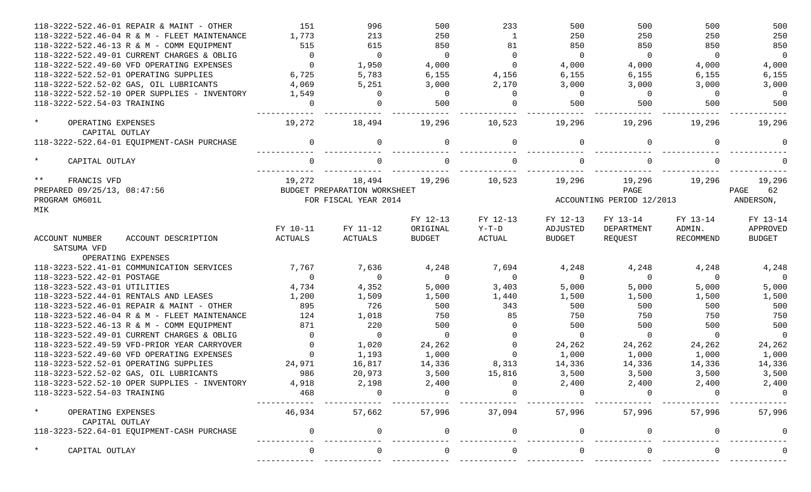| 118-3222-522.46-01 REPAIR & MAINT - OTHER       | 151            | 996                          | 500            | 233            | 500                       | 500            | 500            | 500            |
|-------------------------------------------------|----------------|------------------------------|----------------|----------------|---------------------------|----------------|----------------|----------------|
| 118-3222-522.46-04 R & M - FLEET MAINTENANCE    | 1,773          | 213                          | 250            | $\mathbf{1}$   | 250                       | 250            | 250            | 250            |
| 118-3222-522.46-13 R & M - COMM EQUIPMENT       | 515            | 615                          | 850            | 81             | 850                       | 850            | 850            | 850            |
| 118-3222-522.49-01 CURRENT CHARGES & OBLIG      | $\overline{0}$ | $\overline{0}$               | $\overline{0}$ | $\overline{0}$ | $\overline{0}$            | $\overline{0}$ | $\overline{0}$ | $\overline{0}$ |
| 118-3222-522.49-60 VFD OPERATING EXPENSES       | $\Omega$       | 1,950                        | 4,000          | $\mathbf{0}$   | 4,000                     | 4,000          | 4,000          | 4,000          |
| 118-3222-522.52-01 OPERATING SUPPLIES           | 6,725          | 5,783                        | 6,155          | 4,156          | 6,155                     | 6,155          | 6,155          | 6,155          |
| 118-3222-522.52-02 GAS, OIL LUBRICANTS          | 4,069          | 5,251                        | 3,000          | 2,170          | 3,000                     | 3,000          | 3,000          | 3,000          |
| 118-3222-522.52-10 OPER SUPPLIES - INVENTORY    | 1,549          | $\Omega$                     | $\overline{0}$ | $\Omega$       | $\overline{0}$            | $\overline{0}$ | $\Omega$       | $\overline{0}$ |
| 118-3222-522.54-03 TRAINING                     | $\Omega$       | $\Omega$                     | 500            | $\Omega$       | 500                       | 500            | 500            | 500            |
| $\star$<br>OPERATING EXPENSES<br>CAPITAL OUTLAY | 19,272         | 18,494                       | 19,296         | 10,523         | 19,296                    | 19,296         | 19,296         | 19,296         |
| 118-3222-522.64-01 EQUIPMENT-CASH PURCHASE      | $\Omega$       | $\Omega$                     | $\Omega$       | $\Omega$       | $\Omega$                  |                | $\Omega$       |                |
| $\star$<br>CAPITAL OUTLAY                       | $\cap$         |                              |                | $\Omega$       |                           |                | $\Omega$       |                |
| $***$<br>FRANCIS VFD                            | 19,272         | 18,494                       | 19,296         | 10,523         | 19,296                    | 19,296         | 19,296         | 19,296         |
| PREPARED 09/25/13, 08:47:56                     |                | BUDGET PREPARATION WORKSHEET |                |                |                           | PAGE           |                | PAGE<br>62     |
| PROGRAM GM601L                                  |                | FOR FISCAL YEAR 2014         |                |                | ACCOUNTING PERIOD 12/2013 | ANDERSON,      |                |                |
| MIK                                             |                |                              |                |                |                           |                |                |                |
|                                                 |                |                              | FY 12-13       | FY 12-13       | FY 12-13                  | FY 13-14       | FY 13-14       | FY 13-14       |
|                                                 | FY 10-11       | FY 11-12                     | ORIGINAL       | $Y-T-D$        | ADJUSTED                  | DEPARTMENT     | ADMIN.         | APPROVED       |
| ACCOUNT NUMBER<br>ACCOUNT DESCRIPTION           | <b>ACTUALS</b> | ACTUALS                      | <b>BUDGET</b>  | ACTUAL         | BUDGET                    | REQUEST        | RECOMMEND      | <b>BUDGET</b>  |
| SATSUMA VFD                                     |                |                              |                |                |                           |                |                |                |
| OPERATING EXPENSES                              |                |                              |                |                |                           |                |                |                |
| 118-3223-522.41-01 COMMUNICATION SERVICES       | 7,767          | 7,636                        | 4,248          | 7,694          | 4,248                     | 4,248          | 4,248          | 4,248          |
| 118-3223-522.42-01 POSTAGE                      | $\Omega$       | $\overline{0}$               | $\overline{0}$ | $\overline{0}$ | $\overline{0}$            | $\overline{0}$ | $\Omega$       | $\overline{0}$ |
| 118-3223-522.43-01 UTILITIES                    | 4,734          | 4,352                        | 5,000          | 3,403          | 5,000                     | 5,000          | 5,000          | 5,000          |
| 118-3223-522.44-01 RENTALS AND LEASES           | 1,200          | 1,509                        | 1,500          | 1,440          | 1,500                     | 1,500          | 1,500          | 1,500          |
| 118-3223-522.46-01 REPAIR & MAINT - OTHER       | 895            | 726                          | 500            | 343            | 500                       | 500            | 500            | 500            |
| 118-3223-522.46-04 R & M - FLEET MAINTENANCE    | 124            | 1,018                        | 750            | 85             | 750                       | 750            | 750            | 750            |
| 118-3223-522.46-13 R & M - COMM EQUIPMENT       | 871            | 220                          | 500            | $\overline{0}$ | 500                       | 500            | 500            | 500            |
| 118-3223-522.49-01 CURRENT CHARGES & OBLIG      | $\Omega$       | $\overline{0}$               | $\overline{0}$ | $\mathbf{0}$   | $\overline{0}$            | $\overline{0}$ | $\overline{0}$ | $\overline{0}$ |
| 118-3223-522.49-59 VFD-PRIOR YEAR CARRYOVER     | 0              | 1,020                        | 24,262         | $\mathbf{0}$   | 24,262                    | 24,262         | 24,262         | 24,262         |
| 118-3223-522.49-60 VFD OPERATING EXPENSES       | $\Omega$       | 1,193                        | 1,000          | $\mathbf 0$    | 1,000                     | 1,000          | 1,000          | 1,000          |
| 118-3223-522.52-01 OPERATING SUPPLIES           | 24,971         | 16,817                       | 14,336         | 8,313          | 14,336                    | 14,336         | 14,336         | 14,336         |
| 118-3223-522.52-02 GAS, OIL LUBRICANTS          | 986            | 20,973                       | 3,500          | 15,816         | 3,500                     | 3,500          | 3,500          | 3,500          |
| 118-3223-522.52-10 OPER SUPPLIES - INVENTORY    | 4,918          | 2,198                        | 2,400          |                | 2,400                     | 2,400          | 2,400          | 2,400          |
| 118-3223-522.54-03 TRAINING                     | 468            |                              |                |                |                           |                |                | $\Omega$       |
| $\star$<br>OPERATING EXPENSES<br>CAPITAL OUTLAY | 46,934         | 57,662                       |                | 57,996 37,094  |                           | 57,996 57,996  | 57,996         | 57,996         |
| 118-3223-522.64-01 EQUIPMENT-CASH PURCHASE      | $\Omega$       | 0                            |                | $\mathbf{0}$   | 0                         |                | $\Omega$       |                |
| $\star$<br>CAPITAL OUTLAY                       |                |                              |                |                |                           |                |                |                |
|                                                 |                |                              |                |                |                           |                |                |                |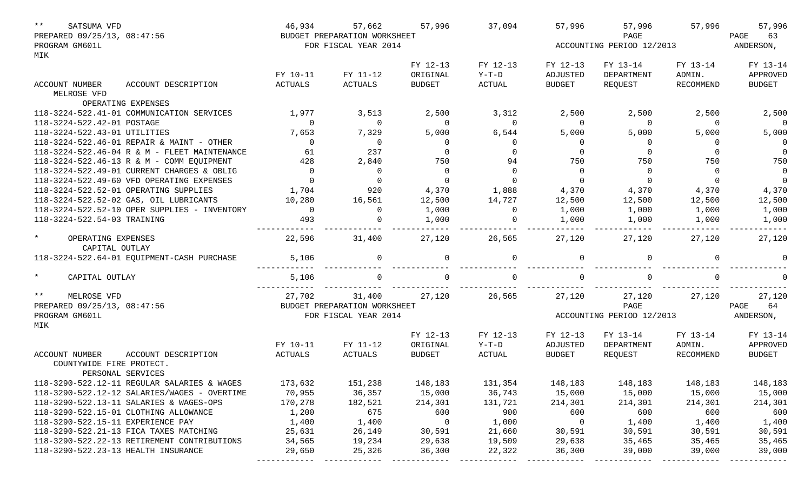| $***$<br>SATSUMA VFD                            |                                              | 46,934         | 57,662                       | 57,996        | 37,094        | 57,996         | 57,996                    | 57,996           | 57,996         |
|-------------------------------------------------|----------------------------------------------|----------------|------------------------------|---------------|---------------|----------------|---------------------------|------------------|----------------|
| PREPARED 09/25/13, 08:47:56                     |                                              |                | BUDGET PREPARATION WORKSHEET |               |               |                | PAGE                      |                  | PAGE<br>63     |
| PROGRAM GM601L                                  |                                              |                | FOR FISCAL YEAR 2014         |               |               |                | ACCOUNTING PERIOD 12/2013 |                  | ANDERSON,      |
| MIK                                             |                                              |                |                              |               |               |                |                           |                  |                |
|                                                 |                                              |                |                              | FY 12-13      | FY 12-13      | FY 12-13       | FY 13-14                  | FY 13-14         | FY 13-14       |
|                                                 |                                              | FY 10-11       | FY 11-12                     | ORIGINAL      | $Y-T-D$       | ADJUSTED       | DEPARTMENT                | ADMIN.           | APPROVED       |
| ACCOUNT NUMBER<br>MELROSE VFD                   | ACCOUNT DESCRIPTION                          | ACTUALS        | <b>ACTUALS</b>               | <b>BUDGET</b> | <b>ACTUAL</b> | <b>BUDGET</b>  | REQUEST                   | <b>RECOMMEND</b> | <b>BUDGET</b>  |
|                                                 | OPERATING EXPENSES                           |                |                              |               |               |                |                           |                  |                |
|                                                 | 118-3224-522.41-01 COMMUNICATION SERVICES    | 1,977          | 3,513                        | 2,500         | 3,312         | 2,500          | 2,500                     | 2,500            | 2,500          |
| 118-3224-522.42-01 POSTAGE                      |                                              | $\Omega$       | $\overline{0}$               | $\Omega$      | $\Omega$      | $\overline{0}$ | $\overline{0}$            | $\Omega$         | $\overline{0}$ |
| 118-3224-522.43-01 UTILITIES                    |                                              | 7,653          | 7,329                        | 5,000         | 6,544         | 5,000          | 5,000                     | 5,000            | 5,000          |
|                                                 | 118-3224-522.46-01 REPAIR & MAINT - OTHER    | $\Omega$       | $\overline{0}$               | $\Omega$      | $\mathbf 0$   | $\overline{0}$ | 0                         | 0                | $\overline{0}$ |
|                                                 | 118-3224-522.46-04 R & M - FLEET MAINTENANCE | 61             | 237                          |               |               | $\overline{0}$ | 0                         |                  | $\overline{0}$ |
|                                                 | 118-3224-522.46-13 R & M - COMM EQUIPMENT    | 428            | 2,840                        | 750           | 94            | 750            | 750                       | 750              | 750            |
|                                                 | 118-3224-522.49-01 CURRENT CHARGES & OBLIG   | $\overline{0}$ | $\overline{0}$               | $\Omega$      | $\mathbf 0$   | $\overline{0}$ | $\overline{0}$            | $\Omega$         | $\overline{0}$ |
|                                                 | 118-3224-522.49-60 VFD OPERATING EXPENSES    | $\Omega$       | $\mathbf 0$                  | $\Omega$      | $\Omega$      | $\overline{0}$ | $\overline{0}$            | $\Omega$         | $\overline{0}$ |
|                                                 | 118-3224-522.52-01 OPERATING SUPPLIES        | 1,704          | 920                          | 4,370         | 1,888         | 4,370          | 4,370                     | 4,370            | 4,370          |
|                                                 | 118-3224-522.52-02 GAS, OIL LUBRICANTS       | 10,280         | 16,561                       | 12,500        | 14,727        | 12,500         | 12,500                    | 12,500           | 12,500         |
|                                                 | 118-3224-522.52-10 OPER SUPPLIES - INVENTORY | $\Omega$       | $\overline{0}$               | 1,000         | $\mathbf 0$   | 1,000          | 1,000                     | 1,000            | 1,000          |
| 118-3224-522.54-03 TRAINING                     |                                              | 493            | 0                            | 1,000         | 0             | 1,000          | 1,000                     | 1,000            | 1,000          |
|                                                 |                                              |                |                              |               |               |                |                           |                  |                |
| $\star$<br>OPERATING EXPENSES<br>CAPITAL OUTLAY |                                              | 22,596         | 31,400                       | 27,120        | 26,565        | 27,120         | 27,120                    | 27,120           | 27,120         |
|                                                 | 118-3224-522.64-01 EQUIPMENT-CASH PURCHASE   | 5,106          | 0                            | $\Omega$      | $\Omega$      | $\Omega$       | $\Omega$                  | $\Omega$         | $\Omega$       |
| $\star$<br>CAPITAL OUTLAY                       |                                              | 5,106          | $\Omega$                     |               | $\cap$        | $\Omega$       |                           | $\Omega$         |                |
| $\star\star$<br>MELROSE VFD                     |                                              | 27,702         | 31,400                       | 27,120        | 26,565        | 27,120         | 27,120                    | 27,120           | 27,120         |
| PREPARED 09/25/13, 08:47:56                     |                                              |                | BUDGET PREPARATION WORKSHEET |               |               |                | PAGE                      |                  | PAGE<br>64     |
| PROGRAM GM601L<br>MIK                           |                                              |                | FOR FISCAL YEAR 2014         |               |               |                | ACCOUNTING PERIOD 12/2013 |                  | ANDERSON,      |
|                                                 |                                              |                |                              | FY 12-13      | FY 12-13      | FY 12-13       | FY 13-14                  | FY 13-14         | FY 13-14       |
|                                                 |                                              | FY 10-11       | FY 11-12                     | ORIGINAL      | $Y-T-D$       | ADJUSTED       | DEPARTMENT                | ADMIN.           | APPROVED       |
| ACCOUNT NUMBER                                  | ACCOUNT DESCRIPTION                          | ACTUALS        | <b>ACTUALS</b>               | <b>BUDGET</b> | ACTUAL        | <b>BUDGET</b>  | REQUEST                   | RECOMMEND        | <b>BUDGET</b>  |
| COUNTYWIDE FIRE PROTECT.                        |                                              |                |                              |               |               |                |                           |                  |                |
|                                                 | PERSONAL SERVICES                            |                |                              |               |               |                |                           |                  |                |
|                                                 | 118-3290-522.12-11 REGULAR SALARIES & WAGES  | 173,632        | 151,238                      | 148,183       | 131,354       | 148,183        | 148,183                   | 148,183          | 148,183        |
|                                                 | 118-3290-522.12-12 SALARIES/WAGES - OVERTIME | 70,955         | 36,357                       | 15,000        | 36,743        | 15,000         | 15,000                    | 15,000           | 15,000         |
|                                                 | 118-3290-522.13-11 SALARIES & WAGES-OPS      | 170,278        | 182,521                      | 214,301       | 131,721       | 214,301        | 214,301                   | 214,301          | 214,301        |
|                                                 | 118-3290-522.15-01 CLOTHING ALLOWANCE        | 1,200          | 675                          | 600           | 900           | 600            | 600                       | 600              | 600            |
| 118-3290-522.15-11 EXPERIENCE PAY               |                                              | 1,400          | 1,400                        | 0             | 1,000         | 0              | 1,400                     | 1,400            | 1,400          |
|                                                 | 118-3290-522.21-13 FICA TAXES MATCHING       | 25,631         | 26,149                       | 30,591        | 21,660        | 30,591         | 30,591                    | 30,591           | 30,591         |
|                                                 | 118-3290-522.22-13 RETIREMENT CONTRIBUTIONS  | 34,565         | 19,234                       | 29,638        | 19,509        | 29,638         | 35,465                    | 35,465           | 35,465         |
| 118-3290-522.23-13 HEALTH INSURANCE             |                                              | 29,650         | 25,326                       | 36,300        | 22,322        | 36,300         | 39,000                    | 39,000           | 39,000         |
|                                                 |                                              |                |                              |               |               |                |                           |                  |                |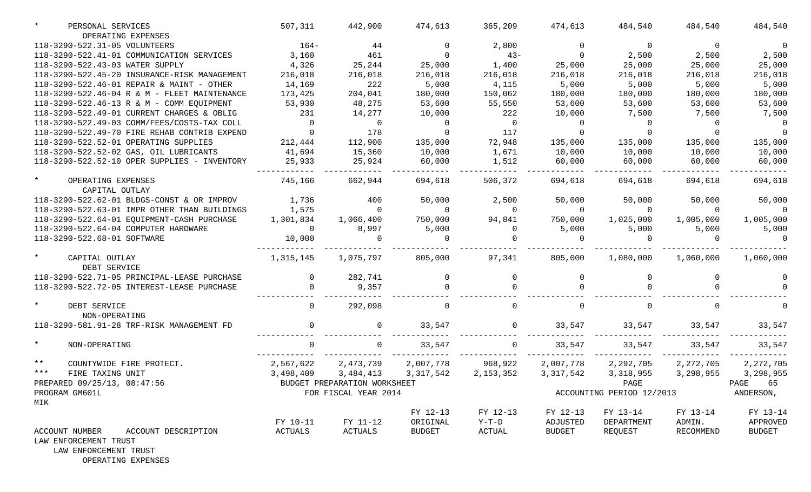| PERSONAL SERVICES                                                                          | 507,311        | 442,900                      | 474,613            | 365,209           | 474,613            | 484,540                   | 484,540     | 484,540       |
|--------------------------------------------------------------------------------------------|----------------|------------------------------|--------------------|-------------------|--------------------|---------------------------|-------------|---------------|
| OPERATING EXPENSES                                                                         |                |                              |                    |                   |                    |                           |             |               |
| 118-3290-522.31-05 VOLUNTEERS                                                              | $164-$         | 44                           | $\Omega$           | 2,800             | 0                  | $\Omega$                  | $\Omega$    | $\Omega$      |
| 118-3290-522.41-01 COMMUNICATION SERVICES                                                  | 3,160          | 461                          | $\Omega$           | $43-$             | $\Omega$           | 2,500                     | 2,500       | 2,500         |
| 118-3290-522.43-03 WATER SUPPLY                                                            | 4,326          | 25,244                       | 25,000             | 1,400             | 25,000             | 25,000                    | 25,000      | 25,000        |
| 118-3290-522.45-20 INSURANCE-RISK MANAGEMENT                                               | 216,018        | 216,018                      | 216,018            | 216,018           | 216,018            | 216,018                   | 216,018     | 216,018       |
| 118-3290-522.46-01 REPAIR & MAINT - OTHER                                                  | 14,169         | 222                          | 5,000              | 4,115             | 5,000              | 5,000                     | 5,000       | 5,000         |
| 118-3290-522.46-04 R & M - FLEET MAINTENANCE                                               | 173,425        | 204,041                      | 180,000            | 150,062           | 180,000            | 180,000                   | 180,000     | 180,000       |
| 118-3290-522.46-13 R & M - COMM EQUIPMENT                                                  | 53,930         | 48,275                       | 53,600             | 55,550            | 53,600             | 53,600                    | 53,600      | 53,600        |
| 118-3290-522.49-01 CURRENT CHARGES & OBLIG                                                 | 231            | 14,277                       | 10,000             | 222               | 10,000             | 7,500                     | 7,500       | 7,500         |
| 118-3290-522.49-03 COMM/FEES/COSTS-TAX COLL                                                | $\Omega$       | $\mathbf 0$                  | $\Omega$           | $\overline{0}$    | $\Omega$           | $\Omega$                  | $\Omega$    |               |
| 118-3290-522.49-70 FIRE REHAB CONTRIB EXPEND                                               | $\Omega$       | 178                          | $\Omega$           | 117               | $\Omega$           |                           |             |               |
| 118-3290-522.52-01 OPERATING SUPPLIES                                                      | 212,444        | 112,900                      | 135,000            | 72,948            | 135,000            | 135,000                   | 135,000     | 135,000       |
| 118-3290-522.52-02 GAS, OIL LUBRICANTS                                                     | 41,694         | 15,360                       | 10,000             | 1,671             | 10,000             | 10,000                    | 10,000      | 10,000        |
| 118-3290-522.52-10 OPER SUPPLIES - INVENTORY                                               | 25,933         | 25,924                       | 60,000             | 1,512             | 60,000             | 60,000                    | 60,000      | 60,000        |
| $\star$<br>OPERATING EXPENSES                                                              | 745,166        | 662,944                      | 694,618            | 506,372           | 694,618            | 694,618                   | 694,618     | 694,618       |
| CAPITAL OUTLAY                                                                             |                |                              |                    |                   |                    |                           |             |               |
| 118-3290-522.62-01 BLDGS-CONST & OR IMPROV                                                 | 1,736          | 400<br>$\Omega$              | 50,000<br>$\Omega$ | 2,500<br>$\Omega$ | 50,000<br>$\Omega$ | 50,000<br>$\Omega$        | 50,000      | 50,000        |
| 118-3290-522.63-01 IMPR OTHER THAN BUILDINGS<br>118-3290-522.64-01 EQUIPMENT-CASH PURCHASE | 1,575          |                              |                    |                   |                    |                           | $\Omega$    |               |
|                                                                                            | 1,301,834      | 1,066,400                    | 750,000            | 94,841            | 750,000            | 1,025,000                 | 1,005,000   | 1,005,000     |
| 118-3290-522.64-04 COMPUTER HARDWARE<br>118-3290-522.68-01 SOFTWARE                        | $\Omega$       | 8,997                        | 5,000              | $\Omega$          | 5,000              | 5,000                     | 5,000       | 5,000         |
|                                                                                            | 10,000         | 0                            | $\Omega$           |                   | $\Omega$           |                           | $\Omega$    |               |
| $\star$<br>CAPITAL OUTLAY<br>DEBT SERVICE                                                  | 1,315,145      | 1,075,797                    | 805,000            | 97,341            | 805,000            | 1,080,000                 | 1,060,000   | 1,060,000     |
| 118-3290-522.71-05 PRINCIPAL-LEASE PURCHASE                                                | $\Omega$       | 282,741                      |                    | $\Omega$          | $\Omega$           |                           | $\Omega$    |               |
| 118-3290-522.72-05 INTEREST-LEASE PURCHASE                                                 |                | 9,357                        |                    | $\cap$            |                    |                           |             |               |
| DEBT SERVICE<br>NON-OPERATING                                                              | $\Omega$       | 292,098                      |                    | $\Omega$          | 0                  |                           | $\Omega$    |               |
| 118-3290-581.91-28 TRF-RISK MANAGEMENT FD                                                  |                | 0                            | 33,547             | $\Omega$          | 33,547             | 33,547                    | 33,547      | 33,547        |
| $\star$<br>NON-OPERATING                                                                   |                | 0                            | 33,547             | 0                 | 33,547             | 33,547                    | 33,547      | 33,547        |
| $\star\star$<br>COUNTYWIDE FIRE PROTECT.                                                   | 2,567,622      | 2,473,739                    | 2,007,778          | 968,922           | 2,007,778          | 2,292,705                 | 2, 272, 705 | 2, 272, 705   |
| $***$<br>FIRE TAXING UNIT                                                                  | 3,498,409      | 3,484,413                    | 3,317,542          | 2, 153, 352       | 3, 317, 542        | 3, 318, 955               | 3,298,955   | 3,298,955     |
| PREPARED 09/25/13, 08:47:56                                                                |                | BUDGET PREPARATION WORKSHEET |                    |                   |                    | PAGE                      |             | PAGE<br>65    |
| PROGRAM GM601L<br>MIK                                                                      |                | FOR FISCAL YEAR 2014         |                    |                   |                    | ACCOUNTING PERIOD 12/2013 |             | ANDERSON,     |
|                                                                                            |                |                              | FY 12-13           | FY 12-13          | FY 12-13           | FY 13-14                  | FY 13-14    | FY 13-14      |
|                                                                                            | FY 10-11       | FY 11-12                     | ORIGINAL           | $Y-T-D$           | ADJUSTED           | DEPARTMENT                | ADMIN.      | APPROVED      |
| <b>ACCOUNT NUMBER</b><br>ACCOUNT DESCRIPTION                                               | <b>ACTUALS</b> | ACTUALS                      | BUDGET             | ACTUAL            | <b>BUDGET</b>      | REQUEST                   | RECOMMEND   | <b>BUDGET</b> |
| LAW ENFORCEMENT TRUST<br>LAW ENFORCEMENT TRUST                                             |                |                              |                    |                   |                    |                           |             |               |

OPERATING EXPENSES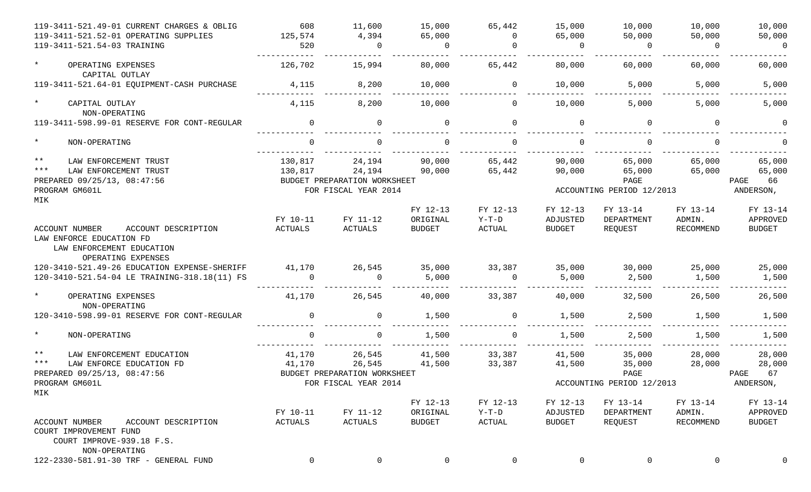| 119-3411-521.49-01 CURRENT CHARGES & OBLIG                                                                                  | 608         | 11,600                       | 15,000         | 65,442      | 15,000        | 10,000                    | 10,000      | 10,000        |
|-----------------------------------------------------------------------------------------------------------------------------|-------------|------------------------------|----------------|-------------|---------------|---------------------------|-------------|---------------|
| 119-3411-521.52-01 OPERATING SUPPLIES                                                                                       | 125,574     | 4,394                        | 65,000         | $\Omega$    | 65,000        | 50,000                    | 50,000      | 50,000        |
| 119-3411-521.54-03 TRAINING                                                                                                 | 520         | $\Omega$                     | $\overline{0}$ | $\Omega$    | $\Omega$      | $\overline{0}$            | $\Omega$    | 0             |
| $\star$<br>OPERATING EXPENSES                                                                                               | 126,702     | 15,994                       | 80,000         | 65,442      | 80,000        | 60,000                    | 60,000      | 60,000        |
| CAPITAL OUTLAY                                                                                                              |             |                              |                |             |               |                           |             |               |
| 119-3411-521.64-01 EQUIPMENT-CASH PURCHASE                                                                                  | 4,115       | 8,200                        | 10,000         | $\mathbf 0$ | 10,000        | 5,000                     | 5,000       | 5,000         |
| $\star$<br>CAPITAL OUTLAY                                                                                                   | 4,115       | 8,200                        | 10,000         | $\Omega$    | 10,000        | 5,000                     | 5,000       | 5,000         |
| NON-OPERATING                                                                                                               |             |                              |                |             |               |                           |             |               |
| 119-3411-598.99-01 RESERVE FOR CONT-REGULAR                                                                                 | $\Omega$    | $\mathbf 0$                  | $\Omega$       | $\Omega$    | $\mathbf 0$   | $\Omega$                  | $\Omega$    | $\Omega$      |
| $\star$<br>NON-OPERATING                                                                                                    | $\cap$      | $\Omega$                     |                | $\Omega$    | $\Omega$      |                           | $\cap$      |               |
| $\star \star$<br>LAW ENFORCEMENT TRUST                                                                                      | 130,817     | 24,194                       | 90,000         | 65,442      | 90,000        | 65,000                    | 65,000      | 65,000        |
| $***$<br>LAW ENFORCEMENT TRUST                                                                                              | 130,817     | 24,194                       | 90,000         | 65,442      | 90,000        | 65,000                    | 65,000      | 65,000        |
| PREPARED 09/25/13, 08:47:56                                                                                                 |             | BUDGET PREPARATION WORKSHEET |                |             |               | PAGE                      |             | PAGE<br>66    |
| PROGRAM GM601L                                                                                                              |             | FOR FISCAL YEAR 2014         |                |             |               | ACCOUNTING PERIOD 12/2013 |             | ANDERSON,     |
| MIK                                                                                                                         |             |                              |                |             |               |                           |             |               |
|                                                                                                                             |             |                              | FY 12-13       | FY 12-13    | FY 12-13      | FY 13-14                  | FY 13-14    | FY 13-14      |
|                                                                                                                             | FY 10-11    | FY 11-12                     | ORIGINAL       | $Y-T-D$     | ADJUSTED      | DEPARTMENT                | ADMIN.      | APPROVED      |
| <b>ACCOUNT NUMBER</b><br>ACCOUNT DESCRIPTION<br>LAW ENFORCE EDUCATION FD<br>LAW ENFORCEMENT EDUCATION<br>OPERATING EXPENSES | ACTUALS     | ACTUALS                      | <b>BUDGET</b>  | ACTUAL      | <b>BUDGET</b> | REQUEST                   | RECOMMEND   | <b>BUDGET</b> |
| 120-3410-521.49-26 EDUCATION EXPENSE-SHERIFF                                                                                | 41,170      | 26,545                       | 35,000         | 33,387      | 35,000        | 30,000                    | 25,000      | 25,000        |
| 120-3410-521.54-04 LE TRAINING-318.18(11) FS                                                                                | $\cap$      | $\Omega$                     | 5,000          | $\Omega$    | 5,000         | 2,500                     | 1,500       | 1,500         |
|                                                                                                                             |             |                              |                |             |               |                           |             |               |
| $\star$<br>OPERATING EXPENSES<br>NON-OPERATING                                                                              | 41,170      | 26,545                       | 40,000         | 33,387      | 40,000        | 32,500                    | 26,500      | 26,500        |
| 120-3410-598.99-01 RESERVE FOR CONT-REGULAR                                                                                 | $\Omega$    | $\mathbf 0$                  | 1,500          | $\Omega$    | 1,500         | 2,500                     | 1,500       | 1,500         |
| $\star$<br>NON-OPERATING                                                                                                    |             | $\Omega$                     | 1,500          | 0           | 1,500         | 2,500                     | 1,500       | 1,500         |
| $\star \star$<br>LAW ENFORCEMENT EDUCATION                                                                                  | 41,170      | 26,545                       | 41,500         | 33,387      | 41,500        | 35,000                    | 28,000      | 28,000        |
| $***$<br>LAW ENFORCE EDUCATION FD                                                                                           | 41,170      | 26,545                       | 41,500         | 33,387      | 41,500        | 35,000                    | 28,000      | 28,000        |
| PREPARED 09/25/13, 08:47:56                                                                                                 |             | BUDGET PREPARATION WORKSHEET |                |             |               | PAGE                      |             | 67<br>PAGE    |
| PROGRAM GM601L                                                                                                              |             | FOR FISCAL YEAR 2014         |                |             |               | ACCOUNTING PERIOD 12/2013 |             | ANDERSON,     |
| MIK                                                                                                                         |             |                              |                |             |               |                           |             |               |
|                                                                                                                             |             |                              | FY 12-13       | FY 12-13    | FY 12-13      | FY 13-14                  | FY 13-14    | FY 13-14      |
|                                                                                                                             | FY 10-11    | FY 11-12                     | ORIGINAL       | $Y-T-D$     | ADJUSTED      | DEPARTMENT                | ADMIN.      | APPROVED      |
| <b>ACCOUNT NUMBER</b><br>ACCOUNT DESCRIPTION                                                                                | ACTUALS     | ACTUALS                      | <b>BUDGET</b>  | ACTUAL      | <b>BUDGET</b> | REQUEST                   | RECOMMEND   | <b>BUDGET</b> |
| COURT IMPROVEMENT FUND<br>COURT IMPROVE-939.18 F.S.                                                                         |             |                              |                |             |               |                           |             |               |
| NON-OPERATING                                                                                                               |             |                              |                |             |               |                           |             |               |
| 122-2330-581.91-30 TRF - GENERAL FUND                                                                                       | $\mathbf 0$ | $\mathbf 0$                  | 0              | 0           | 0             | 0                         | $\mathbf 0$ | $\mathbf 0$   |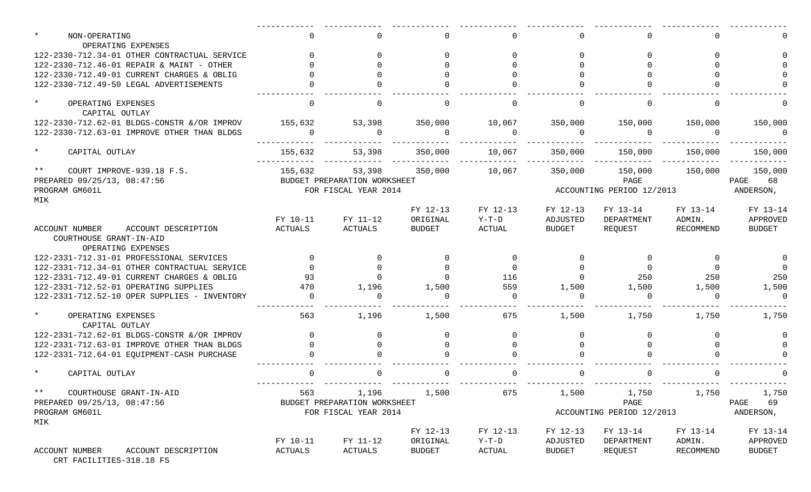| NON-OPERATING                                                                          | $\Omega$ |                              |               |          | 0             |                           |                 |               |
|----------------------------------------------------------------------------------------|----------|------------------------------|---------------|----------|---------------|---------------------------|-----------------|---------------|
| OPERATING EXPENSES<br>122-2330-712.34-01 OTHER CONTRACTUAL SERVICE                     |          |                              |               |          | $\Omega$      |                           |                 |               |
| 122-2330-712.46-01 REPAIR & MAINT - OTHER                                              |          |                              |               |          |               |                           |                 |               |
| 122-2330-712.49-01 CURRENT CHARGES & OBLIG                                             |          |                              |               |          |               |                           |                 |               |
| 122-2330-712.49-50 LEGAL ADVERTISEMENTS                                                |          |                              |               |          |               |                           |                 |               |
|                                                                                        |          |                              |               |          |               |                           |                 |               |
| $\star$<br>OPERATING EXPENSES                                                          | $\Omega$ | $\Omega$                     | $\Omega$      | $\Omega$ | $\Omega$      | $\Omega$                  | $\cap$          |               |
| CAPITAL OUTLAY                                                                         |          |                              |               |          |               |                           |                 |               |
| 122-2330-712.62-01 BLDGS-CONSTR & OR IMPROV                                            | 155,632  | 53,398                       | 350,000       | 10,067   | 350,000       | 150,000                   | 150,000         | 150,000       |
| 122-2330-712.63-01 IMPROVE OTHER THAN BLDGS                                            | $\Omega$ | $\Omega$                     | $\Omega$      | $\Omega$ | $\Omega$      | $\Omega$                  | $\Omega$        | $\Omega$      |
| $\star$<br>CAPITAL OUTLAY                                                              | 155,632  | 53,398                       | 350,000       | 10,067   | 350,000       |                           | 150,000 150,000 | 150,000       |
| $***$<br>COURT IMPROVE-939.18 F.S.                                                     | 155,632  | 53,398                       | 350,000       | 10,067   | 350,000       | 150,000                   | 150,000         | 150,000       |
| PREPARED 09/25/13, 08:47:56                                                            |          | BUDGET PREPARATION WORKSHEET |               |          |               | PAGE                      |                 | PAGE 68       |
| PROGRAM GM601L                                                                         |          | FOR FISCAL YEAR 2014         |               |          |               | ACCOUNTING PERIOD 12/2013 |                 | ANDERSON,     |
| MIK                                                                                    |          |                              |               |          |               |                           |                 |               |
|                                                                                        |          |                              | FY 12-13      | FY 12-13 | FY 12-13      | FY 13-14                  | FY 13-14        | FY 13-14      |
|                                                                                        | FY 10-11 | FY 11-12                     | ORIGINAL      | Y-T-D    | ADJUSTED      | DEPARTMENT                | ADMIN.          | APPROVED      |
| ACCOUNT NUMBER<br>ACCOUNT DESCRIPTION<br>COURTHOUSE GRANT-IN-AID<br>OPERATING EXPENSES | ACTUALS  | ACTUALS                      | <b>BUDGET</b> | ACTUAL   | BUDGET        | REOUEST                   | RECOMMEND       | <b>BUDGET</b> |
| 122-2331-712.31-01 PROFESSIONAL SERVICES                                               | $\Omega$ | $\Omega$                     | $\Omega$      | $\Omega$ |               | $\Omega$                  |                 |               |
| 122-2331-712.34-01 OTHER CONTRACTUAL SERVICE                                           | $\Omega$ |                              | $\Omega$      | $\Omega$ |               | $\Omega$                  |                 |               |
| 122-2331-712.49-01 CURRENT CHARGES & OBLIG                                             | 93       |                              | $\Omega$      | 116      | $\Omega$      | 250                       | 250             | 250           |
| 122-2331-712.52-01 OPERATING SUPPLIES                                                  | 470      | 1,196                        | 1,500         | 559      | 1,500         | 1,500                     | 1,500           | 1,500         |
| 122-2331-712.52-10 OPER SUPPLIES - INVENTORY                                           | $\Omega$ | $\Omega$                     |               | $\Omega$ | $\Omega$      |                           | $\cap$          | $\Omega$      |
| $\star$<br>OPERATING EXPENSES<br>CAPITAL OUTLAY                                        | 563      | 1,196                        | 1,500         | 675      | 1,500         | 1,750                     | 1,750           | 1,750         |
| 122-2331-712.62-01 BLDGS-CONSTR &/OR IMPROV                                            | $\Omega$ | <sup>n</sup>                 |               | $\Omega$ |               |                           |                 |               |
| 122-2331-712.63-01 IMPROVE OTHER THAN BLDGS                                            |          |                              |               |          |               |                           |                 |               |
| 122-2331-712.64-01 EQUIPMENT-CASH PURCHASE                                             |          |                              |               |          |               |                           |                 |               |
| $\star$<br>CAPITAL OUTLAY                                                              |          |                              |               |          |               |                           |                 |               |
| $***$<br>COURTHOUSE GRANT-IN-AID                                                       | 563      | 1,196                        | 1,500         | 675      | 1,500         | 1,750                     | 1,750           | 1,750         |
| PREPARED 09/25/13, 08:47:56                                                            |          | BUDGET PREPARATION WORKSHEET |               |          |               | PAGE                      |                 | PAGE 69       |
| PROGRAM GM601L                                                                         |          | FOR FISCAL YEAR 2014         |               |          |               | ACCOUNTING PERIOD 12/2013 |                 | ANDERSON,     |
| MIK                                                                                    |          |                              | FY 12-13      | FY 12-13 | FY 12-13      | FY 13-14                  | FY 13-14        | FY 13-14      |
|                                                                                        | FY 10-11 | FY 11-12                     | ORIGINAL      | $Y-T-D$  | ADJUSTED      | DEPARTMENT                | ADMIN.          | APPROVED      |
| ACCOUNT DESCRIPTION<br>ACCOUNT NUMBER                                                  | ACTUALS  | ACTUALS                      | <b>BUDGET</b> | ACTUAL   | <b>BUDGET</b> | REQUEST                   | RECOMMEND       | <b>BUDGET</b> |

CRT FACILITIES-318.18 FS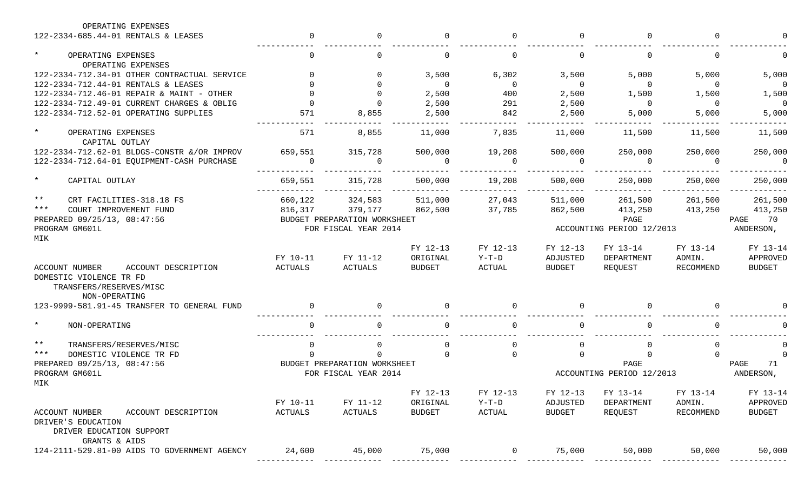| OPERATING EXPENSES                                                                      |          |                              |               |                |                |                           |              |                |
|-----------------------------------------------------------------------------------------|----------|------------------------------|---------------|----------------|----------------|---------------------------|--------------|----------------|
| 122-2334-685.44-01 RENTALS & LEASES                                                     | $\cap$   | $\mathbf 0$                  | $\Omega$      | $\Omega$       | $\Omega$       | $\Omega$                  | $\Omega$     |                |
| $\star$<br>OPERATING EXPENSES<br>OPERATING EXPENSES                                     |          | $\mathbf{0}$                 | $\Omega$      | $\Omega$       | $\overline{0}$ |                           | $\Omega$     |                |
| 122-2334-712.34-01 OTHER CONTRACTUAL SERVICE                                            |          | $\Omega$                     | 3,500         | 6,302          | 3,500          | 5,000                     | 5,000        | 5,000          |
| 122-2334-712.44-01 RENTALS & LEASES                                                     |          | $\Omega$                     | $\Omega$      | $\overline{0}$ | $\Omega$       | $\Omega$                  | $\Omega$     | $\overline{0}$ |
| 122-2334-712.46-01 REPAIR & MAINT - OTHER                                               |          | $\Omega$                     | 2,500         | 400            | 2,500          | 1,500                     | 1,500        | 1,500          |
| 122-2334-712.49-01 CURRENT CHARGES & OBLIG                                              |          | $\Omega$                     | 2,500         | 291            | 2,500          | $\overline{0}$            | $\Omega$     | $\overline{0}$ |
| 122-2334-712.52-01 OPERATING SUPPLIES                                                   | 571      | 8,855                        | 2,500         | 842            | 2,500          | 5,000                     | 5,000        | 5,000          |
| $\star$<br>OPERATING EXPENSES<br>CAPITAL OUTLAY                                         | 571      | 8,855                        | 11,000        | 7,835          | 11,000         | 11,500                    | 11,500       | 11,500         |
| 122-2334-712.62-01 BLDGS-CONSTR & / OR IMPROV                                           | 659,551  | 315,728                      | 500,000       | 19,208         | 500,000        | 250,000                   | 250,000      | 250,000        |
| 122-2334-712.64-01 EQUIPMENT-CASH PURCHASE                                              | $\Omega$ | $\Omega$                     | $\Omega$      | $\Omega$       | $\Omega$       | - 0                       | $\Omega$     | $\Omega$       |
| $\star$<br>CAPITAL OUTLAY                                                               | 659,551  | 315,728                      | 500,000       | 19,208         | 500,000        | 250,000                   | 250,000      | 250,000        |
| $***$<br>CRT FACILITIES-318.18 FS                                                       | 660,122  | 324,583                      | 511,000       | 27,043         | 511,000        | 261,500                   | 261,500      | 261,500        |
| $***$<br>COURT IMPROVEMENT FUND                                                         | 816,317  | 379,177                      | 862,500       | 37,785         | 862,500        | 413,250                   | 413,250      | 413,250        |
| PREPARED 09/25/13, 08:47:56                                                             |          | BUDGET PREPARATION WORKSHEET |               |                |                | PAGE                      |              | PAGE<br>70     |
| PROGRAM GM601L                                                                          |          | FOR FISCAL YEAR 2014         |               |                |                | ACCOUNTING PERIOD 12/2013 |              | ANDERSON,      |
| MIK                                                                                     |          |                              |               |                |                |                           |              |                |
|                                                                                         |          |                              | FY 12-13      | FY 12-13       | FY 12-13       | FY 13-14                  | FY 13-14     | FY 13-14       |
|                                                                                         | FY 10-11 | FY 11-12                     | ORIGINAL      | $Y-T-D$        | ADJUSTED       | DEPARTMENT                | ADMIN.       | APPROVED       |
| ACCOUNT NUMBER<br>ACCOUNT DESCRIPTION                                                   | ACTUALS  | ACTUALS                      | <b>BUDGET</b> | ACTUAL         | <b>BUDGET</b>  | REQUEST                   | RECOMMEND    | <b>BUDGET</b>  |
| DOMESTIC VIOLENCE TR FD<br>TRANSFERS/RESERVES/MISC                                      |          |                              |               |                |                |                           |              |                |
| NON-OPERATING                                                                           |          |                              |               |                |                |                           |              |                |
| 123-9999-581.91-45 TRANSFER TO GENERAL FUND                                             |          | $\Omega$                     |               | $\Omega$       | $\Omega$       |                           | $\Omega$     |                |
| $\star$<br>NON-OPERATING                                                                |          | $\Omega$                     |               | $\Omega$       | $\Omega$       |                           | <sup>n</sup> |                |
| $***$<br>TRANSFERS/RESERVES/MISC                                                        |          | 0                            |               | $\Omega$       | $\Omega$       |                           | 0            |                |
| $***$<br>DOMESTIC VIOLENCE TR FD                                                        |          |                              | $\cap$        | $\Omega$       | $\Omega$       |                           |              |                |
| PREPARED 09/25/13, 08:47:56                                                             |          | BUDGET PREPARATION WORKSHEET |               |                |                | PAGE                      |              | PAGE<br>71     |
| PROGRAM GM601L<br>MIK                                                                   |          | FOR FISCAL YEAR 2014         |               |                |                | ACCOUNTING PERIOD 12/2013 |              | ANDERSON,      |
|                                                                                         |          |                              | FY 12-13      | FY 12-13       | FY 12-13       | FY 13-14                  | FY 13-14     | FY 13-14       |
|                                                                                         | FY 10-11 | FY 11-12                     | ORIGINAL      | $Y-T-D$        | ADJUSTED       | DEPARTMENT                | ADMIN.       | APPROVED       |
| ACCOUNT NUMBER<br>ACCOUNT DESCRIPTION<br>DRIVER'S EDUCATION<br>DRIVER EDUCATION SUPPORT | ACTUALS  | ACTUALS                      | <b>BUDGET</b> | ACTUAL         | <b>BUDGET</b>  | REQUEST                   | RECOMMEND    | <b>BUDGET</b>  |
| GRANTS & AIDS                                                                           |          |                              |               |                |                |                           |              |                |
| 124-2111-529.81-00 AIDS TO GOVERNMENT AGENCY                                            | 24,600   | 45,000                       | 75,000        | $\mathbf 0$    | 75,000         | 50,000                    | 50,000       | 50,000         |
|                                                                                         |          |                              |               |                |                |                           |              |                |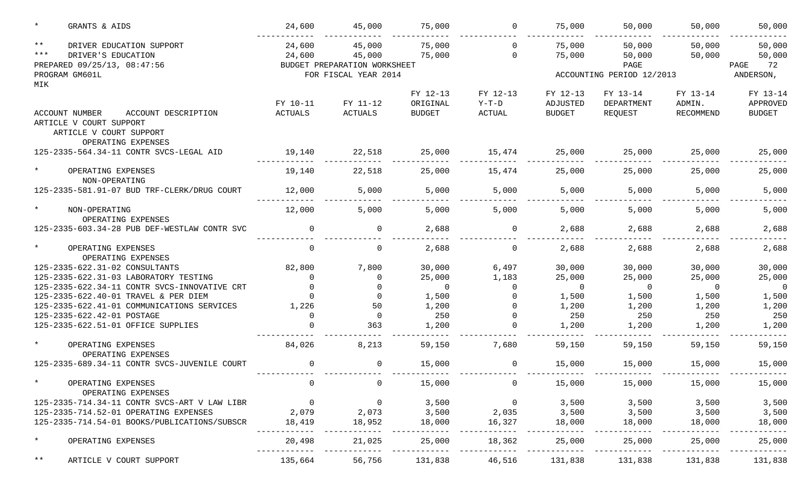|                | GRANTS & AIDS                                                                                      | 24,600               | 45,000                                           | 75,000                    | $\Omega$                 | 75,000                    | 50,000                   | 50,000              | 50,000                         |
|----------------|----------------------------------------------------------------------------------------------------|----------------------|--------------------------------------------------|---------------------------|--------------------------|---------------------------|--------------------------|---------------------|--------------------------------|
| $***$<br>$***$ | DRIVER EDUCATION SUPPORT<br>DRIVER'S EDUCATION<br>PREPARED 09/25/13, 08:47:56                      | 24,600<br>24,600     | 45,000<br>45,000<br>BUDGET PREPARATION WORKSHEET | 75,000<br>75,000          | $\Omega$<br>$\Omega$     | 75,000<br>75,000          | 50,000<br>50,000<br>PAGE | 50,000<br>50,000    | 50,000<br>50,000<br>PAGE<br>72 |
|                | PROGRAM GM601L                                                                                     | FOR FISCAL YEAR 2014 |                                                  |                           |                          | ACCOUNTING PERIOD 12/2013 |                          |                     | ANDERSON,                      |
| MIK            |                                                                                                    |                      |                                                  | FY 12-13                  | FY 12-13                 | FY 12-13                  | FY 13-14                 | FY 13-14            | FY 13-14                       |
|                | <b>ACCOUNT NUMBER</b><br>ACCOUNT DESCRIPTION<br>ARTICLE V COURT SUPPORT<br>ARTICLE V COURT SUPPORT | FY 10-11<br>ACTUALS  | FY 11-12<br><b>ACTUALS</b>                       | ORIGINAL<br><b>BUDGET</b> | $Y-T-D$<br><b>ACTUAL</b> | ADJUSTED<br><b>BUDGET</b> | DEPARTMENT<br>REQUEST    | ADMIN.<br>RECOMMEND | APPROVED<br><b>BUDGET</b>      |
|                | OPERATING EXPENSES<br>125-2335-564.34-11 CONTR SVCS-LEGAL AID                                      | 19,140               | 22,518                                           | 25,000                    | 15,474                   | 25,000                    | 25,000                   | 25,000              | 25,000                         |
|                | OPERATING EXPENSES<br>NON-OPERATING                                                                | 19,140               | 22,518                                           | 25,000                    | 15,474                   | 25,000                    | 25,000                   | 25,000              | 25,000                         |
|                | 125-2335-581.91-07 BUD TRF-CLERK/DRUG COURT                                                        | 12,000               | 5,000                                            | 5,000                     | 5,000                    | 5,000                     | 5,000                    | 5,000               | 5,000                          |
|                | NON-OPERATING<br>OPERATING EXPENSES                                                                | 12,000               | 5,000                                            | 5,000                     | 5,000                    | 5,000                     | 5,000                    | 5,000               | 5,000                          |
|                | 125-2335-603.34-28 PUB DEF-WESTLAW CONTR SVC                                                       | $\Omega$             | 0                                                | 2,688                     | $\Omega$                 | 2,688                     | 2,688                    | 2,688               | 2,688                          |
|                | OPERATING EXPENSES<br>OPERATING EXPENSES                                                           | $\Omega$             | $\mathbf 0$                                      | 2,688                     | 0                        | 2,688                     | 2,688                    | 2,688               | 2,688                          |
|                | 125-2335-622.31-02 CONSULTANTS                                                                     | 82,800               | 7,800                                            | 30,000                    | 6,497                    | 30,000                    | 30,000                   | 30,000              | 30,000                         |
|                | 125-2335-622.31-03 LABORATORY TESTING                                                              | $\Omega$             | $\Omega$                                         | 25,000                    | 1,183                    | 25,000                    | 25,000                   | 25,000              | 25,000                         |
|                | 125-2335-622.34-11 CONTR SVCS-INNOVATIVE CRT                                                       | $\Omega$             | $\Omega$                                         | $\Omega$                  |                          | $\overline{0}$            | $\Omega$                 | $\Omega$            | 0                              |
|                | 125-2335-622.40-01 TRAVEL & PER DIEM                                                               |                      | $\Omega$                                         | 1,500                     |                          | 1,500                     | 1,500                    | 1,500               | 1,500                          |
|                | 125-2335-622.41-01 COMMUNICATIONS SERVICES                                                         | 1,226                | 50                                               | 1,200                     |                          | 1,200                     | 1,200                    | 1,200               | 1,200                          |
|                | 125-2335-622.42-01 POSTAGE                                                                         | $\cap$               | 0                                                | 250                       |                          | 250                       | 250                      | 250                 | 250                            |
|                | 125-2335-622.51-01 OFFICE SUPPLIES                                                                 |                      | 363                                              | 1,200                     |                          | 1,200                     | 1,200                    | 1,200               | 1,200                          |
|                | OPERATING EXPENSES<br>OPERATING EXPENSES                                                           | 84,026               | 8,213                                            | 59,150                    | 7,680                    | 59,150                    | 59,150                   | 59,150              | 59,150                         |
|                | 125-2335-689.34-11 CONTR SVCS-JUVENILE COURT                                                       | $\Omega$             | $\mathbf 0$                                      | 15,000                    | $\mathbf 0$              | 15,000                    | 15,000                   | 15,000              | 15,000                         |
|                | OPERATING EXPENSES<br>OPERATING EXPENSES                                                           | $\overline{0}$       | $\overline{0}$                                   | 15,000                    | $\overline{0}$           | 15,000                    | 15,000                   | 15,000              | 15,000                         |
|                | 125-2335-714.34-11 CONTR SVCS-ART V LAW LIBR                                                       | $\overline{0}$       | $\overline{0}$                                   | 3,500                     | $\overline{0}$           | 3,500                     | 3,500                    | 3,500               | 3,500                          |
|                | 125-2335-714.52-01 OPERATING EXPENSES                                                              | 2,079                | 2,073                                            | 3,500                     | 2,035                    | 3,500                     | 3,500                    | 3,500               | 3,500                          |
|                | 125-2335-714.54-01 BOOKS/PUBLICATIONS/SUBSCR                                                       | 18,419               | 18,952                                           | 18,000                    | 16,327                   | 18,000                    | 18,000                   | 18,000              | 18,000                         |
| $\ast$         | OPERATING EXPENSES                                                                                 | 20,498               | 21,025                                           | 25,000                    | 18,362                   | 25,000                    | 25,000                   | 25,000              | 25,000                         |
| $***$          | ARTICLE V COURT SUPPORT                                                                            | 135,664              | 56,756                                           | 131,838                   | 46,516                   | 131,838                   | 131,838                  | 131,838             | 131,838                        |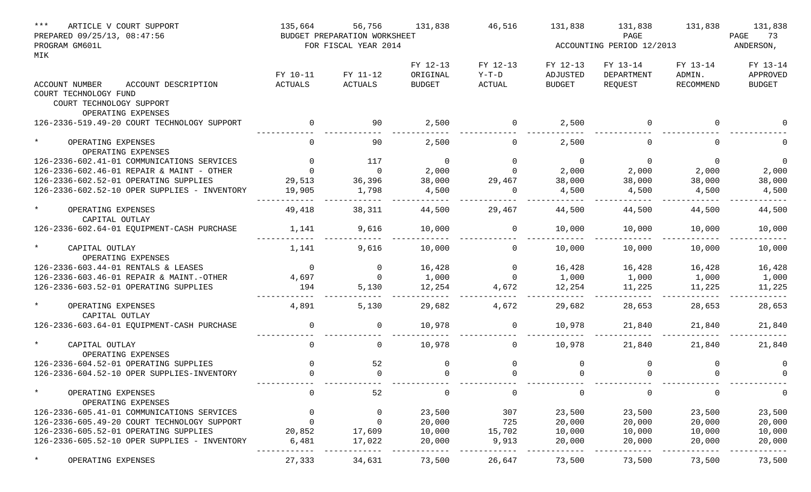| $***$<br>ARTICLE V COURT SUPPORT             | 135,664                      | 56,756               | 131,838        | 46,516        | 131,838       | 131,838                   | 131,838     | 131,838       |
|----------------------------------------------|------------------------------|----------------------|----------------|---------------|---------------|---------------------------|-------------|---------------|
| PREPARED 09/25/13, 08:47:56                  | BUDGET PREPARATION WORKSHEET |                      |                |               |               | 73<br>PAGE                |             |               |
| PROGRAM GM601L                               |                              | FOR FISCAL YEAR 2014 |                |               |               | ACCOUNTING PERIOD 12/2013 |             | ANDERSON,     |
| MIK                                          |                              |                      |                |               |               |                           |             |               |
|                                              |                              |                      | FY 12-13       | FY 12-13      | FY 12-13      | FY 13-14                  | FY 13-14    | FY 13-14      |
|                                              | FY 10-11                     | FY 11-12             | ORIGINAL       | $Y-T-D$       | ADJUSTED      | DEPARTMENT                | ADMIN.      | APPROVED      |
| ACCOUNT DESCRIPTION<br>ACCOUNT NUMBER        | <b>ACTUALS</b>               | <b>ACTUALS</b>       | <b>BUDGET</b>  | <b>ACTUAL</b> | <b>BUDGET</b> | REQUEST                   | RECOMMEND   | <b>BUDGET</b> |
| COURT TECHNOLOGY FUND                        |                              |                      |                |               |               |                           |             |               |
| COURT TECHNOLOGY SUPPORT                     |                              |                      |                |               |               |                           |             |               |
| OPERATING EXPENSES                           |                              |                      |                |               |               | $\Omega$                  | $\Omega$    |               |
| 126-2336-519.49-20 COURT TECHNOLOGY SUPPORT  | $\Omega$                     | 90                   | 2,500          | $\mathbf{0}$  | 2,500         |                           |             |               |
| $\star$<br>OPERATING EXPENSES                | $\Omega$                     | 90                   | 2,500          | 0             | 2,500         |                           | $\Omega$    |               |
| OPERATING EXPENSES                           |                              |                      |                |               |               |                           |             |               |
| 126-2336-602.41-01 COMMUNICATIONS SERVICES   | $\Omega$                     | 117                  | $\overline{0}$ | $\Omega$      | 0             | $\Omega$                  | $\Omega$    | $\Omega$      |
| 126-2336-602.46-01 REPAIR & MAINT - OTHER    | $\Omega$                     | $\mathbf 0$          | 2,000          | <sup>n</sup>  | 2,000         | 2,000                     | 2,000       | 2,000         |
| 126-2336-602.52-01 OPERATING SUPPLIES        | 29,513                       | 36,396               | 38,000         | 29,467        | 38,000        | 38,000                    | 38,000      | 38,000        |
| 126-2336-602.52-10 OPER SUPPLIES - INVENTORY | 19,905                       | 1,798                | 4,500          | $\Omega$      | 4,500         | 4,500                     | 4,500       | 4,500         |
| $\star$<br>OPERATING EXPENSES                | 49,418                       | 38,311               | 44,500         | 29,467        | 44,500        | 44,500                    | 44,500      | 44,500        |
| CAPITAL OUTLAY                               |                              |                      |                |               |               |                           |             |               |
| 126-2336-602.64-01 EQUIPMENT-CASH PURCHASE   | 1,141                        | 9,616                | 10,000         | 0             | 10,000        | 10,000                    | 10,000      | 10,000        |
|                                              |                              |                      |                |               |               |                           |             |               |
| CAPITAL OUTLAY                               | 1,141                        | 9,616                | 10,000         | 0             | 10,000        | 10,000                    | 10,000      | 10,000        |
| OPERATING EXPENSES                           |                              |                      |                |               |               |                           |             |               |
| 126-2336-603.44-01 RENTALS & LEASES          | $\mathbf 0$                  | $\mathbf 0$          | 16,428         | $\Omega$      | 16,428        | 16,428                    | 16,428      | 16,428        |
| 126-2336-603.46-01 REPAIR & MAINT.-OTHER     | 4,697                        | $\Omega$             | 1,000          | $\Omega$      | 1,000         | 1,000                     | 1,000       | 1,000         |
| 126-2336-603.52-01 OPERATING SUPPLIES        | 194                          | 5,130                | 12,254         | 4,672         | 12,254        | 11,225                    | 11,225      | 11,225        |
| $\star$<br>OPERATING EXPENSES                | 4,891                        | 5,130                | 29,682         | 4,672         | 29,682        | 28,653                    | 28,653      | 28,653        |
| CAPITAL OUTLAY                               |                              |                      |                |               |               |                           |             |               |
| 126-2336-603.64-01 EQUIPMENT-CASH PURCHASE   | 0                            | 0                    | 10,978         | 0             | 10,978        | 21,840                    | 21,840      | 21,840        |
| $\star$<br>CAPITAL OUTLAY                    | 0                            | 0                    | 10,978         | 0             | 10,978        | 21,840                    | 21,840      | 21,840        |
| OPERATING EXPENSES                           |                              |                      |                |               |               |                           |             |               |
| 126-2336-604.52-01 OPERATING SUPPLIES        | $\Omega$                     | 52                   | $\Omega$       | 0             | 0             | $\Omega$                  | $\mathbf 0$ | 0             |
| 126-2336-604.52-10 OPER SUPPLIES-INVENTORY   | $\Omega$                     | 0                    | $\Omega$       | $\Omega$      | 0             | $\Omega$                  | $\Omega$    | $\Omega$      |
|                                              |                              |                      |                |               |               |                           |             |               |
| $\star$<br>OPERATING EXPENSES                | 0                            | 52                   | 0              | 0             | 0             | 0                         | 0           | 0             |
| OPERATING EXPENSES                           |                              |                      |                |               |               |                           |             |               |
| 126-2336-605.41-01 COMMUNICATIONS SERVICES   | $\overline{0}$               | 0                    | 23,500         | 307           | 23,500        | 23,500                    | 23,500      | 23,500        |
| 126-2336-605.49-20 COURT TECHNOLOGY SUPPORT  | $\mathbf 0$                  | 0                    | 20,000         | 725           | 20,000        | 20,000                    | 20,000      | 20,000        |
| 126-2336-605.52-01 OPERATING SUPPLIES        | 20,852                       | 17,609               | 10,000         | 15,702        | 10,000        | 10,000                    | 10,000      | 10,000        |
| 126-2336-605.52-10 OPER SUPPLIES - INVENTORY | 6,481                        | 17,022               | 20,000         | 9,913         | 20,000        | 20,000                    | 20,000      | 20,000        |
| OPERATING EXPENSES                           | 27,333                       | 34,631               | 73,500         | 26,647        | 73,500        | 73,500                    | 73,500      | 73,500        |
|                                              |                              |                      |                |               |               |                           |             |               |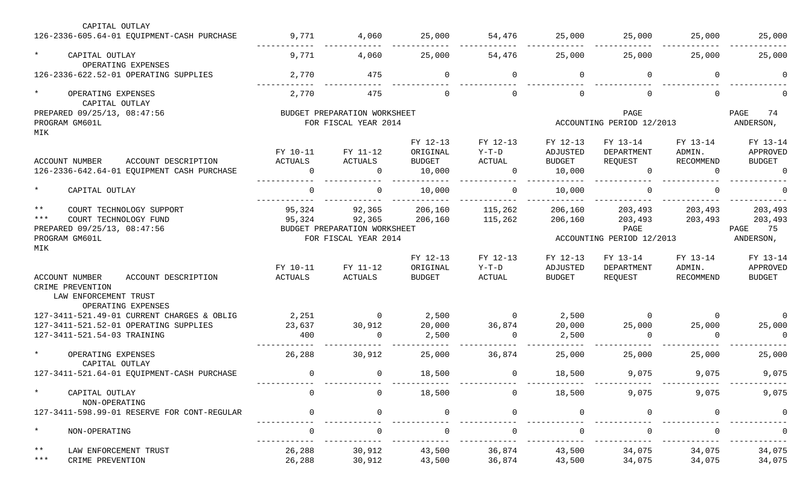|                       | CAPITAL OUTLAY                                                                                                     |                                 |                                                                          |                                                 |                                           |                                                 |                                                     |                                 |                                                   |
|-----------------------|--------------------------------------------------------------------------------------------------------------------|---------------------------------|--------------------------------------------------------------------------|-------------------------------------------------|-------------------------------------------|-------------------------------------------------|-----------------------------------------------------|---------------------------------|---------------------------------------------------|
|                       | 126-2336-605.64-01 EQUIPMENT-CASH PURCHASE                                                                         | 9,771                           | 4,060                                                                    | 25,000                                          | 54,476                                    | 25,000                                          | 25,000                                              | 25,000                          | 25,000                                            |
| $\star$               | CAPITAL OUTLAY<br>OPERATING EXPENSES                                                                               | 9,771                           | 4,060                                                                    | 25,000                                          | 54,476                                    | 25,000                                          | 25,000                                              | 25,000                          | 25,000                                            |
|                       | 126-2336-622.52-01 OPERATING SUPPLIES                                                                              | 2,770                           | 475                                                                      | $\Omega$                                        | $\Omega$                                  | 0                                               | $\Omega$                                            | $\Omega$                        |                                                   |
| $\star$               | OPERATING EXPENSES<br>CAPITAL OUTLAY                                                                               | 2,770                           | 475                                                                      | $\Omega$                                        | $\Omega$                                  | $\overline{0}$                                  | $\Omega$                                            | $\Omega$                        |                                                   |
| MIK                   | PREPARED 09/25/13, 08:47:56<br>PROGRAM GM601L                                                                      |                                 | BUDGET PREPARATION WORKSHEET<br>FOR FISCAL YEAR 2014                     |                                                 |                                           |                                                 | PAGE<br>ACCOUNTING PERIOD 12/2013                   |                                 | PAGE<br>74<br>ANDERSON,                           |
|                       | ACCOUNT DESCRIPTION<br><b>ACCOUNT NUMBER</b><br>126-2336-642.64-01 EQUIPMENT CASH PURCHASE                         | FY 10-11<br>ACTUALS<br>$\Omega$ | FY 11-12<br>ACTUALS<br>0                                                 | FY 12-13<br>ORIGINAL<br><b>BUDGET</b><br>10,000 | FY 12-13<br>$Y-T-D$<br>ACTUAL<br>$\Omega$ | FY 12-13<br>ADJUSTED<br>BUDGET<br>10,000        | FY 13-14<br>DEPARTMENT<br>REQUEST<br>$\overline{0}$ | FY 13-14<br>ADMIN.<br>RECOMMEND | FY 13-14<br>APPROVED<br><b>BUDGET</b><br>$\Omega$ |
| $\star$               | CAPITAL OUTLAY                                                                                                     | $\Omega$                        | $\overline{0}$                                                           | 10,000                                          | $\Omega$                                  | 10,000                                          | $\Omega$                                            | $\cap$                          |                                                   |
| $***$<br>$***$<br>MIK | COURT TECHNOLOGY SUPPORT<br>COURT TECHNOLOGY FUND<br>PREPARED 09/25/13, 08:47:56<br>PROGRAM GM601L                 | 95,324<br>95,324                | 92,365<br>92,365<br>BUDGET PREPARATION WORKSHEET<br>FOR FISCAL YEAR 2014 | 206,160<br>206,160                              | 115,262<br>115,262                        | 206,160<br>206,160<br>ACCOUNTING PERIOD 12/2013 | 203,493<br>203,493<br>PAGE<br>75<br>ANDERSON,       |                                 |                                                   |
|                       | ACCOUNT NUMBER<br>ACCOUNT DESCRIPTION<br>CRIME PREVENTION<br>LAW ENFORCEMENT TRUST<br>OPERATING EXPENSES           | FY 10-11<br>ACTUALS             | FY 11-12<br>ACTUALS                                                      | FY 12-13<br>ORIGINAL<br><b>BUDGET</b>           | FY 12-13<br>$Y-T-D$<br>ACTUAL             | FY 12-13<br>ADJUSTED<br>BUDGET                  | FY 13-14<br>DEPARTMENT<br>REQUEST                   | FY 13-14<br>ADMIN.<br>RECOMMEND | FY 13-14<br>APPROVED<br><b>BUDGET</b>             |
|                       | 127-3411-521.49-01 CURRENT CHARGES & OBLIG<br>127-3411-521.52-01 OPERATING SUPPLIES<br>127-3411-521.54-03 TRAINING | 2,251<br>23,637<br>400          | $\overline{0}$<br>30,912<br>0                                            | 2,500<br>20,000<br>2,500                        | $\overline{0}$<br>36,874<br>$\Omega$      | 2,500<br>20,000<br>2,500                        | $\overline{0}$<br>25,000<br>$\Omega$                | $\Omega$<br>25,000              | $\Omega$<br>25,000<br>$\overline{0}$              |
| $\star$               | OPERATING EXPENSES<br>CAPITAL OUTLAY                                                                               | 26,288                          | 30,912                                                                   | 25,000                                          | 36,874                                    | 25,000                                          | 25,000                                              | 25,000                          | 25,000                                            |
|                       | 127-3411-521.64-01 EQUIPMENT-CASH PURCHASE                                                                         | $\Omega$                        | $\overline{0}$                                                           | 18,500                                          | $\overline{0}$                            | 18,500                                          | 9,075                                               | 9,075                           | 9,075                                             |
| $^\star$              | CAPITAL OUTLAY<br>NON-OPERATING                                                                                    |                                 | $\mathbf 0$                                                              | 18,500                                          | $\Omega$                                  | 18,500                                          | 9,075                                               | 9,075                           | 9,075                                             |
|                       | 127-3411-598.99-01 RESERVE FOR CONT-REGULAR                                                                        |                                 | $\Omega$                                                                 |                                                 |                                           | $\mathbf 0$                                     | <sup>n</sup>                                        |                                 |                                                   |
| $\star$               | NON-OPERATING                                                                                                      |                                 | $\Omega$                                                                 |                                                 |                                           |                                                 |                                                     |                                 |                                                   |
| $\star\star$<br>$***$ | LAW ENFORCEMENT TRUST<br>CRIME PREVENTION                                                                          | 26,288<br>26,288                | 30,912<br>30,912                                                         | 43,500<br>43,500                                | 36,874<br>36,874                          | 43,500<br>43,500                                | 34,075<br>34,075                                    | 34,075<br>34,075                | 34,075<br>34,075                                  |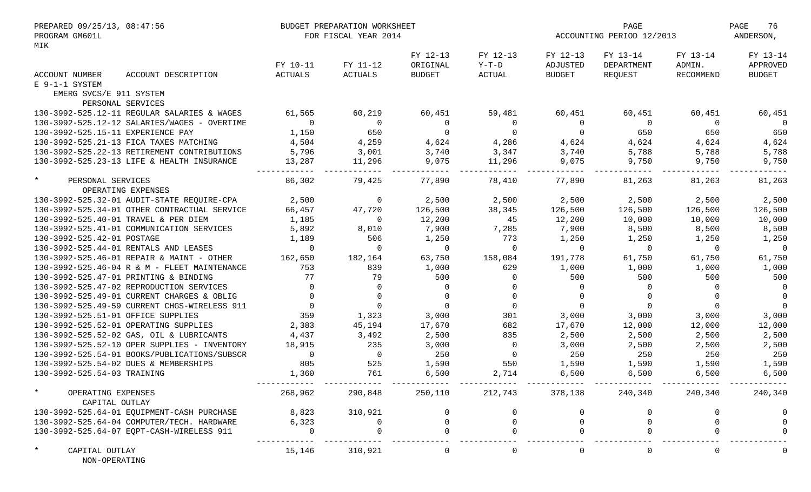| PREPARED 09/25/13, 08:47:56                  | BUDGET PREPARATION WORKSHEET |                      |                | PAGE                    |                           |            | PAGE<br>76     |               |
|----------------------------------------------|------------------------------|----------------------|----------------|-------------------------|---------------------------|------------|----------------|---------------|
| PROGRAM GM601L<br>MIK                        |                              | FOR FISCAL YEAR 2014 |                |                         | ACCOUNTING PERIOD 12/2013 |            |                | ANDERSON,     |
|                                              |                              |                      | FY 12-13       | FY 12-13                | FY 12-13                  | FY 13-14   | FY 13-14       | FY 13-14      |
|                                              | FY 10-11                     | FY 11-12             | ORIGINAL       | $Y-T-D$                 | ADJUSTED                  | DEPARTMENT | ADMIN.         | APPROVED      |
| ACCOUNT DESCRIPTION<br>ACCOUNT NUMBER        | <b>ACTUALS</b>               | ACTUALS              | <b>BUDGET</b>  | <b>ACTUAL</b>           | <b>BUDGET</b>             | REQUEST    | RECOMMEND      | <b>BUDGET</b> |
| E 9-1-1 SYSTEM                               |                              |                      |                |                         |                           |            |                |               |
| EMERG SVCS/E 911 SYSTEM                      |                              |                      |                |                         |                           |            |                |               |
| PERSONAL SERVICES                            |                              |                      |                |                         |                           |            |                |               |
| 130-3992-525.12-11 REGULAR SALARIES & WAGES  | 61,565                       | 60,219               | 60,451         | 59,481                  | 60,451                    | 60,451     | 60,451         | 60,451        |
| 130-3992-525.12-12 SALARIES/WAGES - OVERTIME | $\Omega$                     | $\overline{0}$       | $\overline{0}$ | $\Omega$                | 0                         | $\Omega$   | $\Omega$       | $\Omega$      |
| 130-3992-525.15-11 EXPERIENCE PAY            | 1,150                        | 650                  | $\overline{0}$ | $\Omega$                | 0                         | 650        | 650            | 650           |
| 130-3992-525.21-13 FICA TAXES MATCHING       | 4,504                        | 4,259                | 4,624          | 4,286                   | 4,624                     | 4,624      | 4,624          | 4,624         |
| 130-3992-525.22-13 RETIREMENT CONTRIBUTIONS  | 5,796                        | 3,001                | 3,740          | 3,347                   | 3,740                     | 5,788      | 5,788          | 5,788         |
| 130-3992-525.23-13 LIFE & HEALTH INSURANCE   | 13,287                       | 11,296               | 9,075          | 11,296                  | 9,075                     | 9,750      | 9,750          | 9,750         |
| $\star$<br>PERSONAL SERVICES                 | 86,302                       | 79,425               | 77,890         | 78,410                  | 77,890                    | 81,263     | 81,263         | 81,263        |
| OPERATING EXPENSES                           |                              |                      |                |                         |                           |            |                |               |
| 130-3992-525.32-01 AUDIT-STATE REQUIRE-CPA   | 2,500                        | $\mathbf 0$          | 2,500          | 2,500                   | 2,500                     | 2,500      | 2,500          | 2,500         |
| 130-3992-525.34-01 OTHER CONTRACTUAL SERVICE | 66,457                       | 47,720               | 126,500        | 38,345                  | 126,500                   | 126,500    | 126,500        | 126,500       |
| 130-3992-525.40-01 TRAVEL & PER DIEM         | 1,185                        | 0                    | 12,200         | 45                      | 12,200                    | 10,000     | 10,000         | 10,000        |
| 130-3992-525.41-01 COMMUNICATION SERVICES    | 5,892                        | 8,010                | 7,900          | 7,285                   | 7,900                     | 8,500      | 8,500          | 8,500         |
| 130-3992-525.42-01 POSTAGE                   | 1,189                        | 506                  | 1,250          | 773                     | 1,250                     | 1,250      | 1,250          | 1,250         |
| 130-3992-525.44-01 RENTALS AND LEASES        | $\Omega$                     | $\Omega$             | $\overline{0}$ | $\Omega$                | $\Omega$                  | $\Omega$   | $\overline{0}$ | $\Omega$      |
| 130-3992-525.46-01 REPAIR & MAINT - OTHER    | 162,650                      | 182,164              | 63,750         | 158,084                 | 191,778                   | 61,750     | 61,750         | 61,750        |
| 130-3992-525.46-04 R & M - FLEET MAINTENANCE | 753                          | 839                  | 1,000          | 629                     | 1,000                     | 1,000      | 1,000          | 1,000         |
| 130-3992-525.47-01 PRINTING & BINDING        | 77                           | 79                   | 500            | $\Omega$                | 500                       | 500        | 500            | 500           |
| 130-3992-525.47-02 REPRODUCTION SERVICES     | $\Omega$                     | $\Omega$             | $\Omega$       | $\Omega$                | $\Omega$                  | $\Omega$   | $\Omega$       | $\Omega$      |
| 130-3992-525.49-01 CURRENT CHARGES & OBLIG   | $\Omega$                     | $\Omega$             | $\Omega$       | $\Omega$                | $\Omega$                  | $\Omega$   | $\Omega$       | $\Omega$      |
| 130-3992-525.49-59 CURRENT CHGS-WIRELESS 911 | $\Omega$                     | $\Omega$             | $\Omega$       | $\Omega$                | $\Omega$                  | $\Omega$   | $\Omega$       | $\Omega$      |
| 130-3992-525.51-01 OFFICE SUPPLIES           | 359                          | 1,323                | 3,000          | 301                     | 3,000                     | 3,000      | 3,000          | 3,000         |
| 130-3992-525.52-01 OPERATING SUPPLIES        | 2,383                        | 45,194               | 17,670         | 682                     | 17,670                    | 12,000     | 12,000         | 12,000        |
| 130-3992-525.52-02 GAS, OIL & LUBRICANTS     | 4,437                        | 3,492                | 2,500          | 835                     | 2,500                     | 2,500      | 2,500          | 2,500         |
| 130-3992-525.52-10 OPER SUPPLIES - INVENTORY | 18,915                       | 235                  | 3,000          | $\overline{0}$          | 3,000                     | 2,500      | 2,500          | 2,500         |
| 130-3992-525.54-01 BOOKS/PUBLICATIONS/SUBSCR | $\Omega$                     | $\overline{0}$       | 250            | $\overline{0}$          | 250                       | 250        | 250            | 250           |
| 130-3992-525.54-02 DUES & MEMBERSHIPS        | 805                          | 525                  | 1,590          | 550                     | 1,590                     | 1,590      | 1,590          | 1,590         |
| 130-3992-525.54-03 TRAINING                  | 1,360                        | 761                  | 6,500          | 2,714                   | 6,500                     | $6,500$    | 6,500          | 6,500         |
|                                              |                              |                      |                |                         |                           |            |                |               |
| $\ast$<br>OPERATING EXPENSES                 | 268,962                      | 290,848              |                | 250,110 212,743 378,138 |                           | 240,340    | 240,340        | 240,340       |
| CAPITAL OUTLAY                               |                              |                      |                |                         |                           |            |                |               |
| 130-3992-525.64-01 EQUIPMENT-CASH PURCHASE   | 8,823                        | 310,921              |                | <sup>0</sup>            |                           |            |                |               |
| 130-3992-525.64-04 COMPUTER/TECH. HARDWARE   | 6,323                        | $\Omega$             |                |                         |                           |            |                |               |
| 130-3992-525.64-07 EQPT-CASH-WIRELESS 911    | 0                            | $\Omega$             |                |                         |                           |            |                |               |
| $^\star$<br>CAPITAL OUTLAY<br>NON-OPERATING  | 15,146                       | 310,921              | $\mathbf{0}$   | $\overline{0}$          | 0                         | 0          | $\overline{0}$ |               |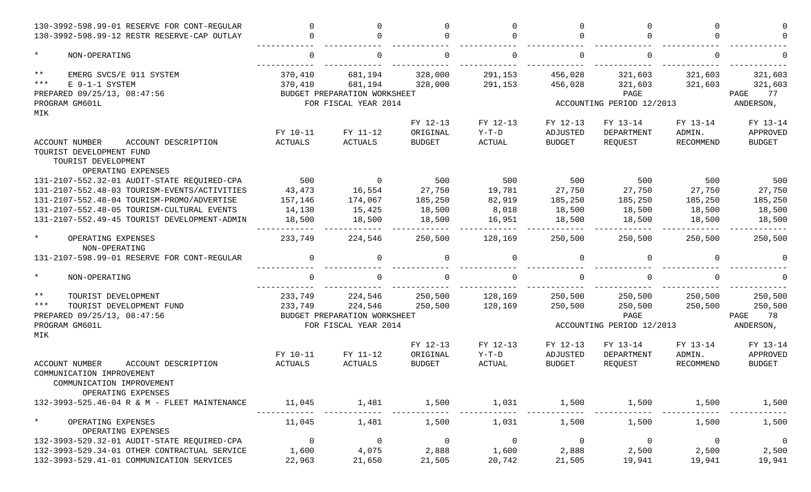| 130-3992-598.99-01 RESERVE FOR CONT-REGULAR                  | $\Omega$       | $\Omega$                     |                | $\Omega$       | $\cap$         | $\Omega$                  | <sup>n</sup>   |                |
|--------------------------------------------------------------|----------------|------------------------------|----------------|----------------|----------------|---------------------------|----------------|----------------|
| 130-3992-598.99-12 RESTR RESERVE-CAP OUTLAY                  | $\Omega$       | $\Omega$                     |                | <sup>n</sup>   | $\Omega$       |                           | ∩              |                |
| $\star$<br>NON-OPERATING                                     | $\Omega$       | $\Omega$                     |                | $\Omega$       | $\Omega$       |                           | $\Omega$       |                |
| $\star\star$<br>EMERG SVCS/E 911 SYSTEM                      | 370,410        | 681,194                      | 328,000        | 291,153        | 456,028        | 321,603                   | 321,603        | 321,603        |
| $***$<br>E 9-1-1 SYSTEM                                      | 370,410        | 681,194                      | 328,000        | 291,153        | 456,028        | 321,603                   | 321,603        | 321,603        |
| PREPARED 09/25/13, 08:47:56                                  |                | BUDGET PREPARATION WORKSHEET |                |                |                | PAGE                      |                | 77<br>PAGE     |
| PROGRAM GM601L                                               |                | FOR FISCAL YEAR 2014         |                |                |                | ACCOUNTING PERIOD 12/2013 |                | ANDERSON,      |
| MIK                                                          |                |                              |                |                |                |                           |                |                |
|                                                              |                |                              | FY 12-13       | FY 12-13       | FY 12-13       | FY 13-14                  | FY 13-14       | FY 13-14       |
|                                                              | FY 10-11       | FY 11-12                     | ORIGINAL       | $Y-T-D$        | ADJUSTED       | DEPARTMENT                | ADMIN.         | APPROVED       |
| <b>ACCOUNT NUMBER</b><br>ACCOUNT DESCRIPTION                 | <b>ACTUALS</b> | <b>ACTUALS</b>               | <b>BUDGET</b>  | <b>ACTUAL</b>  | <b>BUDGET</b>  | REQUEST                   | RECOMMEND      | <b>BUDGET</b>  |
| TOURIST DEVELOPMENT FUND                                     |                |                              |                |                |                |                           |                |                |
| TOURIST DEVELOPMENT<br>OPERATING EXPENSES                    |                |                              |                |                |                |                           |                |                |
| 131-2107-552.32-01 AUDIT-STATE REQUIRED-CPA                  | 500            | $\overline{0}$               | 500            | 500            | 500            | 500                       | 500            | 500            |
| 131-2107-552.48-03 TOURISM-EVENTS/ACTIVITIES                 | 43,473         | 16,554                       | 27,750         | 19,781         | 27,750         | 27,750                    | 27,750         | 27,750         |
| 131-2107-552.48-04 TOURISM-PROMO/ADVERTISE                   | 157,146        | 174,067                      | 185,250        | 82,919         | 185,250        | 185,250                   | 185,250        | 185,250        |
| 131-2107-552.48-05 TOURISM-CULTURAL EVENTS                   | 14,130         | 15,425                       | 18,500         | 8,018          | 18,500         | 18,500                    | 18,500         | 18,500         |
| 131-2107-552.49-45 TOURIST DEVELOPMENT-ADMIN                 | 18,500         | 18,500                       | 18,500         | 16,951         | 18,500         | 18,500                    | 18,500         | 18,500         |
| $\star$<br>OPERATING EXPENSES                                | 233,749        | 224,546                      | 250,500        | 128,169        | 250,500        | 250,500                   | 250,500        | 250,500        |
| NON-OPERATING<br>131-2107-598.99-01 RESERVE FOR CONT-REGULAR | $\Omega$       | $\mathbf 0$                  | $\Omega$       | $\Omega$       | $\Omega$       | $\Omega$                  | $\Omega$       |                |
| $\star$                                                      | $\Omega$       | $\Omega$                     |                | $\Omega$       | $\cap$         |                           |                |                |
| NON-OPERATING                                                |                |                              |                |                |                |                           |                |                |
| $\star\star$<br>TOURIST DEVELOPMENT                          | 233,749        | 224,546                      | 250,500        | 128,169        | 250,500        | 250,500                   | 250,500        | 250,500        |
| $***$<br>TOURIST DEVELOPMENT FUND                            | 233,749        | 224,546                      | 250,500        | 128,169        | 250,500        | 250,500                   | 250,500        | 250,500        |
| PREPARED 09/25/13, 08:47:56                                  |                | BUDGET PREPARATION WORKSHEET |                |                |                | PAGE                      |                | 78<br>PAGE     |
| PROGRAM GM601L                                               |                | FOR FISCAL YEAR 2014         |                |                |                | ACCOUNTING PERIOD 12/2013 |                | ANDERSON,      |
| MIK                                                          |                |                              |                |                |                |                           |                |                |
|                                                              |                |                              | FY 12-13       | FY 12-13       | FY 12-13       | FY 13-14                  | FY 13-14       | FY 13-14       |
|                                                              | FY 10-11       | FY 11-12                     | ORIGINAL       | $Y-T-D$        | ADJUSTED       | DEPARTMENT                | ADMIN.         | APPROVED       |
| <b>ACCOUNT NUMBER</b><br>ACCOUNT DESCRIPTION                 | ACTUALS        | <b>ACTUALS</b>               | <b>BUDGET</b>  | <b>ACTUAL</b>  | <b>BUDGET</b>  | REQUEST                   | RECOMMEND      | <b>BUDGET</b>  |
| COMMUNICATION IMPROVEMENT                                    |                |                              |                |                |                |                           |                |                |
| COMMUNICATION IMPROVEMENT                                    |                |                              |                |                |                |                           |                |                |
| OPERATING EXPENSES                                           |                |                              |                |                |                |                           |                |                |
| 132-3993-525.46-04 R & M - FLEET MAINTENANCE                 | 11,045         | 1,481                        | 1,500          | 1,031          | 1,500          | 1,500                     | 1,500          | 1,500          |
| $\star$<br>OPERATING EXPENSES                                | 11,045         | 1,481                        | 1,500          | 1,031          | 1,500          | 1,500                     | 1,500          | 1,500          |
| OPERATING EXPENSES                                           |                |                              |                |                |                |                           |                |                |
| 132-3993-529.32-01 AUDIT-STATE REQUIRED-CPA                  | $\overline{0}$ | $\overline{0}$               | $\overline{0}$ | $\overline{0}$ | $\overline{0}$ | $\overline{0}$            | $\overline{0}$ | $\overline{0}$ |
| 132-3993-529.34-01 OTHER CONTRACTUAL SERVICE                 | 1,600          | 4,075                        | 2,888          | 1,600          | 2,888          | 2,500                     | 2,500          | 2,500          |
| 132-3993-529.41-01 COMMUNICATION SERVICES                    | 22,963         | 21,650                       | 21,505         | 20,742         | 21,505         | 19,941                    | 19,941         | 19,941         |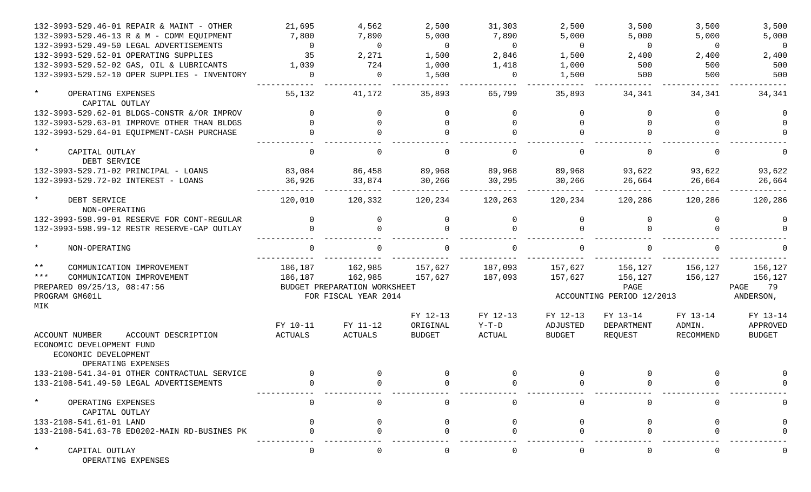| 132-3993-529.46-01 REPAIR & MAINT - OTHER                               | 21,695                     | 4,562                        | 2,500                                 | 31,303                        | 2,500                                 | 3,500                             | 3,500                           | 3,500                                 |
|-------------------------------------------------------------------------|----------------------------|------------------------------|---------------------------------------|-------------------------------|---------------------------------------|-----------------------------------|---------------------------------|---------------------------------------|
| 132-3993-529.46-13 R & M - COMM EQUIPMENT                               | 7,800                      | 7,890                        | 5,000                                 | 7,890                         | 5,000                                 | 5,000                             | 5,000                           | 5,000                                 |
| 132-3993-529.49-50 LEGAL ADVERTISEMENTS                                 | $\overline{0}$             | $\overline{0}$               | $\overline{0}$                        | $\overline{0}$                | $\overline{0}$                        | $\overline{0}$                    | $\overline{0}$                  | $\overline{0}$                        |
| 132-3993-529.52-01 OPERATING SUPPLIES                                   | 35                         | 2,271                        | 1,500                                 | 2,846                         | 1,500                                 | 2,400                             | 2,400                           | 2,400                                 |
| 132-3993-529.52-02 GAS, OIL & LUBRICANTS                                | 1,039                      | 724                          | 1,000                                 | 1,418                         | 1,000                                 | 500                               | 500                             | 500                                   |
| 132-3993-529.52-10 OPER SUPPLIES - INVENTORY                            | $\Omega$                   | $\overline{0}$               | 1,500                                 | $\Omega$                      | 1,500                                 | 500                               | 500                             | 500                                   |
| $\star$<br>OPERATING EXPENSES<br>CAPITAL OUTLAY                         | 55,132                     | 41,172                       | 35,893                                | 65,799                        | 35,893                                | 34,341                            | 34,341                          | 34,341                                |
| 132-3993-529.62-01 BLDGS-CONSTR &/OR IMPROV                             |                            | $\mathbf 0$                  |                                       | $\Omega$                      | $\Omega$                              |                                   | <sup>n</sup>                    |                                       |
| 132-3993-529.63-01 IMPROVE OTHER THAN BLDGS                             |                            | $\Omega$                     |                                       | $\Omega$                      | $\Omega$                              |                                   |                                 |                                       |
| 132-3993-529.64-01 EQUIPMENT-CASH PURCHASE                              |                            | $\Omega$                     |                                       | $\Omega$                      | $\Omega$                              |                                   | $\cap$                          |                                       |
| $\star$<br>CAPITAL OUTLAY<br>DEBT SERVICE                               | $\Omega$                   | $\overline{0}$               |                                       | $\Omega$                      | $\mathbf 0$                           |                                   | $\Omega$                        |                                       |
| 132-3993-529.71-02 PRINCIPAL - LOANS                                    | 83,084                     | 86,458                       | 89,968                                | 89,968                        | 89,968                                | 93,622                            | 93,622                          | 93,622                                |
| 132-3993-529.72-02 INTEREST - LOANS                                     | 36,926                     | 33,874                       | 30,266                                | 30,295                        | 30,266                                | 26,664                            | 26,664                          | 26,664                                |
| $\star$<br>DEBT SERVICE<br>NON-OPERATING                                | 120,010                    | 120,332                      | 120,234                               | 120,263                       | 120,234                               | 120,286                           | 120,286                         | 120,286                               |
| 132-3993-598.99-01 RESERVE FOR CONT-REGULAR                             | $\mathbf 0$                | $\mathbf{0}$                 | $\overline{0}$                        | $\mathbf 0$                   | 0                                     | $\Omega$                          | 0                               |                                       |
| 132-3993-598.99-12 RESTR RESERVE-CAP OUTLAY                             | $\Omega$                   | $\Omega$                     |                                       | $\Omega$                      |                                       |                                   | $\cap$                          |                                       |
| $\star$<br>NON-OPERATING                                                | $\cap$                     |                              |                                       | $\cap$                        |                                       |                                   |                                 |                                       |
| $***$<br>COMMUNICATION IMPROVEMENT                                      | 186,187                    | 162,985                      | 157,627                               | 187,093                       | 157,627                               | 156,127                           | 156,127                         | 156,127                               |
| $***$<br>COMMUNICATION IMPROVEMENT                                      | 186,187                    | 162,985                      | 157,627                               | 187,093                       | 157,627                               | 156,127                           | 156,127                         | 156,127                               |
| PREPARED 09/25/13, 08:47:56                                             |                            | BUDGET PREPARATION WORKSHEET |                                       |                               |                                       | PAGE                              |                                 | PAGE<br>79                            |
| PROGRAM GM601L                                                          |                            | FOR FISCAL YEAR 2014         |                                       |                               |                                       | ACCOUNTING PERIOD 12/2013         |                                 | ANDERSON,                             |
| MIK                                                                     |                            |                              |                                       |                               |                                       |                                   |                                 |                                       |
| <b>ACCOUNT NUMBER</b><br>ACCOUNT DESCRIPTION                            | FY 10-11<br><b>ACTUALS</b> | FY 11-12<br>ACTUALS          | FY 12-13<br>ORIGINAL<br><b>BUDGET</b> | FY 12-13<br>$Y-T-D$<br>ACTUAL | FY 12-13<br>ADJUSTED<br><b>BUDGET</b> | FY 13-14<br>DEPARTMENT<br>REQUEST | FY 13-14<br>ADMIN.<br>RECOMMEND | FY 13-14<br>APPROVED<br><b>BUDGET</b> |
| ECONOMIC DEVELOPMENT FUND<br>ECONOMIC DEVELOPMENT<br>OPERATING EXPENSES |                            |                              |                                       |                               |                                       |                                   |                                 |                                       |
| 133-2108-541.34-01 OTHER CONTRACTUAL SERVICE                            |                            | $\mathbf{0}$                 |                                       | $\mathbf 0$                   |                                       | $\mathbf 0$                       | $\Omega$                        |                                       |
| 133-2108-541.49-50 LEGAL ADVERTISEMENTS                                 |                            |                              |                                       |                               |                                       |                                   |                                 |                                       |
| $\star$<br>OPERATING EXPENSES<br>CAPITAL OUTLAY                         |                            |                              |                                       |                               |                                       |                                   |                                 |                                       |
| 133-2108-541.61-01 LAND                                                 |                            |                              |                                       |                               |                                       |                                   |                                 |                                       |
| 133-2108-541.63-78 ED0202-MAIN RD-BUSINES PK                            |                            |                              |                                       |                               |                                       |                                   |                                 |                                       |
| $\star$<br>CAPITAL OUTLAY<br>OPERATING EXPENSES                         |                            | $\Omega$                     |                                       | $\Omega$                      | $\Omega$                              |                                   | 0                               |                                       |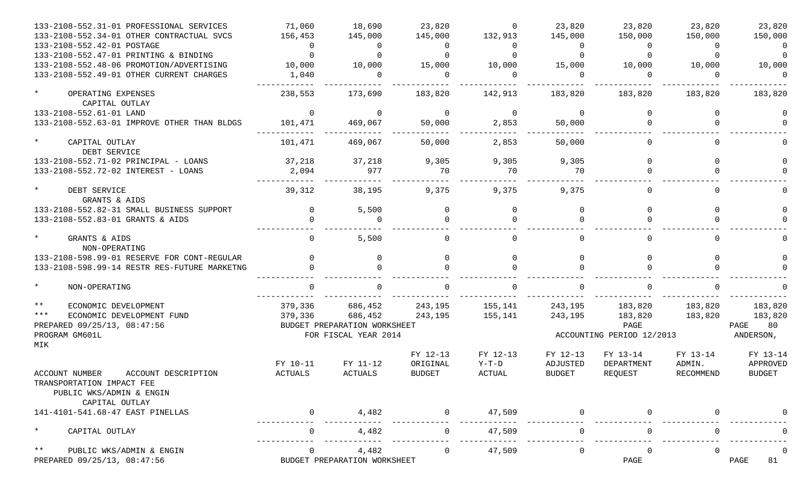| 133-2108-552.31-01 PROFESSIONAL SERVICES                                                                             | 71,060              | 18,690                                                                     | 23,820                                | $\Omega$                      | 23,820                         | 23,820                                                  | 23,820                          | 23,820                                        |
|----------------------------------------------------------------------------------------------------------------------|---------------------|----------------------------------------------------------------------------|---------------------------------------|-------------------------------|--------------------------------|---------------------------------------------------------|---------------------------------|-----------------------------------------------|
| 133-2108-552.34-01 OTHER CONTRACTUAL SVCS                                                                            | 156,453             | 145,000                                                                    | 145,000                               | 132,913                       | 145,000                        | 150,000                                                 | 150,000                         | 150,000                                       |
| 133-2108-552.42-01 POSTAGE                                                                                           | - 0                 | $\overline{0}$                                                             | $\mathbf{0}$                          | 0                             | $\Omega$                       | $\Omega$                                                | $\Omega$                        | $\Omega$                                      |
| 133-2108-552.47-01 PRINTING & BINDING                                                                                | $\Omega$            | $\Omega$                                                                   | $\Omega$                              | $\Omega$                      | $\Omega$                       | $\Omega$                                                | $\Omega$                        | $\Omega$                                      |
| 133-2108-552.48-06 PROMOTION/ADVERTISING                                                                             | 10,000              | 10,000                                                                     | 15,000                                | 10,000                        | 15,000                         | 10,000                                                  | 10,000                          | 10,000                                        |
| 133-2108-552.49-01 OTHER CURRENT CHARGES                                                                             | 1,040               | $\Omega$                                                                   | $\Omega$                              | $\Omega$                      | $\Omega$                       | $\Omega$                                                | $\Omega$                        | $\Omega$                                      |
| $\star$<br>OPERATING EXPENSES<br>CAPITAL OUTLAY                                                                      | 238,553             | 173,690                                                                    | 183,820                               | 142,913                       | 183,820                        | 183,820                                                 | 183,820                         | 183,820                                       |
| 133-2108-552.61-01 LAND                                                                                              | $\overline{0}$      | 0                                                                          | $\mathbf 0$                           | $\overline{0}$                | $\overline{0}$                 |                                                         | $\Omega$                        |                                               |
| 133-2108-552.63-01 IMPROVE OTHER THAN BLDGS                                                                          | 101,471             | 469,067                                                                    | 50,000                                | 2,853                         | 50,000                         |                                                         | $\Omega$                        |                                               |
| $\star$<br>CAPITAL OUTLAY<br>DEBT SERVICE                                                                            | 101,471             | 469,067                                                                    | 50,000                                | 2,853                         | 50,000                         |                                                         | $\Omega$                        |                                               |
| 133-2108-552.71-02 PRINCIPAL - LOANS                                                                                 | 37,218              | 37,218                                                                     | 9,305                                 | 9,305                         | 9,305                          |                                                         | $\Omega$                        |                                               |
| 133-2108-552.72-02 INTEREST - LOANS                                                                                  | 2,094               | 977                                                                        | 70                                    | 70                            | 70                             |                                                         | $\cap$                          |                                               |
| $\star$<br>DEBT SERVICE<br>GRANTS & AIDS                                                                             | 39,312              | 38,195                                                                     | 9,375                                 | 9,375                         | 9,375                          |                                                         | $\Omega$                        |                                               |
| 133-2108-552.82-31 SMALL BUSINESS SUPPORT                                                                            | $\Omega$            | 5,500                                                                      | $\Omega$                              | $\mathbf 0$                   | $\Omega$                       |                                                         | $\Omega$                        |                                               |
| 133-2108-552.83-01 GRANTS & AIDS                                                                                     |                     | $\Omega$                                                                   |                                       | $\cap$                        |                                |                                                         |                                 |                                               |
| $\star$<br>GRANTS & AIDS<br>NON-OPERATING                                                                            |                     | 5,500                                                                      |                                       | $\Omega$                      | 0                              |                                                         | $\Omega$                        |                                               |
| 133-2108-598.99-01 RESERVE FOR CONT-REGULAR                                                                          |                     | 0                                                                          | $\Omega$                              | $\Omega$                      | <sup>0</sup>                   |                                                         | $\Omega$                        |                                               |
| 133-2108-598.99-14 RESTR RES-FUTURE MARKETNG                                                                         |                     |                                                                            |                                       |                               |                                |                                                         |                                 |                                               |
| $\star$<br>NON-OPERATING                                                                                             |                     |                                                                            |                                       |                               |                                |                                                         |                                 |                                               |
| $***$<br>ECONOMIC DEVELOPMENT<br>$***$<br>ECONOMIC DEVELOPMENT FUND<br>PREPARED 09/25/13, 08:47:56<br>PROGRAM GM601L | 379,336<br>379,336  | 686,452<br>686,452<br>BUDGET PREPARATION WORKSHEET<br>FOR FISCAL YEAR 2014 | 243,195<br>243,195                    | 155,141<br>155,141            | 243,195<br>243,195             | 183,820<br>183,820<br>PAGE<br>ACCOUNTING PERIOD 12/2013 | 183,820<br>183,820              | 183,820<br>183,820<br>PAGE<br>80<br>ANDERSON, |
| MIK                                                                                                                  |                     |                                                                            |                                       |                               |                                |                                                         |                                 |                                               |
| ACCOUNT NUMBER<br>ACCOUNT DESCRIPTION                                                                                | FY 10-11<br>ACTUALS | FY 11-12<br>ACTUALS                                                        | FY 12-13<br>ORIGINAL<br><b>BUDGET</b> | FY 12-13<br>$Y-T-D$<br>ACTUAL | FY 12-13<br>ADJUSTED<br>BUDGET | FY 13-14<br>DEPARTMENT<br>REQUEST                       | FY 13-14<br>ADMIN.<br>RECOMMEND | FY 13-14<br>APPROVED<br>BUDGET                |
| TRANSPORTATION IMPACT FEE<br>PUBLIC WKS/ADMIN & ENGIN<br>CAPITAL OUTLAY                                              |                     |                                                                            |                                       |                               |                                |                                                         |                                 |                                               |
| 141-4101-541.68-47 EAST PINELLAS                                                                                     | $\Omega$            | 4,482                                                                      |                                       | 47,509                        | $\mathbf{0}$                   |                                                         | $\Omega$                        |                                               |
| $\star$<br>CAPITAL OUTLAY                                                                                            | 0                   | 4,482                                                                      | $\Omega$                              | 47,509                        | 0                              |                                                         | $\Omega$                        |                                               |
| $\star\star$<br>PUBLIC WKS/ADMIN & ENGIN<br>PREPARED 09/25/13, 08:47:56                                              | 0                   | 4,482<br>BUDGET PREPARATION WORKSHEET                                      | 0                                     | 47,509                        | 0                              | 0<br>PAGE                                               | $\Omega$                        | 0<br>PAGE<br>81                               |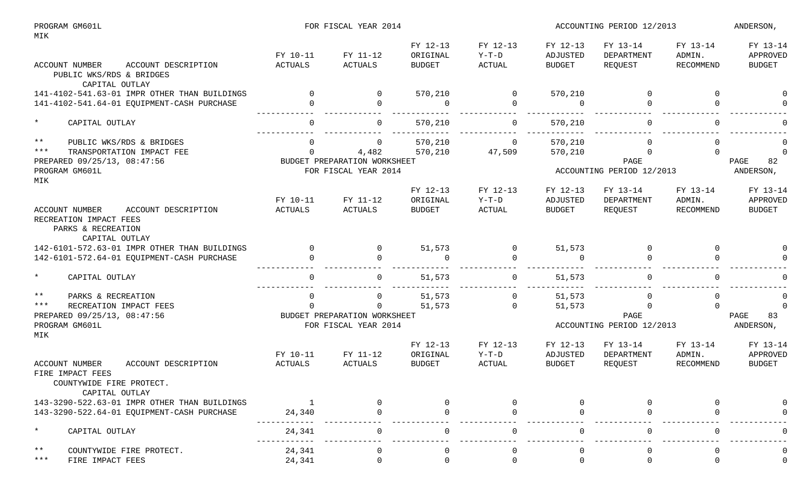| PROGRAM GM601L<br>MIK |                                                                                                         |          | FOR FISCAL YEAR 2014         |                      |                     | ACCOUNTING PERIOD 12/2013 | ANDERSON,                 |                    |                      |
|-----------------------|---------------------------------------------------------------------------------------------------------|----------|------------------------------|----------------------|---------------------|---------------------------|---------------------------|--------------------|----------------------|
|                       |                                                                                                         | FY 10-11 | FY 11-12                     | FY 12-13<br>ORIGINAL | FY 12-13<br>$Y-T-D$ | FY 12-13<br>ADJUSTED      | FY 13-14<br>DEPARTMENT    | FY 13-14<br>ADMIN. | FY 13-14<br>APPROVED |
|                       | ACCOUNT NUMBER<br>ACCOUNT DESCRIPTION<br>PUBLIC WKS/RDS & BRIDGES<br>CAPITAL OUTLAY                     | ACTUALS  | ACTUALS                      | <b>BUDGET</b>        | ACTUAL              | BUDGET                    | REQUEST                   | RECOMMEND          | BUDGET               |
|                       | 141-4102-541.63-01 IMPR OTHER THAN BUILDINGS                                                            | $\Omega$ | $\mathbf{0}$                 | 570,210              | 0                   | 570,210                   |                           | $\Omega$           |                      |
|                       | 141-4102-541.64-01 EQUIPMENT-CASH PURCHASE                                                              |          | $\mathbf 0$                  | $\Omega$             | $\Omega$            | $\overline{0}$            |                           | $\Omega$           |                      |
| $\star$               | CAPITAL OUTLAY                                                                                          | $\Omega$ | 0                            | 570,210              | $\mathbf 0$         | 570,210                   |                           | $\mathbf 0$        |                      |
| $***$                 | PUBLIC WKS/RDS & BRIDGES                                                                                | $\Omega$ | $\overline{0}$               | 570,210              | $\overline{0}$      | 570,210                   | $\Omega$                  | 0                  |                      |
| $***$                 | TRANSPORTATION IMPACT FEE                                                                               | $\Omega$ | 4,482                        | 570,210              | 47,509              | 570,210                   | $\Omega$                  | $\Omega$           | $\Omega$             |
|                       | PREPARED 09/25/13, 08:47:56                                                                             |          | BUDGET PREPARATION WORKSHEET |                      |                     |                           | PAGE                      |                    | 82<br>PAGE           |
| MIK                   | PROGRAM GM601L                                                                                          |          | FOR FISCAL YEAR 2014         |                      |                     |                           | ACCOUNTING PERIOD 12/2013 |                    | ANDERSON,            |
|                       |                                                                                                         |          |                              | FY 12-13             | FY 12-13            | FY 12-13                  | FY 13-14                  | FY 13-14           | FY 13-14             |
|                       |                                                                                                         | FY 10-11 | FY 11-12                     | ORIGINAL             | $Y-T-D$             | ADJUSTED                  | DEPARTMENT                | ADMIN.             | APPROVED             |
|                       | ACCOUNT DESCRIPTION<br>ACCOUNT NUMBER<br>RECREATION IMPACT FEES<br>PARKS & RECREATION<br>CAPITAL OUTLAY | ACTUALS  | <b>ACTUALS</b>               | <b>BUDGET</b>        | ACTUAL              | <b>BUDGET</b>             | REQUEST                   | <b>RECOMMEND</b>   | <b>BUDGET</b>        |
|                       | 142-6101-572.63-01 IMPR OTHER THAN BUILDINGS                                                            | $\Omega$ | $\overline{0}$               | 51,573               | 0                   | 51,573                    | $\overline{0}$            | $\Omega$           |                      |
|                       | 142-6101-572.64-01 EQUIPMENT-CASH PURCHASE                                                              |          | $\Omega$                     | $\Omega$             | $\Omega$            | $\overline{0}$            | $\Omega$                  | $\Omega$           |                      |
| $\star$               | CAPITAL OUTLAY                                                                                          | $\Omega$ | $\mathsf{O}$                 | 51,573               | 0                   | 51,573                    | 0                         | $\mathbf 0$        |                      |
| $\star \star$         | PARKS & RECREATION                                                                                      | $\Omega$ | 0                            | 51,573               | $\mathbf 0$         | 51,573                    | $\mathbf 0$               | $\mathbf 0$        | $\Omega$             |
| $***$                 | RECREATION IMPACT FEES                                                                                  | $\Omega$ | $\mathbf{0}$                 | 51,573               | $\Omega$            | 51,573                    | $\Omega$                  | $\Omega$           | $\Omega$             |
|                       | PREPARED 09/25/13, 08:47:56                                                                             |          | BUDGET PREPARATION WORKSHEET |                      |                     |                           | PAGE                      |                    | PAGE<br>83           |
| MIK                   | PROGRAM GM601L                                                                                          |          | FOR FISCAL YEAR 2014         |                      |                     |                           | ACCOUNTING PERIOD 12/2013 |                    | ANDERSON,            |
|                       |                                                                                                         | FY 10-11 | FY 11-12                     | FY 12-13<br>ORIGINAL | FY 12-13<br>$Y-T-D$ | FY 12-13<br>ADJUSTED      | FY 13-14<br>DEPARTMENT    | FY 13-14<br>ADMIN. | FY 13-14<br>APPROVED |
|                       | ACCOUNT NUMBER<br>ACCOUNT DESCRIPTION                                                                   | ACTUALS  | ACTUALS                      | <b>BUDGET</b>        | ACTUAL              | <b>BUDGET</b>             | REQUEST                   | <b>RECOMMEND</b>   | BUDGET               |
|                       | FIRE IMPACT FEES<br>COUNTYWIDE FIRE PROTECT.<br>CAPITAL OUTLAY                                          |          |                              |                      |                     |                           |                           |                    |                      |
|                       | 143-3290-522.63-01 IMPR OTHER THAN BUILDINGS                                                            |          |                              |                      |                     |                           |                           |                    |                      |
|                       | 143-3290-522.64-01 EQUIPMENT-CASH PURCHASE                                                              | 24,340   | $\Omega$                     |                      | $\Omega$            |                           |                           |                    |                      |
| $\star$               | CAPITAL OUTLAY                                                                                          | 24,341   | $\Omega$                     |                      | $\Omega$            | $\Omega$                  |                           | ∩                  |                      |
| $***$                 | COUNTYWIDE FIRE PROTECT.                                                                                | 24,341   |                              |                      |                     |                           |                           |                    |                      |
| $***$                 | FIRE IMPACT FEES                                                                                        | 24,341   | $\Omega$                     | $\Omega$             | $\Omega$            | $\Omega$                  |                           | $\Omega$           | $\Omega$             |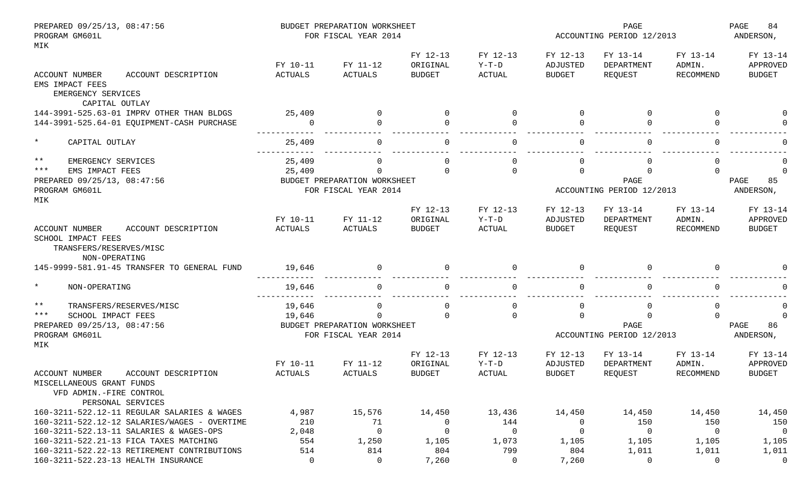| PREPARED 09/25/13, 08:47:56<br>PROGRAM GM601L |                                              |                | BUDGET PREPARATION WORKSHEET<br>FOR FISCAL YEAR 2014 |               |               | PAGE<br>ACCOUNTING PERIOD 12/2013 |                           |                  | PAGE<br>84<br>ANDERSON, |
|-----------------------------------------------|----------------------------------------------|----------------|------------------------------------------------------|---------------|---------------|-----------------------------------|---------------------------|------------------|-------------------------|
| MIK                                           |                                              |                |                                                      |               |               |                                   |                           |                  |                         |
|                                               |                                              |                |                                                      | FY 12-13      | FY 12-13      | FY 12-13                          | FY 13-14                  | FY 13-14         | FY 13-14                |
|                                               |                                              | FY 10-11       | FY 11-12                                             | ORIGINAL      | $Y-T-D$       | ADJUSTED                          | DEPARTMENT                | ADMIN.           | APPROVED                |
| ACCOUNT NUMBER                                | ACCOUNT DESCRIPTION                          | ACTUALS        | <b>ACTUALS</b>                                       | <b>BUDGET</b> | ACTUAL        | <b>BUDGET</b>                     | REQUEST                   | <b>RECOMMEND</b> | <b>BUDGET</b>           |
| EMS IMPACT FEES                               |                                              |                |                                                      |               |               |                                   |                           |                  |                         |
| EMERGENCY SERVICES                            |                                              |                |                                                      |               |               |                                   |                           |                  |                         |
|                                               | CAPITAL OUTLAY                               |                |                                                      |               |               |                                   |                           |                  |                         |
|                                               | 144-3991-525.63-01 IMPRV OTHER THAN BLDGS    | 25,409         | $\Omega$                                             | $\Omega$      | $\Omega$      | $\Omega$                          | $\Omega$                  | $\Omega$         |                         |
|                                               | 144-3991-525.64-01 EQUIPMENT-CASH PURCHASE   | $\Omega$       | $\Omega$                                             |               |               | $\Omega$                          |                           | $\Omega$         |                         |
|                                               |                                              |                |                                                      |               |               |                                   |                           |                  |                         |
| $\star$<br>CAPITAL OUTLAY                     |                                              | 25,409         | $\Omega$                                             |               | $\Omega$      | $\Omega$                          |                           | $\Omega$         |                         |
| $* *$<br>EMERGENCY SERVICES                   |                                              | 25,409         | 0                                                    |               |               | $\Omega$                          |                           | $\Omega$         |                         |
| $***$<br>EMS IMPACT FEES                      |                                              | 25,409         | $\Omega$                                             | $\Omega$      | $\Omega$      | $\Omega$                          | $\cap$                    | $\Omega$         | $\Omega$                |
| PREPARED 09/25/13, 08:47:56                   |                                              |                | BUDGET PREPARATION WORKSHEET                         |               |               |                                   | PAGE                      |                  | PAGE<br>85              |
| PROGRAM GM601L                                |                                              |                | FOR FISCAL YEAR 2014                                 |               |               |                                   | ACCOUNTING PERIOD 12/2013 |                  | ANDERSON,               |
| MIK                                           |                                              |                |                                                      |               |               |                                   |                           |                  |                         |
|                                               |                                              |                |                                                      | FY 12-13      | FY 12-13      | FY 12-13                          | FY 13-14                  | FY 13-14         | FY 13-14                |
|                                               |                                              | FY 10-11       | FY 11-12                                             | ORIGINAL      | $Y-T-D$       | ADJUSTED                          | DEPARTMENT                | ADMIN.           | APPROVED                |
| <b>ACCOUNT NUMBER</b>                         | ACCOUNT DESCRIPTION                          | ACTUALS        | ACTUALS                                              | <b>BUDGET</b> | ACTUAL        | <b>BUDGET</b>                     | REQUEST                   | RECOMMEND        | <b>BUDGET</b>           |
| SCHOOL IMPACT FEES<br>TRANSFERS/RESERVES/MISC |                                              |                |                                                      |               |               |                                   |                           |                  |                         |
| NON-OPERATING                                 |                                              |                |                                                      |               |               |                                   |                           |                  |                         |
|                                               | 145-9999-581.91-45 TRANSFER TO GENERAL FUND  | 19,646         | $\mathbf{0}$                                         |               |               | $\Omega$                          | $\Omega$                  | $\Omega$         |                         |
| $\star$<br>NON-OPERATING                      |                                              | 19,646         | 0                                                    |               |               | $\Omega$                          |                           | $\Omega$         |                         |
|                                               |                                              |                |                                                      |               |               |                                   |                           |                  |                         |
| $* *$                                         | TRANSFERS/RESERVES/MISC                      | 19,646         | 0                                                    |               |               | 0                                 |                           | $\Omega$         |                         |
| $***$<br>SCHOOL IMPACT FEES                   |                                              | 19,646         | $\Omega$                                             | $\cap$        | $\Omega$      | $\Omega$                          | $\Omega$                  | $\Omega$         | $\cap$                  |
| PREPARED 09/25/13, 08:47:56                   |                                              |                | BUDGET PREPARATION WORKSHEET                         |               |               |                                   | PAGE                      |                  | PAGE<br>86              |
| PROGRAM GM601L                                |                                              |                | FOR FISCAL YEAR 2014                                 |               |               |                                   | ACCOUNTING PERIOD 12/2013 |                  | ANDERSON,               |
| MIK                                           |                                              |                |                                                      |               |               |                                   |                           |                  |                         |
|                                               |                                              |                |                                                      | FY 12-13      | FY 12-13      | FY 12-13                          | FY 13-14                  | FY 13-14         | FY 13-14                |
|                                               |                                              | FY 10-11       | FY 11-12                                             | ORIGINAL      | $Y-T-D$       | ADJUSTED                          | DEPARTMENT                | ADMIN.           | APPROVED                |
| <b>ACCOUNT NUMBER</b>                         | ACCOUNT DESCRIPTION                          | <b>ACTUALS</b> | <b>ACTUALS</b>                                       | <b>BUDGET</b> | <b>ACTUAL</b> | <b>BUDGET</b>                     | REQUEST                   | <b>RECOMMEND</b> | <b>BUDGET</b>           |
| MISCELLANEOUS GRANT FUNDS                     |                                              |                |                                                      |               |               |                                   |                           |                  |                         |
| VFD ADMIN.-FIRE CONTROL                       |                                              |                |                                                      |               |               |                                   |                           |                  |                         |
|                                               | PERSONAL SERVICES                            |                |                                                      |               |               |                                   |                           |                  |                         |
|                                               | 160-3211-522.12-11 REGULAR SALARIES & WAGES  | 4,987          | 15,576                                               | 14,450        | 13,436        | 14,450                            | 14,450                    | 14,450           | 14,450                  |
|                                               | 160-3211-522.12-12 SALARIES/WAGES - OVERTIME | 210            | 71                                                   | 0             | 144           | $\overline{0}$                    | 150                       | 150              | 150                     |
|                                               | 160-3211-522.13-11 SALARIES & WAGES-OPS      | 2,048          | 0                                                    | $\mathbf 0$   | 0             | 0                                 | 0                         | $\overline{0}$   | $\overline{0}$          |
|                                               | 160-3211-522.21-13 FICA TAXES MATCHING       | 554            | 1,250                                                | 1,105         | 1,073         | 1,105                             | 1,105                     | 1,105            | 1,105                   |
|                                               | 160-3211-522.22-13 RETIREMENT CONTRIBUTIONS  | 514            | 814                                                  | 804           | 799           | 804                               | 1,011                     | 1,011            | 1,011                   |
|                                               | 160-3211-522.23-13 HEALTH INSURANCE          | $\mathsf{O}$   | 0                                                    | 7,260         | 0             | 7,260                             | 0                         | 0                | $\mathsf{O}$            |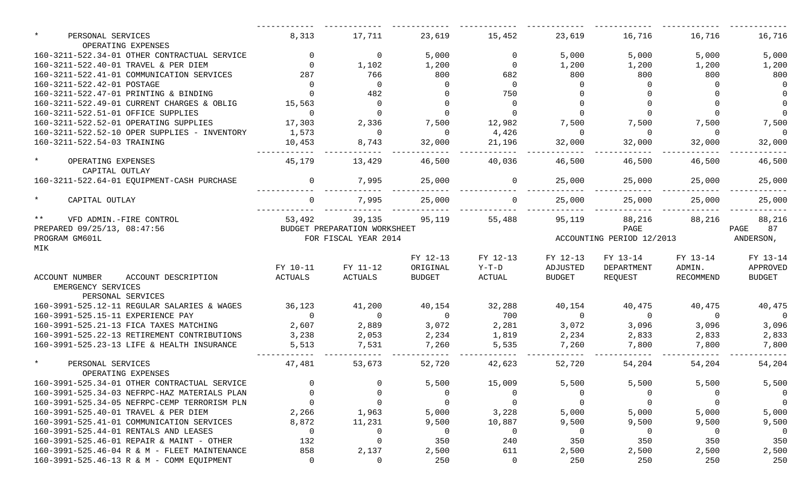| $\star$<br>PERSONAL SERVICES<br>OPERATING EXPENSES           | 8,313          | 17,711                       | 23,619         | 15,452   | 23,619         | 16,716                    | 16,716         | 16,716         |
|--------------------------------------------------------------|----------------|------------------------------|----------------|----------|----------------|---------------------------|----------------|----------------|
| 160-3211-522.34-01 OTHER CONTRACTUAL SERVICE                 | $\overline{0}$ | $\overline{0}$               | 5,000          | $\Omega$ | 5,000          | 5,000                     | 5,000          | 5,000          |
| 160-3211-522.40-01 TRAVEL & PER DIEM                         | $\Omega$       | 1,102                        | 1,200          | $\Omega$ | 1,200          | 1,200                     | 1,200          | 1,200          |
| 160-3211-522.41-01 COMMUNICATION SERVICES                    | 287            | 766                          | 800            | 682      | 800            | 800                       | 800            | 800            |
| 160-3211-522.42-01 POSTAGE                                   | $\Omega$       | $\overline{0}$               | $\Omega$       | $\Omega$ | $\Omega$       | $\Omega$                  | $\Omega$       | $\overline{0}$ |
| 160-3211-522.47-01 PRINTING & BINDING                        |                | 482                          |                | 750      |                |                           |                | $\overline{0}$ |
| 160-3211-522.49-01 CURRENT CHARGES & OBLIG                   | 15,563         | $\overline{0}$               | $\Omega$       | $\Omega$ | $\Omega$       | $\Omega$                  |                | $\overline{0}$ |
| 160-3211-522.51-01 OFFICE SUPPLIES                           | $\Omega$       | $\overline{0}$               | $\Omega$       |          | $\Omega$       | $\Omega$                  |                | $\overline{0}$ |
| 160-3211-522.52-01 OPERATING SUPPLIES                        | 17,303         | 2,336                        | 7,500          | 12,982   | 7,500          | 7,500                     | 7,500          | 7,500          |
| 160-3211-522.52-10 OPER SUPPLIES - INVENTORY                 | 1,573          | $\overline{0}$               | $\overline{0}$ | 4,426    | $\overline{0}$ | $\Omega$                  | $\Omega$       | $\overline{0}$ |
| 160-3211-522.54-03 TRAINING                                  | 10,453         | 8,743                        | 32,000         | 21,196   | 32,000         | 32,000                    | 32,000         | 32,000         |
| $\star$<br>OPERATING EXPENSES                                | 45,179         | 13,429                       | 46,500         | 40,036   | 46,500         | 46,500                    | 46,500         | 46,500         |
| CAPITAL OUTLAY<br>160-3211-522.64-01 EQUIPMENT-CASH PURCHASE |                | 7,995                        | 25,000         |          | 25,000         | 25,000                    | 25,000         | 25,000         |
| $\star$                                                      |                |                              |                |          |                |                           |                |                |
| CAPITAL OUTLAY                                               | $\Omega$       | 7,995                        | 25,000         |          | 25,000         | 25,000                    | 25,000         | 25,000         |
| $***$<br>VFD ADMIN.-FIRE CONTROL                             | 53,492         | 39,135                       | 95,119         | 55,488   | 95,119         | 88,216                    | 88,216         | 88,216         |
| PREPARED 09/25/13, 08:47:56                                  |                | BUDGET PREPARATION WORKSHEET |                |          |                | PAGE                      |                | 87<br>PAGE     |
| PROGRAM GM601L                                               |                | FOR FISCAL YEAR 2014         |                |          |                | ACCOUNTING PERIOD 12/2013 |                | ANDERSON,      |
| MIK                                                          |                |                              |                |          |                |                           |                |                |
|                                                              |                |                              | FY 12-13       | FY 12-13 | FY 12-13       | FY 13-14                  | FY 13-14       | FY 13-14       |
|                                                              | FY 10-11       | FY 11-12                     | ORIGINAL       | $Y-T-D$  | ADJUSTED       | DEPARTMENT                | ADMIN.         | APPROVED       |
| ACCOUNT NUMBER<br>ACCOUNT DESCRIPTION                        | ACTUALS        | ACTUALS                      | <b>BUDGET</b>  | ACTUAL   | BUDGET         | REQUEST                   | RECOMMEND      | <b>BUDGET</b>  |
| EMERGENCY SERVICES                                           |                |                              |                |          |                |                           |                |                |
| PERSONAL SERVICES                                            |                |                              |                |          |                |                           |                |                |
| 160-3991-525.12-11 REGULAR SALARIES & WAGES                  | 36,123         | 41,200                       | 40,154         | 32,288   | 40,154         | 40,475                    | 40,475         | 40,475         |
| 160-3991-525.15-11 EXPERIENCE PAY                            | $\Omega$       | $\overline{0}$               | $\overline{0}$ | 700      | $\overline{0}$ | $\overline{0}$            | $\overline{0}$ | $\overline{0}$ |
| 160-3991-525.21-13 FICA TAXES MATCHING                       | 2,607          | 2,889                        | 3,072          | 2,281    | 3,072          | 3,096                     | 3,096          | 3,096          |
| 160-3991-525.22-13 RETIREMENT CONTRIBUTIONS                  | 3,238          | 2,053                        | 2,234          | 1,819    | 2,234          | 2,833                     | 2,833          | 2,833          |
| 160-3991-525.23-13 LIFE & HEALTH INSURANCE                   | 5,513          | 7,531                        | 7,260          | 5,535    | 7,260          | 7,800                     | 7,800          | 7,800          |
| $\star$<br>PERSONAL SERVICES                                 | 47,481         | 53,673                       | 52,720         | 42,623   | 52,720         | 54,204                    | 54,204         | 54,204         |
| OPERATING EXPENSES                                           |                |                              |                |          |                |                           |                |                |
| 160-3991-525.34-01 OTHER CONTRACTUAL SERVICE                 |                | റ                            | 5,500          | 15,009   | 5,500          | 5,500                     | 5,500          | 5,500          |
| 160-3991-525.34-03 NEFRPC-HAZ MATERIALS PLAN                 |                |                              | $\Omega$       |          | 0              |                           | $\Omega$       | $\overline{0}$ |
| 160-3991-525.34-05 NEFRPC-CEMP TERRORISM PLN                 |                | $\Omega$                     | $\Omega$       |          | $\mathbf 0$    | $\Omega$                  |                | $\overline{0}$ |
| 160-3991-525.40-01 TRAVEL & PER DIEM                         | 2,266          | 1,963                        | 5,000          | 3,228    | 5,000          | 5,000                     | 5,000          | 5,000          |
| 160-3991-525.41-01 COMMUNICATION SERVICES                    | 8,872          | 11,231                       | 9,500          | 10,887   | 9,500          | 9,500                     | 9,500          | 9,500          |
| 160-3991-525.44-01 RENTALS AND LEASES                        | - 0            | 0                            | 0              | -0       | 0              | $\Omega$                  | 0              | $\overline{0}$ |
| 160-3991-525.46-01 REPAIR & MAINT - OTHER                    | 132            | $\mathbf 0$                  | 350            | 240      | 350            | 350                       | 350            | 350            |
| 160-3991-525.46-04 R & M - FLEET MAINTENANCE                 | 858            | 2,137                        | 2,500          | 611      | 2,500          | 2,500                     | 2,500          | 2,500          |
| 160-3991-525.46-13 R & M - COMM EQUIPMENT                    | $\mathbf 0$    | 0                            | 250            | 0        | 250            | 250                       | 250            | 250            |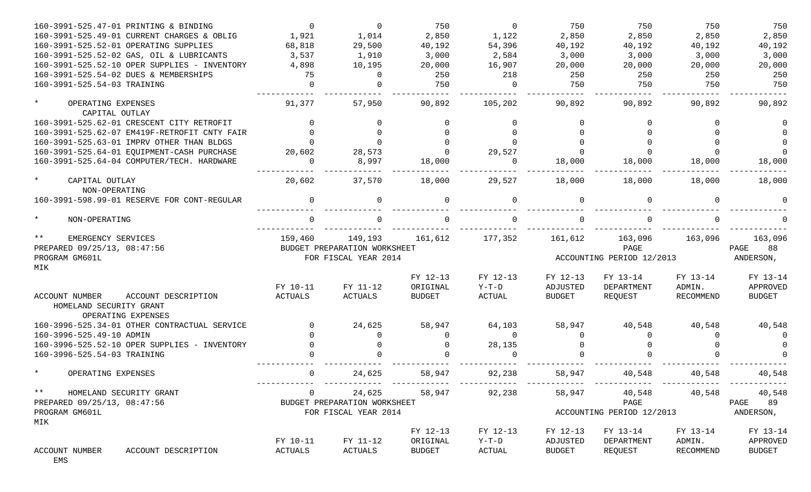| 160-3991-525.47-01 PRINTING & BINDING         | $\Omega$       | $\Omega$                     | 750           | $\Omega$ | 750           | 750                         | 750       | 750           |
|-----------------------------------------------|----------------|------------------------------|---------------|----------|---------------|-----------------------------|-----------|---------------|
| 160-3991-525.49-01 CURRENT CHARGES & OBLIG    | 1,921          | 1,014                        | 2,850         | 1,122    | 2,850         | 2,850                       | 2,850     | 2,850         |
| 160-3991-525.52-01 OPERATING SUPPLIES         | 68,818         | 29,500                       | 40,192        | 54,396   | 40,192        | 40,192                      | 40,192    | 40,192        |
| 160-3991-525.52-02 GAS, OIL & LUBRICANTS      | 3,537          | 1,910                        | 3,000         | 2,584    | 3,000         | 3,000                       | 3,000     | 3,000         |
| 160-3991-525.52-10 OPER SUPPLIES - INVENTORY  | 4,898          | 10,195                       | 20,000        | 16,907   | 20,000        | 20,000                      | 20,000    | 20,000        |
| 160-3991-525.54-02 DUES & MEMBERSHIPS         | - 75           | $\Omega$                     | 250           | 218      | 250           | 250                         | 250       | 250           |
| 160-3991-525.54-03 TRAINING                   | $\Omega$       | $\Omega$                     | 750           | $\Omega$ | 750           | 750                         | 750       | 750           |
| $\star$                                       |                |                              |               |          |               |                             |           |               |
| OPERATING EXPENSES<br>CAPITAL OUTLAY          | 91,377         | 57,950                       | 90,892        | 105,202  | 90,892        | 90,892                      | 90,892    | 90,892        |
| 160-3991-525.62-01 CRESCENT CITY RETROFIT     | $\Omega$       | $\Omega$                     |               | $\Omega$ |               |                             |           |               |
| 160-3991-525.62-07 EM419F-RETROFIT CNTY FAIR  | $\Omega$       | $\Omega$                     |               | $\Omega$ |               |                             |           |               |
| 160-3991-525.63-01 IMPRV OTHER THAN BLDGS     |                | $\Omega$                     |               |          |               |                             |           |               |
| 160-3991-525.64-01 EQUIPMENT-CASH PURCHASE    | 20,602         | 28,573                       |               | 29,527   |               |                             |           | $\Omega$      |
| 160-3991-525.64-04 COMPUTER/TECH. HARDWARE    | $\Omega$       | 8,997                        | 18,000        | $\Omega$ | 18,000        | 18,000                      | 18,000    | 18,000        |
| $\star$<br>CAPITAL OUTLAY                     | 20,602         | 37,570                       | 18,000        | 29,527   | 18,000        | 18,000                      | 18,000    | 18,000        |
| NON-OPERATING                                 |                |                              |               |          |               |                             |           |               |
| 160-3991-598.99-01 RESERVE FOR CONT-REGULAR   | $\Omega$       | $\Omega$                     |               | $\Omega$ | $\Omega$      |                             | $\Omega$  |               |
| $\star$<br>NON-OPERATING                      |                |                              |               | $\cap$   |               |                             |           |               |
| $***$<br>EMERGENCY SERVICES                   | 159,460        | 149,193                      | 161,612       | 177,352  | 161,612       | 163,096                     | 163,096   | 163,096       |
| PREPARED 09/25/13, 08:47:56                   |                | BUDGET PREPARATION WORKSHEET |               |          |               | PAGE                        |           | 88<br>PAGE    |
| PROGRAM GM601L                                |                | FOR FISCAL YEAR 2014         |               |          |               | ACCOUNTING PERIOD 12/2013   |           | ANDERSON,     |
| MIK                                           |                |                              |               |          |               |                             |           |               |
|                                               |                |                              | FY 12-13      | FY 12-13 | FY 12-13      | FY 13-14                    | FY 13-14  | FY 13-14      |
|                                               | FY 10-11       | FY 11-12                     | ORIGINAL      | $Y-T-D$  | ADJUSTED      | DEPARTMENT                  | ADMIN.    | APPROVED      |
| <b>ACCOUNT NUMBER</b><br>ACCOUNT DESCRIPTION  | <b>ACTUALS</b> | ACTUALS                      | <b>BUDGET</b> | ACTUAL   | <b>BUDGET</b> | REQUEST                     | RECOMMEND | <b>BUDGET</b> |
| HOMELAND SECURITY GRANT<br>OPERATING EXPENSES |                |                              |               |          |               |                             |           |               |
| 160-3996-525.34-01 OTHER CONTRACTUAL SERVICE  |                | 24,625                       | 58,947        | 64,103   | 58,947        | 40,548                      | 40,548    | 40,548        |
| 160-3996-525.49-10 ADMIN                      |                | $\Omega$                     | $\Omega$      | $\Omega$ | $\Omega$      | $\Omega$                    |           |               |
| 160-3996-525.52-10 OPER SUPPLIES - INVENTORY  |                | $\Omega$                     | $\Omega$      | 28,135   |               |                             |           |               |
|                                               |                |                              |               |          |               |                             |           |               |
| 160-3996-525.54-03 TRAINING                   |                |                              |               |          |               |                             |           |               |
| $\star$<br>OPERATING EXPENSES                 | $\Omega$       | 24,625                       | 58,947        | 92,238   | 58,947        | 40,548                      | 40,548    | 40,548        |
| $***$<br>HOMELAND SECURITY GRANT              |                | 0 24,625 58,947 92,238       |               |          |               | 58,947 40,548 40,548 40,548 |           |               |
| PREPARED 09/25/13, 08:47:56                   |                | BUDGET PREPARATION WORKSHEET |               |          |               | PAGE                        |           | PAGE 89       |
| PROGRAM GM601L                                |                | FOR FISCAL YEAR 2014         |               |          |               | ACCOUNTING PERIOD 12/2013   |           | ANDERSON,     |
| MIK                                           |                |                              |               |          |               |                             |           |               |
|                                               |                |                              | FY 12-13      | FY 12-13 | FY 12-13      | FY 13-14                    | FY 13-14  | FY 13-14      |
|                                               | FY 10-11       | FY 11-12                     | ORIGINAL      | $Y-T-D$  | ADJUSTED      | DEPARTMENT                  | ADMIN.    | APPROVED      |
| ACCOUNT NUMBER<br>ACCOUNT DESCRIPTION<br>EMS  | ACTUALS        | ACTUALS                      | BUDGET        | ACTUAL   | BUDGET        | REQUEST                     | RECOMMEND | BUDGET        |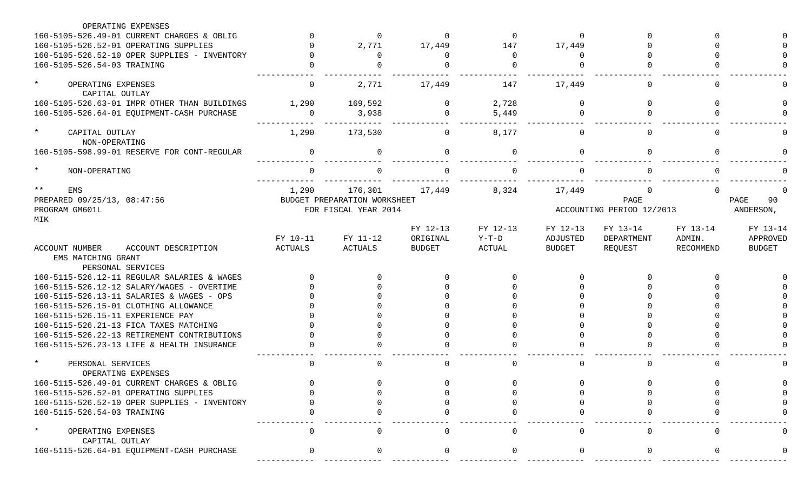| OPERATING EXPENSES                                 |                     |                              |                           |                   |                           |                           |                     |                           |
|----------------------------------------------------|---------------------|------------------------------|---------------------------|-------------------|---------------------------|---------------------------|---------------------|---------------------------|
| 160-5105-526.49-01 CURRENT CHARGES & OBLIG         |                     | $\Omega$                     | $\Omega$                  | $\Omega$          | $\Omega$                  |                           |                     |                           |
| 160-5105-526.52-01 OPERATING SUPPLIES              |                     | 2,771                        | 17,449                    | 147               | 17,449                    |                           |                     |                           |
| 160-5105-526.52-10 OPER SUPPLIES - INVENTORY       |                     | $\Omega$                     |                           | $\Omega$          | $\Omega$                  |                           |                     |                           |
| 160-5105-526.54-03 TRAINING                        |                     |                              |                           | <sup>0</sup>      |                           |                           |                     |                           |
| $\star$<br>OPERATING EXPENSES<br>CAPITAL OUTLAY    | $\Omega$            | 2,771                        | 17,449                    | 147               | 17,449                    |                           | U                   |                           |
| 160-5105-526.63-01 IMPR OTHER THAN BUILDINGS       | 1,290               | 169,592                      | $\Omega$                  | 2,728             | $\Omega$                  | <sup>0</sup>              | <sup>n</sup>        |                           |
| 160-5105-526.64-01 EQUIPMENT-CASH PURCHASE         | $\Omega$            | 3,938                        | $\Omega$                  | 5,449             | $\cap$                    |                           |                     |                           |
| $\star$<br>CAPITAL OUTLAY<br>NON-OPERATING         | 1,290               | 173,530                      | $\Omega$                  | 8,177             | $\Omega$                  |                           | $\cap$              |                           |
| 160-5105-598.99-01 RESERVE FOR CONT-REGULAR        | $\Omega$            | 0                            |                           | $\Omega$          | $\Omega$                  |                           | <sup>n</sup>        |                           |
| $\star$<br>NON-OPERATING                           | $\Omega$            | $\cap$                       |                           | $\Omega$          | $\Omega$                  |                           |                     |                           |
| $***$<br>EMS                                       | 1,290               | 176,301                      | 17,449                    | 8,324             | 17,449                    |                           |                     |                           |
| PREPARED 09/25/13, 08:47:56                        |                     | BUDGET PREPARATION WORKSHEET |                           |                   |                           | PAGE                      |                     | PAGE<br>90                |
| PROGRAM GM601L                                     |                     | FOR FISCAL YEAR 2014         |                           |                   |                           | ACCOUNTING PERIOD 12/2013 |                     | ANDERSON,                 |
| MIK                                                |                     |                              |                           |                   |                           |                           |                     |                           |
|                                                    |                     |                              | FY 12-13                  | FY 12-13          | FY 12-13                  | FY 13-14                  | FY 13-14            | FY 13-14                  |
| ACCOUNT DESCRIPTION<br>ACCOUNT NUMBER              | FY 10-11<br>ACTUALS | FY 11-12<br>ACTUALS          | ORIGINAL<br><b>BUDGET</b> | $Y-T-D$<br>ACTUAL | ADJUSTED<br><b>BUDGET</b> | DEPARTMENT                | ADMIN.<br>RECOMMEND | APPROVED<br><b>BUDGET</b> |
| EMS MATCHING GRANT                                 |                     |                              |                           |                   |                           | REQUEST                   |                     |                           |
| PERSONAL SERVICES                                  |                     |                              |                           |                   |                           |                           |                     |                           |
| 160-5115-526.12-11 REGULAR SALARIES & WAGES        |                     |                              |                           |                   |                           |                           |                     |                           |
| 160-5115-526.12-12 SALARY/WAGES - OVERTIME         |                     |                              |                           |                   |                           |                           |                     |                           |
| 160-5115-526.13-11 SALARIES & WAGES - OPS          |                     |                              |                           |                   |                           |                           |                     |                           |
| 160-5115-526.15-01 CLOTHING ALLOWANCE              |                     |                              |                           |                   |                           |                           |                     |                           |
|                                                    |                     |                              |                           |                   |                           |                           |                     |                           |
| 160-5115-526.15-11 EXPERIENCE PAY                  |                     |                              |                           |                   |                           |                           |                     |                           |
| 160-5115-526.21-13 FICA TAXES MATCHING             |                     |                              |                           |                   |                           |                           |                     |                           |
| 160-5115-526.22-13 RETIREMENT CONTRIBUTIONS        |                     |                              |                           |                   |                           |                           |                     |                           |
| 160-5115-526.23-13 LIFE & HEALTH INSURANCE         |                     |                              |                           |                   |                           |                           |                     |                           |
| $\star$<br>PERSONAL SERVICES<br>OPERATING EXPENSES | $\cap$              | $\cap$                       |                           | $\Omega$          | $\Omega$                  |                           | $\cap$              |                           |
| 160-5115-526.49-01 CURRENT CHARGES & OBLIG         | $\cap$              | $\cap$                       | $\cap$                    | $\cap$            | $\cap$                    | $\cap$                    |                     |                           |
| 160-5115-526.52-01 OPERATING SUPPLIES              |                     |                              |                           |                   |                           |                           |                     |                           |
| 160-5115-526.52-10 OPER SUPPLIES - INVENTORY       |                     |                              |                           |                   |                           |                           |                     |                           |
| 160-5115-526.54-03 TRAINING                        |                     |                              |                           |                   |                           |                           |                     |                           |
| $\star$<br>OPERATING EXPENSES<br>CAPITAL OUTLAY    |                     |                              |                           |                   |                           |                           |                     |                           |
| 160-5115-526.64-01 EQUIPMENT-CASH PURCHASE         |                     |                              |                           |                   |                           |                           |                     |                           |
|                                                    |                     |                              |                           |                   |                           |                           |                     |                           |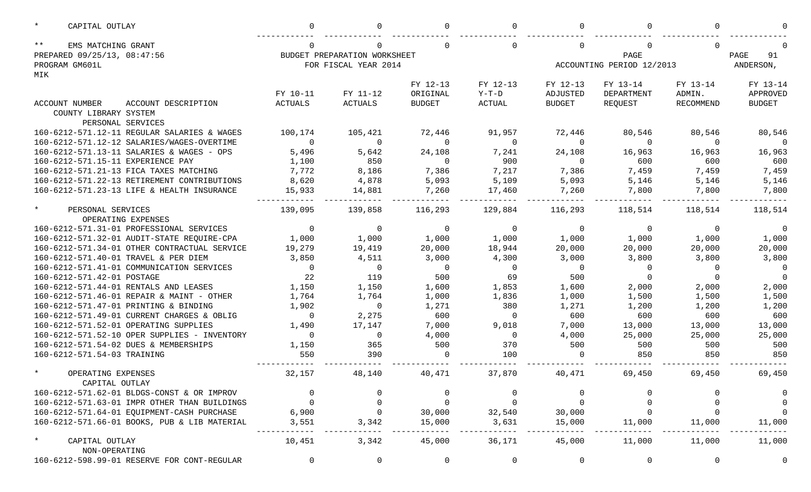| $\star$<br>CAPITAL OUTLAY                    |                |                              |               |          |               |                           |                  |                |
|----------------------------------------------|----------------|------------------------------|---------------|----------|---------------|---------------------------|------------------|----------------|
| $***$<br>EMS MATCHING GRANT                  |                |                              |               |          |               |                           | ∩                |                |
| PREPARED 09/25/13, 08:47:56                  |                | BUDGET PREPARATION WORKSHEET |               |          |               | PAGE<br>91                |                  |                |
| PROGRAM GM601L                               |                | FOR FISCAL YEAR 2014         |               |          |               | ACCOUNTING PERIOD 12/2013 |                  | ANDERSON,      |
| MIK                                          |                |                              |               |          |               |                           |                  |                |
|                                              |                |                              | FY 12-13      | FY 12-13 | FY 12-13      | FY 13-14                  | FY 13-14         | FY 13-14       |
|                                              | FY 10-11       | FY 11-12                     | ORIGINAL      | $Y-T-D$  | ADJUSTED      | DEPARTMENT                | ADMIN.           | APPROVED       |
| ACCOUNT DESCRIPTION<br>ACCOUNT NUMBER        | <b>ACTUALS</b> | <b>ACTUALS</b>               | <b>BUDGET</b> | ACTUAL   | <b>BUDGET</b> | REQUEST                   | <b>RECOMMEND</b> | <b>BUDGET</b>  |
| COUNTY LIBRARY SYSTEM                        |                |                              |               |          |               |                           |                  |                |
| PERSONAL SERVICES                            |                |                              |               |          |               |                           |                  |                |
| 160-6212-571.12-11 REGULAR SALARIES & WAGES  | 100,174        | 105,421                      | 72,446        | 91,957   | 72,446        | 80,546                    | 80,546           | 80,546         |
| 160-6212-571.12-12 SALARIES/WAGES-OVERTIME   | $\Omega$       | $\mathbf{0}$                 | $\Omega$      | $\Omega$ | $\Omega$      | $\Omega$                  | $\Omega$         | $\Omega$       |
| 160-6212-571.13-11 SALARIES & WAGES - OPS    | 5,496          | 5,642                        | 24,108        | 7,241    | 24,108        | 16,963                    | 16,963           | 16,963         |
| 160-6212-571.15-11 EXPERIENCE PAY            | 1,100          | 850                          | $\Omega$      | 900      | $\Omega$      | 600                       | 600              | 600            |
| 160-6212-571.21-13 FICA TAXES MATCHING       | 7,772          | 8,186                        | 7,386         | 7,217    | 7,386         | 7,459                     | 7,459            | 7,459          |
| 160-6212-571.22-13 RETIREMENT CONTRIBUTIONS  | 8,620          | 4,878                        | 5,093         | 5,109    | 5,093         | 5,146                     | 5,146            | 5,146          |
| 160-6212-571.23-13 LIFE & HEALTH INSURANCE   | 15,933         | 14,881                       | 7,260         | 17,460   | 7,260         | 7,800                     | 7,800            | 7,800          |
| $\star$<br>PERSONAL SERVICES                 | 139,095        | 139,858                      | 116,293       | 129,884  | 116,293       | 118,514                   | 118,514          | 118,514        |
| OPERATING EXPENSES                           |                |                              |               |          |               |                           |                  |                |
| 160-6212-571.31-01 PROFESSIONAL SERVICES     | $\Omega$       | $\mathbf{0}$                 | $\Omega$      | $\Omega$ | $\mathbf 0$   | $\Omega$                  | $\Omega$         | $\overline{0}$ |
| 160-6212-571.32-01 AUDIT-STATE REQUIRE-CPA   | 1,000          | 1,000                        | 1,000         | 1,000    | 1,000         | 1,000                     | 1,000            | 1,000          |
| 160-6212-571.34-01 OTHER CONTRACTUAL SERVICE | 19,279         | 19,419                       | 20,000        | 18,944   | 20,000        | 20,000                    | 20,000           | 20,000         |
| 160-6212-571.40-01 TRAVEL & PER DIEM         | 3,850          | 4,511                        | 3,000         | 4,300    | 3,000         | 3,800                     | 3,800            | 3,800          |
| 160-6212-571.41-01 COMMUNICATION SERVICES    | $\Omega$       | $\overline{0}$               | $\Omega$      | $\Omega$ | $\Omega$      | $\Omega$                  | $\Omega$         | $\overline{0}$ |
| 160-6212-571.42-01 POSTAGE                   | 22             | 119                          | 500           | 69       | 500           |                           | $\Omega$         | $\overline{0}$ |
| 160-6212-571.44-01 RENTALS AND LEASES        | 1,150          | 1,150                        | 1,600         | 1,853    | 1,600         | 2,000                     | 2,000            | 2,000          |
| 160-6212-571.46-01 REPAIR & MAINT - OTHER    | 1,764          | 1,764                        | 1,000         | 1,836    | 1,000         | 1,500                     | 1,500            | 1,500          |
| 160-6212-571.47-01 PRINTING & BINDING        | 1,902          | $\overline{0}$               | 1,271         | 380      | 1,271         | 1,200                     | 1,200            | 1,200          |
| 160-6212-571.49-01 CURRENT CHARGES & OBLIG   | $\Omega$       | 2,275                        | 600           | $\Omega$ | 600           | 600                       | 600              | 600            |
| 160-6212-571.52-01 OPERATING SUPPLIES        | 1,490          | 17,147                       | 7,000         | 9,018    | 7,000         | 13,000                    | 13,000           | 13,000         |
| 160-6212-571.52-10 OPER SUPPLIES - INVENTORY | $\Omega$       | $\overline{0}$               | 4,000         | $\Omega$ | 4,000         | 25,000                    | 25,000           | 25,000         |
| 160-6212-571.54-02 DUES & MEMBERSHIPS        | 1,150          | 365                          | 500           | 370      | 500           | 500                       | 500              | 500            |
| 160-6212-571.54-03 TRAINING                  | 550            | 390                          | $\Omega$      | 100      | $\Omega$      | 850                       | 850              | 850            |
| $\star$<br>OPERATING EXPENSES                | 32,157         | 48,140                       | 40,471        | 37,870   | 40,471        | 69,450                    | 69,450           | 69,450         |
| CAPITAL OUTLAY                               |                |                              |               |          |               |                           |                  |                |
| 160-6212-571.62-01 BLDGS-CONST & OR IMPROV   |                |                              | 0             |          |               |                           |                  | 0              |
| 160-6212-571.63-01 IMPR OTHER THAN BUILDINGS |                |                              |               |          | 0             |                           |                  | $\overline{0}$ |
| 160-6212-571.64-01 EQUIPMENT-CASH PURCHASE   | 6,900          |                              | 30,000        | 32,540   | 30,000        |                           |                  | $\overline{0}$ |
| 160-6212-571.66-01 BOOKS, PUB & LIB MATERIAL | 3,551          | 3,342                        | 15,000        | 3,631    | 15,000        | 11,000                    | 11,000           | 11,000         |
| $^\star$<br>CAPITAL OUTLAY                   | 10,451         | 3,342                        | 45,000        | 36,171   | 45,000        | 11,000                    | 11,000           | 11,000         |
| NON-OPERATING                                |                |                              |               |          |               |                           |                  |                |
| 160-6212-598.99-01 RESERVE FOR CONT-REGULAR  |                | 0                            | 0             | 0        | 0             | 0                         | 0                | $\overline{0}$ |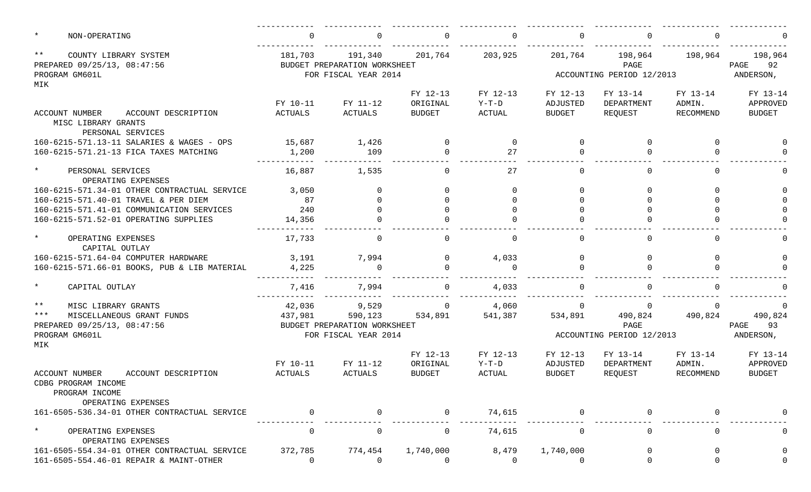| $\star$ | NON-OPERATING                                                                         | $\Omega$            | 0                                                               | $\Omega$                              | $\Omega$                    | $\Omega$                                                           |                                   |                                 |                                       |
|---------|---------------------------------------------------------------------------------------|---------------------|-----------------------------------------------------------------|---------------------------------------|-----------------------------|--------------------------------------------------------------------|-----------------------------------|---------------------------------|---------------------------------------|
| $***$   | COUNTY LIBRARY SYSTEM<br>PREPARED 09/25/13, 08:47:56<br>PROGRAM GM601L                | 181,703             | 191,340<br>BUDGET PREPARATION WORKSHEET<br>FOR FISCAL YEAR 2014 | 201,764                               | 203,925                     | 201,764<br>198,964<br>198,964<br>PAGE<br>ACCOUNTING PERIOD 12/2013 |                                   |                                 | 198,964<br>PAGE 92<br>ANDERSON,       |
| MIK     | <b>ACCOUNT NUMBER</b><br>ACCOUNT DESCRIPTION                                          | FY 10-11<br>ACTUALS | FY 11-12<br>ACTUALS                                             | FY 12-13<br>ORIGINAL<br><b>BUDGET</b> | FY 12-13<br>Y-T-D<br>ACTUAL | FY 12-13<br>ADJUSTED<br>BUDGET                                     | FY 13-14<br>DEPARTMENT<br>REQUEST | FY 13-14<br>ADMIN.<br>RECOMMEND | FY 13-14<br>APPROVED<br><b>BUDGET</b> |
|         | MISC LIBRARY GRANTS<br>PERSONAL SERVICES                                              |                     |                                                                 |                                       |                             |                                                                    |                                   |                                 |                                       |
|         | 160-6215-571.13-11 SALARIES & WAGES - OPS                                             | 15,687              | 1,426                                                           | $\Omega$                              | $\Omega$                    | $\Omega$                                                           | $\Omega$                          | $\Omega$                        |                                       |
|         | 160-6215-571.21-13 FICA TAXES MATCHING                                                | 1,200               | 109                                                             | $\Omega$                              | 27                          | $\Omega$                                                           |                                   | $\Omega$                        |                                       |
| $\star$ | PERSONAL SERVICES<br>OPERATING EXPENSES                                               | 16,887              | 1,535                                                           | $\Omega$                              | 27                          | $\Omega$                                                           | $\Omega$                          | $\cap$                          |                                       |
|         | 160-6215-571.34-01 OTHER CONTRACTUAL SERVICE                                          | 3,050               | $\Omega$                                                        | $\Omega$                              | $\Omega$                    | $\Omega$                                                           | $\Omega$                          | $\cap$                          |                                       |
|         | 160-6215-571.40-01 TRAVEL & PER DIEM                                                  | 87                  | $\Omega$                                                        |                                       |                             |                                                                    |                                   |                                 |                                       |
|         | 160-6215-571.41-01 COMMUNICATION SERVICES                                             | 240                 | $\Omega$                                                        |                                       |                             |                                                                    |                                   |                                 |                                       |
|         | 160-6215-571.52-01 OPERATING SUPPLIES                                                 | 14,356              | $\Omega$                                                        |                                       |                             |                                                                    |                                   |                                 |                                       |
| $\star$ | OPERATING EXPENSES<br>CAPITAL OUTLAY                                                  | 17,733              | $\overline{0}$                                                  | $\Omega$                              | $\Omega$                    | $\Omega$                                                           | $\Omega$                          | $\cap$                          |                                       |
|         | 160-6215-571.64-04 COMPUTER HARDWARE                                                  | 3,191               | 7,994                                                           | $\Omega$                              | 4,033                       | $\mathbf 0$                                                        | $\Omega$                          | $\Omega$                        |                                       |
|         | 160-6215-571.66-01 BOOKS, PUB & LIB MATERIAL                                          | 4,225               | $\Omega$                                                        |                                       | $\cap$                      | $\Omega$                                                           |                                   |                                 |                                       |
| $\star$ | CAPITAL OUTLAY                                                                        | 7,416               | 7,994                                                           | $\Omega$                              | 4,033                       | $\Omega$                                                           |                                   |                                 |                                       |
| $***$   | MISC LIBRARY GRANTS                                                                   | 42,036              | 9,529                                                           | $\Omega$                              | 4,060                       | $\Omega$                                                           | $\Omega$                          | $\Omega$                        |                                       |
| $***$   | MISCELLANEOUS GRANT FUNDS                                                             | 437,981             | 590,123                                                         | 534,891                               | 541,387                     | 534,891                                                            | 490,824                           | 490,824                         | 490,824                               |
|         | PREPARED 09/25/13, 08:47:56                                                           |                     | BUDGET PREPARATION WORKSHEET                                    |                                       |                             |                                                                    | PAGE                              |                                 | PAGE<br>93                            |
|         | PROGRAM GM601L                                                                        |                     | FOR FISCAL YEAR 2014                                            |                                       |                             |                                                                    | ACCOUNTING PERIOD 12/2013         |                                 | ANDERSON,                             |
| MIK     |                                                                                       |                     |                                                                 | FY 12-13                              | FY 12-13                    | FY 12-13                                                           | FY 13-14                          | FY 13-14                        | FY 13-14                              |
|         |                                                                                       | FY 10-11            | FY 11-12                                                        | ORIGINAL                              | $Y-T-D$                     | ADJUSTED                                                           | DEPARTMENT                        | ADMIN.                          | APPROVED                              |
|         | <b>ACCOUNT NUMBER</b><br>ACCOUNT DESCRIPTION<br>CDBG PROGRAM INCOME<br>PROGRAM INCOME | <b>ACTUALS</b>      | ACTUALS                                                         | <b>BUDGET</b>                         | ACTUAL                      | <b>BUDGET</b>                                                      | REOUEST                           | RECOMMEND                       | <b>BUDGET</b>                         |
|         | OPERATING EXPENSES                                                                    |                     |                                                                 |                                       |                             |                                                                    |                                   |                                 |                                       |
|         | 161-6505-536.34-01 OTHER CONTRACTUAL SERVICE                                          |                     |                                                                 |                                       | 74,615                      |                                                                    |                                   |                                 |                                       |
| $\star$ | OPERATING EXPENSES<br>OPERATING EXPENSES                                              | $\Omega$            | 0                                                               | $\Omega$                              | 74,615                      | $\overline{0}$                                                     |                                   |                                 |                                       |
|         | 161-6505-554.34-01 OTHER CONTRACTUAL SERVICE                                          | 372,785             | 774,454                                                         | 1,740,000                             | 8,479                       | 1,740,000                                                          |                                   |                                 | $\mathbf 0$                           |
|         | 161-6505-554.46-01 REPAIR & MAINT-OTHER                                               | $\overline{0}$      | $\overline{0}$                                                  | $\Omega$                              | $\Omega$                    | $\overline{0}$                                                     |                                   |                                 |                                       |
|         |                                                                                       |                     |                                                                 |                                       |                             |                                                                    |                                   |                                 |                                       |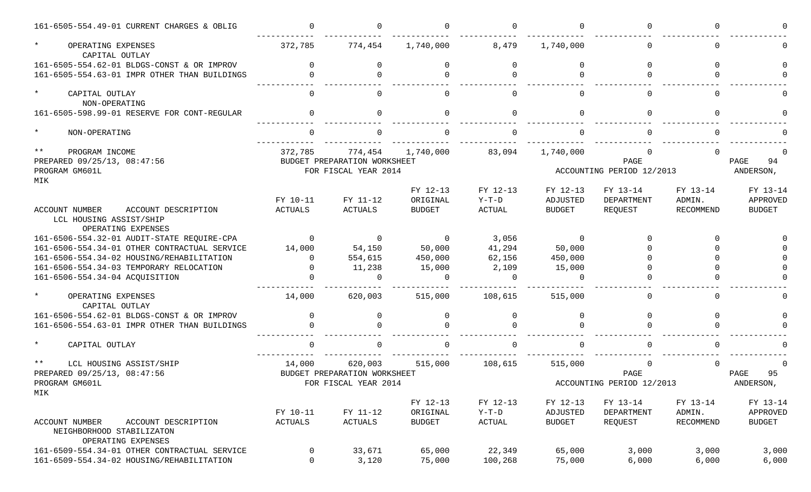| 161-6505-554.49-01 CURRENT CHARGES & OBLIG                                               | $\cap$         | $\cap$                       |                    | $\cap$            |                    |                           | ∩         |               |
|------------------------------------------------------------------------------------------|----------------|------------------------------|--------------------|-------------------|--------------------|---------------------------|-----------|---------------|
| $\star$<br>OPERATING EXPENSES<br>CAPITAL OUTLAY                                          | 372,785        | 774,454                      | 1,740,000          | 8,479             | 1,740,000          |                           | $\Omega$  |               |
| 161-6505-554.62-01 BLDGS-CONST & OR IMPROV                                               | $\Omega$       | $\Omega$                     | $\Omega$           | $\Omega$          | $\Omega$           |                           | $\Omega$  |               |
| 161-6505-554.63-01 IMPR OTHER THAN BUILDINGS                                             | $\Omega$       | $\Omega$                     |                    | $\Omega$          |                    |                           | $\cap$    |               |
| $\star$<br>CAPITAL OUTLAY<br>NON-OPERATING                                               | $\Omega$       | <sup>n</sup>                 |                    | $\Omega$          | <sup>n</sup>       |                           | $\Omega$  |               |
| 161-6505-598.99-01 RESERVE FOR CONT-REGULAR                                              | $\Omega$       | $\Omega$                     | $\Omega$           | $\Omega$          | $\Omega$           |                           | $\Omega$  |               |
| $\star$<br>NON-OPERATING                                                                 |                |                              |                    |                   |                    |                           |           |               |
| $\star\star$<br>PROGRAM INCOME                                                           | 372,785        | 774,454                      | 1,740,000          | 83,094            | 1,740,000          |                           |           |               |
| PREPARED 09/25/13, 08:47:56                                                              |                | BUDGET PREPARATION WORKSHEET |                    |                   |                    | PAGE                      |           | 94<br>PAGE    |
| PROGRAM GM601L                                                                           |                | FOR FISCAL YEAR 2014         |                    |                   |                    | ACCOUNTING PERIOD 12/2013 |           | ANDERSON,     |
| MIK                                                                                      |                |                              |                    |                   |                    |                           |           |               |
|                                                                                          |                |                              | FY 12-13           | FY 12-13          | FY 12-13           | FY 13-14                  | FY 13-14  | FY 13-14      |
|                                                                                          | FY 10-11       | FY 11-12                     | ORIGINAL           | $Y-T-D$           | ADJUSTED           | DEPARTMENT                | ADMIN.    | APPROVED      |
| ACCOUNT NUMBER<br>ACCOUNT DESCRIPTION                                                    | ACTUALS        | ACTUALS                      | <b>BUDGET</b>      | ACTUAL            | <b>BUDGET</b>      | REQUEST                   | RECOMMEND | <b>BUDGET</b> |
| LCL HOUSING ASSIST/SHIP<br>OPERATING EXPENSES                                            |                |                              |                    |                   |                    |                           |           |               |
| 161-6506-554.32-01 AUDIT-STATE REQUIRE-CPA                                               | $\Omega$       | $\overline{0}$               | $\overline{0}$     | 3,056             | $\overline{0}$     |                           | ∩         |               |
| 161-6506-554.34-01 OTHER CONTRACTUAL SERVICE                                             | 14,000         |                              | 50,000             | 41,294            | 50,000             |                           |           |               |
| 161-6506-554.34-02 HOUSING/REHABILITATION                                                | $\Omega$       | 54,150<br>554,615            | 450,000            |                   | 450,000            |                           |           |               |
|                                                                                          | $\Omega$       |                              |                    | 62,156            |                    |                           |           |               |
| 161-6506-554.34-03 TEMPORARY RELOCATION                                                  |                | 11,238<br>$\Omega$           | 15,000<br>$\Omega$ | 2,109<br>$\Omega$ | 15,000<br>$\Omega$ |                           |           |               |
| 161-6506-554.34-04 ACQUISITION                                                           |                |                              |                    |                   |                    |                           |           |               |
| $\star$<br>OPERATING EXPENSES<br>CAPITAL OUTLAY                                          | 14,000         | 620,003                      | 515,000            | 108,615           | 515,000            |                           | $\Omega$  |               |
| 161-6506-554.62-01 BLDGS-CONST & OR IMPROV                                               | $\Omega$       | $\Omega$                     | $\Omega$           | $\Omega$          | $\Omega$           |                           | $\Omega$  |               |
| 161-6506-554.63-01 IMPR OTHER THAN BUILDINGS                                             | $\Omega$       | $\Omega$                     |                    | $\cap$            |                    |                           |           |               |
| $\star$<br>CAPITAL OUTLAY                                                                |                |                              |                    |                   |                    |                           |           |               |
| $\star\star$<br>LCL HOUSING ASSIST/SHIP                                                  | 14,000         | 620,003                      | 515,000            | 108,615           | 515,000            |                           | ∩         |               |
| PREPARED 09/25/13, 08:47:56                                                              |                | BUDGET PREPARATION WORKSHEET |                    |                   |                    | PAGE                      |           | 95<br>PAGE    |
| PROGRAM GM601L                                                                           |                | FOR FISCAL YEAR 2014         |                    |                   |                    | ACCOUNTING PERIOD 12/2013 |           | ANDERSON,     |
| MIK                                                                                      |                |                              |                    |                   |                    |                           |           |               |
|                                                                                          |                |                              | FY 12-13           | FY 12-13          | FY 12-13           | FY 13-14                  | FY 13-14  | FY 13-14      |
|                                                                                          | FY 10-11       | FY 11-12                     | ORIGINAL           | $Y-T-D$           | ADJUSTED           | DEPARTMENT                | ADMIN.    | APPROVED      |
| ACCOUNT NUMBER<br>ACCOUNT DESCRIPTION<br>NEIGHBORHOOD STABILIZATON<br>OPERATING EXPENSES | <b>ACTUALS</b> | ACTUALS                      | <b>BUDGET</b>      | ACTUAL            | <b>BUDGET</b>      | REQUEST                   | RECOMMEND | <b>BUDGET</b> |
| 161-6509-554.34-01 OTHER CONTRACTUAL SERVICE                                             | 0              | 33,671                       | 65,000             | 22,349            | 65,000             | 3,000                     | 3,000     | 3,000         |
| 161-6509-554.34-02 HOUSING/REHABILITATION                                                | 0              | 3,120                        | 75,000             | 100,268           | 75,000             | 6,000                     | 6,000     | 6,000         |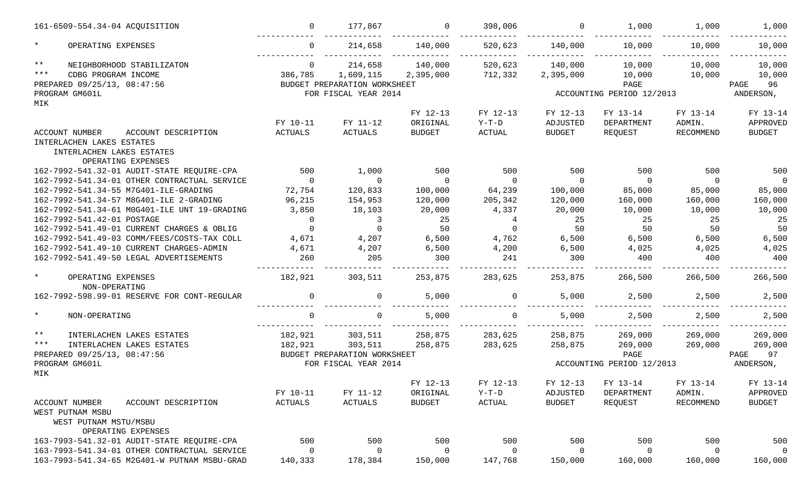|              | 161-6509-554.34-04 ACQUISITION               | $\Omega$       | 177,867                      |               | 398,006                 | $\Omega$      | 1,000                     | 1,000            | 1,000          |
|--------------|----------------------------------------------|----------------|------------------------------|---------------|-------------------------|---------------|---------------------------|------------------|----------------|
| $\star$      | OPERATING EXPENSES                           | $\Omega$       | 214,658                      | 140,000       | 520,623                 | 140,000       | 10,000                    | 10,000           | 10,000         |
| $\star\star$ | NEIGHBORHOOD STABILIZATON                    | $\Omega$       | 214,658                      | 140,000       | 520,623                 | 140,000       | 10,000                    | 10,000           | 10,000         |
| $***$        | CDBG PROGRAM INCOME                          | 386,785        | 1,609,115                    | 2,395,000     | 712,332                 | 2,395,000     | 10,000                    | 10,000           | 10,000         |
|              | PREPARED 09/25/13, 08:47:56                  |                | BUDGET PREPARATION WORKSHEET |               |                         |               | PAGE                      |                  | 96<br>PAGE     |
|              | PROGRAM GM601L                               |                | FOR FISCAL YEAR 2014         |               |                         |               | ACCOUNTING PERIOD 12/2013 |                  | ANDERSON,      |
| MIK          |                                              |                |                              |               |                         |               |                           |                  |                |
|              |                                              |                |                              | FY 12-13      | FY 12-13                | FY 12-13      | FY 13-14                  | FY 13-14         | FY 13-14       |
|              |                                              | FY 10-11       | FY 11-12                     | ORIGINAL      | $Y-T-D$                 | ADJUSTED      | DEPARTMENT                | ADMIN.           | APPROVED       |
|              | <b>ACCOUNT NUMBER</b><br>ACCOUNT DESCRIPTION | ACTUALS        | <b>ACTUALS</b>               | <b>BUDGET</b> | $\operatorname{ACTUAL}$ | <b>BUDGET</b> | REQUEST                   | <b>RECOMMEND</b> | <b>BUDGET</b>  |
|              | INTERLACHEN LAKES ESTATES                    |                |                              |               |                         |               |                           |                  |                |
|              | INTERLACHEN LAKES ESTATES                    |                |                              |               |                         |               |                           |                  |                |
|              | OPERATING EXPENSES                           |                |                              |               |                         |               |                           |                  |                |
|              | 162-7992-541.32-01 AUDIT-STATE REQUIRE-CPA   | 500            | 1,000                        | 500           | 500                     | 500           | 500                       | 500              | 500            |
|              | 162-7992-541.34-01 OTHER CONTRACTUAL SERVICE | $\overline{0}$ | $\Omega$                     | $\Omega$      | $\overline{0}$          | $\Omega$      | $\Omega$                  | $\Omega$         | $\overline{0}$ |
|              | 162-7992-541.34-55 M7G401-ILE-GRADING        | 72,754         | 120,833                      | 100,000       | 64,239                  | 100,000       | 85,000                    | 85,000           | 85,000         |
|              | 162-7992-541.34-57 M8G401-ILE 2-GRADING      | 96,215         | 154,953                      | 120,000       | 205,342                 | 120,000       | 160,000                   | 160,000          | 160,000        |
|              | 162-7992-541.34-61 MOG401-ILE UNT 19-GRADING | 3,850          | 18,103                       | 20,000        | 4,337                   | 20,000        | 10,000                    | 10,000           | 10,000         |
|              | 162-7992-541.42-01 POSTAGE                   | $\Omega$       | 3                            | 25            | 4                       | 25            | 25                        | 25               | 25             |
|              | 162-7992-541.49-01 CURRENT CHARGES & OBLIG   | $\Omega$       | $\mathbf 0$                  | 50            | $\Omega$                | 50            | 50                        | 50               | 50             |
|              | 162-7992-541.49-03 COMM/FEES/COSTS-TAX COLL  | 4,671          | 4,207                        | 6,500         | 4,762                   | 6,500         | 6,500                     | 6,500            | 6,500          |
|              | 162-7992-541.49-10 CURRENT CHARGES-ADMIN     | 4,671          | 4,207                        | 6,500         | 4,200                   | 6,500         | 4,025                     | 4,025            | 4,025          |
|              | 162-7992-541.49-50 LEGAL ADVERTISEMENTS      | 260            | 205                          | 300           | 241                     | 300           | 400                       | 400              | 400            |
|              |                                              |                |                              |               |                         |               |                           |                  |                |
| $\star$      | OPERATING EXPENSES<br>NON-OPERATING          | 182,921        | 303,511                      | 253,875       | 283,625                 | 253,875       | 266,500                   | 266,500          | 266,500        |
|              | 162-7992-598.99-01 RESERVE FOR CONT-REGULAR  | $\Omega$       | 0                            | 5,000         | $\Omega$                | 5,000         | 2,500                     | 2,500            | 2,500          |
| $\star$      | NON-OPERATING                                | $\Omega$       | 0                            | 5,000         | $\Omega$                | 5,000         | 2,500                     | 2,500            | 2,500          |
|              |                                              |                |                              |               |                         |               |                           |                  |                |
| $\star\star$ | INTERLACHEN LAKES ESTATES                    | 182,921        | 303,511                      | 258,875       | 283,625                 | 258,875       | 269,000                   | 269,000          | 269,000        |
| $***$        | INTERLACHEN LAKES ESTATES                    | 182,921        | 303,511                      | 258,875       | 283,625                 | 258,875       | 269,000                   | 269,000          | 269,000        |
|              | PREPARED 09/25/13, 08:47:56                  |                | BUDGET PREPARATION WORKSHEET |               |                         |               | PAGE                      |                  | 97<br>PAGE     |
| MIK          | PROGRAM GM601L                               |                | FOR FISCAL YEAR 2014         |               |                         |               | ACCOUNTING PERIOD 12/2013 |                  | ANDERSON,      |
|              |                                              |                |                              | FY 12-13      | FY 12-13                | FY 12-13      | FY 13-14                  | FY 13-14         | FY 13-14       |
|              |                                              | FY 10-11       | FY 11-12                     | ORIGINAL      | $Y-T-D$                 | ADJUSTED      | DEPARTMENT                | ADMIN.           | APPROVED       |
|              | <b>ACCOUNT NUMBER</b><br>ACCOUNT DESCRIPTION | ACTUALS        | <b>ACTUALS</b>               | <b>BUDGET</b> | ACTUAL                  | <b>BUDGET</b> | REQUEST                   | RECOMMEND        | BUDGET         |
|              | WEST PUTNAM MSBU                             |                |                              |               |                         |               |                           |                  |                |
|              | WEST PUTNAM MSTU/MSBU                        |                |                              |               |                         |               |                           |                  |                |
|              | OPERATING EXPENSES                           |                |                              |               |                         |               |                           |                  |                |
|              | 163-7993-541.32-01 AUDIT-STATE REQUIRE-CPA   | 500            | 500                          | 500           | 500                     | 500           | 500                       | 500              | 500            |
|              | 163-7993-541.34-01 OTHER CONTRACTUAL SERVICE | 0              | $\Omega$                     | $\Omega$      | 0                       | 0             | 0                         | 0                | $\overline{0}$ |
|              | 163-7993-541.34-65 M2G401-W PUTNAM MSBU-GRAD | 140,333        | 178,384                      | 150,000       | 147,768                 | 150,000       | 160,000                   | 160,000          | 160,000        |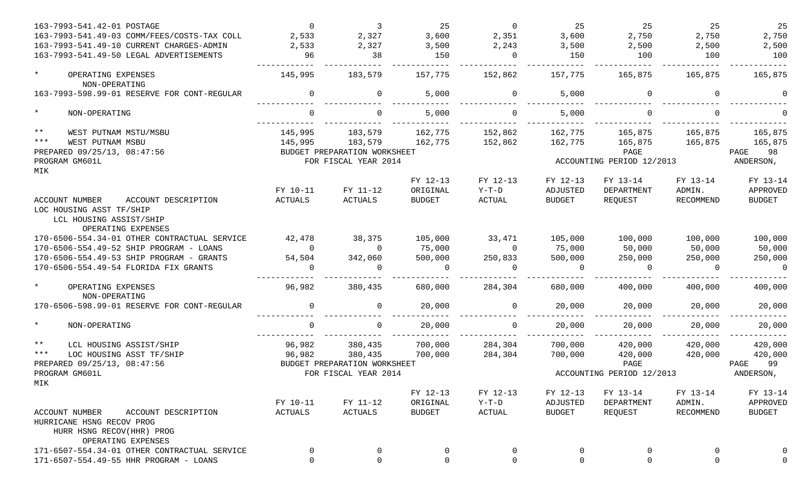| 163-7993-541.42-01 POSTAGE                     | $\Omega$ | $\overline{3}$               | 25            | $\overline{0}$ | 25             | 25                        | 25        | 25            |
|------------------------------------------------|----------|------------------------------|---------------|----------------|----------------|---------------------------|-----------|---------------|
| 163-7993-541.49-03 COMM/FEES/COSTS-TAX COLL    | 2,533    | 2,327                        | 3,600         | 2,351          | 3,600          | 2,750                     | 2,750     | 2,750         |
| 163-7993-541.49-10 CURRENT CHARGES-ADMIN       | 2,533    | 2,327                        | 3,500         | 2,243          | 3,500          | 2,500                     | 2,500     | 2,500         |
| 163-7993-541.49-50 LEGAL ADVERTISEMENTS        | 96       | 38                           | 150           | $\Omega$       | 150            | 100                       | 100       | 100           |
| $\star$<br>OPERATING EXPENSES<br>NON-OPERATING | 145,995  | 183,579                      | 157,775       | 152,862        | 157,775        | 165,875                   | 165,875   | 165,875       |
| 163-7993-598.99-01 RESERVE FOR CONT-REGULAR    | $\Omega$ | $\mathbf 0$                  | 5,000         | $\mathbf 0$    | 5,000          | $\Omega$                  | $\Omega$  |               |
| $\star$<br>NON-OPERATING                       | $\Omega$ | $\Omega$                     | 5,000         | $\Omega$       | 5,000          |                           | $\Omega$  |               |
| $***$<br>WEST PUTNAM MSTU/MSBU                 | 145,995  | 183,579                      | 162,775       | 152,862        | 162,775        | 165,875                   | 165,875   | 165,875       |
| $***$<br>WEST PUTNAM MSBU                      | 145,995  | 183,579                      | 162,775       | 152,862        | 162,775        | 165,875                   | 165,875   | 165,875       |
| PREPARED 09/25/13, 08:47:56                    |          | BUDGET PREPARATION WORKSHEET |               |                |                | PAGE                      |           | PAGE<br>98    |
| PROGRAM GM601L                                 |          | FOR FISCAL YEAR 2014         |               |                |                | ACCOUNTING PERIOD 12/2013 |           | ANDERSON,     |
| MIK                                            |          |                              |               |                |                |                           |           |               |
|                                                |          |                              | FY 12-13      | FY 12-13       | FY 12-13       | FY 13-14                  | FY 13-14  | FY 13-14      |
|                                                | FY 10-11 | FY 11-12                     | ORIGINAL      | $Y-T-D$        | ADJUSTED       | DEPARTMENT                | ADMIN.    | APPROVED      |
| ACCOUNT NUMBER<br>ACCOUNT DESCRIPTION          | ACTUALS  | ACTUALS                      | <b>BUDGET</b> | ACTUAL         | BUDGET         | REQUEST                   | RECOMMEND | <b>BUDGET</b> |
| LOC HOUSING ASST TF/SHIP                       |          |                              |               |                |                |                           |           |               |
| LCL HOUSING ASSIST/SHIP                        |          |                              |               |                |                |                           |           |               |
| OPERATING EXPENSES                             |          |                              |               |                |                |                           |           |               |
| 170-6506-554.34-01 OTHER CONTRACTUAL SERVICE   | 42,478   | 38,375                       | 105,000       | 33,471         | 105,000        | 100,000                   | 100,000   | 100,000       |
| 170-6506-554.49-52 SHIP PROGRAM - LOANS        | $\Omega$ | $\Omega$                     | 75,000        | $\overline{0}$ | 75,000         | 50,000                    | 50,000    | 50,000        |
| 170-6506-554.49-53 SHIP PROGRAM - GRANTS       | 54,504   | 342,060                      | 500,000       | 250,833        | 500,000        | 250,000                   | 250,000   | 250,000       |
| 170-6506-554.49-54 FLORIDA FIX GRANTS          | $\Omega$ | $\Omega$                     | $\cap$        | $\Omega$       | $\Omega$       | $\Omega$                  | $\Omega$  | $\Omega$      |
| $\star$<br>OPERATING EXPENSES<br>NON-OPERATING | 96,982   | 380,435                      | 680,000       | 284,304        | 680,000        | 400,000                   | 400,000   | 400,000       |
| 170-6506-598.99-01 RESERVE FOR CONT-REGULAR    | $\Omega$ | $\Omega$                     | 20,000        | $\Omega$       | 20,000         | 20,000                    | 20,000    | 20,000        |
| $\star$<br>NON-OPERATING                       | $\Omega$ | $\Omega$                     | 20,000        | $\Omega$       | 20,000         | 20,000                    | 20,000    | 20,000        |
| $***$<br>LCL HOUSING ASSIST/SHIP               | 96,982   | 380,435                      | 700,000       | 284,304        | 700,000        | 420,000                   | 420,000   | 420,000       |
| $***$<br>LOC HOUSING ASST TF/SHIP              | 96,982   | 380,435                      | 700,000       | 284,304        | 700,000        | 420,000                   | 420,000   | 420,000       |
| PREPARED 09/25/13, 08:47:56                    |          | BUDGET PREPARATION WORKSHEET |               |                |                | PAGE                      |           | 99<br>PAGE    |
| PROGRAM GM601L                                 |          | FOR FISCAL YEAR 2014         |               |                |                | ACCOUNTING PERIOD 12/2013 |           | ANDERSON,     |
| MIK                                            |          |                              |               |                |                |                           |           |               |
|                                                |          |                              | FY 12-13      | FY 12-13       | FY 12-13       | FY 13-14                  | FY 13-14  | FY 13-14      |
|                                                | FY 10-11 | FY 11-12                     | ORIGINAL      | $Y-T-D$        | ADJUSTED       | DEPARTMENT                | ADMIN.    | APPROVED      |
| ACCOUNT NUMBER<br>ACCOUNT DESCRIPTION          | ACTUALS  | <b>ACTUALS</b>               | <b>BUDGET</b> | ACTUAL         | <b>BUDGET</b>  | REQUEST                   | RECOMMEND | <b>BUDGET</b> |
| HURRICANE HSNG RECOV PROG                      |          |                              |               |                |                |                           |           |               |
| HURR HSNG RECOV(HHR) PROG                      |          |                              |               |                |                |                           |           |               |
| OPERATING EXPENSES                             |          |                              |               |                |                |                           |           |               |
| 171-6507-554.34-01 OTHER CONTRACTUAL SERVICE   | 0        |                              |               | 0              | $\overline{0}$ |                           | 0         |               |
| 171-6507-554.49-55 HHR PROGRAM - LOANS         | 0        | $\mathsf{O}$                 |               | $\mathsf{O}$   | $\overline{0}$ |                           | $\Omega$  |               |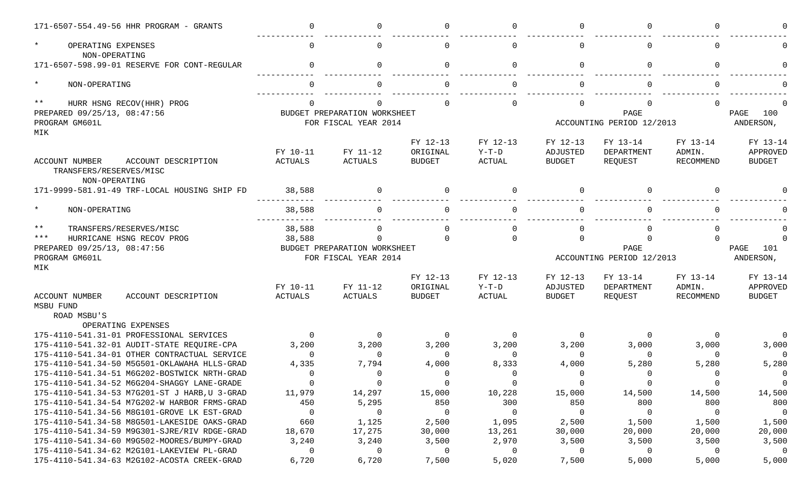| 171-6507-554.49-56 HHR PROGRAM - GRANTS                                  |                     | $\cap$                                                                                    |                           |                          | ∩                         |                           |                     |                           |
|--------------------------------------------------------------------------|---------------------|-------------------------------------------------------------------------------------------|---------------------------|--------------------------|---------------------------|---------------------------|---------------------|---------------------------|
| $\ast$<br>OPERATING EXPENSES<br>NON-OPERATING                            |                     | $\Omega$                                                                                  |                           |                          | O                         |                           |                     |                           |
| 171-6507-598.99-01 RESERVE FOR CONT-REGULAR                              | $\cap$              | $\Omega$                                                                                  | U                         | $\Omega$                 | $\Omega$                  | <sup>n</sup>              |                     |                           |
| $\star$<br>NON-OPERATING                                                 |                     |                                                                                           |                           |                          |                           |                           |                     |                           |
| $***$<br>HURR HSNG RECOV(HHR) PROG                                       |                     |                                                                                           |                           | ∩                        | $\Omega$                  |                           |                     |                           |
| PREPARED 09/25/13, 08:47:56<br>PROGRAM GM601L<br>MIK                     |                     | PAGE<br>BUDGET PREPARATION WORKSHEET<br>FOR FISCAL YEAR 2014<br>ACCOUNTING PERIOD 12/2013 |                           |                          |                           |                           |                     | 100<br>PAGE<br>ANDERSON,  |
|                                                                          |                     |                                                                                           | FY 12-13                  | FY 12-13                 | FY 12-13                  | FY 13-14                  | FY 13-14            | FY 13-14                  |
| <b>ACCOUNT NUMBER</b><br>ACCOUNT DESCRIPTION<br>TRANSFERS/RESERVES/MISC  | FY 10-11<br>ACTUALS | FY 11-12<br>ACTUALS                                                                       | ORIGINAL<br><b>BUDGET</b> | $Y-T-D$<br><b>ACTUAL</b> | ADJUSTED<br><b>BUDGET</b> | DEPARTMENT<br>REQUEST     | ADMIN.<br>RECOMMEND | APPROVED<br><b>BUDGET</b> |
| NON-OPERATING<br>171-9999-581.91-49 TRF-LOCAL HOUSING SHIP FD            | 38,588              | $\Omega$                                                                                  |                           | $\cap$                   | $\Omega$                  |                           |                     |                           |
| $\star$<br>NON-OPERATING                                                 | 38,588              |                                                                                           |                           |                          |                           |                           |                     |                           |
| $***$<br>TRANSFERS/RESERVES/MISC                                         | 38,588              | $\Omega$                                                                                  |                           | $\Omega$                 | $\Omega$                  |                           |                     |                           |
| $***$<br>HURRICANE HSNG RECOV PROG                                       | 38,588              | $\Omega$                                                                                  | U                         | $\Omega$                 | $\Omega$                  | U                         | $\cap$              |                           |
| PREPARED 09/25/13, 08:47:56                                              |                     | BUDGET PREPARATION WORKSHEET                                                              |                           |                          |                           | PAGE                      |                     | PAGE<br>101               |
| PROGRAM GM601L                                                           |                     | FOR FISCAL YEAR 2014                                                                      |                           |                          |                           | ACCOUNTING PERIOD 12/2013 |                     | ANDERSON,                 |
| MIK                                                                      |                     |                                                                                           |                           |                          |                           |                           |                     |                           |
|                                                                          |                     |                                                                                           | FY 12-13                  | FY 12-13                 | FY 12-13                  | FY 13-14                  | FY 13-14            | FY 13-14                  |
|                                                                          | FY 10-11            | FY 11-12                                                                                  | ORIGINAL                  | $Y-T-D$                  | ADJUSTED                  | DEPARTMENT                | ADMIN.              | APPROVED                  |
| <b>ACCOUNT NUMBER</b><br>ACCOUNT DESCRIPTION<br>MSBU FUND<br>ROAD MSBU'S | <b>ACTUALS</b>      | <b>ACTUALS</b>                                                                            | <b>BUDGET</b>             | <b>ACTUAL</b>            | <b>BUDGET</b>             | REQUEST                   | RECOMMEND           | <b>BUDGET</b>             |
| OPERATING EXPENSES                                                       |                     |                                                                                           |                           |                          |                           |                           |                     |                           |
| 175-4110-541.31-01 PROFESSIONAL SERVICES                                 | $\Omega$            | 0                                                                                         | $\Omega$                  | $\Omega$                 | $\overline{0}$            | $\Omega$                  |                     | $\Omega$                  |
| 175-4110-541.32-01 AUDIT-STATE REQUIRE-CPA                               | 3,200               | 3,200                                                                                     | 3,200                     | 3,200                    | 3,200                     | 3,000                     | 3,000               | 3,000                     |
| 175-4110-541.34-01 OTHER CONTRACTUAL SERVICE                             | $\cap$              | $\mathbf 0$                                                                               | $\Omega$                  | $\Omega$                 | $\Omega$                  | $\Omega$                  | $\cap$              | $\Omega$                  |
| 175-4110-541.34-50 M5G501-OKLAWAHA HLLS-GRAD                             | 4,335               | 7,794                                                                                     | 4,000                     | 8,333                    | 4,000                     | 5,280                     | 5,280               | 5,280                     |
| 175-4110-541.34-51 M6G202-BOSTWICK NRTH-GRAD                             | $\Omega$            | $\Omega$                                                                                  | $\Omega$                  | $\Omega$                 | $\Omega$                  | $\Omega$                  |                     | $\Omega$                  |
| 175-4110-541.34-52 M6G204-SHAGGY LANE-GRADE                              | $\overline{0}$      | $\mathbf 0$                                                                               | 0                         | $\mathbf 0$              | $\overline{0}$            | $\overline{0}$            |                     | $\overline{0}$            |
| 175-4110-541.34-53 M7G201-ST J HARB, U 3-GRAD                            | 11,979              | 14,297                                                                                    | 15,000                    | 10,228                   | 15,000                    | 14,500                    | 14,500              | 14,500                    |
| 175-4110-541.34-54 M7G202-W HARBOR FRMS-GRAD                             | 450                 | 5,295                                                                                     | 850                       | 300                      | 850                       | 800                       | 800                 | 800                       |
| 175-4110-541.34-56 M8G101-GROVE LK EST-GRAD                              | $\overline{0}$      | $\mathbf 0$                                                                               | $\mathbf 0$               | 0                        | $\overline{0}$            | $\overline{0}$            | 0                   | $\overline{0}$            |
| 175-4110-541.34-58 M8G501-LAKESIDE OAKS-GRAD                             | 660                 | 1,125                                                                                     | 2,500                     | 1,095                    | 2,500                     | 1,500                     | 1,500               | 1,500                     |
| 175-4110-541.34-59 M9G301-SJRE/RIV RDGE-GRAD                             |                     |                                                                                           |                           |                          |                           | 20,000                    | 20,000              | 20,000                    |
|                                                                          | 18,670              | 17,275                                                                                    | 30,000                    | 13,261                   | 30,000                    |                           |                     |                           |
| 175-4110-541.34-60 M9G502-MOORES/BUMPY-GRAD                              | 3,240               | 3,240                                                                                     | 3,500                     | 2,970                    | 3,500                     | 3,500                     | 3,500               | 3,500                     |
| 175-4110-541.34-62 M2G101-LAKEVIEW PL-GRAD                               | 0                   | $\mathbf 0$                                                                               | 0                         | 0                        | $\overline{0}$            | $\overline{0}$            | $\Omega$            | $\overline{0}$            |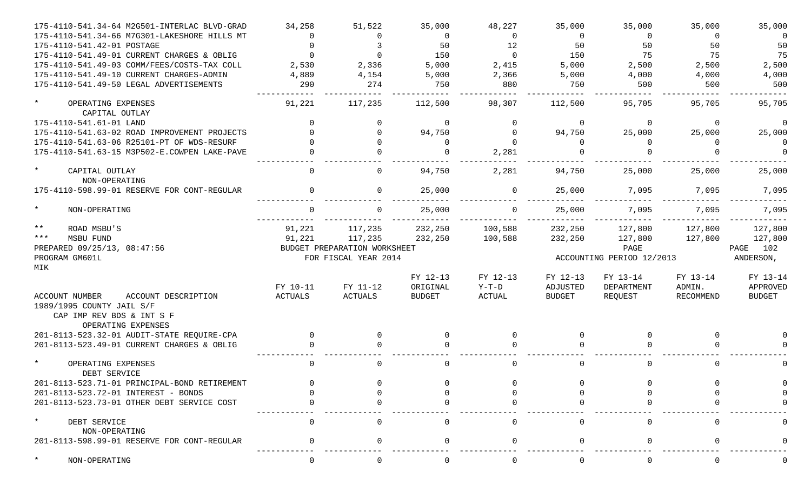| 175-4110-541.34-64 M2G501-INTERLAC BLVD-GRAD                              | 34,258         | 51,522                       | 35,000        | 48,227        | 35,000        | 35,000                    | 35,000    | 35,000      |
|---------------------------------------------------------------------------|----------------|------------------------------|---------------|---------------|---------------|---------------------------|-----------|-------------|
| 175-4110-541.34-66 M7G301-LAKESHORE HILLS MT                              |                | $\Omega$                     | $\Omega$      | $\Omega$      | $\Omega$      | $\Omega$                  | $\Omega$  | 0           |
| 175-4110-541.42-01 POSTAGE                                                | $\cap$         | 3                            | 50            | 12            | 50            | 50                        | 50        | 50          |
| 175-4110-541.49-01 CURRENT CHARGES & OBLIG                                | $\Omega$       | $\Omega$                     | 150           | $\Omega$      | 150           | 75                        | 75        | 75          |
| 175-4110-541.49-03 COMM/FEES/COSTS-TAX COLL                               | 2,530          | 2,336                        | 5,000         | 2,415         | 5,000         | 2,500                     | 2,500     | 2,500       |
| 175-4110-541.49-10 CURRENT CHARGES-ADMIN                                  | 4,889          | 4,154                        | 5,000         | 2,366         | 5,000         | 4,000                     | 4,000     | 4,000       |
| 175-4110-541.49-50 LEGAL ADVERTISEMENTS                                   | 290            | 274                          | 750           | 880           | 750           | 500                       | 500       | 500         |
| $^\star$<br>OPERATING EXPENSES                                            | 91,221         | 117,235                      | 112,500       | 98,307        | 112,500       | 95,705                    | 95,705    | 95,705      |
| CAPITAL OUTLAY                                                            |                |                              |               |               |               |                           |           |             |
| 175-4110-541.61-01 LAND                                                   |                | $\Omega$                     | $\Omega$      | $\Omega$      | $\mathbf 0$   | $\Omega$                  | $\Omega$  | $\Omega$    |
| 175-4110-541.63-02 ROAD IMPROVEMENT PROJECTS                              |                | $\Omega$                     | 94,750        | $\Omega$      | 94,750        | 25,000                    | 25,000    | 25,000      |
| 175-4110-541.63-06 R25101-PT OF WDS-RESURF                                |                | $\Omega$                     | ∩             | $\Omega$      | $\Omega$      | $\Omega$                  | ∩         | $\Omega$    |
| 175-4110-541.63-15 M3P502-E.COWPEN LAKE-PAVE                              |                | $\Omega$                     |               | 2,281         |               |                           |           | $\Omega$    |
| $\star$<br>CAPITAL OUTLAY<br>NON-OPERATING                                | $\Omega$       | 0                            | 94,750        | 2,281         | 94,750        | 25,000                    | 25,000    | 25,000      |
| 175-4110-598.99-01 RESERVE FOR CONT-REGULAR                               |                | $\Omega$                     | 25,000        | $\Omega$      | 25,000        | 7,095                     | 7,095     | 7,095       |
| $\star$<br>NON-OPERATING                                                  |                |                              | 25,000        | $\Omega$      | 25,000        | 7,095                     | 7,095     | 7,095       |
| $\star\star$<br>ROAD MSBU'S                                               | 91,221         | 117,235                      | 232,250       | 100,588       | 232,250       | 127,800                   | 127,800   | 127,800     |
| $***$<br>MSBU FUND                                                        | 91,221         | 117,235                      | 232,250       | 100,588       | 232,250       | 127,800                   | 127,800   | 127,800     |
| PREPARED 09/25/13, 08:47:56                                               |                | BUDGET PREPARATION WORKSHEET |               |               |               | PAGE                      |           | 102<br>PAGE |
| PROGRAM GM601L                                                            |                | FOR FISCAL YEAR 2014         |               |               |               | ACCOUNTING PERIOD 12/2013 |           | ANDERSON,   |
| MIK                                                                       |                |                              |               |               |               |                           |           |             |
|                                                                           |                |                              | FY 12-13      | FY 12-13      | FY 12-13      | FY 13-14                  | FY 13-14  | FY 13-14    |
|                                                                           | FY 10-11       | FY 11-12                     | ORIGINAL      | $Y-T-D$       | ADJUSTED      | DEPARTMENT                | ADMIN.    | APPROVED    |
| <b>ACCOUNT NUMBER</b><br>ACCOUNT DESCRIPTION<br>1989/1995 COUNTY JAIL S/F | <b>ACTUALS</b> | <b>ACTUALS</b>               | <b>BUDGET</b> | <b>ACTUAL</b> | <b>BUDGET</b> | REQUEST                   | RECOMMEND | BUDGET      |
| CAP IMP REV BDS & INT S F                                                 |                |                              |               |               |               |                           |           |             |
| OPERATING EXPENSES                                                        |                |                              |               |               |               |                           |           |             |
| 201-8113-523.32-01 AUDIT-STATE REQUIRE-CPA                                | $\Omega$       | 0                            | $\Omega$      | $\Omega$      | $\Omega$      | $\Omega$                  | $\Omega$  |             |
| 201-8113-523.49-01 CURRENT CHARGES & OBLIG                                |                | $\Omega$                     |               |               | <sup>n</sup>  |                           |           |             |
| $\star$<br>OPERATING EXPENSES                                             | $\Omega$       | 0                            | <sup>n</sup>  | $\Omega$      | 0             | <sup>0</sup>              | $\Omega$  |             |
| DEBT SERVICE                                                              |                |                              |               |               |               |                           |           |             |
| 201-8113-523.71-01 PRINCIPAL-BOND RETIREMENT                              |                |                              |               |               |               |                           |           |             |
| 201-8113-523.72-01 INTEREST - BONDS                                       |                |                              |               |               |               |                           |           |             |
| 201-8113-523.73-01 OTHER DEBT SERVICE COST                                |                |                              |               |               |               |                           |           |             |
| $^\star$<br>DEBT SERVICE<br>NON-OPERATING                                 |                |                              |               |               |               |                           |           |             |
|                                                                           |                |                              |               |               |               |                           |           |             |
| 201-8113-598.99-01 RESERVE FOR CONT-REGULAR                               |                |                              |               | n             | O             |                           | ∩         |             |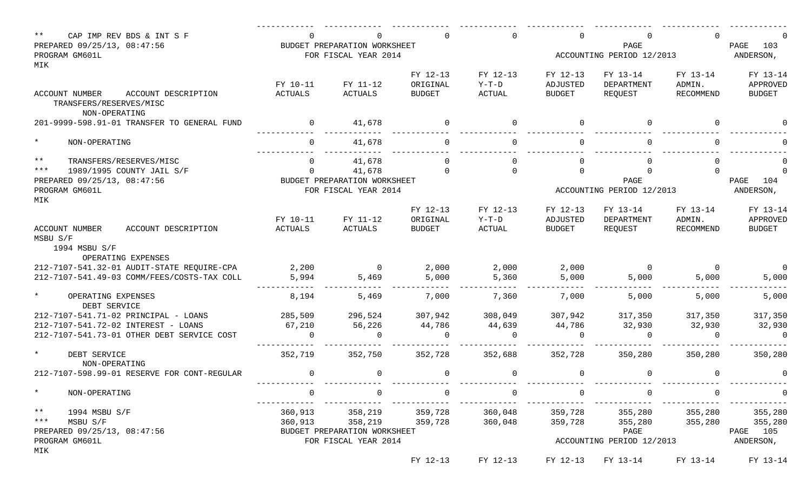| $\star\star$<br>CAP IMP REV BDS & INT S F<br>PREPARED 09/25/13, 08:47:56<br>PROGRAM GM601L      |                     | $\Omega$<br>BUDGET PREPARATION WORKSHEET<br>FOR FISCAL YEAR 2014 |                                       | $\Omega$                      | $\Omega$                              | PAGE<br>ACCOUNTING PERIOD 12/2013   |                                 | PAGE<br>103<br>ANDERSON,              |
|-------------------------------------------------------------------------------------------------|---------------------|------------------------------------------------------------------|---------------------------------------|-------------------------------|---------------------------------------|-------------------------------------|---------------------------------|---------------------------------------|
| MIK                                                                                             |                     |                                                                  |                                       |                               |                                       |                                     |                                 |                                       |
| ACCOUNT NUMBER<br>ACCOUNT DESCRIPTION<br>TRANSFERS/RESERVES/MISC                                | FY 10-11<br>ACTUALS | FY 11-12<br>ACTUALS                                              | FY 12-13<br>ORIGINAL<br><b>BUDGET</b> | FY 12-13<br>$Y-T-D$<br>ACTUAL | FY 12-13<br>ADJUSTED<br><b>BUDGET</b> | FY 13-14<br>DEPARTMENT<br>REQUEST   | FY 13-14<br>ADMIN.<br>RECOMMEND | FY 13-14<br>APPROVED<br><b>BUDGET</b> |
| NON-OPERATING                                                                                   |                     |                                                                  |                                       |                               |                                       |                                     |                                 |                                       |
| 201-9999-598.91-01 TRANSFER TO GENERAL FUND                                                     | $\overline{0}$      | 41,678                                                           | $\overline{0}$                        | $\overline{0}$                | $\mathbf 0$                           |                                     | $\Omega$                        |                                       |
| $\star$<br>NON-OPERATING                                                                        | $\Omega$            | 41,678                                                           | $\Omega$                              | $\Omega$                      | $\Omega$                              |                                     | $\Omega$                        |                                       |
| $***$<br>TRANSFERS/RESERVES/MISC                                                                | $\Omega$            | 41,678                                                           |                                       | $\Omega$                      | $\Omega$                              |                                     | $\cap$                          |                                       |
| $***$<br>1989/1995 COUNTY JAIL S/F                                                              | $\Omega$            | 41,678                                                           | $\Omega$                              | $\Omega$                      | $\Omega$                              |                                     |                                 |                                       |
| PREPARED 09/25/13, 08:47:56                                                                     |                     | BUDGET PREPARATION WORKSHEET                                     |                                       |                               |                                       | PAGE                                |                                 | PAGE<br>104                           |
| PROGRAM GM601L                                                                                  |                     | FOR FISCAL YEAR 2014                                             |                                       |                               | ACCOUNTING PERIOD 12/2013             |                                     | ANDERSON,                       |                                       |
| MIK                                                                                             |                     |                                                                  |                                       |                               |                                       |                                     |                                 |                                       |
|                                                                                                 | FY 10-11            | FY 11-12                                                         | FY 12-13<br>ORIGINAL                  | FY 12-13<br>$Y-T-D$           | FY 12-13<br>ADJUSTED                  | FY 13-14<br>DEPARTMENT              | FY 13-14<br>ADMIN.              | FY 13-14<br>APPROVED                  |
| <b>ACCOUNT NUMBER</b><br>ACCOUNT DESCRIPTION<br>MSBU S/F<br>1994 MSBU S/F<br>OPERATING EXPENSES | ACTUALS             | ACTUALS                                                          | <b>BUDGET</b>                         | ACTUAL                        | <b>BUDGET</b>                         | REOUEST                             | RECOMMEND                       | <b>BUDGET</b>                         |
| 212-7107-541.32-01 AUDIT-STATE REQUIRE-CPA                                                      | 2,200               | $\overline{0}$                                                   | 2,000                                 | 2,000                         | 2,000                                 | $\overline{0}$                      | $\overline{0}$                  |                                       |
| 212-7107-541.49-03 COMM/FEES/COSTS-TAX COLL                                                     | 5,994               | 5,469                                                            | 5,000                                 | 5,360                         | 5,000                                 | 5,000                               | 5,000                           | 5,000                                 |
| $\star$<br>OPERATING EXPENSES<br>DEBT SERVICE                                                   | 8,194               | 5,469                                                            | 7,000                                 | 7,360                         | 7,000                                 | 5,000                               | 5,000                           | 5,000                                 |
| 212-7107-541.71-02 PRINCIPAL - LOANS                                                            | 285,509             | 296,524                                                          | 307,942                               | 308,049                       | 307,942                               | 317,350                             | 317,350                         | 317,350                               |
| 212-7107-541.72-02 INTEREST - LOANS                                                             | 67,210              | 56,226                                                           | 44,786                                | 44,639                        | 44,786                                | 32,930                              | 32,930                          | 32,930                                |
| 212-7107-541.73-01 OTHER DEBT SERVICE COST                                                      | $\Omega$            | $\Omega$                                                         |                                       | $\Omega$                      | $\Omega$                              |                                     | $\Omega$                        | $\Omega$                              |
| $\star$<br>DEBT SERVICE<br>NON-OPERATING                                                        | 352,719             | 352,750                                                          | 352,728                               | 352,688                       | 352,728                               | 350,280                             | 350,280                         | 350,280                               |
| 212-7107-598.99-01 RESERVE FOR CONT-REGULAR                                                     | $\Omega$            | $\overline{0}$                                                   |                                       | $\mathbf 0$                   | $\Omega$                              |                                     | $\Omega$                        |                                       |
| $\star$<br>NON-OPERATING                                                                        | $\Omega$            | 0                                                                | $\Omega$                              | $\mathbf 0$                   | 0                                     |                                     | $\Omega$                        | $\overline{0}$                        |
| $\star \star$<br>1994 MSBU S/F                                                                  |                     | 360,913 358,219 359,728                                          |                                       | 360,048                       | 359,728                               |                                     | 355,280 355,280                 | 355,280                               |
| $***$<br>MSBU S/F                                                                               |                     | 360,913 358,219                                                  | 359,728                               | 360,048                       | 359,728                               | 355,280                             | 355,280                         | 355,280                               |
| PREPARED 09/25/13, 08:47:56                                                                     |                     | BUDGET PREPARATION WORKSHEET                                     |                                       |                               |                                       | PAGE                                |                                 | PAGE 105                              |
| PROGRAM GM601L                                                                                  |                     | FOR FISCAL YEAR 2014                                             |                                       |                               |                                       | ACCOUNTING PERIOD 12/2013           |                                 | ANDERSON,                             |
| MIK                                                                                             |                     |                                                                  | FY 12-13                              | FY 12-13                      |                                       | FY 12-13 FY 13-14 FY 13-14 FY 13-14 |                                 |                                       |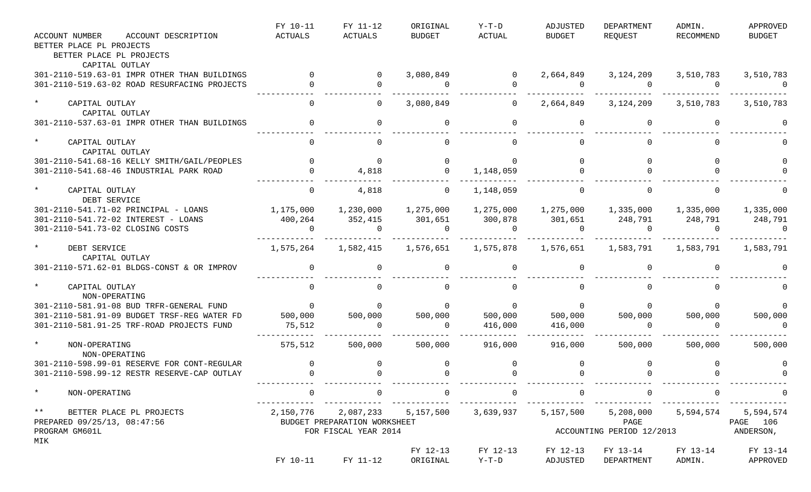|                                              | FY 10-11    | FY 11-12                                | ORIGINAL            | Y-T-D                   | ADJUSTED       | DEPARTMENT                                                                         | ADMIN.         | APPROVED      |
|----------------------------------------------|-------------|-----------------------------------------|---------------------|-------------------------|----------------|------------------------------------------------------------------------------------|----------------|---------------|
| <b>ACCOUNT NUMBER</b><br>ACCOUNT DESCRIPTION | ACTUALS     | ACTUALS                                 | BUDGET              | ACTUAL                  | BUDGET         | REQUEST                                                                            | RECOMMEND      | <b>BUDGET</b> |
| BETTER PLACE PL PROJECTS                     |             |                                         |                     |                         |                |                                                                                    |                |               |
| BETTER PLACE PL PROJECTS                     |             |                                         |                     |                         |                |                                                                                    |                |               |
| CAPITAL OUTLAY                               |             |                                         |                     |                         |                |                                                                                    |                |               |
| 301-2110-519.63-01 IMPR OTHER THAN BUILDINGS |             | $\overline{0}$                          | 3,080,849           | $\overline{0}$          | 2,664,849      | 3,124,209                                                                          | 3,510,783      | 3,510,783     |
| 301-2110-519.63-02 ROAD RESURFACING PROJECTS |             | $\Omega$                                | $\overline{0}$      | $\Omega$                | $\overline{0}$ | $\overline{0}$                                                                     | $\overline{0}$ | $\Omega$      |
| $\star$<br>CAPITAL OUTLAY                    | $\Omega$    | $\overline{0}$                          | 3,080,849           | $\overline{0}$          | 2,664,849      | 3,124,209                                                                          | 3,510,783      | 3,510,783     |
| CAPITAL OUTLAY                               |             |                                         |                     |                         |                |                                                                                    |                |               |
| 301-2110-537.63-01 IMPR OTHER THAN BUILDINGS |             | $\overline{0}$                          | $\Omega$            | $\Omega$                | $\mathbf 0$    |                                                                                    | $\Omega$       |               |
| $\star$<br>CAPITAL OUTLAY                    |             | $\Omega$                                |                     | $\Omega$                | $\Omega$       |                                                                                    | $\Omega$       |               |
| CAPITAL OUTLAY                               |             |                                         |                     |                         |                |                                                                                    |                |               |
| 301-2110-541.68-16 KELLY SMITH/GAIL/PEOPLES  |             | $\mathbf 0$                             | $\overline{0}$      | $\Omega$                |                |                                                                                    |                |               |
| 301-2110-541.68-46 INDUSTRIAL PARK ROAD      |             | 4,818                                   | $\overline{0}$      | 1,148,059               |                |                                                                                    |                |               |
| $\star$<br>CAPITAL OUTLAY                    | $\mathbf 0$ | 4,818                                   | $\Omega$            | 1,148,059               | $\overline{0}$ |                                                                                    | $\Omega$       |               |
| DEBT SERVICE                                 |             |                                         |                     |                         |                |                                                                                    |                |               |
| 301-2110-541.71-02 PRINCIPAL - LOANS         |             |                                         | 1,275,000           |                         |                |                                                                                    |                | 1,335,000     |
| 301-2110-541.72-02 INTEREST - LOANS          | 400,264     | 352,415                                 | 301,651             | 300,878                 | 301,651        | 248,791 248,791                                                                    |                | 248,791       |
| 301-2110-541.73-02 CLOSING COSTS             | $\Omega$    | $\overline{a}$                          | $\overline{0}$      | $\overline{0}$          | $\overline{0}$ | $\overline{0}$                                                                     | $\cap$         | $\Omega$      |
| $\star$<br>DEBT SERVICE                      | 1,575,264   | 1,582,415                               | 1,576,651 1,575,878 |                         |                | 1,576,651 1,583,791 1,583,791                                                      |                | 1,583,791     |
| CAPITAL OUTLAY                               |             |                                         |                     |                         |                |                                                                                    |                |               |
| 301-2110-571.62-01 BLDGS-CONST & OR IMPROV   |             | $\mathbf 0$                             |                     | $\Omega$                | $\Omega$       |                                                                                    |                |               |
| $\star$                                      |             |                                         |                     |                         |                |                                                                                    |                |               |
| CAPITAL OUTLAY<br>NON-OPERATING              |             |                                         |                     |                         |                |                                                                                    |                |               |
| 301-2110-581.91-08 BUD TRFR-GENERAL FUND     | $\sim$ 0    | $\Omega$                                | $\Omega$            | $\overline{\mathbf{0}}$ | $\overline{0}$ |                                                                                    |                |               |
| 301-2110-581.91-09 BUDGET TRSF-REG WATER FD  | 500,000     | 500,000                                 | 500,000             | 500,000                 | 500,000        | 500,000                                                                            | 500,000        | 500,000       |
| 301-2110-581.91-25 TRF-ROAD PROJECTS FUND    | 75,512      | $\Omega$                                | $\overline{0}$      | 416,000                 | 416,000        | $\overline{0}$                                                                     |                | $\Omega$      |
| $\star$<br>NON-OPERATING                     | 575,512     | 500,000                                 | 500,000             | 916,000                 | 916,000        | 500,000                                                                            | 500,000        | 500,000       |
| NON-OPERATING                                |             |                                         |                     |                         |                |                                                                                    |                |               |
| 301-2110-598.99-01 RESERVE FOR CONT-REGULAR  |             |                                         |                     | 0                       |                |                                                                                    |                |               |
| 301-2110-598.99-12 RESTR RESERVE-CAP OUTLAY  |             |                                         |                     |                         |                |                                                                                    |                |               |
| $\star$<br>NON-OPERATING                     | $\Omega$    | $\overline{0}$                          | $\overline{0}$      | $\overline{0}$          | $\overline{0}$ |                                                                                    | $\overline{0}$ |               |
| $***$<br>BETTER PLACE PL PROJECTS            |             | 2,150,776 2,087,233 5,157,500 3,639,937 |                     |                         |                | _______________________________<br>5, 157, 500 5, 208, 000 5, 594, 574 5, 594, 574 |                |               |
| PREPARED 09/25/13, 08:47:56                  |             | BUDGET PREPARATION WORKSHEET            |                     |                         |                | PAGE                                                                               |                | PAGE 106      |
| PROGRAM GM601L                               |             | FOR FISCAL YEAR 2014                    |                     |                         |                | ACCOUNTING PERIOD 12/2013                                                          |                | ANDERSON,     |
| MIK                                          |             |                                         |                     |                         |                |                                                                                    |                |               |
|                                              |             |                                         | FY 12-13            | FY 12-13                | FY 12-13       | FY 13-14                                                                           | FY 13-14       | FY 13-14      |
|                                              |             | FY 10-11 FY 11-12                       | ORIGINAL            | $Y-T-D$                 | ADJUSTED       | DEPARTMENT                                                                         | ADMIN.         | APPROVED      |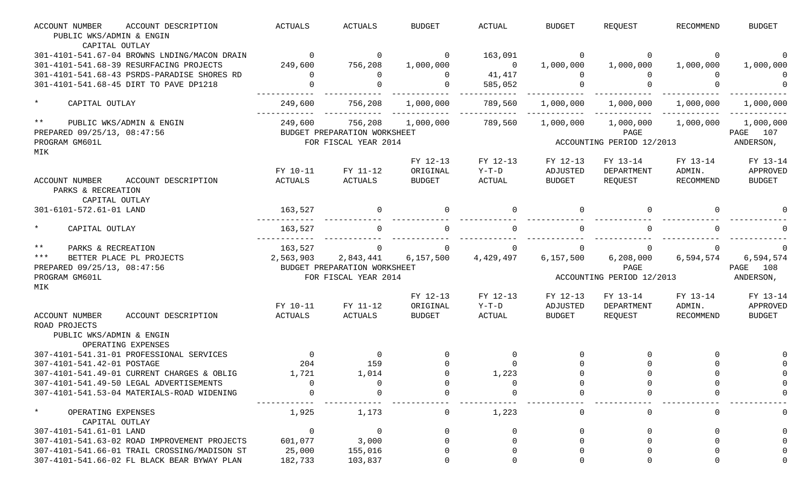| <b>ACCOUNT NUMBER</b><br>ACCOUNT DESCRIPTION                                         | <b>ACTUALS</b> | <b>ACTUALS</b>               | <b>BUDGET</b> | <b>ACTUAL</b>     | <b>BUDGET</b> | REQUEST                   | <b>RECOMMEND</b> | <b>BUDGET</b> |
|--------------------------------------------------------------------------------------|----------------|------------------------------|---------------|-------------------|---------------|---------------------------|------------------|---------------|
| PUBLIC WKS/ADMIN & ENGIN                                                             |                |                              |               |                   |               |                           |                  |               |
| CAPITAL OUTLAY                                                                       |                |                              |               |                   |               |                           |                  |               |
| 301-4101-541.67-04 BROWNS LNDING/MACON DRAIN                                         | $\Omega$       | $\mathsf{O}$                 | $\mathbf{0}$  | 163,091           | 0             | 0                         | $\Omega$         |               |
| 301-4101-541.68-39 RESURFACING PROJECTS                                              | 249,600        | 756,208                      | 1,000,000     | - 0               | 1,000,000     | 1,000,000                 | 1,000,000        | 1,000,000     |
| 301-4101-541.68-43 PSRDS-PARADISE SHORES RD                                          | $\Omega$       | $\Omega$                     | $\Omega$      | 41,417            | $\Omega$      | $\Omega$                  |                  |               |
| 301-4101-541.68-45 DIRT TO PAVE DP1218                                               | $\Omega$       | $\Omega$                     | $\Omega$      | 585,052           | $\Omega$      |                           |                  |               |
| $\star$<br>CAPITAL OUTLAY                                                            | 249,600        | 756,208                      | 1,000,000     | 789,560           | 1,000,000     | 1,000,000                 | 1,000,000        | 1,000,000     |
| $***$<br>PUBLIC WKS/ADMIN & ENGIN                                                    | 249,600        | 756,208                      | 1,000,000     | 789,560           | 1,000,000     | 1,000,000                 | 1,000,000        | 1,000,000     |
| PREPARED 09/25/13, 08:47:56                                                          |                | BUDGET PREPARATION WORKSHEET |               |                   |               | PAGE                      |                  | 107<br>PAGE   |
| PROGRAM GM601L                                                                       |                | FOR FISCAL YEAR 2014         |               |                   |               | ACCOUNTING PERIOD 12/2013 |                  | ANDERSON,     |
| MIK                                                                                  |                |                              |               |                   |               |                           |                  |               |
|                                                                                      |                |                              | FY 12-13      | FY 12-13          | FY 12-13      | FY 13-14                  | FY 13-14         | FY 13-14      |
|                                                                                      | FY 10-11       | FY 11-12                     | ORIGINAL      | $Y-T-D$           | ADJUSTED      | DEPARTMENT                | ADMIN.           | APPROVED      |
| ACCOUNT DESCRIPTION<br><b>ACCOUNT NUMBER</b><br>PARKS & RECREATION<br>CAPITAL OUTLAY | <b>ACTUALS</b> | <b>ACTUALS</b>               | <b>BUDGET</b> | <b>ACTUAL</b>     | <b>BUDGET</b> | REQUEST                   | <b>RECOMMEND</b> | <b>BUDGET</b> |
| 301-6101-572.61-01 LAND                                                              | 163,527        | 0                            |               |                   | 0             |                           |                  |               |
|                                                                                      |                |                              |               |                   |               |                           |                  |               |
| $\star$<br>CAPITAL OUTLAY                                                            | 163,527        | 0                            |               |                   | $\Omega$      |                           |                  |               |
| $***$<br>PARKS & RECREATION                                                          | 163,527        | $\mathbf 0$                  | $\Omega$      |                   | 0             |                           | 0                |               |
| $***$<br>BETTER PLACE PL PROJECTS                                                    | 2,563,903      | 2,843,441                    | 6,157,500     | 4,429,497         | 6, 157, 500   | 6,208,000                 | 6,594,574        | 6,594,574     |
| PREPARED 09/25/13, 08:47:56                                                          |                | BUDGET PREPARATION WORKSHEET |               |                   |               | PAGE                      |                  | 108<br>PAGE   |
| PROGRAM GM601L                                                                       |                | FOR FISCAL YEAR 2014         |               |                   |               | ACCOUNTING PERIOD 12/2013 |                  | ANDERSON,     |
| MIK                                                                                  |                |                              |               |                   |               |                           |                  |               |
|                                                                                      |                |                              | FY 12-13      | FY 12-13          | FY 12-13      | FY 13-14                  | FY 13-14         | FY 13-14      |
|                                                                                      | FY 10-11       | FY 11-12                     | ORIGINAL      | $Y-T-D$           | ADJUSTED      | DEPARTMENT                | ADMIN.           | APPROVED      |
| <b>ACCOUNT NUMBER</b><br>ACCOUNT DESCRIPTION<br>ROAD PROJECTS                        | <b>ACTUALS</b> | ACTUALS                      | <b>BUDGET</b> | $\mathtt{ACTUAL}$ | <b>BUDGET</b> | REQUEST                   | RECOMMEND        | <b>BUDGET</b> |
| PUBLIC WKS/ADMIN & ENGIN<br>OPERATING EXPENSES                                       |                |                              |               |                   |               |                           |                  |               |
| 307-4101-541.31-01 PROFESSIONAL SERVICES                                             | $\overline{0}$ | $\overline{0}$               |               | $\Omega$          |               |                           | $\Omega$         |               |
| 307-4101-541.42-01 POSTAGE                                                           | 204            | 159                          | $\Omega$      | $\Omega$          |               | $\Omega$                  |                  |               |
| 307-4101-541.49-01 CURRENT CHARGES & OBLIG                                           | 1,721          | 1,014                        |               | 1,223             |               |                           |                  |               |
| 307-4101-541.49-50 LEGAL ADVERTISEMENTS                                              |                |                              |               |                   |               |                           |                  |               |
| 307-4101-541.53-04 MATERIALS-ROAD WIDENING                                           |                |                              |               |                   |               |                           |                  |               |
|                                                                                      |                |                              |               |                   |               |                           |                  |               |
| $^\star$<br>OPERATING EXPENSES<br>CAPITAL OUTLAY                                     | 1,925          | 1,173                        | 0             | 1,223             | 0             |                           |                  |               |
| 307-4101-541.61-01 LAND                                                              | 0              | 0                            |               |                   |               |                           |                  |               |
| 307-4101-541.63-02 ROAD IMPROVEMENT PROJECTS                                         | 601,077        | 3,000                        |               |                   |               |                           |                  |               |
| 307-4101-541.66-01 TRAIL CROSSING/MADISON ST                                         | 25,000         | 155,016                      |               |                   |               |                           |                  |               |
| 307-4101-541.66-02 FL BLACK BEAR BYWAY PLAN                                          | 182,733        | 103,837                      |               |                   |               |                           |                  |               |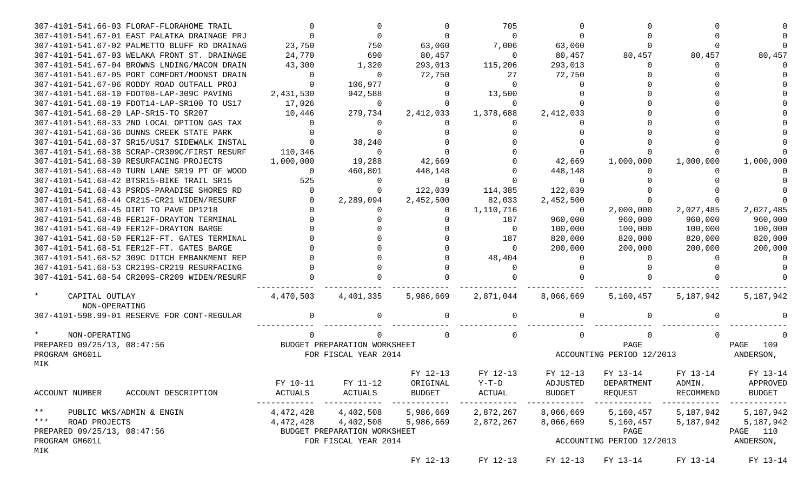| 307-4101-541.66-03 FLORAF-FLORAHOME TRAIL        |                |                              |           | 705                 |                |                           |                     |             |
|--------------------------------------------------|----------------|------------------------------|-----------|---------------------|----------------|---------------------------|---------------------|-------------|
| 307-4101-541.67-01 EAST PALATKA DRAINAGE PRJ     |                |                              |           | $\Omega$            |                |                           |                     |             |
| 307-4101-541.67-02 PALMETTO BLUFF RD DRAINAG     | 23,750         | 750                          | 63,060    | 7,006               | 63,060         |                           |                     |             |
| 307-4101-541.67-03 WELAKA FRONT ST. DRAINAGE     | 24,770         | 690                          | 80,457    | $\overline{0}$      | 80,457         | 80,457                    | 80,457              | 80,457      |
| 307-4101-541.67-04 BROWNS LNDING/MACON DRAIN     | 43,300         | 1,320                        | 293,013   | 115,206             | 293,013        | $\Omega$                  |                     |             |
| 307-4101-541.67-05 PORT COMFORT/MOONST DRAIN     | $\Omega$       | $\Omega$                     | 72,750    | 27                  | 72,750         |                           |                     |             |
| 307-4101-541.67-06 RODDY ROAD OUTFALL PROJ       |                | 106,977                      | $\Omega$  | $\Omega$            |                |                           |                     |             |
| 307-4101-541.68-10 FDOT08-LAP-309C PAVING        | 2,431,530      | 942,588                      |           | 13,500              |                |                           |                     |             |
| 307-4101-541.68-19 FDOT14-LAP-SR100 TO US17      | 17,026         | $\overline{0}$               |           | $\mathbf 0$         |                |                           |                     |             |
| 307-4101-541.68-20 LAP-SR15-TO SR207             | 10,446         | 279,734                      | 2,412,033 | 1,378,688           | 2,412,033      |                           |                     |             |
| 307-4101-541.68-33 2ND LOCAL OPTION GAS TAX      |                |                              |           |                     |                |                           |                     |             |
| 307-4101-541.68-36 DUNNS CREEK STATE PARK        |                |                              |           |                     |                |                           |                     |             |
| 307-4101-541.68-37 SR15/US17 SIDEWALK INSTAL     |                | 38,240                       |           |                     |                |                           |                     |             |
| 307-4101-541.68-38 SCRAP-CR309C/FIRST RESURF     | 110,346        | $\Omega$                     |           |                     |                |                           |                     |             |
| 307-4101-541.68-39 RESURFACING PROJECTS          | 1,000,000      | 19,288                       | 42,669    |                     | 42,669         | 1,000,000                 | 1,000,000           | 1,000,000   |
| 307-4101-541.68-40 TURN LANE SR19 PT OF WOOD     | $\overline{0}$ | 460,801                      | 448,148   |                     | 448,148        |                           |                     |             |
| 307-4101-541.68-42 BTSR15-BIKE TRAIL SR15        | 525            | $\Omega$                     | $\Omega$  |                     | $\Omega$       |                           |                     |             |
| 307-4101-541.68-43 PSRDS-PARADISE SHORES RD      | $\overline{0}$ |                              | 122,039   | 114,385             | 122,039        |                           |                     |             |
| 307-4101-541.68-44 CR21S-CR21 WIDEN/RESURF       |                | 2,289,094                    | 2,452,500 | 82,033              | 2,452,500      |                           |                     |             |
| 307-4101-541.68-45 DIRT TO PAVE DP1218           |                |                              |           | 1,110,716           | $\overline{0}$ | 2,000,000                 | 2,027,485           | 2,027,485   |
| 307-4101-541.68-48 FER12F-DRAYTON TERMINAL       |                |                              |           | 187                 | 960,000        | 960,000                   | 960,000             | 960,000     |
| 307-4101-541.68-49 FER12F-DRAYTON BARGE          |                |                              |           | $\overline{0}$      | 100,000        | 100,000                   | 100,000             | 100,000     |
| 307-4101-541.68-50 FER12F-FT. GATES TERMINAL     |                |                              |           | 187                 | 820,000        | 820,000                   | 820,000             | 820,000     |
| 307-4101-541.68-51 FER12F-FT. GATES BARGE        |                |                              |           | $\Omega$            | 200,000        | 200,000                   | 200,000             | 200,000     |
| 307-4101-541.68-52 309C DITCH EMBANKMENT REP     |                |                              |           | 48,404              |                |                           |                     |             |
| 307-4101-541.68-53 CR219S-CR219 RESURFACING      |                |                              |           | $\Omega$            |                |                           |                     |             |
| 307-4101-541.68-54 CR209S-CR209 WIDEN/RESURF     |                |                              |           |                     |                |                           |                     |             |
|                                                  |                |                              |           |                     |                |                           |                     |             |
| CAPITAL OUTLAY<br>NON-OPERATING                  | 4,470,503      | 4,401,335                    |           | 5,986,669 2,871,044 | 8,066,669      | 5,160,457                 | 5,187,942           | 5,187,942   |
| 307-4101-598.99-01 RESERVE FOR CONT-REGULAR      |                |                              |           |                     |                |                           |                     |             |
|                                                  |                |                              |           |                     |                |                           |                     |             |
| NON-OPERATING                                    |                | 0                            |           | $\Omega$            |                |                           |                     |             |
| PREPARED 09/25/13, 08:47:56                      |                | BUDGET PREPARATION WORKSHEET |           |                     |                | PAGE                      |                     | PAGE<br>109 |
| PROGRAM GM601L                                   |                | FOR FISCAL YEAR 2014         |           |                     |                | ACCOUNTING PERIOD 12/2013 |                     | ANDERSON,   |
| MIK                                              |                |                              |           |                     |                |                           |                     |             |
|                                                  |                |                              | FY 12-13  | FY 12-13            | FY 12-13       | FY 13-14                  | FY 13-14            | FY 13-14    |
|                                                  | FY 10-11       | FY 11-12                     | ORIGINAL  | $Y-T-D$             | ADJUSTED       | DEPARTMENT                | ADMIN.              | APPROVED    |
| ACCOUNT NUMBER<br>ACCOUNT DESCRIPTION            | ACTUALS        | ACTUALS                      | BUDGET    | ACTUAL              | BUDGET         | REQUEST                   | RECOMMEND           | BUDGET      |
|                                                  |                |                              |           | ------------        |                |                           |                     |             |
| ** PUBLIC WKS/ADMIN & ENGIN<br>*** ROAD PROJECTS | 4,472,428      | 4,402,508                    | 5,986,669 | 2,872,267           | 8,066,669      |                           | 5,160,457 5,187,942 | 5,187,942   |
|                                                  |                | 4,472,428 4,402,508          | 5,986,669 | 2,872,267           | 8,066,669      |                           | 5,160,457 5,187,942 | 5,187,942   |
| PREPARED 09/25/13, 08:47:56                      |                | BUDGET PREPARATION WORKSHEET |           |                     |                | PAGE                      |                     | PAGE 110    |
| PROGRAM GM601L                                   |                | FOR FISCAL YEAR 2014         |           |                     |                | ACCOUNTING PERIOD 12/2013 |                     | ANDERSON,   |
| MIK                                              |                |                              |           |                     |                |                           |                     |             |
|                                                  |                |                              | FY 12-13  | FY 12-13            | FY 12-13       | FY 13-14                  | FY 13-14            | FY 13-14    |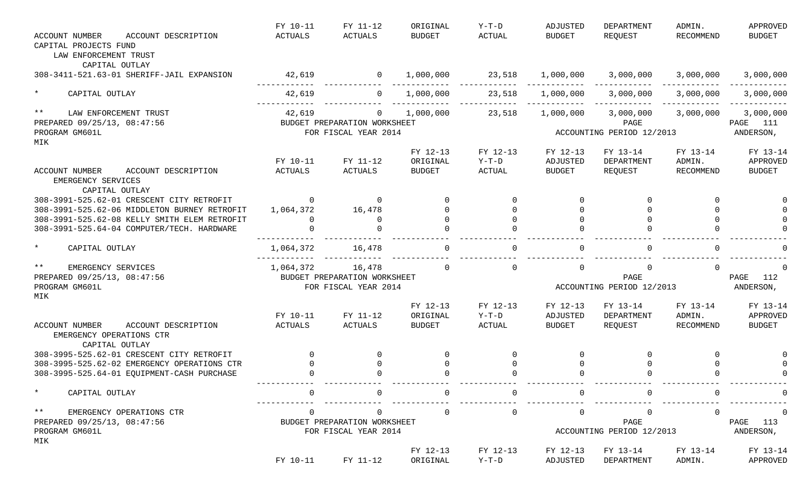| <b>ACCOUNT NUMBER</b><br>ACCOUNT DESCRIPTION                             | FY 10-11<br><b>ACTUALS</b> | FY 11-12<br><b>ACTUALS</b>   | ORIGINAL<br><b>BUDGET</b> | $Y-T-D$<br><b>ACTUAL</b> | ADJUSTED<br><b>BUDGET</b> | <b>DEPARTMENT</b><br>REQUEST | ADMIN.<br><b>RECOMMEND</b> | APPROVED<br><b>BUDGET</b> |
|--------------------------------------------------------------------------|----------------------------|------------------------------|---------------------------|--------------------------|---------------------------|------------------------------|----------------------------|---------------------------|
| CAPITAL PROJECTS FUND<br>LAW ENFORCEMENT TRUST                           |                            |                              |                           |                          |                           |                              |                            |                           |
| CAPITAL OUTLAY                                                           |                            |                              |                           |                          |                           |                              |                            |                           |
| 308-3411-521.63-01 SHERIFF-JAIL EXPANSION                                | 42,619                     | $\overline{0}$               | 1,000,000                 | 23,518                   | 1,000,000                 | 3,000,000                    | 3,000,000                  | 3,000,000                 |
| $\star$<br>CAPITAL OUTLAY                                                | 42,619                     | $\mathbf{0}$                 | 1,000,000                 | 23,518                   | 1,000,000                 | 3,000,000                    | 3,000,000                  | 3,000,000                 |
| $* *$<br>LAW ENFORCEMENT TRUST                                           | 42,619                     | $\mathbf{0}$                 | 1,000,000                 | 23,518                   | 1,000,000                 | 3,000,000                    | 3,000,000                  | 3,000,000                 |
| PREPARED 09/25/13, 08:47:56                                              |                            | BUDGET PREPARATION WORKSHEET |                           |                          |                           | PAGE                         |                            | PAGE 111                  |
| PROGRAM GM601L                                                           |                            | FOR FISCAL YEAR 2014         |                           |                          |                           | ACCOUNTING PERIOD 12/2013    |                            | ANDERSON,                 |
| MIK                                                                      |                            |                              | FY 12-13                  | FY 12-13                 | FY 12-13                  | FY 13-14                     | FY 13-14                   | FY 13-14                  |
|                                                                          | FY 10-11                   | FY 11-12                     | ORIGINAL                  | $Y-T-D$                  | ADJUSTED                  | DEPARTMENT                   | ADMIN.                     | APPROVED                  |
| ACCOUNT NUMBER<br>ACCOUNT DESCRIPTION                                    | <b>ACTUALS</b>             | ACTUALS                      | <b>BUDGET</b>             | ACTUAL                   | <b>BUDGET</b>             | REQUEST                      | RECOMMEND                  | <b>BUDGET</b>             |
| EMERGENCY SERVICES<br>CAPITAL OUTLAY                                     |                            |                              |                           |                          |                           |                              |                            |                           |
| 308-3991-525.62-01 CRESCENT CITY RETROFIT                                | $\Omega$                   | 0                            |                           | $\Omega$                 | $\Omega$                  |                              | 0                          |                           |
| 308-3991-525.62-06 MIDDLETON BURNEY RETROFIT                             | 1,064,372                  | 16,478                       |                           |                          | $\Omega$                  |                              | $\Omega$                   |                           |
| 308-3991-525.62-08 KELLY SMITH ELEM RETROFIT                             | $\Omega$                   | 0                            |                           |                          | $\Omega$                  |                              | $\Omega$                   |                           |
| 308-3991-525.64-04 COMPUTER/TECH. HARDWARE                               |                            |                              |                           |                          |                           |                              |                            |                           |
| $\star$<br>CAPITAL OUTLAY                                                | 1,064,372                  | 16,478                       |                           |                          | $\Omega$                  |                              | $\Omega$                   |                           |
| $***$<br>EMERGENCY SERVICES                                              | 1,064,372                  | 16,478                       | $\Omega$                  | $\Omega$                 | 0                         | $\Omega$                     | $\Omega$                   | $\Omega$                  |
| PREPARED 09/25/13, 08:47:56                                              |                            | BUDGET PREPARATION WORKSHEET |                           |                          |                           | PAGE                         |                            | 112<br>PAGE               |
| PROGRAM GM601L<br>MIK                                                    |                            | FOR FISCAL YEAR 2014         |                           |                          |                           | ACCOUNTING PERIOD 12/2013    |                            | ANDERSON,                 |
|                                                                          |                            |                              | FY 12-13                  | FY 12-13                 | FY 12-13                  | FY 13-14                     | FY 13-14                   | FY 13-14                  |
|                                                                          | FY 10-11                   | FY 11-12                     | ORIGINAL                  | $Y-T-D$                  | ADJUSTED                  | DEPARTMENT                   | ADMIN.                     | APPROVED                  |
| <b>ACCOUNT NUMBER</b><br>ACCOUNT DESCRIPTION<br>EMERGENCY OPERATIONS CTR | <b>ACTUALS</b>             | <b>ACTUALS</b>               | <b>BUDGET</b>             | ACTUAL                   | <b>BUDGET</b>             | REQUEST                      | RECOMMEND                  | <b>BUDGET</b>             |
| CAPITAL OUTLAY<br>308-3995-525.62-01 CRESCENT CITY RETROFIT              | $\mathbf 0$                | $\mathbf 0$                  | $\Omega$                  | $\Omega$                 | 0                         | $\Omega$                     | 0                          |                           |
| 308-3995-525.62-02 EMERGENCY OPERATIONS CTR                              | $\mathbf 0$                | 0                            | $\Omega$                  | $\Omega$                 | $\Omega$                  | $\Omega$                     | $\mathbf 0$                |                           |
| 308-3995-525.64-01 EQUIPMENT-CASH PURCHASE                               | $\Omega$                   | 0                            |                           | $\Omega$                 | $\Omega$                  |                              | $\Omega$                   |                           |
|                                                                          |                            |                              |                           |                          |                           |                              |                            |                           |
| $\star$<br>CAPITAL OUTLAY                                                | $\Omega$                   | 0                            | 0                         | $\Omega$                 | 0                         | $\Omega$                     | 0                          |                           |
| $\star \star$<br>EMERGENCY OPERATIONS CTR                                | $\overline{0}$             | 0                            | $\mathbf 0$               | $\Omega$                 | 0                         | $\overline{0}$               | $\overline{0}$             | $\overline{0}$            |
| PREPARED 09/25/13, 08:47:56                                              |                            | BUDGET PREPARATION WORKSHEET |                           |                          |                           | PAGE                         |                            | PAGE 113                  |
| PROGRAM GM601L                                                           |                            | FOR FISCAL YEAR 2014         |                           |                          |                           | ACCOUNTING PERIOD 12/2013    |                            | ANDERSON,                 |
| MIK                                                                      |                            |                              | FY 12-13                  | FY 12-13                 | FY 12-13                  | FY 13-14                     | FY 13-14                   | FY 13-14                  |
|                                                                          | FY 10-11                   | FY 11-12                     | ORIGINAL                  | $Y-T-D$                  | ADJUSTED                  | DEPARTMENT                   | ADMIN.                     | APPROVED                  |
|                                                                          |                            |                              |                           |                          |                           |                              |                            |                           |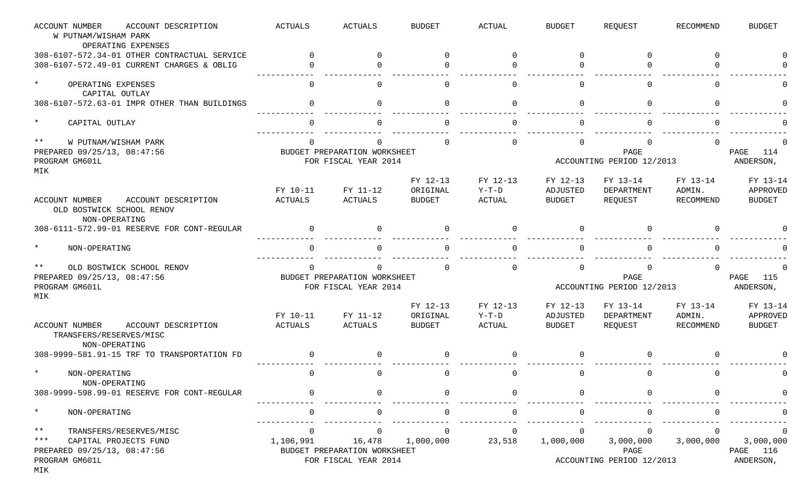| <b>ACCOUNT NUMBER</b><br>ACCOUNT DESCRIPTION<br>W PUTNAM/WISHAM PARK<br>OPERATING EXPENSES | <b>ACTUALS</b>             | <b>ACTUALS</b>                         | <b>BUDGET</b>             | <b>ACTUAL</b>            | <b>BUDGET</b>             | REQUEST                   | <b>RECOMMEND</b>    | <b>BUDGET</b>             |
|--------------------------------------------------------------------------------------------|----------------------------|----------------------------------------|---------------------------|--------------------------|---------------------------|---------------------------|---------------------|---------------------------|
| 308-6107-572.34-01 OTHER CONTRACTUAL SERVICE                                               |                            | $\Omega$                               | $\Omega$                  | $\Omega$                 | $\Omega$                  | $\Omega$                  | $\Omega$            |                           |
| 308-6107-572.49-01 CURRENT CHARGES & OBLIG                                                 |                            | $\Omega$                               | U                         |                          | $\Omega$                  | <sup>0</sup>              |                     |                           |
| $\star$<br>OPERATING EXPENSES<br>CAPITAL OUTLAY                                            | $\cap$                     | $\Omega$                               | $\Omega$                  | $\cap$                   | $\Omega$                  | 0                         | $\cap$              |                           |
| 308-6107-572.63-01 IMPR OTHER THAN BUILDINGS                                               |                            | $\Omega$                               | $\Omega$                  | $\cap$                   | $\Omega$                  | $\Omega$                  | $\cap$              |                           |
| $^\star$<br>CAPITAL OUTLAY                                                                 |                            | $\cap$                                 |                           |                          | $\Omega$                  |                           |                     |                           |
| $***$<br>W PUTNAM/WISHAM PARK                                                              |                            |                                        |                           |                          | $\Omega$                  |                           |                     |                           |
| PREPARED 09/25/13, 08:47:56                                                                |                            | BUDGET PREPARATION WORKSHEET           |                           |                          |                           | PAGE                      |                     | 114<br>PAGE               |
| PROGRAM GM601L<br>MIK                                                                      |                            | FOR FISCAL YEAR 2014                   |                           |                          |                           | ACCOUNTING PERIOD 12/2013 |                     | ANDERSON,                 |
|                                                                                            | FY 10-11                   | FY 11-12                               | FY 12-13<br>ORIGINAL      | FY 12-13<br>$Y-T-D$      | FY 12-13<br>ADJUSTED      | FY 13-14<br>DEPARTMENT    | FY 13-14<br>ADMIN.  | FY 13-14<br>APPROVED      |
| <b>ACCOUNT NUMBER</b><br>ACCOUNT DESCRIPTION<br>OLD BOSTWICK SCHOOL RENOV<br>NON-OPERATING | <b>ACTUALS</b>             | <b>ACTUALS</b>                         | <b>BUDGET</b>             | <b>ACTUAL</b>            | <b>BUDGET</b>             | REQUEST                   | <b>RECOMMEND</b>    | <b>BUDGET</b>             |
| 308-6111-572.99-01 RESERVE FOR CONT-REGULAR                                                |                            | $\Omega$                               | $\Omega$                  | $\cap$                   | $\Omega$                  | $\Omega$                  |                     |                           |
| $\star$<br>NON-OPERATING                                                                   |                            | $\cap$                                 |                           |                          | $\Omega$                  |                           |                     |                           |
| $***$<br>OLD BOSTWICK SCHOOL RENOV                                                         |                            | <sup>0</sup>                           |                           |                          | $\Omega$                  |                           |                     |                           |
| PREPARED 09/25/13, 08:47:56                                                                |                            | BUDGET PREPARATION WORKSHEET           |                           |                          |                           | PAGE                      |                     | 115<br>PAGE               |
| PROGRAM GM601L<br>MIK                                                                      |                            | FOR FISCAL YEAR 2014                   |                           |                          |                           | ACCOUNTING PERIOD 12/2013 |                     | ANDERSON,                 |
|                                                                                            |                            |                                        | FY 12-13                  | FY 12-13                 | FY 12-13                  | FY 13-14                  | FY 13-14            | FY 13-14                  |
| ACCOUNT DESCRIPTION<br><b>ACCOUNT NUMBER</b><br>TRANSFERS/RESERVES/MISC<br>NON-OPERATING   | FY 10-11<br><b>ACTUALS</b> | FY 11-12<br><b>ACTUALS</b>             | ORIGINAL<br><b>BUDGET</b> | $Y-T-D$<br><b>ACTUAL</b> | ADJUSTED<br><b>BUDGET</b> | DEPARTMENT<br>REQUEST     | ADMIN.<br>RECOMMEND | APPROVED<br><b>BUDGET</b> |
| 308-9999-581.91-15 TRF TO TRANSPORTATION FD                                                |                            | $\mathbf 0$                            | $\Omega$                  | $\Omega$                 | $\mathbf 0$               | $\Omega$                  |                     |                           |
| NON-OPERATING<br>NON-OPERATING                                                             | $\Omega$                   | 0                                      | $\Omega$                  | $\Omega$                 | 0                         | 0                         | $\Omega$            |                           |
| 308-9999-598.99-01 RESERVE FOR CONT-REGULAR                                                |                            |                                        |                           |                          |                           |                           |                     |                           |
| $\ast$<br>NON-OPERATING                                                                    |                            | 0                                      | <sup>0</sup>              |                          | 0                         |                           |                     |                           |
| $\star\star$<br>TRANSFERS/RESERVES/MISC                                                    |                            | $\Omega$                               |                           |                          |                           |                           |                     |                           |
| $***$<br>CAPITAL PROJECTS FUND<br>PREPARED 09/25/13, 08:47:56                              | 1,106,991                  | 16,478<br>BUDGET PREPARATION WORKSHEET | 1,000,000                 | 23,518                   | 1,000,000                 | 3,000,000<br>PAGE         | 3,000,000           | 3,000,000<br>PAGE 116     |
| PROGRAM GM601L<br>MIK                                                                      |                            | FOR FISCAL YEAR 2014                   |                           |                          |                           | ACCOUNTING PERIOD 12/2013 |                     | ANDERSON,                 |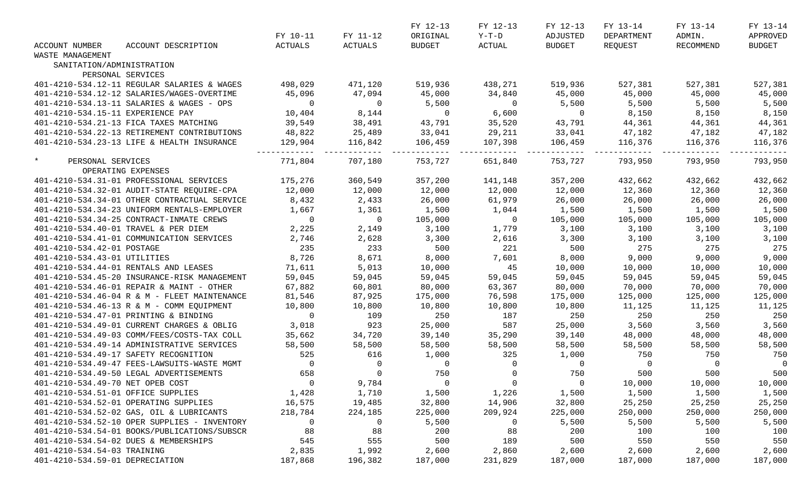|                                   |                                                  |                |                                           | FY 12-13       | FY 12-13        | FY 12-13                     | FY 13-14               | FY 13-14        | FY 13-14       |
|-----------------------------------|--------------------------------------------------|----------------|-------------------------------------------|----------------|-----------------|------------------------------|------------------------|-----------------|----------------|
|                                   |                                                  | FY 10-11       | FY 11-12                                  | ORIGINAL       |                 | Y-T-D ADJUSTED               | DEPARTMENT             | ADMIN.          | APPROVED       |
| ACCOUNT NUMBER                    | ACCOUNT DESCRIPTION                              | ACTUALS        | ACTUALS                                   | BUDGET         | <b>ACTUAL</b>   | BUDGET                       | REQUEST                | RECOMMEND       | BUDGET         |
| WASTE MANAGEMENT                  |                                                  |                |                                           |                |                 |                              |                        |                 |                |
| SANITATION/ADMINISTRATION         |                                                  |                |                                           |                |                 |                              |                        |                 |                |
|                                   | PERSONAL SERVICES                                |                |                                           |                |                 |                              |                        |                 |                |
|                                   | 401-4210-534.12-11 REGULAR SALARIES & WAGES      | 498,029        | 471,120                                   |                | 519,936 438,271 | 519,936                      | 527,381                | 527,381         | 527,381        |
|                                   | 401-4210-534.12-12 SALARIES/WAGES-OVERTIME       | 45,096         | 47,094                                    | 45,000         | 34,840          | 45,000                       | 45,000                 | 45,000          | 45,000         |
|                                   | 401-4210-534.13-11 SALARIES & WAGES - OPS        | $\overline{0}$ | $\overline{0}$                            | 5,500          | $\overline{0}$  | 5,500                        | 5,500                  | 5,500           | 5,500          |
| 401-4210-534.15-11 EXPERIENCE PAY |                                                  | 10,404         | 8,144                                     | $\overline{0}$ | 6,600           | $\overline{0}$               | 8,150                  | 8,150           | 8,150          |
|                                   | 401-4210-534.21-13 FICA TAXES MATCHING           | 39,549         | 38,491                                    | 43,791         | 35,520          |                              | 44,361                 | 44,361          | 44,361         |
|                                   | 401-4210-534.22-13 RETIREMENT CONTRIBUTIONS      | 48,822         | $\frac{1}{28}$ , 491<br>25, 489           | 33,041         | 29,211          | 43,791<br>33,041             |                        | 47,182          | 47,182         |
|                                   | 401-4210-534.23-13 LIFE & HEALTH INSURANCE       | 129,904        | 116,842                                   | 106,459        | 107,398         | 106, 459                     | $47,182$<br>$116,376$  | 116,376 116,376 | 116,376        |
| $\star$<br>PERSONAL SERVICES      |                                                  | 771,804        | 707,180                                   |                | 753,727 651,840 | 753,727                      | 793,950                | 793,950         | 793,950        |
|                                   | OPERATING EXPENSES                               |                |                                           |                |                 |                              |                        |                 |                |
|                                   | 401-4210-534.31-01 PROFESSIONAL SERVICES 175,276 |                | 360,549                                   | 357,200        | 141,148         | 357,200                      | 432,662                | 432,662         | 432,662        |
|                                   | 401-4210-534.32-01 AUDIT-STATE REQUIRE-CPA       | 12,000         | 12,000                                    | 12,000         | 12,000          | 12,000                       | 12,360                 | 12,360          | 12,360         |
|                                   | 401-4210-534.34-01 OTHER CONTRACTUAL SERVICE     | 8,432          | 2,433                                     | 26,000         | 61,979          | 26,000                       | 26,000                 | 26,000          | 26,000         |
|                                   | 401-4210-534.34-23 UNIFORM RENTALS-EMPLOYER      | 1,667          | 1,361                                     | 1,500          | 1,044           | 1,500                        | 1,500                  | 1,500           | 1,500          |
|                                   | 401-4210-534.34-25 CONTRACT-INMATE CREWS         | $\overline{0}$ | $\overline{0}$                            | 105,000        | $\overline{0}$  | 105,000                      | 105,000                | 105,000         | 105,000        |
|                                   | 401-4210-534.40-01 TRAVEL & PER DIEM             | 2,225          | 2,149                                     | 3,100          | 1,779           | $\frac{1}{3}, \frac{100}{3}$ | 3,100                  | 3,100           | 3,100          |
|                                   | 401-4210-534.41-01 COMMUNICATION SERVICES        | 2,746          | 2,628                                     |                | 2,616           |                              |                        | 3,100           | 3,100          |
| 401-4210-534.42-01 POSTAGE        |                                                  | 235            | 233                                       | 3,300<br>500   | 221             | 500                          | $\frac{3,100}{275}$    | 275             | 275            |
| 401-4210-534.43-01 UTILITIES      |                                                  | 8,726          | 8,671                                     | 8,000          | 7,601           | 8,000                        | 9,000                  | 9,000           | 9,000          |
|                                   | 401-4210-534.44-01 RENTALS AND LEASES            | 71,611         | 5,013                                     | 10,000         | 45              | 10,000                       | 10,000                 | 10,000          | 10,000         |
|                                   | 401-4210-534.45-20 INSURANCE-RISK MANAGEMENT     | 59,045         | 59,045                                    | 59,045         | 59,045          | 59,045                       | 59,045                 | 59,045          | 59,045         |
|                                   | 401-4210-534.46-01 REPAIR & MAINT - OTHER        | 67,882         | 60,801                                    | 80,000         | 63,367          | 80,000                       | 70,000                 | 70,000          | 70,000         |
|                                   | 401-4210-534.46-04 R & M - FLEET MAINTENANCE     | 81,546         | 87,925                                    | 175,000        | 76,598          | 175,000                      | 125,000                | 125,000         | 125,000        |
|                                   | 401-4210-534.46-13 R & M - COMM EQUIPMENT        | 10,800         | 10,800                                    | 10,800         | 10,800          | 10,800                       | 11,125                 | 11,125          | 11,125         |
|                                   | 401-4210-534.47-01 PRINTING & BINDING            | $\overline{0}$ | 109                                       | 250            | 187             | 250                          | 250                    | 250             | 250            |
|                                   | 401-4210-534.49-01 CURRENT CHARGES & OBLIG       | 3,018          | 923                                       | 25,000         | 587             | 25,000                       | 3,560                  | 3,560           | 3,560          |
|                                   | 401-4210-534.49-03 COMM/FEES/COSTS-TAX COLL      | 35,662         | 34,720                                    | 39,140         | 35,290          | 39,140                       | 48,000                 | 48,000          | 48,000         |
|                                   | 401-4210-534.49-14 ADMINISTRATIVE SERVICES       | 58,500         | 58,500                                    | 58,500         | 58,500          | 58,500                       | 58,500                 | 58,500          | 58,500         |
|                                   | 401-4210-534.49-17 SAFETY RECOGNITION            | 525            | 616                                       | 1,000          | 325             | 1,000                        |                        | 750             | 750            |
|                                   | 401-4210-534.49-47 FEES-LAWSUITS-WASTE MGMT      | $\overline{0}$ |                                           | $\overline{0}$ | $\overline{0}$  | $\overline{0}$               |                        | $\overline{0}$  | $\overline{0}$ |
|                                   | 401-4210-534.49-50 LEGAL ADVERTISEMENTS          | 658            | $\begin{matrix} 0 \\ 0 \\ 0 \end{matrix}$ | 750            | $\mathbf 0$     | 750                          | 750<br>0<br>500<br>500 | 500             | 500            |
| 401-4210-534.49-70 NET OPEB COST  |                                                  | $\overline{0}$ | 9,784                                     |                | $\overline{0}$  | $\overline{0}$               | 10,000                 | 10,000          | 10,000         |
|                                   | 401-4210-534.51-01 OFFICE SUPPLIES               | 1,428          | 1,710                                     | 1,500          | 1,226           | 1,500                        | 1,500                  | 1,500           | 1,500          |
|                                   | 401-4210-534.52-01 OPERATING SUPPLIES            | 16,575         | 19,485                                    | 32,800         | 14,906          | 32,800                       | 25,250                 | 25,250          | 25,250         |
|                                   | 401-4210-534.52-02 GAS, OIL & LUBRICANTS         | 218,784        | 224,185                                   | 225,000        | 209,924         | 225,000                      | 250,000                | 250,000         | 250,000        |
|                                   |                                                  |                |                                           |                |                 |                              |                        |                 |                |
|                                   | 401-4210-534.52-10 OPER SUPPLIES - INVENTORY     | 0              | $\overline{0}$                            | 5,500          | $\overline{0}$  | 5,500                        | 5,500                  | 5,500           | 5,500          |
|                                   | 401-4210-534.54-01 BOOKS/PUBLICATIONS/SUBSCR     | 88             | 88                                        | 200            | 88              | 200                          | 100                    | 100             | 100            |
|                                   | 401-4210-534.54-02 DUES & MEMBERSHIPS            | 545            | 555                                       | 500            | 189             | 500                          | 550                    | 550             | 550            |
| 401-4210-534.54-03 TRAINING       |                                                  | 2,835          | 1,992                                     | 2,600          | 2,860           | 2,600                        | 2,600                  | 2,600           | 2,600          |
| 401-4210-534.59-01 DEPRECIATION   |                                                  | 187,868        | 196,382                                   | 187,000        | 231,829         | 187,000                      | 187,000                | 187,000         | 187,000        |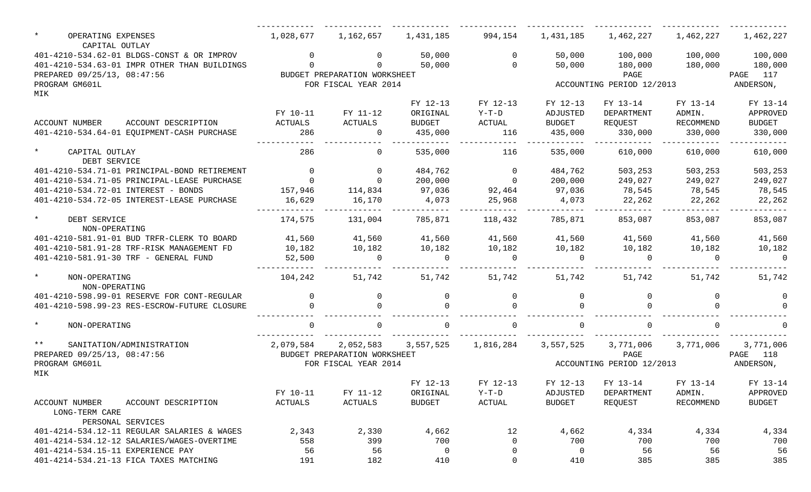| $\star$<br>OPERATING EXPENSES<br>CAPITAL OUTLAY                  | 1,028,677      | 1,162,657                    | 1,431,185           | 994,154        | 1,431,185      | 1,462,227                 | 1,462,227           | 1,462,227 |
|------------------------------------------------------------------|----------------|------------------------------|---------------------|----------------|----------------|---------------------------|---------------------|-----------|
| 401-4210-534.62-01 BLDGS-CONST & OR IMPROV                       | $\Omega$       | $\mathsf{O}$                 | 50,000              | $\overline{0}$ | 50,000         | 100,000                   | 100,000             | 100,000   |
| 401-4210-534.63-01 IMPR OTHER THAN BUILDINGS                     | $\Omega$       | $\Omega$                     | 50,000              | $\overline{0}$ | 50,000         | 180,000                   | 180,000             | 180,000   |
| PREPARED 09/25/13, 08:47:56                                      |                | BUDGET PREPARATION WORKSHEET |                     |                |                | PAGE                      |                     | PAGE 117  |
| PROGRAM GM601L                                                   |                | FOR FISCAL YEAR 2014         |                     |                |                | ACCOUNTING PERIOD 12/2013 |                     | ANDERSON, |
| MIK                                                              |                |                              |                     |                |                |                           |                     |           |
|                                                                  |                |                              | FY 12-13            | FY 12-13       | FY 12-13       | FY 13-14                  | FY 13-14            | FY 13-14  |
|                                                                  | FY 10-11       | FY 11-12                     | ORIGINAL            | $Y-T-D$        | ADJUSTED       | DEPARTMENT                | ADMIN.              | APPROVED  |
| <b>ACCOUNT NUMBER</b><br>ACCOUNT DESCRIPTION                     | ACTUALS        | ACTUALS                      | <b>BUDGET</b>       | ACTUAL         | BUDGET         | REQUEST                   | RECOMMEND           | BUDGET    |
| 401-4210-534.64-01 EQUIPMENT-CASH PURCHASE                       | 286            | $\overline{0}$               | 435,000             | 116            | 435,000        | 330,000                   | 330,000             | 330,000   |
| $\star$<br>CAPITAL OUTLAY<br>DEBT SERVICE                        | 286            | $\overline{0}$               | 535,000             | 116            | 535,000        | 610,000                   | 610,000             | 610,000   |
| 401-4210-534.71-01 PRINCIPAL-BOND RETIREMENT                     | $\overline{0}$ | $\overline{0}$               | 484,762             | $\overline{0}$ | 484,762        | 503,253                   | 503,253             | 503,253   |
| 401-4210-534.71-05 PRINCIPAL-LEASE PURCHASE                      | $\overline{a}$ | $\overline{0}$               | 200,000             | $\overline{0}$ | 200,000        | 249,027                   | 249,027             | 249,027   |
| 401-4210-534.72-01 INTEREST - BONDS                              | 157,946        | 114,834                      | 97,036              | 92,464         | 97,036         | 78,545                    | 78,545              | 78,545    |
| 401-4210-534.72-05 INTEREST-LEASE PURCHASE                       | 16,629         | 16,170                       | 4,073               | 25,968         | 4,073          | 22,262                    | 22,262              | 22,262    |
| $\star$<br>DEBT SERVICE<br>NON-OPERATING                         | 174,575        | 131,004                      | 785,871             | 118,432        | 785,871        | 853,087                   | 853,087             | 853,087   |
| 401-4210-581.91-01 BUD TRFR-CLERK TO BOARD                       | 41,560         | 41,560                       | 41,560              | 41,560         | 41,560         | 41,560                    | 41,560              | 41,560    |
| 401-4210-581.91-28 TRF-RISK MANAGEMENT FD                        | 10,182         | 10,182                       | 10,182              | 10,182         | 10,182         | 10,182                    | 10,182              | 10,182    |
| 401-4210-581.91-30 TRF - GENERAL FUND                            | 52,500         | $\overline{0}$               | $\Omega$            | $\Omega$       | $\Omega$       | $\cap$                    | $\Omega$            | $\Omega$  |
| $\star$<br>NON-OPERATING<br>NON-OPERATING                        | 104,242        | 51,742                       | 51,742              | 51,742         | 51,742         | 51,742                    | 51,742              | 51,742    |
| 401-4210-598.99-01 RESERVE FOR CONT-REGULAR                      | $\overline{0}$ | $\overline{0}$               | $\Omega$            | $\overline{0}$ | $\overline{0}$ |                           | 0                   |           |
| 401-4210-598.99-23 RES-ESCROW-FUTURE CLOSURE                     |                |                              |                     |                |                |                           | $\cap$              |           |
| $\star$<br>NON-OPERATING                                         |                | $\Omega$                     | $\cap$              | $\cap$         | $\Omega$       |                           | $\Omega$            |           |
| $\star\star$<br>SANITATION/ADMINISTRATION                        | 2,079,584      | 2,052,583                    | 3,557,525 1,816,284 |                | 3,557,525      |                           | 3,771,006 3,771,006 | 3,771,006 |
| PREPARED 09/25/13, 08:47:56                                      |                | BUDGET PREPARATION WORKSHEET |                     |                |                | PAGE                      |                     | PAGE 118  |
| PROGRAM GM601L<br>MIK                                            |                | FOR FISCAL YEAR 2014         |                     |                |                | ACCOUNTING PERIOD 12/2013 |                     | ANDERSON, |
|                                                                  |                |                              | FY 12-13            | FY 12-13       |                | FY 12-13 FY 13-14         | FY 13-14            | FY 13-14  |
|                                                                  | FY 10-11       | FY 11-12                     | ORIGINAL            | Y-T-D          | ADJUSTED       | DEPARTMENT                | ADMIN.              | APPROVED  |
| ACCOUNT NUMBER<br>ACCOUNT DESCRIPTION<br>LONG-TERM CARE          | <b>ACTUALS</b> | ACTUALS                      | <b>BUDGET</b>       | ACTUAL         | BUDGET         | REQUEST                   | <b>RECOMMEND</b>    | BUDGET    |
| PERSONAL SERVICES<br>401-4214-534.12-11 REGULAR SALARIES & WAGES | 2,343          | 2,330                        | 4,662               | 12             |                |                           |                     | 4,334     |
| 401-4214-534.12-12 SALARIES/WAGES-OVERTIME                       | 558            | 399                          | 700                 | 0              | 4,662<br>700   | 4,334<br>700              | 4,334<br>700        | 700       |
| 401-4214-534.15-11 EXPERIENCE PAY                                | 56             | 56                           | 0                   | 0              | $\overline{0}$ | 56                        | 56                  | 56        |
| 401-4214-534.21-13 FICA TAXES MATCHING                           | 191            | 182                          | 410                 | 0              | 410            | 385                       | 385                 | 385       |
|                                                                  |                |                              |                     |                |                |                           |                     |           |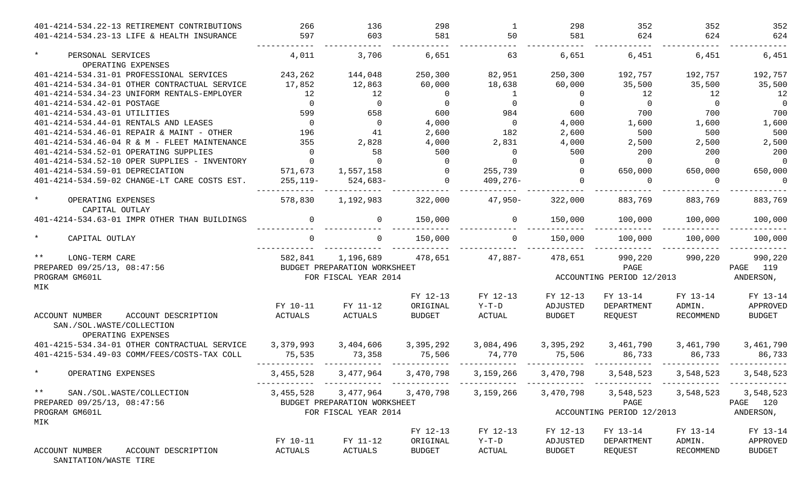| 401-4214-534.22-13 RETIREMENT CONTRIBUTIONS                                                     | 266            | 136                          | 298                                     | 1              | 298            | 352                                     | 352       | 352            |
|-------------------------------------------------------------------------------------------------|----------------|------------------------------|-----------------------------------------|----------------|----------------|-----------------------------------------|-----------|----------------|
| 401-4214-534.23-13 LIFE & HEALTH INSURANCE                                                      | 597            | 603                          | 581                                     | 50             | 581            | 624                                     | 624       | 624            |
| $\star$<br>PERSONAL SERVICES<br>OPERATING EXPENSES                                              | 4,011          | 3,706                        | 6,651                                   | 63             | 6,651          | 6,451                                   | 6,451     | 6,451          |
| 401-4214-534.31-01 PROFESSIONAL SERVICES                                                        | 243,262        | 144,048                      | 250,300                                 | 82,951         | 250,300        | 192,757                                 | 192,757   | 192,757        |
| 401-4214-534.34-01 OTHER CONTRACTUAL SERVICE                                                    | 17,852         | 12,863                       | 60,000                                  | 18,638         | 60,000         | 35,500                                  | 35,500    | 35,500         |
| 401-4214-534.34-23 UNIFORM RENTALS-EMPLOYER                                                     | 12             | 12                           | $\overline{0}$                          | 1              | $\overline{0}$ | 12                                      | 12        | 12             |
| 401-4214-534.42-01 POSTAGE                                                                      | $\overline{0}$ | $\Omega$                     | $\overline{0}$                          | $\overline{0}$ | $\Omega$       | $\bigcirc$                              | $\Omega$  | $\overline{0}$ |
| 401-4214-534.43-01 UTILITIES                                                                    | 599            | 658                          | 600                                     | 984            | 600            | 700                                     | 700       | 700            |
| 401-4214-534.44-01 RENTALS AND LEASES                                                           | $\overline{0}$ | $\Omega$                     | 4,000                                   | $\overline{0}$ | 4,000          | 1,600                                   | 1,600     | 1,600          |
| 401-4214-534.46-01 REPAIR & MAINT - OTHER                                                       | 196            | 41                           | 2,600                                   | 182            | 2,600          | 500                                     | 500       | 500            |
| 401-4214-534.46-04 R & M - FLEET MAINTENANCE                                                    | 355            | 2,828                        | 4,000                                   | 2,831          | 4,000          | 2,500                                   | 2,500     | 2,500          |
| 401-4214-534.52-01 OPERATING SUPPLIES                                                           | $\Omega$       | 58                           | 500                                     | $\Omega$       | 500            | 200                                     | 200       | 200            |
| 401-4214-534.52-10 OPER SUPPLIES - INVENTORY                                                    | $\Omega$       | $\cap$                       | - 0                                     | $\Omega$       | $\Omega$       | $\Omega$                                | $\Omega$  | $\Omega$       |
| 401-4214-534.59-01 DEPRECIATION                                                                 | 571,673        | 1,557,158                    | $\overline{0}$                          | 255,739        | $\Omega$       | 650,000                                 | 650,000   | 650,000        |
| 401-4214-534.59-02 CHANGE-LT CARE COSTS EST.                                                    | 255,119-       | 524,683-                     | $\overline{0}$                          | $409,276-$     |                | $\Omega$                                | $\Omega$  | $\Omega$       |
| $\star$<br>OPERATING EXPENSES<br>CAPITAL OUTLAY                                                 | 578,830        | 1,192,983                    | 322,000                                 | $47,950-$      | 322,000        | 883,769                                 | 883,769   | 883,769        |
| 401-4214-534.63-01 IMPR OTHER THAN BUILDINGS                                                    | $\mathbf 0$    | 0                            | 150,000                                 | $\Omega$       | 150,000        | 100,000                                 | 100,000   | 100,000        |
| $\star$<br>CAPITAL OUTLAY                                                                       |                |                              | 150,000                                 |                | 150,000        | 100,000                                 | 100,000   | 100,000        |
| $\star\star$<br>LONG-TERM CARE                                                                  | 582,841        | 1,196,689                    | 478,651                                 | 47,887-        | 478,651        | 990,220                                 | 990,220   | 990,220        |
| PREPARED 09/25/13, 08:47:56                                                                     |                | BUDGET PREPARATION WORKSHEET |                                         |                |                | PAGE                                    |           | PAGE 119       |
| PROGRAM GM601L<br>MIK                                                                           |                | FOR FISCAL YEAR 2014         |                                         |                |                | ACCOUNTING PERIOD 12/2013               |           | ANDERSON,      |
|                                                                                                 |                |                              | FY 12-13                                | FY 12-13       | FY 12-13       | FY 13-14                                | FY 13-14  | FY 13-14       |
|                                                                                                 | FY 10-11       | FY 11-12                     | ORIGINAL                                | $Y-T-D$        | ADJUSTED       | DEPARTMENT                              | ADMIN.    | APPROVED       |
| <b>ACCOUNT NUMBER</b><br>ACCOUNT DESCRIPTION<br>SAN./SOL.WASTE/COLLECTION<br>OPERATING EXPENSES | ACTUALS        | ACTUALS                      | <b>BUDGET</b>                           | ACTUAL         | <b>BUDGET</b>  | REOUEST                                 | RECOMMEND | <b>BUDGET</b>  |
| 401-4215-534.34-01 OTHER CONTRACTUAL SERVICE                                                    | 3,379,993      | 3,404,606                    | 3,395,292                               | 3,084,496      | 3,395,292      | 3,461,790                               | 3,461,790 | 3,461,790      |
| 401-4215-534.49-03 COMM/FEES/COSTS-TAX COLL                                                     | 75,535         | 73,358                       | 75,506                                  | 74,770         | 75,506         | 86,733                                  | 86,733    | 86,733         |
| $\star$<br>OPERATING EXPENSES                                                                   | 3,455,528      | 3,477,964                    | 3,470,798                               | 3,159,266      | 3,470,798      | 3,548,523                               | 3,548,523 | 3,548,523      |
| $***$<br>SAN./SOL.WASTE/COLLECTION                                                              |                |                              | 3,455,528 3,477,964 3,470,798 3,159,266 |                |                | 3,470,798 3,548,523 3,548,523 3,548,523 |           |                |
| PREPARED 09/25/13, 08:47:56                                                                     |                | BUDGET PREPARATION WORKSHEET |                                         |                |                | PAGE                                    |           | PAGE 120       |
| PROGRAM GM601L<br>MIK                                                                           |                | FOR FISCAL YEAR 2014         |                                         |                |                | ACCOUNTING PERIOD 12/2013               |           | ANDERSON,      |
|                                                                                                 |                |                              | FY 12-13                                | FY 12-13       | FY 12-13       | FY 13-14                                | FY 13-14  | FY 13-14       |
|                                                                                                 | FY 10-11       | FY 11-12                     | ORIGINAL                                | Y-T-D          | ADJUSTED       | DEPARTMENT                              | ADMIN.    | APPROVED       |
| ACCOUNT NUMBER<br>ACCOUNT DESCRIPTION                                                           | ACTUALS        | ACTUALS                      | <b>BUDGET</b>                           | ACTUAL         | <b>BUDGET</b>  | REQUEST                                 | RECOMMEND | <b>BUDGET</b>  |

SANITATION/WASTE TIRE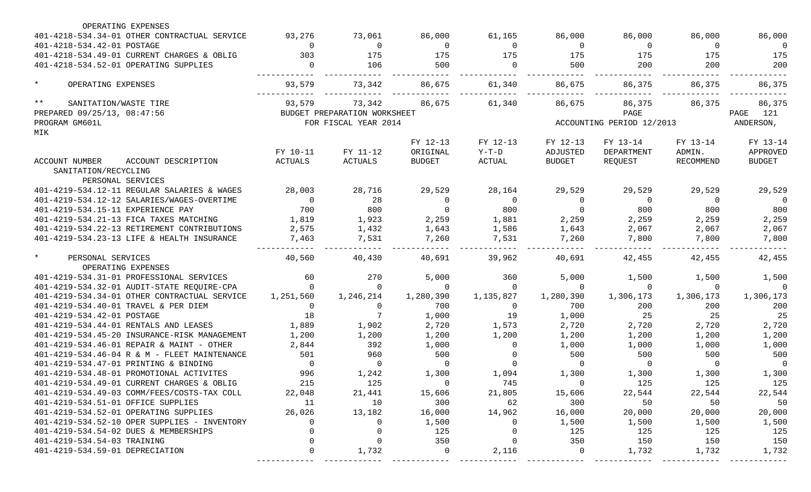| OPERATING EXPENSES                                                    |                |                                        |                |                |                |                           |                |                       |
|-----------------------------------------------------------------------|----------------|----------------------------------------|----------------|----------------|----------------|---------------------------|----------------|-----------------------|
| 401-4218-534.34-01 OTHER CONTRACTUAL SERVICE                          | 93,276         | 73,061                                 | 86,000         | 61,165         | 86,000         | 86,000                    | 86,000         | 86,000                |
| 401-4218-534.42-01 POSTAGE                                            | $\Omega$       | $\overline{0}$                         | $\overline{0}$ | $\Omega$       | $\overline{0}$ | $\overline{0}$            | $\Omega$       | $\overline{0}$        |
| 401-4218-534.49-01 CURRENT CHARGES & OBLIG                            | 303            | 175                                    | 175            | 175            | 175            | 175                       | 175            | 175                   |
| 401-4218-534.52-01 OPERATING SUPPLIES                                 | $\overline{0}$ | 106                                    | 500            | $\overline{0}$ | 500            | 200                       | 200            | 200                   |
| $\star$<br>OPERATING EXPENSES                                         | 93,579         | 73,342                                 | 86,675         | 61,340         | 86,675         | 86,375                    | 86,375         | 86,375                |
| $\star \star$<br>SANITATION/WASTE TIRE<br>PREPARED 09/25/13, 08:47:56 | 93,579         | 73,342<br>BUDGET PREPARATION WORKSHEET | 86,675         | 61,340         | 86,675         | 86,375<br>PAGE            | 86,375         | 86,375<br>PAGE<br>121 |
| PROGRAM GM601L                                                        |                | FOR FISCAL YEAR 2014                   |                |                |                | ACCOUNTING PERIOD 12/2013 |                | ANDERSON,             |
| MIK                                                                   |                |                                        |                |                |                |                           |                |                       |
|                                                                       |                |                                        | FY 12-13       | FY 12-13       | FY 12-13       | FY 13-14                  | FY 13-14       | FY 13-14              |
|                                                                       | FY 10-11       | FY 11-12                               | ORIGINAL       | Y-T-D          | ADJUSTED       | DEPARTMENT                | ADMIN.         | APPROVED              |
| ACCOUNT NUMBER<br>ACCOUNT DESCRIPTION<br>SANITATION/RECYCLING         | ACTUALS        | ACTUALS                                | <b>BUDGET</b>  | ACTUAL         | BUDGET         | REQUEST                   | RECOMMEND      | <b>BUDGET</b>         |
| PERSONAL SERVICES                                                     |                |                                        |                |                |                |                           |                |                       |
| 401-4219-534.12-11 REGULAR SALARIES & WAGES                           | 28,003         | 28,716                                 | 29,529         | 28,164         | 29,529         | 29,529                    | 29,529         | 29,529                |
| 401-4219-534.12-12 SALARIES/WAGES-OVERTIME                            | $\overline{0}$ | 28                                     | $\overline{0}$ | $\Omega$       | $\overline{0}$ | $\overline{0}$            | $\overline{0}$ | $\overline{0}$        |
| 401-4219-534.15-11 EXPERIENCE PAY                                     | 700            | 800                                    | $\overline{0}$ | 800            | $\overline{0}$ | 800                       | 800            | 800                   |
| 401-4219-534.21-13 FICA TAXES MATCHING                                | 1,819          | 1,923                                  | 2,259          | 1,881          | 2,259          | 2,259                     | 2,259          | 2,259                 |
| 401-4219-534.22-13 RETIREMENT CONTRIBUTIONS                           | 2,575          | 1,432                                  | 1,643          | 1,586          | 1,643          | 2,067                     | 2,067          | 2,067                 |
| 401-4219-534.23-13 LIFE & HEALTH INSURANCE                            | 7,463          | 7,531                                  | 7,260          | 7,531          | 7,260          | 7,800                     | 7,800          | 7,800                 |
| $\star$<br>PERSONAL SERVICES                                          | 40,560         | 40,430                                 | 40,691         | 39,962         | 40,691         | 42,455                    | 42,455         | 42,455                |
| OPERATING EXPENSES                                                    |                |                                        |                |                |                |                           |                |                       |
| 401-4219-534.31-01 PROFESSIONAL SERVICES                              | 60             | 270                                    | 5,000          | 360            | 5,000          | 1,500                     | 1,500          | 1,500                 |
| 401-4219-534.32-01 AUDIT-STATE REQUIRE-CPA                            | $\overline{0}$ | $\overline{0}$                         | $\overline{0}$ | $\Omega$       | $\overline{0}$ | $\overline{0}$            | $\Omega$       | $\overline{0}$        |
| 401-4219-534.34-01 OTHER CONTRACTUAL SERVICE                          | 1,251,560      | 1,246,214                              | 1,280,390      | 1,135,827      | 1,280,390      | 1,306,173                 | 1,306,173      | 1,306,173             |
| 401-4219-534.40-01 TRAVEL & PER DIEM                                  | $\Omega$       | $\overline{0}$                         | 700            | $\Omega$       | 700            | 200                       | 200            | 200                   |
| 401-4219-534.42-01 POSTAGE                                            | 18             | 7                                      | 1,000          | 19             | 1,000          | 25                        | 25             | 25                    |
| 401-4219-534.44-01 RENTALS AND LEASES                                 | 1,889          | 1,902                                  | 2,720          | 1,573          | 2,720          | 2,720                     | 2,720          | 2,720                 |
| 401-4219-534.45-20 INSURANCE-RISK MANAGEMENT                          | 1,200          | 1,200                                  | 1,200          | 1,200          | 1,200          | 1,200                     | 1,200          | 1,200                 |
| 401-4219-534.46-01 REPAIR & MAINT - OTHER                             | 2,844          | 392                                    | 1,000          | $\Omega$       | 1,000          | 1,000                     | 1,000          | 1,000                 |
| 401-4219-534.46-04 R & M - FLEET MAINTENANCE                          | 501            | 960                                    | 500            |                | 500            | 500                       | 500            | 500                   |
| 401-4219-534.47-01 PRINTING & BINDING                                 | $\overline{0}$ | $\overline{\phantom{0}}$               | $\overline{0}$ | $\Omega$       | $\overline{0}$ | $\overline{0}$            | $\overline{0}$ | $\overline{0}$        |
| 401-4219-534.48-01 PROMOTIONAL ACTIVITES                              | 996            | 1,242                                  | 1,300          | 1,094          | 1,300          | 1,300                     | 1,300          | 1,300                 |
| 401-4219-534.49-01 CURRENT CHARGES & OBLIG                            | 215            | 125                                    | $\overline{0}$ | 745            | $\overline{0}$ | 125                       | 125            | 125                   |
| 401-4219-534.49-03 COMM/FEES/COSTS-TAX COLL                           | 22,048         | 21,441                                 | 15,606         | 21,805         | 15,606         | 22,544                    | 22,544         | 22,544                |
| 401-4219-534.51-01 OFFICE SUPPLIES                                    | 11             | 10                                     | 300            | 62             | 300            | 50                        | 50             | 50                    |
| 401-4219-534.52-01 OPERATING SUPPLIES                                 | 26,026         | 13,182                                 | 16,000         | 14,962         | 16,000         | 20,000                    | 20,000         | 20,000                |
| 401-4219-534.52-10 OPER SUPPLIES - INVENTORY                          |                | $\overline{0}$                         | 1,500          |                | 1,500          | 1,500                     | 1,500          | 1,500                 |
| 401-4219-534.54-02 DUES & MEMBERSHIPS                                 |                | 0                                      | 125            |                | 125            | 125                       | 125            | 125                   |
| 401-4219-534.54-03 TRAINING                                           |                | $\overline{0}$                         | 350            |                | 350            | 150                       | 150            | 150                   |
| 401-4219-534.59-01 DEPRECIATION                                       |                | 1,732                                  | $\overline{0}$ | 2,116          | $\overline{0}$ | 1,732                     | 1,732          | 1,732                 |
|                                                                       |                |                                        |                |                |                |                           |                |                       |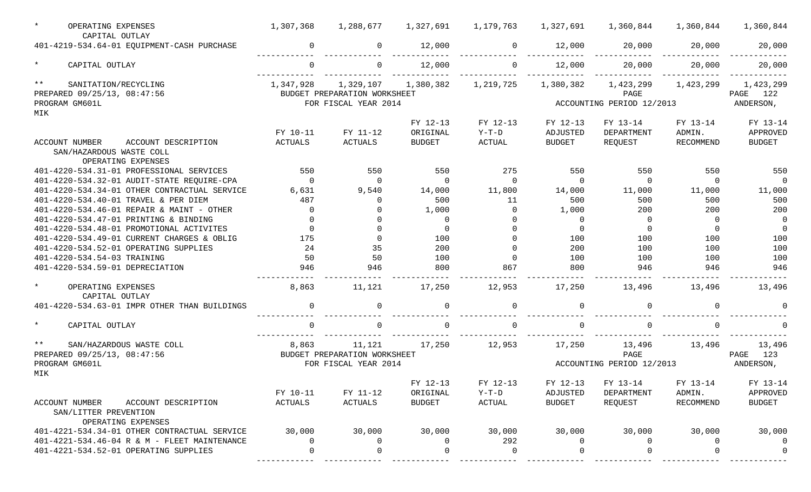| $\star$ | OPERATING EXPENSES<br>CAPITAL OUTLAY                                                        | 1,307,368 | 1,288,677                                            | 1,327,691     | 1,179,763     | 1,327,691      | 1,360,844                         | 1,360,844 | 1,360,844                |
|---------|---------------------------------------------------------------------------------------------|-----------|------------------------------------------------------|---------------|---------------|----------------|-----------------------------------|-----------|--------------------------|
|         | 401-4219-534.64-01 EQUIPMENT-CASH PURCHASE                                                  | $\Omega$  | $\mathbf 0$                                          | 12,000        | $\Omega$      | 12,000         | 20,000                            | 20,000    | 20,000                   |
| $\star$ | CAPITAL OUTLAY                                                                              | $\Omega$  | $\Omega$                                             | 12,000        | $\Omega$      | 12,000         | 20,000                            | 20,000    | 20,000                   |
| $***$   | SANITATION/RECYCLING                                                                        | 1,347,928 | 1,329,107                                            | 1,380,382     | 1,219,725     | 1,380,382      | 1,423,299                         | 1,423,299 | 1,423,299                |
|         | PREPARED 09/25/13, 08:47:56                                                                 |           | BUDGET PREPARATION WORKSHEET                         |               |               |                | PAGE                              |           | PAGE 122                 |
|         | PROGRAM GM601L                                                                              |           | FOR FISCAL YEAR 2014                                 |               |               |                | ACCOUNTING PERIOD 12/2013         |           | ANDERSON,                |
| MIK     |                                                                                             |           |                                                      |               |               |                |                                   |           |                          |
|         |                                                                                             |           |                                                      | FY 12-13      | FY 12-13      | FY 12-13       | FY 13-14                          | FY 13-14  | FY 13-14                 |
|         |                                                                                             | FY 10-11  | FY 11-12                                             | ORIGINAL      | $Y-T-D$       | ADJUSTED       | DEPARTMENT                        | ADMIN.    | APPROVED                 |
|         | <b>ACCOUNT NUMBER</b><br>ACCOUNT DESCRIPTION                                                | ACTUALS   | ACTUALS                                              | <b>BUDGET</b> | <b>ACTUAL</b> | <b>BUDGET</b>  | REQUEST                           | RECOMMEND | <b>BUDGET</b>            |
|         | SAN/HAZARDOUS WASTE COLL                                                                    |           |                                                      |               |               |                |                                   |           |                          |
|         | OPERATING EXPENSES                                                                          |           |                                                      |               |               |                |                                   |           |                          |
|         | 401-4220-534.31-01 PROFESSIONAL SERVICES                                                    | 550       | 550                                                  | 550           | 275           | 550            | 550                               | 550       | 550                      |
|         | 401-4220-534.32-01 AUDIT-STATE REQUIRE-CPA                                                  | $\Omega$  | $\Omega$                                             | $\Omega$      | $\Omega$      | $\Omega$       | $\Omega$                          | $\Omega$  | $\Omega$                 |
|         | 401-4220-534.34-01 OTHER CONTRACTUAL SERVICE                                                | 6,631     | 9,540                                                | 14,000        | 11,800        | 14,000         | 11,000                            | 11,000    | 11,000                   |
|         | 401-4220-534.40-01 TRAVEL & PER DIEM                                                        | 487       | $\Omega$                                             | 500           | 11            | 500            | 500                               | 500       | 500                      |
|         | 401-4220-534.46-01 REPAIR & MAINT - OTHER                                                   | $\Omega$  | $\Omega$                                             | 1,000         | $\Omega$      | 1,000          | 200                               | 200       | 200                      |
|         | 401-4220-534.47-01 PRINTING & BINDING                                                       | $\Omega$  | $\Omega$                                             | $\Omega$      | $\Omega$      | $\overline{0}$ | $\Omega$                          | $\Omega$  | 0                        |
|         | 401-4220-534.48-01 PROMOTIONAL ACTIVITES                                                    | $\Omega$  | $\Omega$                                             | $\Omega$      | $\Omega$      | $\Omega$       | $\Omega$                          | $\Omega$  | $\overline{0}$           |
|         | 401-4220-534.49-01 CURRENT CHARGES & OBLIG                                                  | 175       | $\Omega$                                             | 100           | $\Omega$      | 100            | 100                               | 100       | 100                      |
|         | 401-4220-534.52-01 OPERATING SUPPLIES                                                       | 24        | 35                                                   | 200           | $\Omega$      | 200            | 100                               | 100       | 100                      |
|         | 401-4220-534.54-03 TRAINING                                                                 | 50        | 50                                                   | 100           | $\Omega$      | 100            | 100                               | 100       | 100                      |
|         | 401-4220-534.59-01 DEPRECIATION                                                             | 946       | 946                                                  | 800           | 867           | 800            | 946                               | 946       | 946                      |
| $\star$ | OPERATING EXPENSES<br>CAPITAL OUTLAY                                                        | 8,863     | 11,121                                               | 17,250        | 12,953        | 17,250         | 13,496                            | 13,496    | 13,496                   |
|         | 401-4220-534.63-01 IMPR OTHER THAN BUILDINGS                                                | $\Omega$  | 0                                                    |               | $\Omega$      | $\Omega$       |                                   | $\Omega$  |                          |
| $\star$ | CAPITAL OUTLAY                                                                              | $\Omega$  |                                                      |               | $\Omega$      | $\Omega$       |                                   | $\Omega$  |                          |
| $***$   | SAN/HAZARDOUS WASTE COLL                                                                    | 8,863     | 11,121                                               | 17,250        | 12,953        | 17,250         | 13,496                            | 13,496    | 13,496                   |
|         | PREPARED 09/25/13, 08:47:56<br>PROGRAM GM601L                                               |           | BUDGET PREPARATION WORKSHEET<br>FOR FISCAL YEAR 2014 |               |               |                | PAGE<br>ACCOUNTING PERIOD 12/2013 |           | 123<br>PAGE<br>ANDERSON, |
| MIK     |                                                                                             |           |                                                      |               |               |                |                                   |           |                          |
|         |                                                                                             |           |                                                      | FY 12-13      | FY 12-13      | FY 12-13       | FY 13-14                          | FY 13-14  | FY 13-14                 |
|         |                                                                                             | FY 10-11  | FY 11-12                                             | ORIGINAL      | $Y-T-D$       | ADJUSTED       | DEPARTMENT                        | ADMIN.    | APPROVED                 |
|         | <b>ACCOUNT NUMBER</b><br>ACCOUNT DESCRIPTION<br>SAN/LITTER PREVENTION<br>OPERATING EXPENSES | ACTUALS   | ACTUALS                                              | <b>BUDGET</b> | ACTUAL        | <b>BUDGET</b>  | REQUEST                           | RECOMMEND | <b>BUDGET</b>            |
|         | 401-4221-534.34-01 OTHER CONTRACTUAL SERVICE                                                | 30,000    | 30,000                                               | 30,000        | 30,000        | 30,000         | 30,000                            | 30,000    | 30,000                   |
|         | 401-4221-534.46-04 R & M - FLEET MAINTENANCE                                                | $\Omega$  | 0                                                    |               | 292           | $\Omega$       |                                   | 0         |                          |
|         | 401-4221-534.52-01 OPERATING SUPPLIES                                                       |           |                                                      |               | ∩             |                |                                   |           |                          |
|         |                                                                                             |           |                                                      |               |               |                |                                   |           |                          |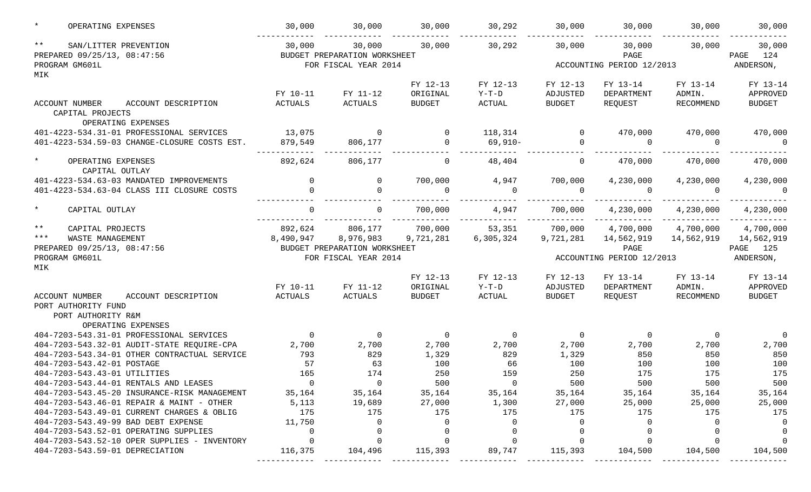| $\star$      | OPERATING EXPENSES                                             | 30,000              | 30,000                       | 30,000                    | 30,292            | 30,000                    | 30,000                     | 30,000         | 30,000             |
|--------------|----------------------------------------------------------------|---------------------|------------------------------|---------------------------|-------------------|---------------------------|----------------------------|----------------|--------------------|
| $\star\star$ | SAN/LITTER PREVENTION                                          | 30,000              | 30,000                       | 30,000                    | 30,292            | 30,000                    | 30,000                     | 30,000         | 30,000             |
|              | PREPARED 09/25/13, 08:47:56                                    |                     | BUDGET PREPARATION WORKSHEET |                           |                   |                           | PAGE                       |                | 124<br>PAGE        |
|              | PROGRAM GM601L                                                 |                     | FOR FISCAL YEAR 2014         |                           |                   |                           | ACCOUNTING PERIOD 12/2013  |                | ANDERSON,          |
| MIK          |                                                                |                     |                              |                           |                   |                           |                            |                |                    |
|              |                                                                |                     |                              | FY 12-13                  | FY 12-13          | FY 12-13                  | FY 13-14                   | FY 13-14       | FY 13-14           |
|              |                                                                | FY 10-11<br>ACTUALS | FY 11-12<br><b>ACTUALS</b>   | ORIGINAL<br><b>BUDGET</b> | $Y-T-D$<br>ACTUAL | ADJUSTED<br><b>BUDGET</b> | DEPARTMENT<br>REQUEST      | ADMIN.         | APPROVED<br>BUDGET |
|              | ACCOUNT NUMBER<br>ACCOUNT DESCRIPTION<br>CAPITAL PROJECTS      |                     |                              |                           |                   |                           |                            | RECOMMEND      |                    |
|              | OPERATING EXPENSES                                             |                     |                              |                           |                   |                           |                            |                |                    |
|              | 401-4223-534.31-01 PROFESSIONAL SERVICES                       | 13,075              | $\overline{0}$               | $\Omega$                  | 118,314           | $\overline{0}$            | 470,000                    | 470,000        | 470,000            |
|              | 401-4223-534.59-03 CHANGE-CLOSURE COSTS EST.                   | 879,549             | 806,177                      | $\cap$                    | 69,910-           | $\overline{0}$            | $\Omega$                   | $\Omega$       | $\Omega$           |
| $\star$      | OPERATING EXPENSES<br>CAPITAL OUTLAY                           | 892,624             | 806,177                      | $\Omega$                  | 48,404            | $\mathbf{0}$              | 470,000                    | 470,000        | 470,000            |
|              | 401-4223-534.63-03 MANDATED IMPROVEMENTS                       | $\overline{0}$      | $\mathsf{O}$                 | 700,000                   | 4,947             | 700,000                   | 4,230,000                  | 4,230,000      | 4,230,000          |
|              | 401-4223-534.63-04 CLASS III CLOSURE COSTS                     | $\Omega$            | $\Omega$                     | $\Omega$                  | $\Omega$          | $\overline{0}$            | $\Omega$                   | $\Omega$       | $\Omega$           |
| $\star$      | CAPITAL OUTLAY                                                 | $\Omega$            | $\mathbf{0}$                 | 700,000                   | 4,947             | 700,000<br>----------     | 4,230,000<br>_____________ | 4,230,000      | 4,230,000          |
| $***$        | CAPITAL PROJECTS                                               | 892,624             | 806,177                      | 700,000                   | 53,351            | 700,000                   | 4,700,000                  | 4,700,000      | 4,700,000          |
| $***$        | WASTE MANAGEMENT                                               | 8,490,947           | 8,976,983                    | 9,721,281                 | 6,305,324         | 9,721,281                 | 14,562,919                 | 14,562,919     | 14,562,919         |
|              | PREPARED 09/25/13, 08:47:56                                    |                     | BUDGET PREPARATION WORKSHEET |                           |                   |                           | PAGE                       |                | PAGE 125           |
|              | PROGRAM GM601L                                                 |                     | FOR FISCAL YEAR 2014         |                           |                   |                           | ACCOUNTING PERIOD 12/2013  |                | ANDERSON,          |
| MIK          |                                                                |                     |                              |                           |                   |                           |                            |                |                    |
|              |                                                                |                     |                              | FY 12-13                  | FY 12-13          | FY 12-13                  | FY 13-14                   | FY 13-14       | FY 13-14           |
|              |                                                                | FY 10-11            | FY 11-12                     | ORIGINAL                  | $Y-T-D$           | ADJUSTED                  | DEPARTMENT                 | ADMIN.         | APPROVED           |
|              | ACCOUNT NUMBER<br>ACCOUNT DESCRIPTION                          | ACTUALS             | ACTUALS                      | <b>BUDGET</b>             | ACTUAL            | <b>BUDGET</b>             | REQUEST                    | RECOMMEND      | BUDGET             |
|              | PORT AUTHORITY FUND                                            |                     |                              |                           |                   |                           |                            |                |                    |
|              | PORT AUTHORITY R&M                                             |                     |                              |                           |                   |                           |                            |                |                    |
|              | OPERATING EXPENSES<br>404-7203-543.31-01 PROFESSIONAL SERVICES | $\overline{0}$      | $\overline{0}$               | $\overline{0}$            | $\overline{0}$    | $\overline{0}$            | $\overline{0}$             | $\overline{0}$ | $\overline{0}$     |
|              | 404-7203-543.32-01 AUDIT-STATE REQUIRE-CPA                     | 2,700               | 2,700                        | 2,700                     | 2,700             | 2,700                     | 2,700                      | 2,700          | 2,700              |
|              | 404-7203-543.34-01 OTHER CONTRACTUAL SERVICE                   | 793                 | 829                          | 1,329                     | 829               | 1,329                     | 850                        | 850            | 850                |
|              | 404-7203-543.42-01 POSTAGE                                     | 57                  | 63                           | 100                       | 66                | 100                       | 100                        | 100            | 100                |
|              | 404-7203-543.43-01 UTILITIES                                   | 165                 | 174                          | 250                       | 159               | 250                       | 175                        | 175            | 175                |
|              | 404-7203-543.44-01 RENTALS AND LEASES                          |                     | $\sim$ 0                     | 500                       | $\overline{0}$    | 500                       | 500                        | 500            | 500                |
|              | 404-7203-543.45-20 INSURANCE-RISK MANAGEMENT                   | 35,164              | 35,164                       | 35,164                    | 35,164            | 35,164                    | 35,164                     | 35,164         | 35,164             |
|              | $404 - 7203 - 543.46 - 01$ REPAIR & MAINT - OTHER              | 5,113               | 19,689                       | 27,000                    | 1,300             | 27,000                    | 25,000                     | 25,000         | 25,000             |
|              | 404-7203-543.49-01 CURRENT CHARGES & OBLIG                     | 175                 | 175                          | 175                       | 175               | 175                       | 175                        | 175            | 175                |
|              | 404-7203-543.49-99 BAD DEBT EXPENSE                            | 11,750              | 0                            | $\Omega$                  | 0                 |                           |                            |                |                    |
|              | 404-7203-543.52-01 OPERATING SUPPLIES                          | $\overline{0}$      |                              |                           |                   |                           |                            |                |                    |
|              | 404-7203-543.52-10 OPER SUPPLIES - INVENTORY                   | $\overline{0}$      |                              |                           |                   |                           |                            |                |                    |
|              | 404-7203-543.59-01 DEPRECIATION                                | 116,375             | 104,496                      | 115,393                   | 89,747            | 115,393                   | 104,500                    | 104,500        | 104,500            |
|              |                                                                |                     |                              |                           |                   |                           |                            |                |                    |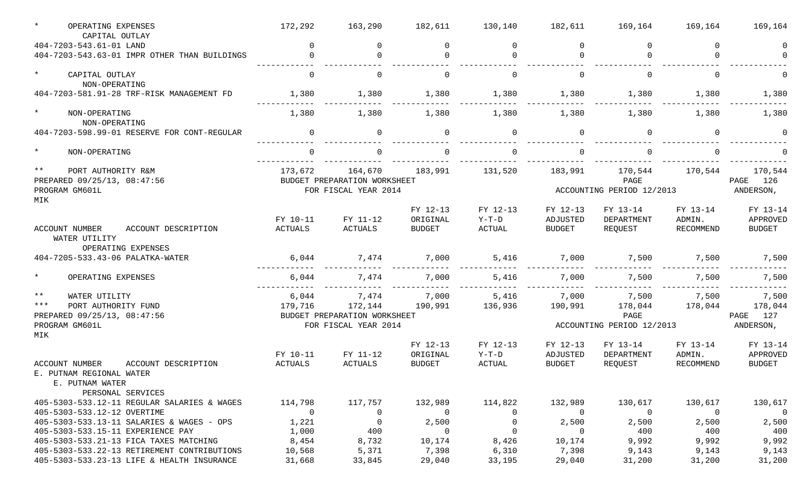| $\star$        | OPERATING EXPENSES<br>CAPITAL OUTLAY                                                                             | 172,292                 | 163,290                                              | 182,611                 | 130,140              | 182,611                   | 169,164                           | 169,164                 | 169,164                             |
|----------------|------------------------------------------------------------------------------------------------------------------|-------------------------|------------------------------------------------------|-------------------------|----------------------|---------------------------|-----------------------------------|-------------------------|-------------------------------------|
|                | 404-7203-543.61-01 LAND                                                                                          | $\Omega$                | $\Omega$                                             | $\Omega$                | $\cap$               | $\Omega$                  | $\Omega$                          | $\cap$                  | $\Omega$                            |
|                | 404-7203-543.63-01 IMPR OTHER THAN BUILDINGS                                                                     | $\Omega$                | $\Omega$                                             |                         |                      | $\Omega$                  |                                   |                         |                                     |
| $\star$        | CAPITAL OUTLAY<br>NON-OPERATING                                                                                  | $\Omega$                | 0                                                    | $\Omega$                | $\cap$               | 0                         | $\Omega$                          | $\Omega$                |                                     |
|                | 404-7203-581.91-28 TRF-RISK MANAGEMENT FD                                                                        | 1,380                   | 1,380                                                | 1,380                   | 1,380                | 1,380                     | 1,380                             | 1,380                   | 1,380                               |
| $\star$        | NON-OPERATING<br>NON-OPERATING                                                                                   | 1,380                   | 1,380                                                | 1,380                   | 1,380                | 1,380                     | 1,380                             | 1,380                   | 1,380                               |
|                | 404-7203-598.99-01 RESERVE FOR CONT-REGULAR                                                                      | $\Omega$                | $\mathbf 0$                                          |                         | $\Omega$             | 0                         |                                   | $\cap$                  |                                     |
| $\star$        | NON-OPERATING                                                                                                    |                         |                                                      |                         |                      |                           |                                   |                         |                                     |
| $***$          | PORT AUTHORITY R&M<br>PREPARED 09/25/13, 08:47:56                                                                | 173,672                 | 164,670<br>BUDGET PREPARATION WORKSHEET              | 183,991                 | 131,520              | 183,991                   | 170,544<br>PAGE                   | 170,544                 | 170,544<br>126<br>PAGE              |
| MIK            | PROGRAM GM601L                                                                                                   |                         | FOR FISCAL YEAR 2014                                 |                         |                      |                           | ACCOUNTING PERIOD 12/2013         |                         | ANDERSON,                           |
|                |                                                                                                                  | FY 10-11                | FY 11-12                                             | FY 12-13<br>ORIGINAL    | FY 12-13<br>$Y-T-D$  | FY 12-13<br>ADJUSTED      | FY 13-14<br>DEPARTMENT            | FY 13-14<br>ADMIN.      | FY 13-14<br>APPROVED                |
|                | ACCOUNT DESCRIPTION<br><b>ACCOUNT NUMBER</b><br>WATER UTILITY<br>OPERATING EXPENSES                              | <b>ACTUALS</b>          | <b>ACTUALS</b>                                       | <b>BUDGET</b>           | ACTUAL               | <b>BUDGET</b>             | REQUEST                           | RECOMMEND               | <b>BUDGET</b>                       |
|                | 404-7205-533.43-06 PALATKA-WATER                                                                                 | 6,044                   | 7,474                                                | 7,000                   | 5,416                | 7,000                     | 7,500                             | 7,500                   | 7,500                               |
| $\star$        | OPERATING EXPENSES                                                                                               | 6,044                   | 7,474                                                | 7,000                   | 5,416                | 7,000                     | 7,500                             | 7,500                   | 7,500                               |
| $***$<br>$***$ | WATER UTILITY<br>PORT AUTHORITY FUND                                                                             | 6,044<br>179,716        | 7,474<br>172,144                                     | 7,000<br>190,991        | 5,416<br>136,936     | 7,000<br>190,991          | 7,500<br>178,044<br>PAGE          | 7,500<br>178,044        | 7,500<br>178,044                    |
|                | PREPARED 09/25/13, 08:47:56<br>PROGRAM GM601L                                                                    |                         | BUDGET PREPARATION WORKSHEET<br>FOR FISCAL YEAR 2014 |                         |                      | ACCOUNTING PERIOD 12/2013 |                                   | PAGE 127<br>ANDERSON,   |                                     |
| MIK            |                                                                                                                  | FY 10-11                | FY 11-12                                             | FY 12-13<br>ORIGINAL    | FY 12-13<br>$Y-T-D$  | FY 12-13<br>ADJUSTED      | FY 13-14<br>DEPARTMENT            | FY 13-14<br>ADMIN.      | FY 13-14<br>APPROVED                |
|                | <b>ACCOUNT NUMBER</b><br>ACCOUNT DESCRIPTION<br>E. PUTNAM REGIONAL WATER<br>E. PUTNAM WATER<br>PERSONAL SERVICES | <b>ACTUALS</b>          | <b>ACTUALS</b>                                       | <b>BUDGET</b>           | ACTUAL               | <b>BUDGET</b>             | REQUEST                           | RECOMMEND               | <b>BUDGET</b>                       |
|                | 405-5303-533.12-11 REGULAR SALARIES & WAGES                                                                      | 114,798                 | 117,757                                              | 132,989                 | 114,822              | 132,989                   | 130,617                           | 130,617                 | 130,617<br>$\overline{\phantom{0}}$ |
|                | 405-5303-533.12-12 OVERTIME<br>405-5303-533.13-11 SALARIES & WAGES - OPS                                         | $\overline{0}$<br>1,221 | $\overline{0}$<br>$\overline{0}$                     | $\overline{0}$<br>2,500 | $\Omega$<br>$\Omega$ | $\overline{0}$<br>2,500   | $\overline{\phantom{0}}$<br>2,500 | $\overline{0}$<br>2,500 | 2,500                               |
|                | 405-5303-533.15-11 EXPERIENCE PAY                                                                                | 1,000                   | 400                                                  | $\overline{0}$          | $\overline{0}$       | $\overline{0}$            | 400                               | 400                     | 400                                 |
|                | 405-5303-533.21-13 FICA TAXES MATCHING                                                                           | 8,454                   | 8,732                                                | 10,174                  | 8,426                | 10,174                    | 9,992                             | 9,992                   | 9,992                               |
|                | 405-5303-533.22-13 RETIREMENT CONTRIBUTIONS                                                                      | 10,568                  | 5,371                                                | 7,398                   | 6,310                | 7,398                     | 9,143                             | 9,143                   | 9,143                               |
|                | 405-5303-533.23-13 LIFE & HEALTH INSURANCE                                                                       | 31,668                  | 33,845                                               | 29,040                  | 33,195               | 29,040                    | 31,200                            | 31,200                  | 31,200                              |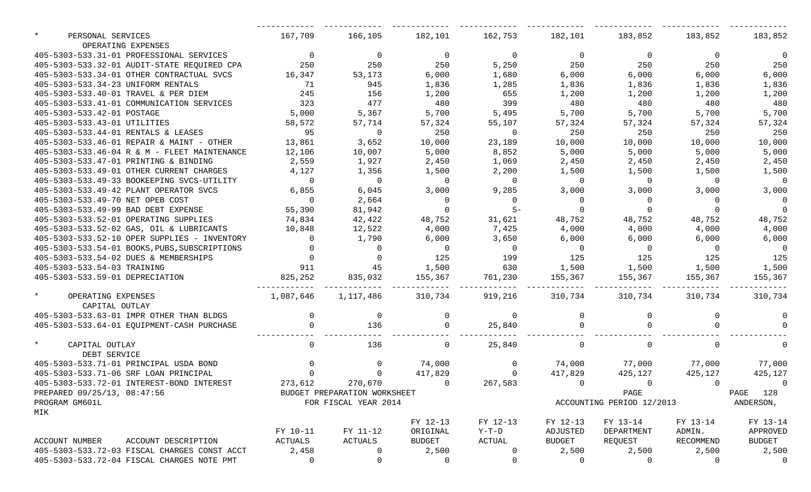| $\star$<br>PERSONAL SERVICES<br>OPERATING EXPENSES | 167,709        | 166,105                                | 182,101 162,753 182,101 183,852      |                |                |                           | 183,852                  | 183,852         |
|----------------------------------------------------|----------------|----------------------------------------|--------------------------------------|----------------|----------------|---------------------------|--------------------------|-----------------|
| 405-5303-533.31-01 PROFESSIONAL SERVICES           | $\overline{0}$ | $\overline{0}$                         | $\overline{0}$                       | $\overline{0}$ | $\overline{0}$ | $\overline{0}$            | $\overline{0}$           | - 0             |
| 405-5303-533.32-01 AUDIT-STATE REQUIRED CPA        | 250            | 250                                    | 250                                  | 5,250          | 250            | 250                       | 250                      | 250             |
| 405-5303-533.34-01 OTHER CONTRACTUAL SVCS          | 16,347         | 53,173                                 | 6,000                                | 1,680          | 6,000          | 6,000                     | 6,000                    | 6,000           |
| 405-5303-533.34-23 UNIFORM RENTALS                 | 71             | 945                                    | 1,836                                | 1,285          | 1,836          | 1,836                     | 1,836                    | 1,836           |
| 405-5303-533.40-01 TRAVEL & PER DIEM               | 245            | 156                                    | 1,200                                | 655            | 1,200          | 1,200                     | 1,200                    | 1,200           |
| 405-5303-533.41-01 COMMUNICATION SERVICES          | 323            | 477                                    | 480                                  | 399            | 480            | 480                       | 480                      | 480             |
| 405-5303-533.42-01 POSTAGE                         | 5,000          | 5,367                                  | 5,700                                | 5,495          | 5,700          | 5,700                     | 5,700                    | 5,700           |
| 405-5303-533.43-01 UTILITIES                       | 58,572         | 57,714                                 | 57,324                               | 55,107         | 57,324         | 57,324                    | 57,324                   | 57,324          |
| 405-5303-533.44-01 RENTALS & LEASES                | 95             | $\sim$ 0                               | 250                                  | $\overline{0}$ | 250            | 250                       | 250                      | 250             |
| 405-5303-533.46-01 REPAIR & MAINT - OTHER          | 13,861         | 3,652                                  | 10,000                               | 23,189         | 10,000         | 10,000                    | 10,000                   | 10,000          |
| 405-5303-533.46-04 R & M - FLEET MAINTENANCE       | 12,106         | 10,007                                 | 5,000                                | 8,852          | 5,000          | 5,000                     | 5,000                    | 5,000           |
| 405-5303-533.47-01 PRINTING & BINDING              | 2,559          | 1,927                                  | 2,450                                | 1,069          | 2,450          | 2,450                     | 2,450                    | 2,450           |
| 405-5303-533.49-01 OTHER CURRENT CHARGES           | 4,127          | 1,356                                  | 1,500                                | 2,200          | 1,500          | 1,500                     | 1,500                    | 1,500           |
| 405-5303-533.49-33 BOOKEEPING SVCS-UTILITY         | $\overline{0}$ | $\overline{0}$                         | $\overline{0}$                       | $\overline{0}$ | $\overline{0}$ | $\overline{0}$            | $\overline{0}$           | $\overline{0}$  |
| 405-5303-533.49-42 PLANT OPERATOR SVCS             | 6,855          | 6,045                                  | 3,000                                | 9,285          | 3,000          | 3,000                     | 3,000                    | 3,000           |
| 405-5303-533.49-70 NET OPEB COST                   | $\overline{0}$ | 2,664                                  |                                      | $\overline{0}$ | $\overline{0}$ | $\overline{0}$            | $\overline{\phantom{0}}$ |                 |
| 405-5303-533.49-99 BAD DEBT EXPENSE                | 55,390         | 81,942                                 | $\begin{matrix} 0 \\ 0 \end{matrix}$ |                | $\overline{0}$ | $\Omega$                  | $\Omega$                 |                 |
| 405-5303-533.52-01 OPERATING SUPPLIES              | 74,834         | 42,422                                 | 48,752                               | 31,621         | 48,752         | 48,752                    | 48,752                   | 48,752          |
| 405-5303-533.52-02 GAS, OIL & LUBRICANTS           | 10,848         | 12,522                                 | 4,000                                | 7,425          | 4,000          | 4,000                     | 4,000                    | 4,000           |
| 405-5303-533.52-10 OPER SUPPLIES - INVENTORY       | $\overline{0}$ | 1,790                                  | 6,000                                | 3,650          | 6,000          | 6,000                     | 6,000                    | 6,000           |
| 405-5303-533.54-01 BOOKS, PUBS, SUBSCRIPTIONS      |                |                                        | $\overline{0}$                       | $\overline{0}$ | $\overline{0}$ | $\overline{0}$            | $\overline{0}$           | $\overline{0}$  |
| 405-5303-533.54-02 DUES & MEMBERSHIPS              |                |                                        | 125                                  | 199            | 125            | 125                       | 125                      | 125             |
| 405-5303-533.54-03 TRAINING                        |                | $911$ $45$ $1,500$                     |                                      | 630            |                | 1,500 1,500               | 1,500                    | 1,500           |
| 405-5303-533.59-01 DEPRECIATION                    | 825, 252       | 835,032                                | 155,367                              | 761,230        | 155,367        | 155,367                   | 155,367                  | 155,367         |
|                                                    |                |                                        |                                      |                |                |                           |                          |                 |
| $\star$<br>OPERATING EXPENSES                      |                | 1,087,646  1,117,486  310,734  919,216 |                                      |                |                | 310,734 310,734           |                          | 310,734 310,734 |
| CAPITAL OUTLAY                                     |                |                                        |                                      |                |                |                           |                          |                 |
| 405-5303-533.63-01 IMPR OTHER THAN BLDGS           | $\sim$ 0       | $\overline{0}$                         | $\mathbf 0$                          | $\overline{0}$ | $\overline{0}$ | $\overline{0}$            |                          |                 |
| 405-5303-533.64-01 EQUIPMENT-CASH PURCHASE         | $\Omega$       | 136                                    | $\Omega$                             | 25,840         | $\overline{a}$ |                           |                          |                 |
| $\star$<br>CAPITAL OUTLAY                          | $\Omega$       | 136                                    | $\Omega$                             | 25,840         | $\Omega$       | $\Omega$                  | $\Omega$                 |                 |
| DEBT SERVICE                                       |                |                                        |                                      |                |                |                           |                          |                 |
| 405-5303-533.71-01 PRINCIPAL USDA BOND             | $\Omega$       | $\overline{0}$                         | 74,000                               | $\overline{0}$ |                | 74,000 77,000 77,000      |                          | 77,000          |
| 405-5303-533.71-06 SRF LOAN PRINCIPAL              | $\Omega$       | $\Omega$                               | 417,829                              | $\mathbf{0}$   | 417,829        | 425,127                   | 425,127                  | 425,127         |
| 405-5303-533.72-01 INTEREST-BOND INTEREST          | 273,612        |                                        | 270,670 0                            |                | 267,583 0      | $\overline{0}$            | $\overline{a}$           | $\overline{0}$  |
| PREPARED 09/25/13, 08:47:56                        |                | BUDGET PREPARATION WORKSHEET           |                                      |                |                | PAGE                      |                          | PAGE 128        |
| PROGRAM GM601L                                     |                | FOR FISCAL YEAR 2014                   |                                      |                |                | ACCOUNTING PERIOD 12/2013 |                          | ANDERSON,       |
| MIK                                                |                |                                        |                                      |                |                |                           |                          |                 |
|                                                    |                |                                        | FY 12-13                             | FY 12-13       | FY 12-13       | FY 13-14                  | FY 13-14                 | FY 13-14        |
|                                                    | FY 10-11       | FY 11-12                               | ORIGINAL                             | $Y-T-D$        | ADJUSTED       | DEPARTMENT                | ADMIN.                   | APPROVED        |
| ACCOUNT NUMBER<br>ACCOUNT DESCRIPTION              | ACTUALS        | ACTUALS                                | BUDGET                               | ACTUAL         | BUDGET         | REQUEST                   | RECOMMEND                | BUDGET          |
| 405-5303-533.72-03 FISCAL CHARGES CONST ACCT       | 2,458          | $\mathbf 0$                            | 2,500                                | 0              | 2,500          | 2,500                     | 2,500                    | 2,500           |
| 405-5303-533.72-04 FISCAL CHARGES NOTE PMT         | $\mathbf 0$    | 0                                      | 0                                    | $\mathbf 0$    | 0              | 0                         | 0                        | $\Omega$        |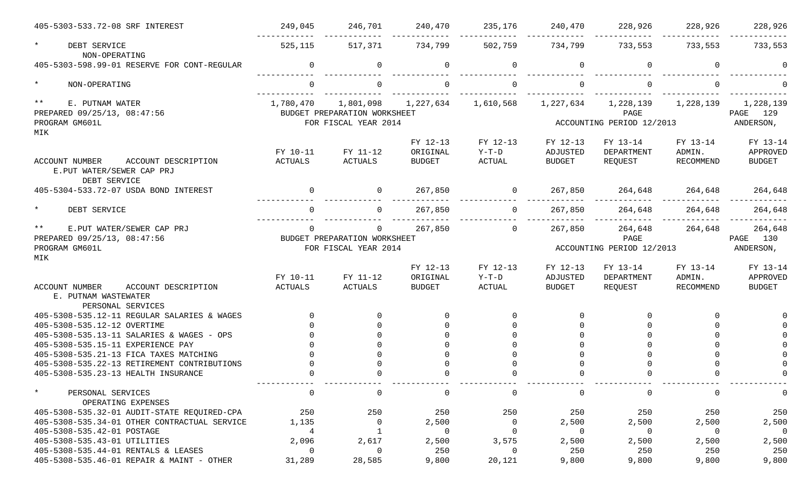| 405-5303-533.72-08 SRF INTEREST                                                           | 249,045     | 246,701                      | 240,470       | 235,176        | 240,470        | 228,926                   | 228,926          | 228,926        |
|-------------------------------------------------------------------------------------------|-------------|------------------------------|---------------|----------------|----------------|---------------------------|------------------|----------------|
| $\star$<br>DEBT SERVICE<br>NON-OPERATING                                                  | 525,115     | 517,371                      | 734,799       | 502,759        | 734,799        | 733,553                   | 733,553          | 733,553        |
| 405-5303-598.99-01 RESERVE FOR CONT-REGULAR                                               | $\Omega$    | 0                            | $\Omega$      | $\mathbf 0$    | $\mathbf 0$    | $\Omega$                  | $\Omega$         |                |
| $\star$<br>NON-OPERATING                                                                  |             |                              |               |                |                |                           |                  |                |
| $***$<br>E. PUTNAM WATER                                                                  | 1,780,470   | 1,801,098                    | 1,227,634     | 1,610,568      | 1,227,634      | 1,228,139                 | 1,228,139        | 1,228,139      |
| PREPARED 09/25/13, 08:47:56                                                               |             | BUDGET PREPARATION WORKSHEET |               |                |                | PAGE                      |                  | 129<br>PAGE    |
| PROGRAM GM601L<br>MIK                                                                     |             | FOR FISCAL YEAR 2014         |               |                |                | ACCOUNTING PERIOD 12/2013 |                  | ANDERSON,      |
|                                                                                           |             |                              | FY 12-13      | FY 12-13       | FY 12-13       | FY 13-14                  | FY 13-14         | FY 13-14       |
|                                                                                           | FY 10-11    | FY 11-12                     | ORIGINAL      | $Y-T-D$        | ADJUSTED       | DEPARTMENT                | ADMIN.           | APPROVED       |
| <b>ACCOUNT NUMBER</b><br>ACCOUNT DESCRIPTION<br>E.PUT WATER/SEWER CAP PRJ<br>DEBT SERVICE | ACTUALS     | <b>ACTUALS</b>               | <b>BUDGET</b> | ACTUAL         | <b>BUDGET</b>  | REQUEST                   | RECOMMEND        | <b>BUDGET</b>  |
| 405-5304-533.72-07 USDA BOND INTEREST                                                     |             | 0                            | 267,850       | 0              | 267,850        | 264,648                   | 264,648          | 264,648        |
| $\ast$<br>DEBT SERVICE                                                                    |             | 0                            | 267,850       |                | 267,850        | 264,648                   | 264,648          | 264,648        |
| $***$<br>E.PUT WATER/SEWER CAP PRJ                                                        |             | 0                            | 267,850       | $\mathbf 0$    | 267,850        | 264,648                   | 264,648          | 264,648        |
| PREPARED 09/25/13, 08:47:56                                                               |             | BUDGET PREPARATION WORKSHEET |               |                |                | PAGE                      |                  | 130<br>PAGE    |
| PROGRAM GM601L                                                                            |             | FOR FISCAL YEAR 2014         |               |                |                | ACCOUNTING PERIOD 12/2013 |                  | ANDERSON,      |
| MIK                                                                                       |             |                              |               |                |                |                           |                  |                |
|                                                                                           |             |                              | FY 12-13      | FY 12-13       | FY 12-13       | FY 13-14                  | FY 13-14         | FY 13-14       |
|                                                                                           | FY 10-11    | FY 11-12                     | ORIGINAL      | $Y-T-D$        | ADJUSTED       | DEPARTMENT                | ADMIN.           | APPROVED       |
| <b>ACCOUNT NUMBER</b><br>ACCOUNT DESCRIPTION<br>E. PUTNAM WASTEWATER<br>PERSONAL SERVICES | ACTUALS     | <b>ACTUALS</b>               | <b>BUDGET</b> | <b>ACTUAL</b>  | <b>BUDGET</b>  | REQUEST                   | <b>RECOMMEND</b> | <b>BUDGET</b>  |
| 405-5308-535.12-11 REGULAR SALARIES & WAGES                                               | $\Omega$    | $\Omega$                     |               | $\Omega$       | $\Omega$       | $\Omega$                  |                  |                |
| 405-5308-535.12-12 OVERTIME                                                               | $\cap$      |                              |               | $\Omega$       | <sup>n</sup>   | $\Omega$                  |                  |                |
| 405-5308-535.13-11 SALARIES & WAGES - OPS                                                 |             |                              |               | $\Omega$       |                | $\Omega$                  |                  |                |
| 405-5308-535.15-11 EXPERIENCE PAY                                                         |             |                              |               |                |                |                           |                  |                |
| 405-5308-535.21-13 FICA TAXES MATCHING                                                    |             |                              |               |                |                |                           |                  |                |
| 405-5308-535.22-13 RETIREMENT CONTRIBUTIONS                                               |             |                              |               |                |                |                           |                  |                |
| 405-5308-535.23-13 HEALTH INSURANCE                                                       |             |                              |               |                |                |                           |                  |                |
| $\star$<br>PERSONAL SERVICES<br>OPERATING EXPENSES                                        | $\mathbf 0$ | $\mathbf 0$                  | 0             | $\mathbf 0$    | 0              | $\mathsf{O}$              | $\Omega$         | 0              |
| 405-5308-535.32-01 AUDIT-STATE REQUIRED-CPA                                               | 250         | 250                          | 250           | 250            | 250            | 250                       | 250              | 250            |
| 405-5308-535.34-01 OTHER CONTRACTUAL SERVICE                                              | 1,135       | $\mathbf 0$                  | 2,500         | $\overline{0}$ | 2,500          | 2,500                     | 2,500            | 2,500          |
| 405-5308-535.42-01 POSTAGE                                                                | 4           | $\mathbf{1}$                 | $\mathbf 0$   | 0              | $\overline{0}$ | $\overline{0}$            | $\overline{0}$   | $\overline{0}$ |
| 405-5308-535.43-01 UTILITIES                                                              | 2,096       | 2,617                        | 2,500         | 3,575          | 2,500          | 2,500                     | 2,500            | 2,500          |
| 405-5308-535.44-01 RENTALS & LEASES                                                       | 0           | $\mathbf 0$                  | 250           | 0              | 250            | 250                       | 250              | 250            |
| 405-5308-535.46-01 REPAIR & MAINT - OTHER                                                 | 31,289      | 28,585                       | 9,800         | 20,121         | 9,800          | 9,800                     | 9,800            | 9,800          |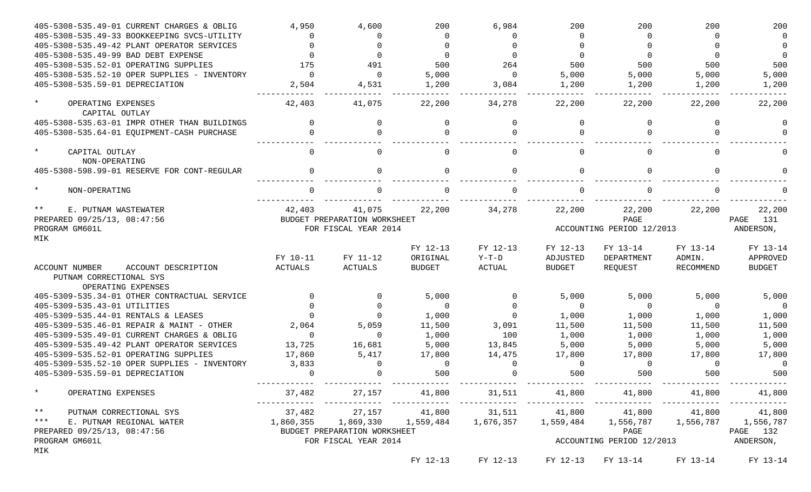|         | 405-5308-535.49-01 CURRENT CHARGES & OBLIG   | 4,950          | 4,600                        | 200           | 6,984                     | 200           | 200                                                                              | 200       | 200           |
|---------|----------------------------------------------|----------------|------------------------------|---------------|---------------------------|---------------|----------------------------------------------------------------------------------|-----------|---------------|
|         | 405-5308-535.49-33 BOOKKEEPING SVCS-UTILITY  |                |                              | $\Omega$      | $\Omega$                  | $\Omega$      | $\Omega$                                                                         |           | $\Omega$      |
|         | 405-5308-535.49-42 PLANT OPERATOR SERVICES   |                |                              |               |                           |               |                                                                                  |           |               |
|         | 405-5308-535.49-99 BAD DEBT EXPENSE          |                |                              | $\Omega$      |                           | $\Omega$      |                                                                                  |           |               |
|         | 405-5308-535.52-01 OPERATING SUPPLIES        | 175            | 491                          | 500           | 264                       | 500           | 500                                                                              | 500       | 500           |
|         | 405-5308-535.52-10 OPER SUPPLIES - INVENTORY | $\Omega$       | $\Omega$                     | 5,000         | $\Omega$                  | 5,000         | 5,000                                                                            | 5,000     | 5,000         |
|         | 405-5308-535.59-01 DEPRECIATION              | 2,504          | 4,531                        | 1,200         | 3,084                     | 1,200         | 1,200                                                                            | 1,200     | 1,200         |
|         |                                              |                |                              |               |                           |               |                                                                                  |           |               |
| $\star$ | OPERATING EXPENSES                           | 42,403         | 41,075                       | 22,200        | 34,278                    | 22,200        | 22,200                                                                           | 22,200    | 22,200        |
|         | CAPITAL OUTLAY                               |                |                              |               |                           |               |                                                                                  |           |               |
|         | 405-5308-535.63-01 IMPR OTHER THAN BUILDINGS |                | $\Omega$                     | $\Omega$      | $\Omega$                  | $\Omega$      | $\Omega$                                                                         |           | $\Omega$      |
|         | 405-5308-535.64-01 EQUIPMENT-CASH PURCHASE   |                |                              |               | $\Omega$                  |               | $\Omega$                                                                         |           |               |
|         |                                              |                |                              |               |                           |               |                                                                                  |           |               |
| $\star$ | CAPITAL OUTLAY                               |                | $\Omega$                     | $\Omega$      | $\mathbf{0}$              | <sup>0</sup>  | $\Omega$                                                                         | $\Omega$  | $\Omega$      |
|         | NON-OPERATING                                |                |                              |               |                           |               |                                                                                  |           |               |
|         | 405-5308-598.99-01 RESERVE FOR CONT-REGULAR  |                | $\Omega$                     | $\Omega$      | $\Omega$                  | $\Omega$      | $\Omega$                                                                         | $\cap$    | $\cap$        |
|         |                                              |                |                              |               |                           |               |                                                                                  |           |               |
| $\star$ | NON-OPERATING                                |                |                              |               | $\Omega$                  |               | $\Omega$                                                                         |           |               |
|         |                                              |                |                              |               |                           |               |                                                                                  |           |               |
| $***$   | E. PUTNAM WASTEWATER                         | 42,403         | 41,075                       | 22,200        | 34,278                    | 22,200        | 22,200                                                                           | 22,200    | 22,200        |
|         | PREPARED 09/25/13, 08:47:56                  |                | BUDGET PREPARATION WORKSHEET |               |                           |               | PAGE                                                                             |           | 131<br>PAGE   |
|         | PROGRAM GM601L                               |                | FOR FISCAL YEAR 2014         |               | ACCOUNTING PERIOD 12/2013 |               |                                                                                  |           | ANDERSON,     |
| MIK     |                                              |                |                              |               |                           |               |                                                                                  |           |               |
|         |                                              |                |                              | FY 12-13      | FY 12-13                  | FY 12-13      | FY 13-14                                                                         | FY 13-14  | FY 13-14      |
|         |                                              | FY 10-11       | FY 11-12                     | ORIGINAL      | $Y-T-D$                   | ADJUSTED      | DEPARTMENT                                                                       | ADMIN.    | APPROVED      |
|         | <b>ACCOUNT NUMBER</b><br>ACCOUNT DESCRIPTION | <b>ACTUALS</b> | <b>ACTUALS</b>               | <b>BUDGET</b> | ACTUAL                    | <b>BUDGET</b> | REQUEST                                                                          | RECOMMEND | <b>BUDGET</b> |
|         | PUTNAM CORRECTIONAL SYS                      |                |                              |               |                           |               |                                                                                  |           |               |
|         | OPERATING EXPENSES                           |                |                              |               |                           |               |                                                                                  |           |               |
|         | 405-5309-535.34-01 OTHER CONTRACTUAL SERVICE |                |                              | 5,000         | $\Omega$                  | 5,000         | 5,000                                                                            | 5,000     | 5,000         |
|         | 405-5309-535.43-01 UTILITIES                 |                |                              | $\Omega$      | $\Omega$                  | $\Omega$      | $\Omega$                                                                         | $\cap$    | 0             |
|         | 405-5309-535.44-01 RENTALS & LEASES          |                |                              | 1,000         | $\Omega$                  | 1,000         | 1,000                                                                            | 1,000     | 1,000         |
|         | 405-5309-535.46-01 REPAIR & MAINT - OTHER    | 2,064          | 5,059                        | 11,500        | 3,091                     | 11,500        | 11,500                                                                           | 11,500    | 11,500        |
|         | 405-5309-535.49-01 CURRENT CHARGES & OBLIG   | $\Omega$       | $\Omega$                     | 1,000         | 100                       | 1,000         | 1,000                                                                            | 1,000     | 1,000         |
|         | 405-5309-535.49-42 PLANT OPERATOR SERVICES   | 13,725         | 16,681                       | 5,000         | 13,845                    | 5,000         | 5,000                                                                            | 5,000     | 5,000         |
|         | 405-5309-535.52-01 OPERATING SUPPLIES        | 17,860         | 5,417                        | 17,800        | 14,475                    | 17,800        | 17,800                                                                           | 17,800    | 17,800        |
|         | 405-5309-535.52-10 OPER SUPPLIES - INVENTORY | 3,833          |                              | $\Omega$      | $\Omega$                  | 0             | $\Omega$                                                                         | $\Omega$  | 0             |
|         | 405-5309-535.59-01 DEPRECIATION              |                |                              | 500           |                           | 500           | 500                                                                              | 500       | 500           |
|         |                                              |                |                              |               |                           |               |                                                                                  |           |               |
| $\star$ | OPERATING EXPENSES                           |                |                              |               |                           |               | $37,482$ $27,157$ $41,800$ $31,511$ $41,800$ $41,800$ $41,800$ $41,800$ $41,800$ |           |               |
|         | ** PUTNAM CORRECTIONAL SYS                   |                |                              |               |                           |               | $37,482$ $27,157$ $41,800$ $31,511$ $41,800$ $41,800$ $41,800$ $41,800$ $41,800$ |           |               |
|         | *** E. PUTNAM REGIONAL WATER                 |                |                              |               |                           |               | 1,860,355 1,869,330 1,559,484 1,676,357 1,559,484 1,556,787 1,556,787 1,556,787  |           |               |
|         | PREPARED 09/25/13, 08:47:56                  |                | BUDGET PREPARATION WORKSHEET |               |                           |               |                                                                                  | PAGE      | PAGE 132      |
|         | PROGRAM GM601L                               |                | FOR FISCAL YEAR 2014         |               |                           |               | ACCOUNTING PERIOD 12/2013                                                        |           | ANDERSON,     |
| MIK     |                                              |                |                              |               |                           |               |                                                                                  |           |               |
|         |                                              |                |                              | FY 12-13      | FY 12-13                  |               | FY 12-13 FY 13-14                                                                | FY 13-14  | FY 13-14      |
|         |                                              |                |                              |               |                           |               |                                                                                  |           |               |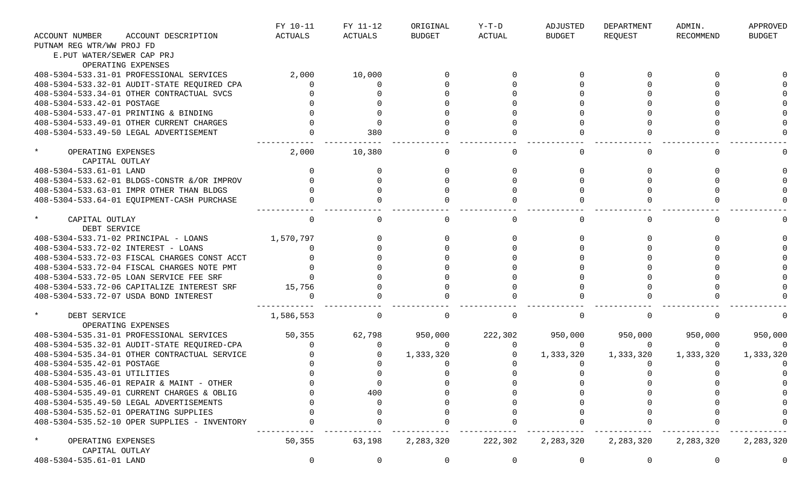|                                                 |                                              | FY 10-11       | FY 11-12    | ORIGINAL      | $Y-T-D$       | ADJUSTED      | DEPARTMENT  | ADMIN.           | APPROVED      |
|-------------------------------------------------|----------------------------------------------|----------------|-------------|---------------|---------------|---------------|-------------|------------------|---------------|
| <b>ACCOUNT NUMBER</b>                           | ACCOUNT DESCRIPTION                          | <b>ACTUALS</b> | ACTUALS     | <b>BUDGET</b> | <b>ACTUAL</b> | <b>BUDGET</b> | REQUEST     | <b>RECOMMEND</b> | <b>BUDGET</b> |
| PUTNAM REG WTR/WW PROJ FD                       |                                              |                |             |               |               |               |             |                  |               |
| E.PUT WATER/SEWER CAP PRJ                       |                                              |                |             |               |               |               |             |                  |               |
|                                                 | OPERATING EXPENSES                           |                |             |               |               |               |             |                  |               |
|                                                 | 408-5304-533.31-01 PROFESSIONAL SERVICES     | 2,000          | 10,000      |               |               |               |             |                  |               |
|                                                 | 408-5304-533.32-01 AUDIT-STATE REQUIRED CPA  | $\Omega$       | $\Omega$    |               |               |               |             |                  |               |
|                                                 | 408-5304-533.34-01 OTHER CONTRACTUAL SVCS    |                |             |               |               |               |             |                  |               |
| 408-5304-533.42-01 POSTAGE                      |                                              |                |             |               |               |               |             |                  |               |
|                                                 | 408-5304-533.47-01 PRINTING & BINDING        |                |             |               |               |               |             |                  |               |
|                                                 | 408-5304-533.49-01 OTHER CURRENT CHARGES     |                |             |               |               |               |             |                  |               |
|                                                 | 408-5304-533.49-50 LEGAL ADVERTISEMENT       |                | 380         |               |               |               |             |                  |               |
| $\star$<br>OPERATING EXPENSES<br>CAPITAL OUTLAY |                                              | 2,000          | 10,380      |               | 0             |               |             | $\Omega$         |               |
| 408-5304-533.61-01 LAND                         |                                              |                |             |               |               |               |             |                  |               |
|                                                 | 408-5304-533.62-01 BLDGS-CONSTR & OR IMPROV  |                |             |               |               |               |             |                  |               |
|                                                 | 408-5304-533.63-01 IMPR OTHER THAN BLDGS     |                |             |               |               |               |             |                  |               |
|                                                 | 408-5304-533.64-01 EQUIPMENT-CASH PURCHASE   |                |             |               |               |               |             |                  |               |
| $\star$<br>CAPITAL OUTLAY<br>DEBT SERVICE       |                                              | 0              | $\Omega$    |               | $\Omega$      |               |             | $\Omega$         |               |
|                                                 | 408-5304-533.71-02 PRINCIPAL - LOANS         | 1,570,797      |             |               |               |               |             |                  |               |
| 408-5304-533.72-02 INTEREST - LOANS             |                                              |                |             |               |               |               |             |                  |               |
|                                                 | 408-5304-533.72-03 FISCAL CHARGES CONST ACCT |                |             |               |               |               |             |                  |               |
|                                                 | 408-5304-533.72-04 FISCAL CHARGES NOTE PMT   |                |             |               |               |               |             |                  |               |
|                                                 | 408-5304-533.72-05 LOAN SERVICE FEE SRF      |                |             |               |               |               |             |                  |               |
|                                                 | 408-5304-533.72-06 CAPITALIZE INTEREST SRF   | 15,756         |             |               |               |               |             |                  |               |
|                                                 | 408-5304-533.72-07 USDA BOND INTEREST        |                |             |               |               |               |             |                  |               |
| $\star$<br>DEBT SERVICE                         | OPERATING EXPENSES                           | 1,586,553      | $\Omega$    |               | $\Omega$      |               |             |                  |               |
|                                                 | 408-5304-535.31-01 PROFESSIONAL SERVICES     | 50,355         | 62,798      | 950,000       | 222,302       | 950,000       | 950,000     | 950,000          | 950,000       |
|                                                 | 408-5304-535.32-01 AUDIT-STATE REQUIRED-CPA  | $\Omega$       |             | $\Omega$      | 0             | $\Omega$      | $\Omega$    | 0                |               |
|                                                 | 408-5304-535.34-01 OTHER CONTRACTUAL SERVICE |                |             | 1,333,320     |               | 1,333,320     | 1,333,320   | 1,333,320        | 1,333,320     |
| 408-5304-535.42-01 POSTAGE                      |                                              |                |             |               |               |               |             |                  |               |
| 408-5304-535.43-01 UTILITIES                    |                                              |                |             |               |               |               |             |                  |               |
|                                                 | 408-5304-535.46-01 REPAIR & MAINT - OTHER    |                | U           |               |               |               |             |                  |               |
|                                                 | 408-5304-535.49-01 CURRENT CHARGES & OBLIG   |                | 400         |               |               |               |             |                  |               |
|                                                 | 408-5304-535.49-50 LEGAL ADVERTISEMENTS      |                |             |               |               |               |             |                  |               |
|                                                 | 408-5304-535.52-01 OPERATING SUPPLIES        |                |             |               |               |               |             |                  |               |
|                                                 | 408-5304-535.52-10 OPER SUPPLIES - INVENTORY |                |             |               |               |               |             |                  |               |
| $\star$<br>OPERATING EXPENSES<br>CAPITAL OUTLAY |                                              | 50,355         | 63,198      | 2,283,320     | 222,302       | 2,283,320     | 2, 283, 320 | 2,283,320        | 2,283,320     |
| 408-5304-535.61-01 LAND                         |                                              | 0              | $\mathbf 0$ | 0             | $\mathbf 0$   | 0             | 0           | 0                | 0             |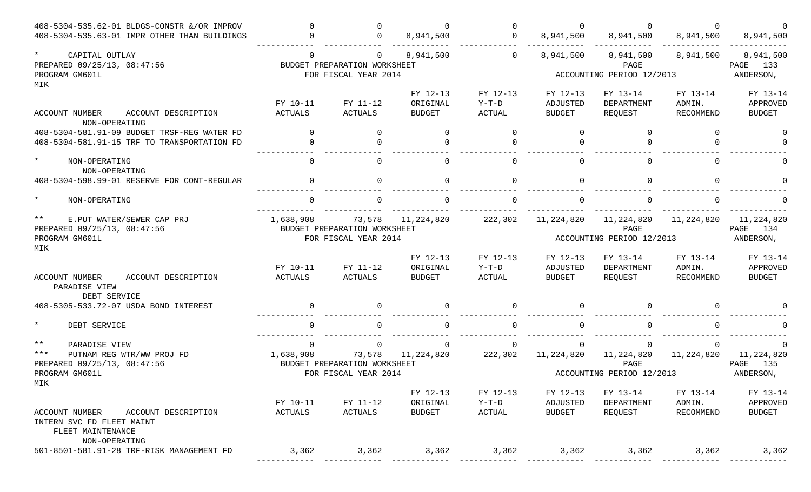| 408-5304-535.62-01 BLDGS-CONSTR &/OR IMPROV                                                                   | $\cap$                                                                                               | $\Omega$                                                               | $\Omega$                              | $\Omega$                             | $\Omega$                              |                                                 | $\Omega$                               |                                          |
|---------------------------------------------------------------------------------------------------------------|------------------------------------------------------------------------------------------------------|------------------------------------------------------------------------|---------------------------------------|--------------------------------------|---------------------------------------|-------------------------------------------------|----------------------------------------|------------------------------------------|
| 408-5304-535.63-01 IMPR OTHER THAN BUILDINGS                                                                  | $\Omega$                                                                                             | $\Omega$                                                               | 8,941,500                             | $\Omega$                             | 8,941,500                             | 8,941,500                                       | 8,941,500                              | 8,941,500                                |
| $\star$<br>CAPITAL OUTLAY<br>PREPARED 09/25/13, 08:47:56<br>PROGRAM GM601L                                    | $\Omega$                                                                                             | $\overline{0}$<br>BUDGET PREPARATION WORKSHEET<br>FOR FISCAL YEAR 2014 | 8,941,500                             | $\mathbf 0$                          | 8,941,500                             | 8,941,500<br>PAGE<br>ACCOUNTING PERIOD 12/2013  | 8,941,500                              | 8,941,500<br>PAGE 133<br>ANDERSON,       |
| MIK                                                                                                           |                                                                                                      |                                                                        |                                       |                                      |                                       |                                                 |                                        |                                          |
| ACCOUNT NUMBER<br>ACCOUNT DESCRIPTION                                                                         | FY 10-11<br><b>ACTUALS</b>                                                                           | FY 11-12<br>ACTUALS                                                    | FY 12-13<br>ORIGINAL<br><b>BUDGET</b> | FY 12-13<br>$Y-T-D$<br><b>ACTUAL</b> | FY 12-13<br>ADJUSTED<br><b>BUDGET</b> | FY 13-14<br>DEPARTMENT<br>REQUEST               | FY 13-14<br>ADMIN.<br><b>RECOMMEND</b> | FY 13-14<br>APPROVED<br><b>BUDGET</b>    |
| NON-OPERATING                                                                                                 |                                                                                                      |                                                                        |                                       |                                      |                                       |                                                 |                                        |                                          |
| 408-5304-581.91-09 BUDGET TRSF-REG WATER FD<br>408-5304-581.91-15 TRF TO TRANSPORTATION FD                    | $\Omega$<br>$\Omega$                                                                                 | $\Omega$<br>$\Omega$                                                   | $\Omega$                              | $\Omega$<br>$\Omega$                 | $\Omega$                              | $\Omega$                                        | $\Omega$                               |                                          |
| $\star$<br>NON-OPERATING<br>NON-OPERATING                                                                     | $\Omega$                                                                                             | $\Omega$                                                               |                                       | $\Omega$                             | $\Omega$                              |                                                 | $\Omega$                               |                                          |
| 408-5304-598.99-01 RESERVE FOR CONT-REGULAR                                                                   | $\Omega$                                                                                             | $\Omega$                                                               |                                       | $\Omega$                             | $\cap$                                |                                                 | $\Omega$                               |                                          |
| $\star$<br>NON-OPERATING                                                                                      | $\cap$                                                                                               | $\Omega$                                                               |                                       | $\Omega$                             | $\cap$                                |                                                 |                                        |                                          |
| $***$<br>E.PUT WATER/SEWER CAP PRJ<br>PREPARED 09/25/13, 08:47:56<br>PROGRAM GM601L<br>MIK                    | 1,638,908<br>11,224,820<br>222,302<br>73,578<br>BUDGET PREPARATION WORKSHEET<br>FOR FISCAL YEAR 2014 |                                                                        |                                       |                                      | 11,224,820                            | 11,224,820<br>PAGE<br>ACCOUNTING PERIOD 12/2013 | 11,224,820                             | 11,224,820<br>PAGE 134<br>ANDERSON,      |
| ACCOUNT NUMBER<br>ACCOUNT DESCRIPTION<br>PARADISE VIEW                                                        | FY 10-11<br><b>ACTUALS</b>                                                                           | FY 11-12<br>ACTUALS                                                    | FY 12-13<br>ORIGINAL<br><b>BUDGET</b> | FY 12-13<br>$Y-T-D$<br><b>ACTUAL</b> | FY 12-13<br>ADJUSTED<br><b>BUDGET</b> | FY 13-14<br>DEPARTMENT<br>REQUEST               | FY 13-14<br>ADMIN.<br>RECOMMEND        | FY 13-14<br>APPROVED<br><b>BUDGET</b>    |
| DEBT SERVICE<br>408-5305-533.72-07 USDA BOND INTEREST                                                         | $\cap$                                                                                               | $\Omega$                                                               |                                       | $\Omega$                             | $\cap$                                |                                                 | $\cap$                                 |                                          |
| $\star$<br>DEBT SERVICE                                                                                       |                                                                                                      |                                                                        |                                       |                                      |                                       |                                                 |                                        |                                          |
| $***$<br>PARADISE VIEW<br>$***$<br>PUTNAM REG WTR/WW PROJ FD<br>PREPARED 09/25/13, 08:47:56<br>PROGRAM GM601L | 0<br>1,638,908                                                                                       | 0<br>73,578<br>BUDGET PREPARATION WORKSHEET<br>FOR FISCAL YEAR 2014    | 11,224,820                            | $\mathbf{0}$<br>222,302              | 0<br>11,224,820                       | 11,224,820<br>PAGE<br>ACCOUNTING PERIOD 12/2013 | 0<br>11,224,820                        | 11, 224, 820<br>135<br>PAGE<br>ANDERSON, |
| MIK<br><b>ACCOUNT NUMBER</b><br>ACCOUNT DESCRIPTION<br>INTERN SVC FD FLEET MAINT                              | FY 10-11<br>ACTUALS                                                                                  | FY 11-12<br>ACTUALS                                                    | FY 12-13<br>ORIGINAL<br><b>BUDGET</b> | FY 12-13<br>$Y-T-D$<br>ACTUAL        | FY 12-13<br>ADJUSTED<br><b>BUDGET</b> | FY 13-14<br>DEPARTMENT<br>REQUEST               | FY 13-14<br>ADMIN.<br>RECOMMEND        | FY 13-14<br>APPROVED<br><b>BUDGET</b>    |
| FLEET MAINTENANCE<br>NON-OPERATING<br>501-8501-581.91-28 TRF-RISK MANAGEMENT FD                               | 3,362                                                                                                | 3,362                                                                  | 3,362                                 | 3,362                                | 3,362                                 | 3,362                                           | 3,362                                  | 3,362                                    |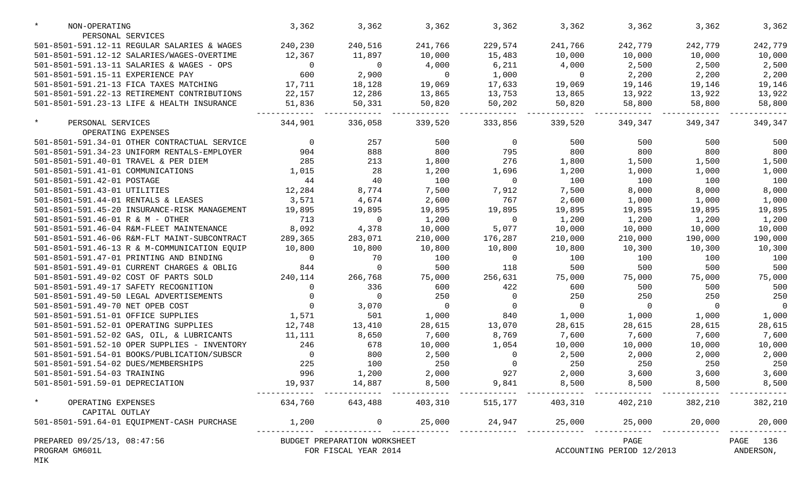| $\star$<br>NON-OPERATING                                         | 3,362          | 3,362                        | 3,362                                                                 | 3,362                              | 3,362          | 3,362                     | 3,362          | 3,362          |
|------------------------------------------------------------------|----------------|------------------------------|-----------------------------------------------------------------------|------------------------------------|----------------|---------------------------|----------------|----------------|
| PERSONAL SERVICES<br>501-8501-591.12-11 REGULAR SALARIES & WAGES | 240,230        | 240,516                      | 241,766                                                               | 229,574                            | 241,766        | 242,779                   | 242,779        | 242,779        |
| 501-8501-591.12-12 SALARIES/WAGES-OVERTIME                       | 12,367         | 11,897                       | 10,000                                                                | 15,483                             | 10,000         | 10,000                    | 10,000         | 10,000         |
| 501-8501-591.13-11 SALARIES & WAGES - OPS                        | $\overline{0}$ | $\overline{0}$               | 4,000                                                                 | 6,211                              | 4,000          | 2,500                     | 2,500          | 2,500          |
| 501-8501-591.15-11 EXPERIENCE PAY                                | 600            | 2,900                        | $\overline{0}$                                                        | 1,000                              | $\overline{0}$ | 2,200                     | 2,200          | 2,200          |
| 501-8501-591.21-13 FICA TAXES MATCHING                           | 17,711         | 18,128                       | 19,069                                                                | 17,633                             | 19,069         | 19,146                    | 19,146         | 19,146         |
| 501-8501-591.22-13 RETIREMENT CONTRIBUTIONS                      | 22,157         | 12,286                       | 13,865                                                                | 13,753                             | 13,865         | 13,922                    | 13,922         | 13,922         |
| 501-8501-591.23-13 LIFE & HEALTH INSURANCE                       | 51,836         | 50,331                       | 50,820                                                                | 50,202                             | 50,820         | 58,800                    | 58,800         | 58,800         |
| $\star$<br>PERSONAL SERVICES                                     | 344,901        | 336,058                      | 339,520                                                               | 333,856                            | 339,520        | 349,347                   | 349,347        | 349,347        |
| OPERATING EXPENSES                                               |                |                              |                                                                       |                                    |                |                           |                |                |
| 501-8501-591.34-01 OTHER CONTRACTUAL SERVICE                     | $\overline{0}$ | 257                          | 500                                                                   | $\overline{0}$                     | 500            | 500                       | 500            | 500            |
| 501-8501-591.34-23 UNIFORM RENTALS-EMPLOYER                      | 904            | 888                          | 800                                                                   | 795                                | 800            | 800                       | 800            | 800            |
| 501-8501-591.40-01 TRAVEL & PER DIEM                             | 285            | 213                          | 1,800                                                                 | 276                                | 1,800          | 1,500                     | 1,500          | 1,500          |
| 501-8501-591.41-01 COMMUNICATIONS                                | 1,015          | 28                           | 1,200                                                                 | 1,696                              | 1,200          | 1,000                     | 1,000          | 1,000          |
| 501-8501-591.42-01 POSTAGE                                       | 44             | 40                           | 100                                                                   | $\overline{0}$                     | 100            | 100                       | 100            | 100            |
| 501-8501-591.43-01 UTILITIES                                     | 12,284         | 8,774                        | 7,500                                                                 | 7,912                              | 7,500          | 8,000                     | 8,000          | 8,000          |
| 501-8501-591.44-01 RENTALS & LEASES                              | 3,571          | 4,674                        | 2,600                                                                 | 767                                | 2,600          | 1,000                     | 1,000          | 1,000          |
| 501-8501-591.45-20 INSURANCE-RISK MANAGEMENT                     | 19,895         | 19,895                       | 19,895                                                                | 19,895                             | 19,895         | 19,895                    | 19,895         | 19,895         |
| 501-8501-591.46-01 R & M - OTHER                                 | 713            | $\overline{0}$               | 1,200                                                                 | $\overline{0}$                     | 1,200          | 1,200                     | 1,200          | 1,200          |
| 501-8501-591.46-04 R&M-FLEET MAINTENANCE                         | 8,092          | 4,378                        | 10,000                                                                | 5,077                              | 10,000         | 10,000                    | 10,000         | 10,000         |
| 501-8501-591.46-06 R&M-FLT MAINT-SUBCONTRACT                     | 289,365        | 283,071                      | 210,000                                                               | 176,287                            | 210,000        | 210,000                   | 190,000        | 190,000        |
| 501-8501-591.46-13 R & M-COMMUNICATION EQUIP                     | 10,800         | 10,800                       | 10,800                                                                | 10,800                             | 10,800         | 10,300                    | 10,300         | 10,300         |
| 501-8501-591.47-01 PRINTING AND BINDING                          | $\overline{0}$ | 70                           | 100                                                                   | $\overline{0}$                     | 100            | 100                       | 100            | 100            |
| 501-8501-591.49-01 CURRENT CHARGES & OBLIG                       | 844            | $\overline{0}$               | 500                                                                   | 118                                | 500            | 500                       | 500            | 500            |
| 501-8501-591.49-02 COST OF PARTS SOLD                            | 240,114        | 266,768                      | 75,000                                                                | 256,631                            | 75,000         | 75,000                    | 75,000         | 75,000         |
| 501-8501-591.49-17 SAFETY RECOGNITION                            | $\Omega$       | 336                          | 600                                                                   | 422                                | 600            | 500                       | 500            | 500            |
| 501-8501-591.49-50 LEGAL ADVERTISEMENTS                          | $\Omega$       | $\overline{0}$               | 250                                                                   | $\mathbf 0$                        | 250            | 250                       | 250            | 250            |
| 501-8501-591.49-70 NET OPEB COST                                 | $\Omega$       | 3,070                        | $\overline{0}$                                                        | $\overline{0}$                     | $\overline{0}$ | $\overline{0}$            | $\overline{0}$ | $\overline{0}$ |
| 501-8501-591.51-01 OFFICE SUPPLIES                               | 1,571          | 501                          | 1,000                                                                 | 840                                | 1,000          | 1,000                     | 1,000          | 1,000          |
| 501-8501-591.52-01 OPERATING SUPPLIES                            | 12,748         | 13,410                       | 28,615                                                                | 13,070                             | 28,615         | 28,615                    | 28,615         | 28,615         |
| 501-8501-591.52-02 GAS, OIL, & LUBRICANTS                        | 11,111         | 8,650                        | 7,600                                                                 | 8,769                              | 7,600          | 7,600                     | 7,600          | 7,600          |
| 501-8501-591.52-10 OPER SUPPLIES - INVENTORY                     | 246            | 678                          | 10,000                                                                | 1,054                              | 10,000         | 10,000                    | 10,000         | 10,000         |
| 501-8501-591.54-01 BOOKS/PUBLICATION/SUBSCR                      | $\overline{0}$ | 800                          | 2,500                                                                 | $\mathbf 0$                        | 2,500          | 2,000                     | 2,000          | 2,000          |
| 501-8501-591.54-02 DUES/MEMBERSHIPS                              | 225            | 100                          | 250                                                                   | $\Omega$                           | 250            | 250                       | 250            | 250            |
| 501-8501-591.54-03 TRAINING                                      | 996            | 1,200                        | 2,000                                                                 | 927                                | 2,000          | 3,600                     | 3,600          | 3,600          |
| 501-8501-591.59-01 DEPRECIATION                                  |                | 19,937 14,887                | 8,500                                                                 | 9,841                              | 8,500          | 8,500                     | 8,500          | 8,500          |
| $\star$<br>OPERATING EXPENSES<br>CAPITAL OUTLAY                  |                |                              | $634,760$ $643,488$ $403,310$ $515,177$ $403,310$ $402,210$ $382,210$ |                                    |                |                           |                | 382,210        |
| 501-8501-591.64-01 EQUIPMENT-CASH PURCHASE                       | 1,200          | $\overline{0}$               |                                                                       | 25,000 24,947 25,000 25,000 20,000 |                |                           |                | 20,000         |
| PREPARED 09/25/13, 08:47:56                                      |                | BUDGET PREPARATION WORKSHEET |                                                                       |                                    |                | PAGE                      |                | PAGE 136       |
| PROGRAM GM601L<br>MIK                                            |                | FOR FISCAL YEAR 2014         |                                                                       |                                    |                | ACCOUNTING PERIOD 12/2013 |                | ANDERSON,      |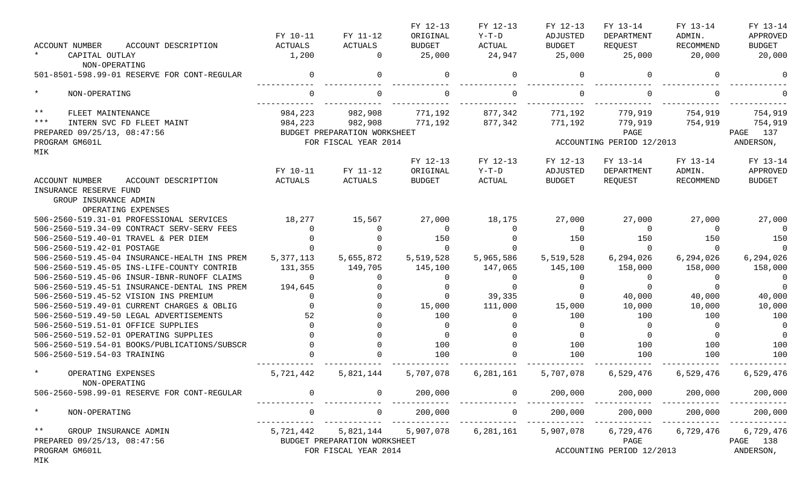|                                                |             |                              | FY 12-13      | FY 12-13  | FY 12-13       | FY 13-14                  | FY 13-14  | FY 13-14       |
|------------------------------------------------|-------------|------------------------------|---------------|-----------|----------------|---------------------------|-----------|----------------|
|                                                | FY 10-11    | FY 11-12                     | ORIGINAL      | $Y-T-D$   | ADJUSTED       | DEPARTMENT                | ADMIN.    | APPROVED       |
| <b>ACCOUNT NUMBER</b><br>ACCOUNT DESCRIPTION   | ACTUALS     | <b>ACTUALS</b>               | <b>BUDGET</b> | ACTUAL    | <b>BUDGET</b>  | REQUEST                   | RECOMMEND | <b>BUDGET</b>  |
| $\star$<br>CAPITAL OUTLAY<br>NON-OPERATING     | 1,200       | $\mathbf{0}$                 | 25,000        | 24,947    | 25,000         | 25,000                    | 20,000    | 20,000         |
| 501-8501-598.99-01 RESERVE FOR CONT-REGULAR    | $\Omega$    | 0                            | $\Omega$      | $\Omega$  | $\mathbf 0$    |                           | $\Omega$  |                |
| $\star$<br>NON-OPERATING                       | $\Omega$    | $\Omega$                     | $\Omega$      | $\Omega$  | $\Omega$       |                           | $\Omega$  |                |
| $***$<br>FLEET MAINTENANCE                     | 984,223     | 982,908                      | 771,192       | 877,342   | 771,192        | 779,919                   | 754,919   | 754,919        |
| $***$<br>INTERN SVC FD FLEET MAINT             | 984,223     | 982,908                      | 771,192       | 877,342   | 771,192        | 779,919                   | 754,919   | 754,919        |
| PREPARED 09/25/13, 08:47:56                    |             | BUDGET PREPARATION WORKSHEET |               |           |                | PAGE                      |           | PAGE 137       |
| PROGRAM GM601L<br>MIK                          |             | FOR FISCAL YEAR 2014         |               |           |                | ACCOUNTING PERIOD 12/2013 |           | ANDERSON,      |
|                                                |             |                              | FY 12-13      | FY 12-13  | FY 12-13       | FY 13-14                  | FY 13-14  | FY 13-14       |
|                                                | FY 10-11    | FY 11-12                     | ORIGINAL      | $Y-T-D$   | ADJUSTED       | DEPARTMENT                | ADMIN.    | APPROVED       |
| <b>ACCOUNT NUMBER</b><br>ACCOUNT DESCRIPTION   | ACTUALS     | <b>ACTUALS</b>               | <b>BUDGET</b> | ACTUAL    | <b>BUDGET</b>  | REQUEST                   | RECOMMEND | <b>BUDGET</b>  |
| INSURANCE RESERVE FUND                         |             |                              |               |           |                |                           |           |                |
| GROUP INSURANCE ADMIN<br>OPERATING EXPENSES    |             |                              |               |           |                |                           |           |                |
| 506-2560-519.31-01 PROFESSIONAL SERVICES       | 18,277      | 15,567                       | 27,000        | 18,175    | 27,000         | 27,000                    | 27,000    | 27,000         |
| 506-2560-519.34-09 CONTRACT SERV-SERV FEES     | $\Omega$    | $\Omega$                     | $\Omega$      | $\Omega$  | $\overline{0}$ | $\Omega$                  | $\Omega$  | $\Omega$       |
| 506-2560-519.40-01 TRAVEL & PER DIEM           |             |                              | 150           |           | 150            | 150                       | 150       | 150            |
| 506-2560-519.42-01 POSTAGE                     |             |                              | $\Omega$      |           | $\overline{0}$ | $\Omega$                  | $\Omega$  | $\Omega$       |
| 506-2560-519.45-04 INSURANCE-HEALTH INS PREM   | 5, 377, 113 | 5,655,872                    | 5,519,528     | 5,965,586 | 5,519,528      | 6,294,026                 | 6,294,026 | 6,294,026      |
| 506-2560-519.45-05 INS-LIFE-COUNTY CONTRIB     | 131,355     | 149,705                      | 145,100       | 147,065   | 145,100        | 158,000                   | 158,000   | 158,000        |
| 506-2560-519.45-06 INSUR-IBNR-RUNOFF CLAIMS    | $\Omega$    | $\Omega$                     | $\Omega$      | $\Omega$  | $\Omega$       | 0                         | $\Omega$  | $\Omega$       |
| 506-2560-519.45-51 INSURANCE-DENTAL INS PREM   | 194,645     |                              |               | $\Omega$  |                |                           |           | $\Omega$       |
| 506-2560-519.45-52 VISION INS PREMIUM          | $\cap$      |                              | $\Omega$      | 39,335    | $\Omega$       | 40,000                    | 40,000    | 40,000         |
| 506-2560-519.49-01 CURRENT CHARGES & OBLIG     |             |                              | 15,000        | 111,000   | 15,000         | 10,000                    | 10,000    | 10,000         |
| 506-2560-519.49-50 LEGAL ADVERTISEMENTS        | 52          |                              | 100           | $\Omega$  | 100            | 100                       | 100       | 100            |
| 506-2560-519.51-01 OFFICE SUPPLIES             |             |                              | $\Omega$      |           | $\Omega$       | $\Omega$                  | $\Omega$  | $\overline{0}$ |
| 506-2560-519.52-01 OPERATING SUPPLIES          |             |                              | $\Omega$      |           | $\Omega$       | $\Omega$                  | $\Omega$  | $\overline{0}$ |
| 506-2560-519.54-01 BOOKS/PUBLICATIONS/SUBSCR   |             |                              | 100           |           | 100            | 100                       | 100       | 100            |
| 506-2560-519.54-03 TRAINING                    |             | $\cap$                       | 100           | $\cap$    | 100            | 100                       | 100       | 100            |
| $\star$<br>OPERATING EXPENSES<br>NON-OPERATING | 5,721,442   | 5,821,144                    | 5,707,078     | 6,281,161 | 5,707,078      | 6,529,476                 | 6,529,476 | 6,529,476      |
| 506-2560-598.99-01 RESERVE FOR CONT-REGULAR    |             | 0                            | 200,000       |           | 200,000        | 200,000                   | 200,000   | 200,000        |
| $\ast$<br>NON-OPERATING                        |             | 0                            | 200,000       | $\Omega$  | 200,000        | 200,000                   | 200,000   | 200,000        |
| $\star \star$<br>GROUP INSURANCE ADMIN         | 5,721,442   | 5,821,144                    | 5,907,078     | 6,281,161 | 5,907,078      | 6,729,476                 | 6,729,476 | 6,729,476      |
| PREPARED 09/25/13, 08:47:56                    |             | BUDGET PREPARATION WORKSHEET |               |           |                | PAGE                      |           | PAGE 138       |
| PROGRAM GM601L<br>MIK                          |             | FOR FISCAL YEAR 2014         |               |           |                | ACCOUNTING PERIOD 12/2013 |           | ANDERSON,      |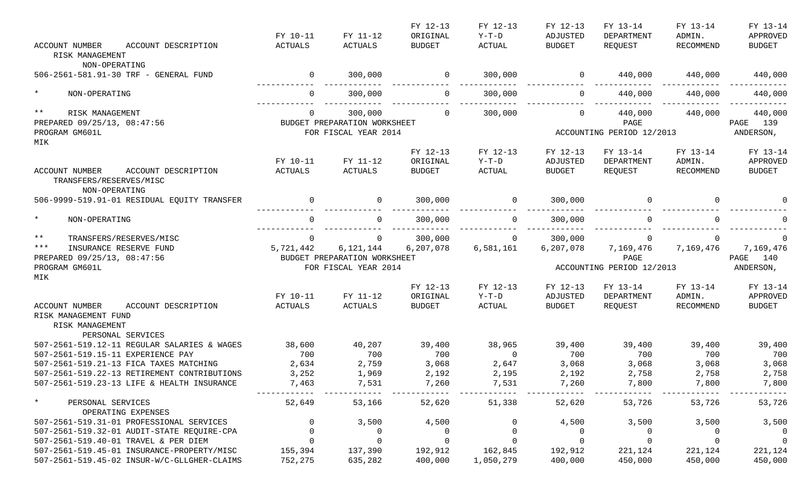|                                                                                                       | FY 10-11            | FY 11-12                                                          | FY 12-13<br>ORIGINAL      | FY 12-13<br>Y-T-D | FY 12-13<br>ADJUSTED | FY 13-14<br>DEPARTMENT                                                                                                                                                                                                                                                                                                             | FY 13-14<br>ADMIN.  | FY 13-14<br>APPROVED               |
|-------------------------------------------------------------------------------------------------------|---------------------|-------------------------------------------------------------------|---------------------------|-------------------|----------------------|------------------------------------------------------------------------------------------------------------------------------------------------------------------------------------------------------------------------------------------------------------------------------------------------------------------------------------|---------------------|------------------------------------|
| <b>ACCOUNT NUMBER</b><br>ACCOUNT DESCRIPTION<br>RISK MANAGEMENT<br>NON-OPERATING                      | ACTUALS             | ACTUALS                                                           | <b>BUDGET</b>             | ACTUAL            | BUDGET               | REQUEST                                                                                                                                                                                                                                                                                                                            | RECOMMEND           | <b>BUDGET</b>                      |
| 506-2561-581.91-30 TRF - GENERAL FUND                                                                 | $\sim$ 0            | 300,000                                                           | $\overline{0}$            | 300,000           |                      | $0 \qquad \qquad 440,000 \qquad \qquad 440,000 \qquad \qquad 440,000$                                                                                                                                                                                                                                                              |                     |                                    |
| $\star$<br>NON-OPERATING                                                                              | $\Omega$            | 300,000                                                           | $\overline{0}$            | 300,000           | $\overline{0}$       | 440,000                                                                                                                                                                                                                                                                                                                            | 440,000             | 440,000                            |
| $\star\star$<br>RISK MANAGEMENT<br>PREPARED 09/25/13, 08:47:56<br>PROGRAM GM601L                      | $\overline{0}$      | 300,000<br>BUDGET PREPARATION WORKSHEET<br>FOR FISCAL YEAR 2014   | $\Omega$                  | 300,000           | $\overline{0}$       | 440,000<br>PAGE<br>ACCOUNTING PERIOD 12/2013                                                                                                                                                                                                                                                                                       | 440,000             | 440,000<br>PAGE 139<br>ANDERSON,   |
| MIK                                                                                                   |                     |                                                                   | FY 12-13                  | FY 12-13          | FY 12-13             | FY 13-14                                                                                                                                                                                                                                                                                                                           | FY 13-14            | FY 13-14                           |
| ACCOUNT NUMBER<br>ACCOUNT DESCRIPTION<br>TRANSFERS/RESERVES/MISC<br>NON-OPERATING                     | FY 10-11<br>ACTUALS | FY 11-12<br>ACTUALS                                               | ORIGINAL<br><b>BUDGET</b> | Y-T-D<br>ACTUAL   | ADJUSTED<br>BUDGET   | DEPARTMENT<br>REQUEST                                                                                                                                                                                                                                                                                                              | ADMIN.<br>RECOMMEND | APPROVED<br><b>BUDGET</b>          |
| 506-9999-519.91-01 RESIDUAL EQUITY TRANSFER                                                           | $\overline{0}$      | $\overline{0}$                                                    | 300,000                   | $\overline{0}$    | 300,000              | $\overline{a}$ and $\overline{a}$ and $\overline{a}$ and $\overline{a}$ and $\overline{a}$ and $\overline{a}$ and $\overline{a}$ and $\overline{a}$ and $\overline{a}$ and $\overline{a}$ and $\overline{a}$ and $\overline{a}$ and $\overline{a}$ and $\overline{a}$ and $\overline{a}$ and $\overline{a}$ and $\overline{a}$ and | $\Omega$            |                                    |
| $\star$<br>NON-OPERATING                                                                              | $\Omega$            | $\overline{0}$                                                    | 300,000                   | $\overline{0}$    | 300,000              | $\Omega$                                                                                                                                                                                                                                                                                                                           | $\Omega$            |                                    |
| $***$<br>TRANSFERS/RESERVES/MISC                                                                      | $\mathbf 0$         | $\overline{0}$                                                    | 300,000                   | $\Omega$          | 300,000              | $\Omega$                                                                                                                                                                                                                                                                                                                           | $\Omega$            | $\Omega$                           |
| $***$<br>INSURANCE RESERVE FUND<br>PREPARED 09/25/13, 08:47:56<br>PROGRAM GM601L                      | 5,721,442           | 6,121,144<br>BUDGET PREPARATION WORKSHEET<br>FOR FISCAL YEAR 2014 | 6,207,078                 | 6,581,161         | 6,207,078            | 7,169,476 7,169,476<br>PAGE<br>ACCOUNTING PERIOD 12/2013                                                                                                                                                                                                                                                                           |                     | 7,169,476<br>PAGE 140<br>ANDERSON, |
| MIK                                                                                                   |                     |                                                                   | FY 12-13                  | FY 12-13          | FY 12-13             | FY 13-14                                                                                                                                                                                                                                                                                                                           | FY 13-14            | FY 13-14                           |
|                                                                                                       | FY 10-11            | FY 11-12                                                          | ORIGINAL                  | Y-T-D             | ADJUSTED             | DEPARTMENT                                                                                                                                                                                                                                                                                                                         | ADMIN.              | APPROVED                           |
| ACCOUNT NUMBER<br>ACCOUNT DESCRIPTION<br>RISK MANAGEMENT FUND<br>RISK MANAGEMENT<br>PERSONAL SERVICES | ACTUALS             | ACTUALS                                                           | <b>BUDGET</b>             | ACTUAL            | BUDGET               | REQUEST                                                                                                                                                                                                                                                                                                                            | RECOMMEND           | BUDGET                             |
| 507-2561-519.12-11 REGULAR SALARIES & WAGES                                                           | 38,600              | 40,207                                                            | 39,400                    | 38,965            | 39,400               | 39,400                                                                                                                                                                                                                                                                                                                             | 39,400              | 39,400                             |
| 507-2561-519.15-11 EXPERIENCE PAY                                                                     | 700                 | 700                                                               | 700                       | $\overline{0}$    | 700                  | 700                                                                                                                                                                                                                                                                                                                                | 700                 | 700                                |
| 507-2561-519.21-13 FICA TAXES MATCHING<br>507-2561-519.22-13 RETIREMENT CONTRIBUTIONS                 | 2,634               | 2,759                                                             | 3,068                     | 2,647             | 3,068                | 3,068                                                                                                                                                                                                                                                                                                                              | 3,068               | 3,068                              |
| 507-2561-519.23-13 LIFE & HEALTH INSURANCE                                                            | 3,252<br>7,463      | 1,969<br>7,531                                                    | 2,192<br>7,260            | 2,195<br>7,531    | 2,192<br>7,260       | 2,758<br>7,800                                                                                                                                                                                                                                                                                                                     | 2,758<br>7,800      | 2,758<br>7,800                     |
| $\star$<br>PERSONAL SERVICES<br>OPERATING EXPENSES                                                    | 52,649              | 53,166                                                            | 52,620                    | 51,338            | 52,620               | 53,726                                                                                                                                                                                                                                                                                                                             | 53,726              | 53,726                             |
| 507-2561-519.31-01 PROFESSIONAL SERVICES                                                              | 0                   | 3,500                                                             | 4,500                     |                   | 4,500                | 3,500                                                                                                                                                                                                                                                                                                                              | 3,500               | 3,500                              |
| 507-2561-519.32-01 AUDIT-STATE REQUIRE-CPA                                                            | 0                   | $\overline{0}$                                                    | 0                         |                   | $\overline{0}$       | $\Omega$                                                                                                                                                                                                                                                                                                                           | $\Omega$            | $\overline{0}$                     |
| 507-2561-519.40-01 TRAVEL & PER DIEM                                                                  | $\mathbf 0$         | $\mathsf{O}$                                                      | $\mathbf 0$               |                   | $\mathsf{O}$         | $\Omega$                                                                                                                                                                                                                                                                                                                           | $\Omega$            | $\overline{0}$                     |
| 507-2561-519.45-01 INSURANCE-PROPERTY/MISC                                                            | 155,394             | 137,390                                                           | 192,912                   | 162,845           | 192,912              | 221,124                                                                                                                                                                                                                                                                                                                            | 221,124             | 221,124                            |
| 507-2561-519.45-02 INSUR-W/C-GLLGHER-CLAIMS                                                           | 752,275             | 635,282                                                           | 400,000                   | 1,050,279         | 400,000              | 450,000                                                                                                                                                                                                                                                                                                                            | 450,000             | 450,000                            |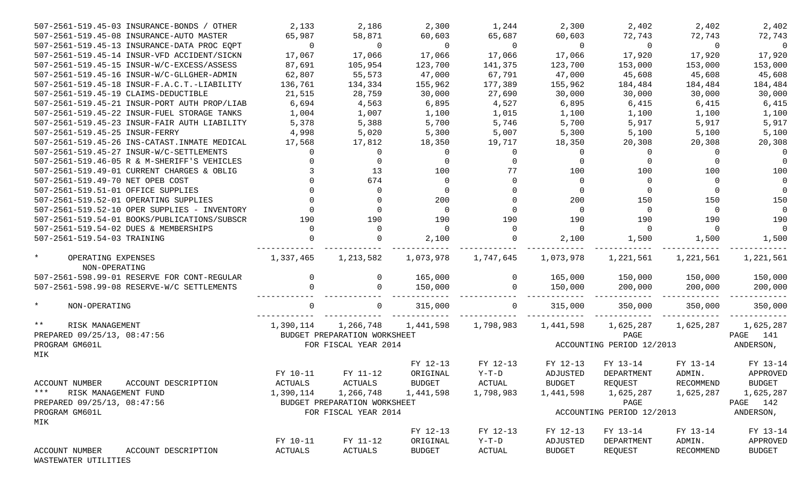| 507-2561-519.45-03 INSURANCE-BONDS / OTHER     | 2,133          | 2,186                        | 2,300                    | 1,244          | 2,300          | 2,402                     | 2,402          | 2,402          |
|------------------------------------------------|----------------|------------------------------|--------------------------|----------------|----------------|---------------------------|----------------|----------------|
| 507-2561-519.45-08 INSURANCE-AUTO MASTER       | 65,987         | 58,871                       | 60,603                   | 65,687         | 60,603         | 72,743                    | 72,743         | 72,743         |
| 507-2561-519.45-13 INSURANCE-DATA PROC EQPT    | $\overline{0}$ | $\overline{0}$               | $\overline{\phantom{0}}$ | $\overline{0}$ | $\overline{0}$ | $\sim$ 0                  | $\sim$ 0       | $\overline{0}$ |
| 507-2561-519.45-14 INSUR-VFD ACCIDENT/SICKN    | 17,067         | 17,066                       | 17,066                   | 17,066         | 17,066         | 17,920                    | 17,920         | 17,920         |
| 507-2561-519.45-15 INSUR-W/C-EXCESS/ASSESS     | 87,691         | 105,954                      | 123,700                  | 141,375        | 123,700        | 153,000                   | 153,000        | 153,000        |
| 507-2561-519.45-16 INSUR-W/C-GLLGHER-ADMIN     | 62,807         | 55,573                       | 47,000                   | 67,791         | 47,000         | 45,608                    | 45,608         | 45,608         |
| 507-2561-519.45-18 INSUR-F.A.C.T.-LIABILITY    | 136,761        | 134,334                      | 155,962                  | 177,389        | 155,962        | 184,484                   | 184,484        | 184,484        |
| 507-2561-519.45-19 CLAIMS-DEDUCTIBLE           | 21,515         | 28,759                       | 30,000                   | 27,690         | 30,000         | 30,000                    | 30,000         | 30,000         |
| 507-2561-519.45-21 INSUR-PORT AUTH PROP/LIAB   | 6,694          | 4,563                        | 6,895                    | 4,527          | 6,895          | 6,415                     | 6,415          | 6,415          |
| 507-2561-519.45-22 INSUR-FUEL STORAGE TANKS    | 1,004          | 1,007                        | 1,100                    | 1,015          | 1,100          | 1,100                     | 1,100          | 1,100          |
| 507-2561-519.45-23 INSUR-FAIR AUTH LIABILITY   | 5,378          | 5,388                        | 5,700                    | 5,746          | 5,700          | 5,917                     | 5,917          | 5,917          |
| 507-2561-519.45-25 INSUR-FERRY                 | 4,998          | 5,020                        | 5,300                    | 5,007          | 5,300          | 5,100                     | 5,100          | 5,100          |
| 507-2561-519.45-26 INS-CATAST. INMATE MEDICAL  | 17,568         | 17,812                       | 18,350                   | 19,717         | 18,350         | 20,308                    | 20,308         | 20,308         |
| 507-2561-519.45-27 INSUR-W/C-SETTLEMENTS       | $\Omega$       | $\overline{0}$               | $\Omega$                 | $\Omega$       | $\Omega$       | $\overline{0}$            | $\overline{0}$ | $\overline{0}$ |
| 507-2561-519.46-05 R & M-SHERIFF'S VEHICLES    |                | $\mathbf 0$                  |                          | $\Omega$       | $\Omega$       | $\Omega$                  |                | $\Omega$       |
| 507-2561-519.49-01 CURRENT CHARGES & OBLIG     |                | 13                           | 100                      | 77             | 100            | 100                       | 100            | 100            |
| 507-2561-519.49-70 NET OPEB COST               |                | 674                          | $\Omega$                 | $\Omega$       | $\Omega$       | $\overline{0}$            | $\overline{0}$ | $\overline{0}$ |
| 507-2561-519.51-01 OFFICE SUPPLIES             |                | $\mathbf 0$                  | $\Omega$                 |                | $\Omega$       | $\overline{0}$            |                | $\Omega$       |
| 507-2561-519.52-01 OPERATING SUPPLIES          |                | $\Omega$                     | 200                      |                | 200            | 150                       | 150            | 150            |
| 507-2561-519.52-10 OPER SUPPLIES - INVENTORY   |                | $\Omega$                     | $\overline{0}$           | $\Omega$       | $\Omega$       | $\overline{0}$            | $\overline{0}$ | $\overline{0}$ |
| 507-2561-519.54-01 BOOKS/PUBLICATIONS/SUBSCR   | 190            | 190                          | 190                      | 190            | 190            | 190                       | 190            | 190            |
| 507-2561-519.54-02 DUES & MEMBERSHIPS          | $\Omega$       | $\overline{0}$               | $\overline{0}$           | $\Omega$       | $\Omega$       | $\overline{0}$            | $\overline{0}$ | $\overline{0}$ |
| 507-2561-519.54-03 TRAINING                    | $\Omega$       | $\Omega$                     | 2,100                    | $\Omega$       | 2,100          | 1,500                     | 1,500          | 1,500          |
| $\star$<br>OPERATING EXPENSES<br>NON-OPERATING | 1,337,465      | 1,213,582                    | 1,073,978                | 1,747,645      | 1,073,978      | 1,221,561                 | 1,221,561      | 1,221,561      |
| 507-2561-598.99-01 RESERVE FOR CONT-REGULAR    | $\overline{0}$ | $\overline{0}$               | 165,000                  | $\overline{0}$ | 165,000        | 150,000 150,000           |                | 150,000        |
| 507-2561-598.99-08 RESERVE-W/C SETTLEMENTS     | $\Omega$       | $\Omega$                     | 150,000                  | $\Omega$       | 150,000        | 200,000                   | 200,000        | 200,000        |
| $\star$<br>NON-OPERATING                       | $\Omega$       | $\overline{0}$               | 315,000                  | $\overline{0}$ | 315,000        | 350,000                   | 350,000        | 350,000        |
| $***$<br>RISK MANAGEMENT                       | 1,390,114      | 1,266,748                    | 1,441,598 1,798,983      |                | 1,441,598      |                           |                | 1,625,287      |
| PREPARED 09/25/13, 08:47:56                    |                | BUDGET PREPARATION WORKSHEET |                          |                |                | PAGE                      |                | PAGE 141       |
| PROGRAM GM601L                                 |                | FOR FISCAL YEAR 2014         |                          |                |                | ACCOUNTING PERIOD 12/2013 |                | ANDERSON,      |
| MIK                                            |                |                              |                          |                |                |                           |                |                |
|                                                |                |                              | FY 12-13                 | FY 12-13       | FY 12-13       | FY 13-14                  | FY 13-14       | FY 13-14       |
|                                                | FY 10-11       | FY 11-12                     | ORIGINAL                 | $Y-T-D$        | ADJUSTED       | DEPARTMENT                | ADMIN.         | APPROVED       |
| ACCOUNT NUMBER ACCOUNT DESCRIPTION             |                | ACTUALS ACTUALS              | <b>BUDGET</b>            | <b>ACTUAL</b>  | <b>BUDGET</b>  | REQUEST                   | RECOMMEND      | <b>BUDGET</b>  |
| $***$<br>RISK MANAGEMENT FUND                  | 1,390,114      | 1,266,748                    | 1,441,598                | 1,798,983      | 1,441,598      | 1,625,287                 | 1,625,287      | 1,625,287      |
| PREPARED 09/25/13, 08:47:56                    |                | BUDGET PREPARATION WORKSHEET |                          |                |                | PAGE                      |                | PAGE 142       |
| PROGRAM GM601L<br>MIK                          |                | FOR FISCAL YEAR 2014         |                          |                |                | ACCOUNTING PERIOD 12/2013 |                | ANDERSON,      |
|                                                |                |                              | FY 12-13                 | FY 12-13       | FY 12-13       | FY 13-14                  | FY 13-14       | FY 13-14       |
|                                                | FY 10-11       | FY 11-12                     | ORIGINAL                 | $Y-T-D$        | ADJUSTED       | DEPARTMENT                | ADMIN.         | APPROVED       |
| ACCOUNT DESCRIPTION<br>ACCOUNT NUMBER          | <b>ACTUALS</b> | ACTUALS                      | <b>BUDGET</b>            | ACTUAL         | <b>BUDGET</b>  | REQUEST                   | RECOMMEND      | <b>BUDGET</b>  |

WASTEWATER UTILITIES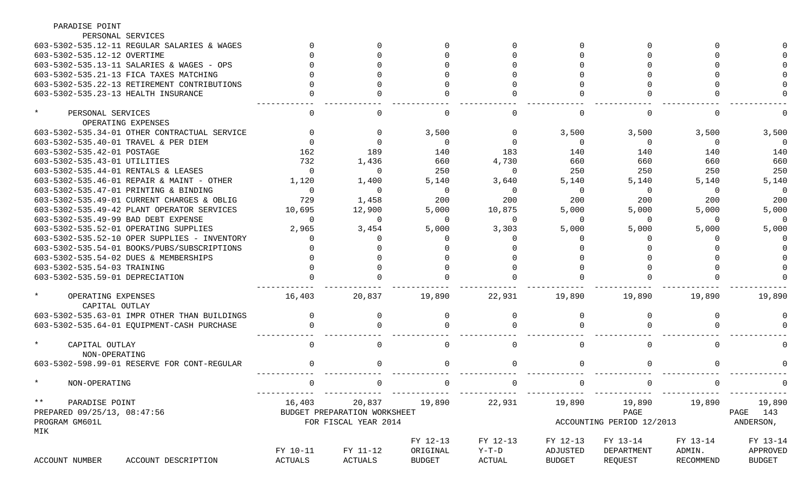| PARADISE POINT                               |          |                              |               |              |               |                           |               |               |
|----------------------------------------------|----------|------------------------------|---------------|--------------|---------------|---------------------------|---------------|---------------|
| PERSONAL SERVICES                            |          |                              |               |              |               |                           |               |               |
| 603-5302-535.12-11 REGULAR SALARIES & WAGES  |          |                              |               |              |               |                           |               |               |
| 603-5302-535.12-12 OVERTIME                  |          |                              |               |              |               |                           |               |               |
| 603-5302-535.13-11 SALARIES & WAGES - OPS    |          |                              |               |              |               |                           |               |               |
| 603-5302-535.21-13 FICA TAXES MATCHING       |          |                              |               |              |               |                           |               |               |
| 603-5302-535.22-13 RETIREMENT CONTRIBUTIONS  |          |                              |               |              |               |                           |               |               |
| 603-5302-535.23-13 HEALTH INSURANCE          |          |                              |               |              |               |                           |               |               |
|                                              |          |                              |               |              |               |                           |               |               |
| $^\star$<br>PERSONAL SERVICES                |          |                              |               | <sup>0</sup> |               |                           | $\Omega$      |               |
| OPERATING EXPENSES                           |          |                              |               |              |               |                           |               |               |
| 603-5302-535.34-01 OTHER CONTRACTUAL SERVICE |          |                              | 3,500         |              | 3,500         | 3,500                     | 3,500         | 3,500         |
| 603-5302-535.40-01 TRAVEL & PER DIEM         |          |                              | $\Omega$      |              | $\Omega$      | $\Omega$                  | 0             | $\Omega$      |
| 603-5302-535.42-01 POSTAGE                   | 162      | 189                          | 140           | 183          | 140           | 140                       | 140           | 140           |
| 603-5302-535.43-01 UTILITIES                 | 732      | 1,436                        | 660           | 4,730        | 660           | 660                       | 660           | 660           |
| 603-5302-535.44-01 RENTALS & LEASES          | $\Omega$ | $\Omega$                     | 250           | $\Omega$     | 250           | 250                       | 250           | 250           |
| 603-5302-535.46-01 REPAIR & MAINT - OTHER    | 1,120    | 1,400                        | 5,140         | 3,640        | 5,140         | 5,140                     | 5,140         | 5,140         |
| 603-5302-535.47-01 PRINTING & BINDING        | $\Omega$ | $\Omega$                     | $\Omega$      | $\Omega$     | $\Omega$      | $\Omega$                  | $\Omega$      | $\Omega$      |
| 603-5302-535.49-01 CURRENT CHARGES & OBLIG   | 729      | 1,458                        | 200           | 200          | 200           | 200                       | 200           | 200           |
| 603-5302-535.49-42 PLANT OPERATOR SERVICES   | 10,695   | 12,900                       | 5,000         | 10,875       | 5,000         | 5,000                     | 5,000         | 5,000         |
| 603-5302-535.49-99 BAD DEBT EXPENSE          | $\Omega$ | $\Omega$                     | $\Omega$      | $\Omega$     | $\Omega$      | $\Omega$                  | $\Omega$      | $\Omega$      |
| 603-5302-535.52-01 OPERATING SUPPLIES        | 2,965    | 3,454                        | 5,000         | 3,303        | 5,000         | 5,000                     | 5,000         | 5,000         |
| 603-5302-535.52-10 OPER SUPPLIES - INVENTORY |          |                              |               |              |               |                           |               |               |
| 603-5302-535.54-01 BOOKS/PUBS/SUBSCRIPTIONS  |          |                              |               |              |               |                           |               |               |
| 603-5302-535.54-02 DUES & MEMBERSHIPS        |          |                              |               |              |               |                           |               |               |
| 603-5302-535.54-03 TRAINING                  |          |                              |               |              |               |                           |               |               |
| 603-5302-535.59-01 DEPRECIATION              |          |                              |               |              |               |                           |               |               |
|                                              |          |                              |               |              |               |                           |               |               |
| $^\star$<br>OPERATING EXPENSES               | 16,403   | 20,837                       | 19,890        | 22,931       | 19,890        | 19,890                    | 19,890        | 19,890        |
| CAPITAL OUTLAY                               |          |                              |               |              |               |                           |               |               |
| 603-5302-535.63-01 IMPR OTHER THAN BUILDINGS |          |                              |               |              |               |                           |               |               |
| 603-5302-535.64-01 EQUIPMENT-CASH PURCHASE   |          |                              |               |              |               |                           |               |               |
|                                              |          |                              |               |              |               |                           |               |               |
| $\star$<br>CAPITAL OUTLAY                    |          |                              |               |              |               |                           | $\Omega$      |               |
| NON-OPERATING                                |          |                              |               |              |               |                           |               |               |
| 603-5302-598.99-01 RESERVE FOR CONT-REGULAR  |          |                              |               |              |               |                           |               |               |
| NON-OPERATING                                |          | <b>U</b>                     |               | . U          | <b>U</b>      |                           |               |               |
| $***$<br>PARADISE POINT                      | 16,403   | 20,837                       | 19,890        | 22,931       | 19,890        |                           | 19,890 19,890 | 19,890        |
| PREPARED 09/25/13, 08:47:56                  |          | BUDGET PREPARATION WORKSHEET |               |              |               | PAGE                      |               | PAGE 143      |
| PROGRAM GM601L                               |          | FOR FISCAL YEAR 2014         |               |              |               | ACCOUNTING PERIOD 12/2013 |               | ANDERSON,     |
| MIK                                          |          |                              |               |              |               |                           |               |               |
|                                              |          |                              | FY 12-13      | FY 12-13     | FY 12-13      | FY 13-14                  | FY 13-14      | FY 13-14      |
|                                              | FY 10-11 | FY 11-12                     | ORIGINAL      | Y-T-D        | ADJUSTED      | DEPARTMENT                | ADMIN.        | APPROVED      |
| ACCOUNT NUMBER<br>ACCOUNT DESCRIPTION        | ACTUALS  | ACTUALS                      | <b>BUDGET</b> | ACTUAL       | <b>BUDGET</b> | REQUEST                   | RECOMMEND     | <b>BUDGET</b> |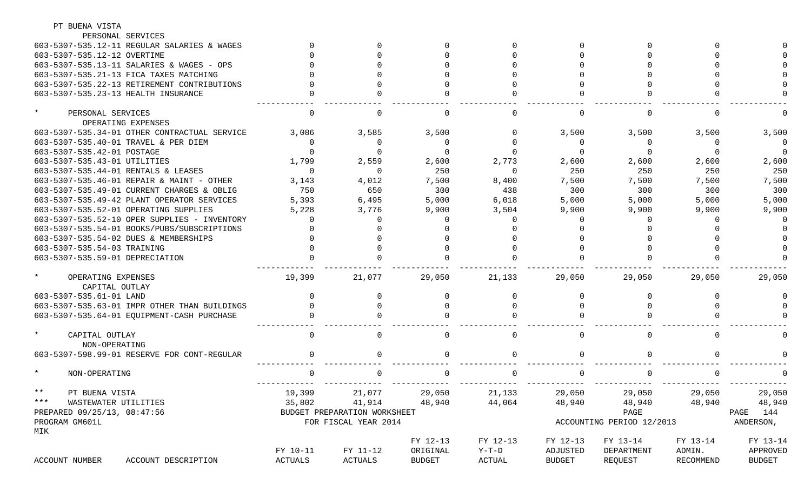| PT BUENA VISTA                               |          |                              |          |          |               |                           |               |                      |
|----------------------------------------------|----------|------------------------------|----------|----------|---------------|---------------------------|---------------|----------------------|
| PERSONAL SERVICES                            |          |                              |          |          |               |                           |               |                      |
| 603-5307-535.12-11 REGULAR SALARIES & WAGES  |          |                              |          |          |               |                           |               |                      |
| 603-5307-535.12-12 OVERTIME                  |          |                              |          |          |               |                           |               |                      |
| 603-5307-535.13-11 SALARIES & WAGES - OPS    |          |                              |          |          |               |                           |               |                      |
| 603-5307-535.21-13 FICA TAXES MATCHING       |          |                              |          |          |               |                           |               |                      |
| 603-5307-535.22-13 RETIREMENT CONTRIBUTIONS  |          |                              |          |          |               |                           |               |                      |
| 603-5307-535.23-13 HEALTH INSURANCE          |          |                              |          |          |               |                           |               |                      |
| $\ast$<br>PERSONAL SERVICES                  |          | <sup>0</sup>                 |          |          |               |                           | $\Omega$      |                      |
| OPERATING EXPENSES                           |          |                              |          |          |               |                           |               |                      |
| 603-5307-535.34-01 OTHER CONTRACTUAL SERVICE | 3,086    | 3,585                        | 3,500    |          | 3,500         | 3,500                     | 3,500         | 3,500                |
| 603-5307-535.40-01 TRAVEL & PER DIEM         | $\Omega$ | 0                            |          |          |               | $\Omega$                  | 0             |                      |
| 603-5307-535.42-01 POSTAGE                   |          | $\Omega$                     |          |          |               |                           |               | $\Omega$             |
| 603-5307-535.43-01 UTILITIES                 | 1,799    | 2,559                        | 2,600    | 2,773    | 2,600         | 2,600                     | 2,600         | 2,600                |
| 603-5307-535.44-01 RENTALS & LEASES          | $\Omega$ | $\Omega$                     | 250      | $\Omega$ | 250           | 250                       | 250           | 250                  |
| 603-5307-535.46-01 REPAIR & MAINT - OTHER    | 3,143    | 4,012                        | 7,500    | 8,400    | 7,500         | 7,500                     | 7,500         | 7,500                |
| 603-5307-535.49-01 CURRENT CHARGES & OBLIG   | 750      | 650                          | 300      | 438      | 300           | 300                       | 300           | 300                  |
| 603-5307-535.49-42 PLANT OPERATOR SERVICES   | 5,393    | 6,495                        | 5,000    | 6,018    | 5,000         | 5,000                     | 5,000         | 5,000                |
| 603-5307-535.52-01 OPERATING SUPPLIES        | 5,228    | 3,776                        | 9,900    | 3,504    | 9,900         | 9,900                     | 9,900         | 9,900                |
| 603-5307-535.52-10 OPER SUPPLIES - INVENTORY |          |                              |          |          |               |                           |               |                      |
| 603-5307-535.54-01 BOOKS/PUBS/SUBSCRIPTIONS  |          |                              |          |          |               |                           |               |                      |
| 603-5307-535.54-02 DUES & MEMBERSHIPS        |          |                              |          |          |               |                           |               |                      |
| 603-5307-535.54-03 TRAINING                  |          |                              |          |          |               |                           |               |                      |
| 603-5307-535.59-01 DEPRECIATION              |          |                              |          |          |               |                           |               |                      |
| $\ast$<br>OPERATING EXPENSES                 | 19,399   | 21,077                       | 29,050   | 21,133   | 29,050        | 29,050                    | 29,050        | 29,050               |
| CAPITAL OUTLAY                               |          |                              |          |          |               |                           |               |                      |
| 603-5307-535.61-01 LAND                      |          |                              |          |          |               |                           |               |                      |
| 603-5307-535.63-01 IMPR OTHER THAN BUILDINGS |          |                              |          |          |               |                           |               |                      |
| 603-5307-535.64-01 EOUIPMENT-CASH PURCHASE   |          |                              |          |          |               |                           |               |                      |
| $\star$                                      |          | <sup>0</sup>                 |          |          |               |                           | $\Omega$      |                      |
| CAPITAL OUTLAY<br>NON-OPERATING              |          |                              |          |          |               |                           |               |                      |
| 603-5307-598.99-01 RESERVE FOR CONT-REGULAR  |          | <sup>0</sup>                 |          |          |               |                           |               |                      |
|                                              |          |                              |          |          |               |                           |               |                      |
| NON-OPERATING                                | $\Omega$ | 0                            |          | 0        |               |                           | $\Omega$      |                      |
| $***$<br>PT BUENA VISTA                      |          | 19,399 21,077 29,050         |          | 21,133   | 29,050        |                           |               | 29,050 29,050 29,050 |
| *** WASTEWATER UTILITIES                     |          | 35,802 41,914 48,940         |          | 44,064   | 48,940        |                           | 48,940 48,940 | 48,940               |
| PREPARED 09/25/13, 08:47:56                  |          | BUDGET PREPARATION WORKSHEET |          |          |               | PAGE                      |               | PAGE 144             |
| PROGRAM GM601L<br>MIK                        |          | FOR FISCAL YEAR 2014         |          |          |               | ACCOUNTING PERIOD 12/2013 |               | ANDERSON,            |
|                                              |          |                              | FY 12-13 | FY 12-13 | FY 12-13      | FY 13-14                  | FY 13-14      | FY 13-14             |
|                                              | FY 10-11 | FY 11-12                     | ORIGINAL | Y-T-D    | ADJUSTED      | DEPARTMENT                | ADMIN.        | APPROVED             |
| ACCOUNT NUMBER<br>ACCOUNT DESCRIPTION        | ACTUALS  | ACTUALS                      | BUDGET   | ACTUAL   | <b>BUDGET</b> | REQUEST                   | RECOMMEND     | <b>BUDGET</b>        |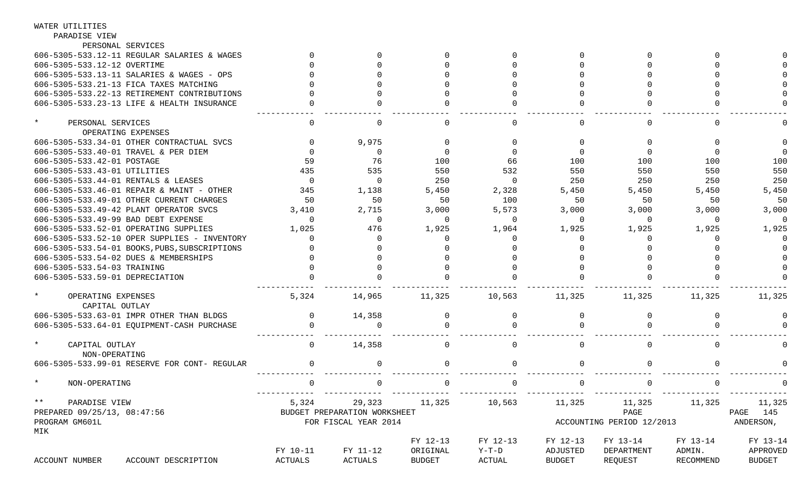| PARADISE VIEW                                   |          |                              |               |             |               |                           |           |               |
|-------------------------------------------------|----------|------------------------------|---------------|-------------|---------------|---------------------------|-----------|---------------|
| PERSONAL SERVICES                               |          |                              |               |             |               |                           |           |               |
| 606-5305-533.12-11 REGULAR SALARIES & WAGES     |          |                              |               | $\Omega$    | $\Omega$      |                           |           |               |
| 606-5305-533.12-12 OVERTIME                     |          |                              |               |             | $\Omega$      |                           |           |               |
| 606-5305-533.13-11 SALARIES & WAGES - OPS       |          |                              |               |             |               |                           |           |               |
| 606-5305-533.21-13 FICA TAXES MATCHING          |          |                              |               |             |               |                           |           |               |
| 606-5305-533.22-13 RETIREMENT CONTRIBUTIONS     |          |                              |               |             | $\Omega$      |                           |           |               |
| 606-5305-533.23-13 LIFE & HEALTH INSURANCE      |          |                              |               |             | $\Omega$      |                           |           |               |
| $\star$<br>PERSONAL SERVICES                    | $\Omega$ | $\Omega$                     |               | $\Omega$    |               |                           |           |               |
| OPERATING EXPENSES                              |          |                              |               |             |               |                           |           |               |
| 606-5305-533.34-01 OTHER CONTRACTUAL SVCS       |          | 9,975                        | $\Omega$      |             | $\Omega$      | $\Omega$                  |           |               |
| 606-5305-533.40-01 TRAVEL & PER DIEM            |          | 0                            | $\Omega$      | $\Omega$    | $\Omega$      | $\Omega$                  |           |               |
| 606-5305-533.42-01 POSTAGE                      | 59       | 76                           | 100           | 66          | 100           | 100                       | 100       | 100           |
| 606-5305-533.43-01 UTILITIES                    | 435      | 535                          | 550           | 532         | 550           | 550                       | 550       | 550           |
| 606-5305-533.44-01 RENTALS & LEASES             | $\Omega$ | $\Omega$                     | 250           | $\Omega$    | 250           | 250                       | 250       | 250           |
| 606-5305-533.46-01 REPAIR & MAINT - OTHER       | 345      | 1,138                        | 5,450         | 2,328       | 5,450         | 5,450                     | 5,450     | 5,450         |
| 606-5305-533.49-01 OTHER CURRENT CHARGES        | 50       | 50                           | 50            | 100         | 50            | 50                        | 50        | 50            |
| 606-5305-533.49-42 PLANT OPERATOR SVCS          | 3,410    | 2,715                        | 3,000         | 5,573       | 3,000         | 3,000                     | 3,000     | 3,000         |
| 606-5305-533.49-99 BAD DEBT EXPENSE             | $\Omega$ | 0                            | $\Omega$      | $\mathbf 0$ | 0             | $\overline{0}$            | $\Omega$  | $\Omega$      |
| 606-5305-533.52-01 OPERATING SUPPLIES           | 1,025    | 476                          | 1,925         | 1,964       | 1,925         | 1,925                     | 1,925     | 1,925         |
| 606-5305-533.52-10 OPER SUPPLIES - INVENTORY    |          | $\Omega$                     |               | 0           | $\Omega$      | 0                         |           |               |
| 606-5305-533.54-01 BOOKS, PUBS, SUBSCRIPTIONS   |          |                              |               |             |               |                           |           |               |
| 606-5305-533.54-02 DUES & MEMBERSHIPS           |          |                              |               |             |               |                           |           |               |
| 606-5305-533.54-03 TRAINING                     |          |                              |               |             |               |                           |           |               |
| 606-5305-533.59-01 DEPRECIATION                 |          |                              |               |             |               |                           |           |               |
| $\star$<br>OPERATING EXPENSES<br>CAPITAL OUTLAY | 5,324    | 14,965                       | 11,325        | 10,563      | 11,325        | 11,325                    | 11,325    | 11,325        |
| 606-5305-533.63-01 IMPR OTHER THAN BLDGS        | 0        | 14,358                       | $\Omega$      | $\mathbf 0$ | $\Omega$      | $\Omega$                  | $\Omega$  |               |
| 606-5305-533.64-01 EOUIPMENT-CASH PURCHASE      | $\Omega$ | $\Omega$                     |               |             |               |                           |           |               |
| $\star$<br>CAPITAL OUTLAY<br>NON-OPERATING      | $\Omega$ | 14,358                       |               | $\Omega$    |               |                           |           |               |
| 606-5305-533.99-01 RESERVE FOR CONT- REGULAR    | $\Omega$ | $\Omega$                     |               | $\Omega$    | $\Omega$      |                           | $\cap$    |               |
| NON-OPERATING                                   |          | $\Omega$                     |               | $\Omega$    | $\Omega$      |                           |           |               |
| $\star \star$<br>PARADISE VIEW                  | 5,324    | 29,323                       | 11,325        | 10,563      | 11,325        | 11,325                    | 11,325    | 11,325        |
| PREPARED 09/25/13, 08:47:56                     |          | BUDGET PREPARATION WORKSHEET |               |             |               | PAGE                      |           | PAGE 145      |
| PROGRAM GM601L<br>MIK                           |          | FOR FISCAL YEAR 2014         |               |             |               | ACCOUNTING PERIOD 12/2013 |           | ANDERSON,     |
|                                                 |          |                              | FY 12-13      | FY 12-13    | FY 12-13      | FY 13-14                  | FY 13-14  | FY 13-14      |
|                                                 | FY 10-11 | FY 11-12                     | ORIGINAL      | $Y-T-D$     | ADJUSTED      | DEPARTMENT                | ADMIN.    | APPROVED      |
| ACCOUNT NUMBER<br>ACCOUNT DESCRIPTION           | ACTUALS  | ACTUALS                      | <b>BUDGET</b> | ACTUAL      | <b>BUDGET</b> | REQUEST                   | RECOMMEND | <b>BUDGET</b> |

WATER UTILITIES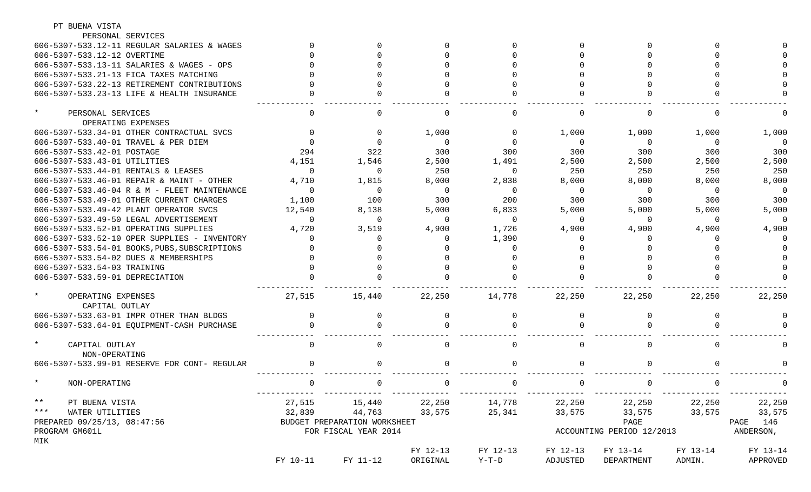| PT BUENA VISTA                                  |          |                              |          |             |             |                           |          |                         |
|-------------------------------------------------|----------|------------------------------|----------|-------------|-------------|---------------------------|----------|-------------------------|
| PERSONAL SERVICES                               |          |                              |          |             |             |                           |          |                         |
| 606-5307-533.12-11 REGULAR SALARIES & WAGES     |          |                              |          |             |             |                           |          |                         |
| 606-5307-533.12-12 OVERTIME                     |          |                              |          |             |             |                           |          |                         |
| 606-5307-533.13-11 SALARIES & WAGES - OPS       |          |                              |          |             |             |                           |          |                         |
| 606-5307-533.21-13 FICA TAXES MATCHING          |          |                              |          |             |             |                           |          |                         |
| 606-5307-533.22-13 RETIREMENT CONTRIBUTIONS     |          |                              |          |             |             |                           |          |                         |
| 606-5307-533.23-13 LIFE & HEALTH INSURANCE      |          |                              |          |             |             |                           |          |                         |
| $^\star$<br>PERSONAL SERVICES                   |          |                              |          |             | $\Omega$    |                           |          |                         |
| OPERATING EXPENSES                              |          |                              |          |             |             |                           |          |                         |
| 606-5307-533.34-01 OTHER CONTRACTUAL SVCS       |          |                              | 1,000    | $\Omega$    | 1,000       | 1,000                     | 1,000    | 1,000                   |
| 606-5307-533.40-01 TRAVEL & PER DIEM            |          |                              | $\Omega$ | $\Omega$    | 0           | $\Omega$                  | $\Omega$ | $\Omega$                |
| 606-5307-533.42-01 POSTAGE                      | 294      | 322                          | 300      | 300         | 300         | 300                       | 300      | 300                     |
| 606-5307-533.43-01 UTILITIES                    | 4,151    | 1,546                        | 2,500    | 1,491       | 2,500       | 2,500                     | 2,500    | 2,500                   |
| 606-5307-533.44-01 RENTALS & LEASES             | $\Omega$ | $\mathbf 0$                  | 250      | $\Omega$    | 250         | 250                       | 250      | 250                     |
| 606-5307-533.46-01 REPAIR & MAINT - OTHER       | 4,710    | 1,815                        | 8,000    | 2,838       | 8,000       | 8,000                     | 8,000    | 8,000                   |
| 606-5307-533.46-04 R & M - FLEET MAINTENANCE    | $\cap$   | 0                            | $\Omega$ | $\mathbf 0$ | $\mathbf 0$ | $\Omega$                  | $\Omega$ | $\Omega$                |
| 606-5307-533.49-01 OTHER CURRENT CHARGES        | 1,100    | 100                          | 300      | 200         | 300         | 300                       | 300      | 300                     |
| 606-5307-533.49-42 PLANT OPERATOR SVCS          | 12,540   | 8,138                        | 5,000    | 6,833       | 5,000       | 5,000                     | 5,000    | 5,000                   |
| 606-5307-533.49-50 LEGAL ADVERTISEMENT          | $\Omega$ | $\mathbf 0$                  | $\Omega$ | $\Omega$    | $\mathbf 0$ | $\Omega$                  | $\Omega$ | $\Omega$                |
| 606-5307-533.52-01 OPERATING SUPPLIES           | 4,720    | 3,519                        | 4,900    | 1,726       | 4,900       | 4,900                     | 4,900    | 4,900                   |
| 606-5307-533.52-10 OPER SUPPLIES - INVENTORY    |          |                              |          | 1,390       |             |                           |          |                         |
| 606-5307-533.54-01 BOOKS, PUBS, SUBSCRIPTIONS   |          |                              |          |             |             |                           |          |                         |
| 606-5307-533.54-02 DUES & MEMBERSHIPS           |          |                              |          |             |             |                           |          |                         |
| 606-5307-533.54-03 TRAINING                     |          |                              |          |             |             |                           |          |                         |
| 606-5307-533.59-01 DEPRECIATION                 |          |                              |          |             |             |                           |          |                         |
| $\star$<br>OPERATING EXPENSES<br>CAPITAL OUTLAY | 27,515   | 15,440                       | 22,250   | 14,778      | 22,250      | 22,250                    | 22,250   | 22,250                  |
| 606-5307-533.63-01 IMPR OTHER THAN BLDGS        |          | <sup>0</sup>                 |          | $\Omega$    | $\Omega$    |                           |          |                         |
| 606-5307-533.64-01 EQUIPMENT-CASH PURCHASE      |          |                              |          |             |             |                           |          |                         |
| $\star$<br>CAPITAL OUTLAY<br>NON-OPERATING      |          |                              |          |             | $\Omega$    |                           |          |                         |
| 606-5307-533.99-01 RESERVE FOR CONT- REGULAR    |          | $\Omega$                     |          | $\Omega$    | $\Omega$    |                           |          |                         |
| NON-OPERATING                                   |          | . U                          | $\cup$   | U.          | <b>U</b>    |                           | . O      |                         |
| $***$<br>PT BUENA VISTA                         |          | 27,515 15,440 22,250 14,778  |          |             | 22,250      |                           |          | 22, 250 22, 250 22, 250 |
| *** WATER UTILITIES                             |          | 32,839 44,763                | 33,575   | 25,341      | 33,575      | 33,575 33,575 33,575      |          |                         |
| PREPARED 09/25/13, 08:47:56                     |          | BUDGET PREPARATION WORKSHEET |          |             |             | PAGE                      |          | PAGE 146                |
| PROGRAM GM601L<br>MIK                           |          | FOR FISCAL YEAR 2014         |          |             |             | ACCOUNTING PERIOD 12/2013 |          | ANDERSON,               |
|                                                 |          |                              | FY 12-13 | FY 12-13    | FY 12-13    | FY 13-14                  | FY 13-14 | FY 13-14                |
|                                                 | FY 10-11 | FY 11-12                     | ORIGINAL | $Y-T-D$     | ADJUSTED    | DEPARTMENT                | ADMIN.   | APPROVED                |